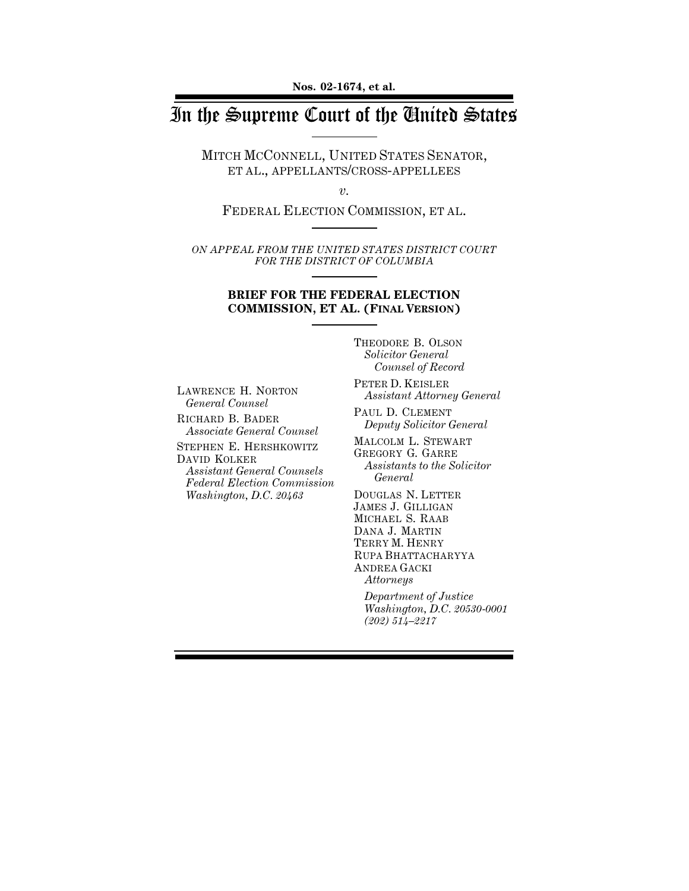**Nos. 02-1674, et al.**

# In the Supreme Court of the United States

MITCH MCCONNELL, UNITED STATES SENATOR, ET AL., APPELLANTS/CROSS-APPELLEES

*v.*

FEDERAL ELECTION COMMISSION, ET AL.

*ON APPEAL FROM THE UNITED STATES DISTRICT COURT FOR THE DISTRICT OF COLUMBIA*

### **BRIEF FOR THE FEDERAL ELECTION COMMISSION, ET AL. (FINAL VERSION)**

THEODORE B. OLSON *Solicitor General Counsel of Record*

LAWRENCE H. NORTON *General Counsel*

RICHARD B. BADER *Associate General Counsel* STEPHEN E. HERSHKOWITZ DAVID KOLKER *Assistant General Counsels*

*Federal Election Commission Washington, D.C. 20463*

PETER D. KEISLER *Assistant Attorney General*

PAUL D. CLEMENT *Deputy Solicitor General*

MALCOLM L. STEWART GREGORY G. GARRE *Assistants to the Solicitor General*

DOUGLAS N. LETTER JAMES J. GILLIGAN MICHAEL S. RAAB DANA J. MARTIN TERRY M. HENRY RUPA BHATTACHARYYA ANDREA GACKI *Attorneys*

*Department of Justice Washington, D.C. 20530-0001 (202) 514–2217*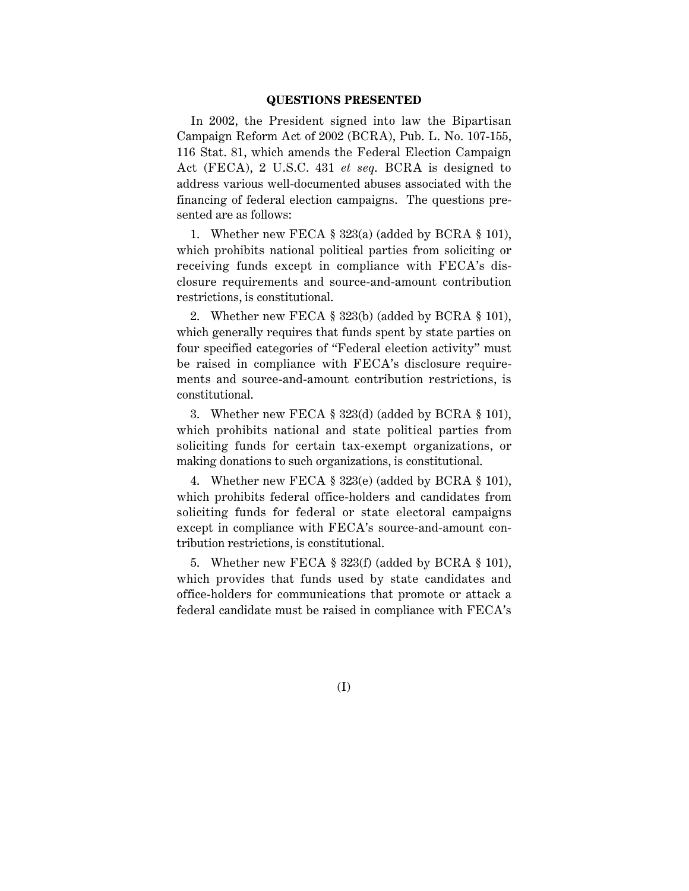#### **QUESTIONS PRESENTED**

In 2002, the President signed into law the Bipartisan Campaign Reform Act of 2002 (BCRA), Pub. L. No. 107-155, 116 Stat. 81, which amends the Federal Election Campaign Act (FECA), 2 U.S.C. 431 *et seq*. BCRA is designed to address various well-documented abuses associated with the financing of federal election campaigns. The questions presented are as follows:

1. Whether new FECA § 323(a) (added by BCRA § 101), which prohibits national political parties from soliciting or receiving funds except in compliance with FECA's disclosure requirements and source-and-amount contribution restrictions, is constitutional.

2. Whether new FECA § 323(b) (added by BCRA § 101), which generally requires that funds spent by state parties on four specified categories of "Federal election activity" must be raised in compliance with FECA's disclosure requirements and source-and-amount contribution restrictions, is constitutional.

3. Whether new FECA § 323(d) (added by BCRA § 101), which prohibits national and state political parties from soliciting funds for certain tax-exempt organizations, or making donations to such organizations, is constitutional.

4. Whether new FECA § 323(e) (added by BCRA § 101), which prohibits federal office-holders and candidates from soliciting funds for federal or state electoral campaigns except in compliance with FECA's source-and-amount contribution restrictions, is constitutional.

5. Whether new FECA § 323(f) (added by BCRA § 101), which provides that funds used by state candidates and office-holders for communications that promote or attack a federal candidate must be raised in compliance with FECA's

(I)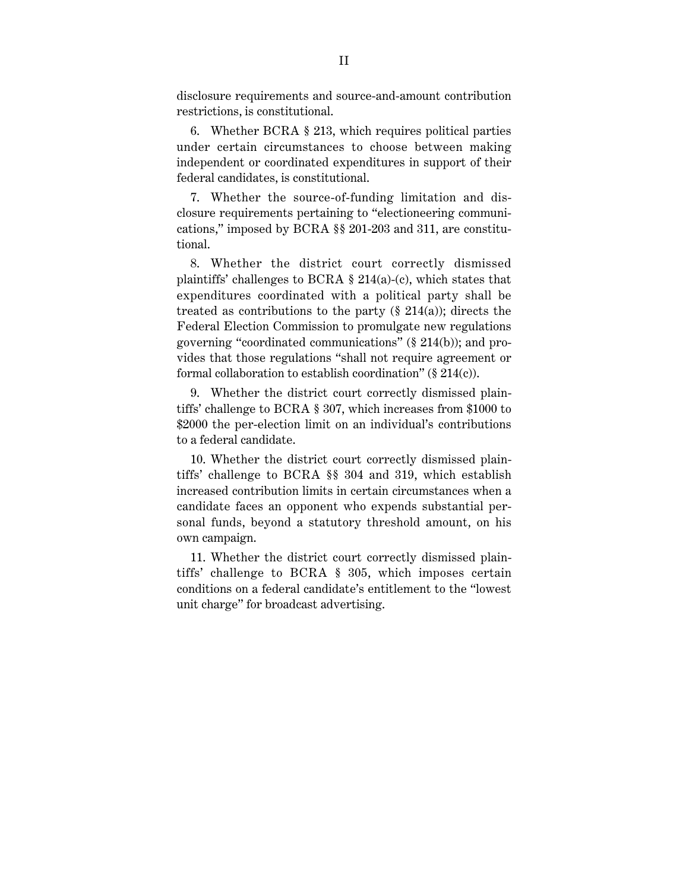disclosure requirements and source-and-amount contribution restrictions, is constitutional.

6. Whether BCRA § 213, which requires political parties under certain circumstances to choose between making independent or coordinated expenditures in support of their federal candidates, is constitutional.

7. Whether the source-of-funding limitation and disclosure requirements pertaining to "electioneering communications," imposed by BCRA §§ 201-203 and 311, are constitutional.

8. Whether the district court correctly dismissed plaintiffs' challenges to BCRA § 214(a)-(c), which states that expenditures coordinated with a political party shall be treated as contributions to the party  $(\S 214(a))$ ; directs the Federal Election Commission to promulgate new regulations governing "coordinated communications" (§ 214(b)); and provides that those regulations "shall not require agreement or formal collaboration to establish coordination"  $(\S 214(c))$ .

9. Whether the district court correctly dismissed plaintiffs' challenge to BCRA § 307, which increases from \$1000 to \$2000 the per-election limit on an individual's contributions to a federal candidate.

10. Whether the district court correctly dismissed plaintiffs' challenge to BCRA §§ 304 and 319, which establish increased contribution limits in certain circumstances when a candidate faces an opponent who expends substantial personal funds, beyond a statutory threshold amount, on his own campaign.

11. Whether the district court correctly dismissed plaintiffs' challenge to BCRA § 305, which imposes certain conditions on a federal candidate's entitlement to the "lowest unit charge" for broadcast advertising.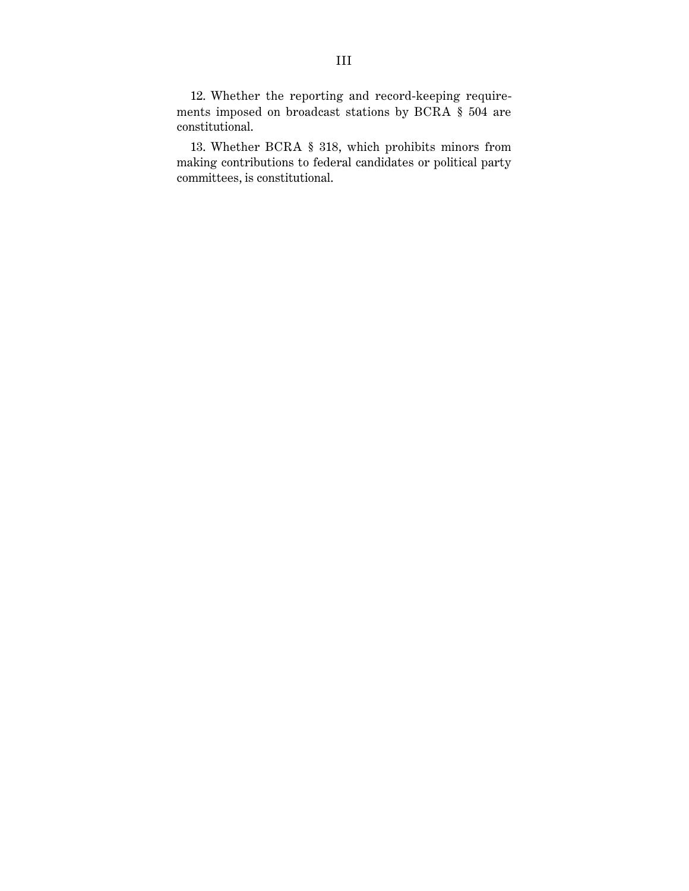12. Whether the reporting and record-keeping requirements imposed on broadcast stations by BCRA § 504 are constitutional.

13. Whether BCRA § 318, which prohibits minors from making contributions to federal candidates or political party committees, is constitutional.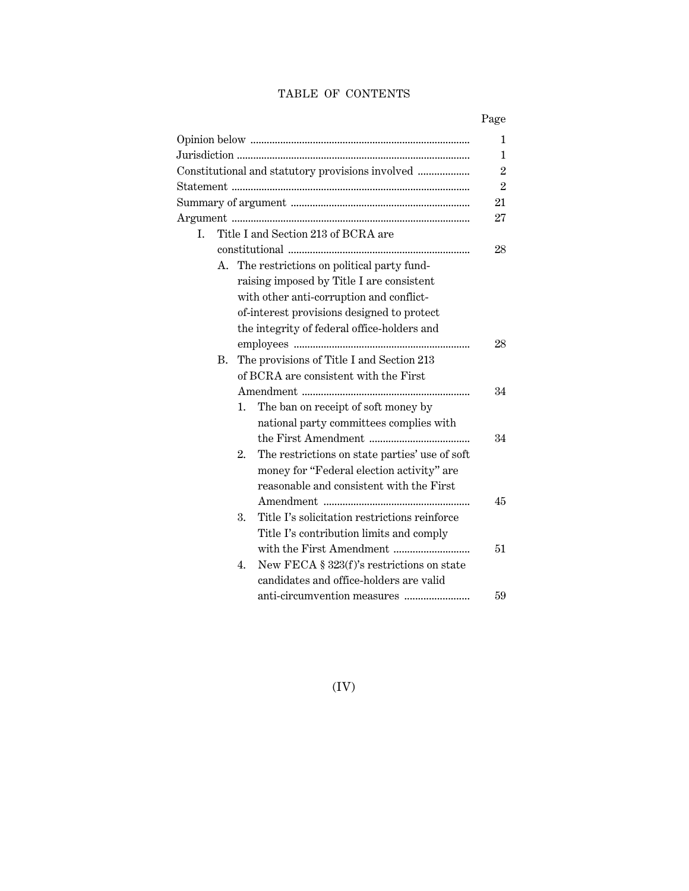## TABLE OF CONTENTS

|    |    |                                                      | $\mathbf{1}$   |
|----|----|------------------------------------------------------|----------------|
|    |    |                                                      | 1              |
|    |    |                                                      | $\overline{2}$ |
|    |    |                                                      | $\overline{2}$ |
|    |    |                                                      | 21             |
|    |    |                                                      | 27             |
| L. |    | Title I and Section 213 of BCRA are                  |                |
|    |    |                                                      | 28             |
|    |    | A. The restrictions on political party fund-         |                |
|    |    | raising imposed by Title I are consistent            |                |
|    |    | with other anti-corruption and conflict-             |                |
|    |    | of-interest provisions designed to protect           |                |
|    |    | the integrity of federal office-holders and          |                |
|    |    |                                                      | 28             |
|    | В. | The provisions of Title I and Section 213            |                |
|    |    | of BCRA are consistent with the First                |                |
|    |    |                                                      | 34             |
|    |    | The ban on receipt of soft money by<br>1.            |                |
|    |    | national party committees complies with              |                |
|    |    |                                                      | 34             |
|    |    | The restrictions on state parties' use of soft<br>2. |                |
|    |    | money for "Federal election activity" are            |                |
|    |    | reasonable and consistent with the First             |                |
|    |    |                                                      | 45             |
|    |    | Title I's solicitation restrictions reinforce<br>3.  |                |
|    |    | Title I's contribution limits and comply             |                |
|    |    |                                                      | 51             |
|    |    | New FECA § 323(f)'s restrictions on state<br>4.      |                |
|    |    | candidates and office-holders are valid              |                |
|    |    |                                                      | 59             |

(IV)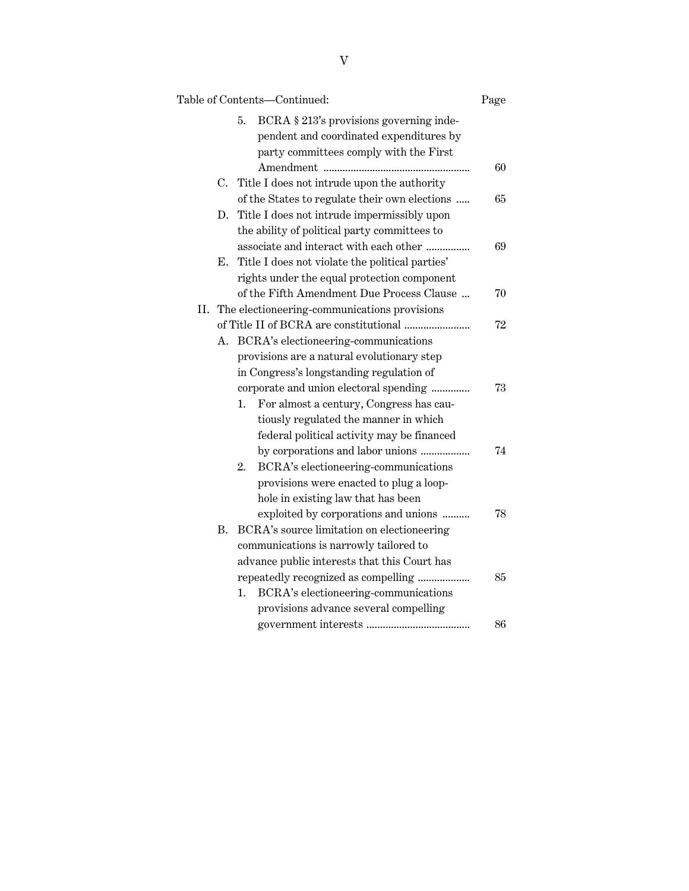|    |           | Table of Contents-Continued:                    | Page |
|----|-----------|-------------------------------------------------|------|
|    |           | 5.<br>BCRA § 213's provisions governing inde-   |      |
|    |           | pendent and coordinated expenditures by         |      |
|    |           | party committees comply with the First          |      |
|    |           |                                                 | 60   |
|    |           | C. Title I does not intrude upon the authority  |      |
|    |           | of the States to regulate their own elections   | 65   |
|    | D.        | Title I does not intrude impermissibly upon     |      |
|    |           | the ability of political party committees to    |      |
|    |           | associate and interact with each other          | 69   |
|    | Е.        | Title I does not violate the political parties' |      |
|    |           | rights under the equal protection component     |      |
|    |           | of the Fifth Amendment Due Process Clause       | 70   |
| Н. |           | The electioneering-communications provisions    |      |
|    |           |                                                 | 72   |
|    | А.        | BCRA's electioneering-communications            |      |
|    |           | provisions are a natural evolutionary step      |      |
|    |           | in Congress's longstanding regulation of        |      |
|    |           | corporate and union electoral spending          | 73   |
|    |           | For almost a century, Congress has cau-<br>1.   |      |
|    |           | tiously regulated the manner in which           |      |
|    |           | federal political activity may be financed      |      |
|    |           |                                                 | 74   |
|    |           | BCRA's electioneering-communications<br>2.      |      |
|    |           | provisions were enacted to plug a loop-         |      |
|    |           | hole in existing law that has been              |      |
|    |           | exploited by corporations and unions            | 78   |
|    | <b>B.</b> | BCRA's source limitation on electioneering      |      |
|    |           | communications is narrowly tailored to          |      |
|    |           | advance public interests that this Court has    |      |
|    |           | repeatedly recognized as compelling             | 85   |
|    |           | 1.<br>BCRA's electioneering-communications      |      |
|    |           | provisions advance several compelling           |      |
|    |           |                                                 | 86   |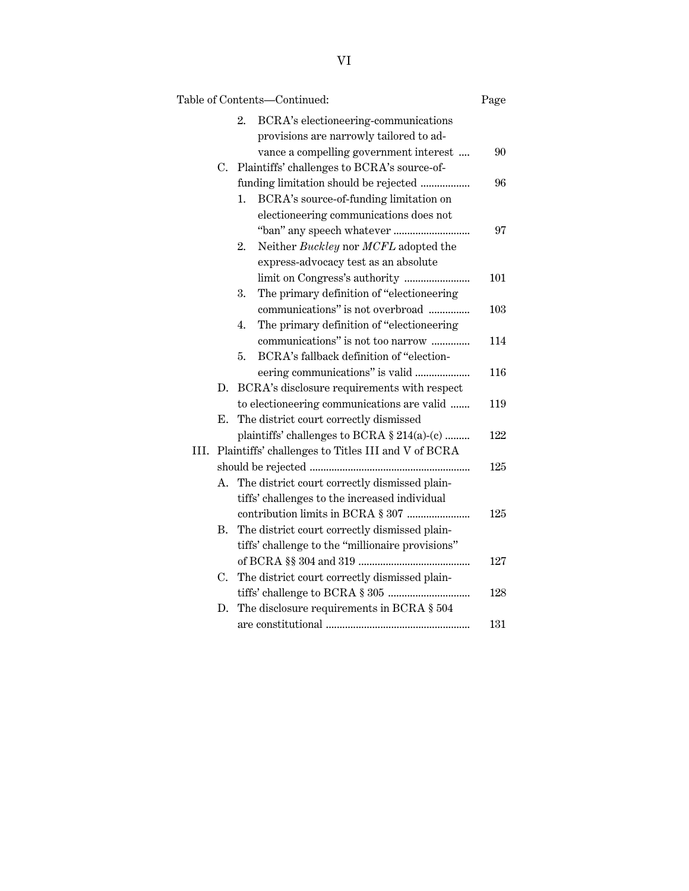|      |    | Table of Contents-Continued:                       | Page |
|------|----|----------------------------------------------------|------|
|      |    | 2.<br>BCRA's electioneering-communications         |      |
|      |    | provisions are narrowly tailored to ad-            |      |
|      |    | vance a compelling government interest             | 90   |
|      | C. | Plaintiffs' challenges to BCRA's source-of-        |      |
|      |    | funding limitation should be rejected              | 96   |
|      |    | BCRA's source-of-funding limitation on<br>1.       |      |
|      |    | electioneering communications does not             |      |
|      |    |                                                    | 97   |
|      |    | Neither Buckley nor MCFL adopted the<br>2.         |      |
|      |    | express-advocacy test as an absolute               |      |
|      |    |                                                    | 101  |
|      |    | The primary definition of "electioneering<br>3.    |      |
|      |    | communications" is not overbroad                   | 103  |
|      |    | The primary definition of "electioneering<br>4.    |      |
|      |    | communications" is not too narrow                  | 114  |
|      |    | 5.<br>BCRA's fallback definition of "election-     |      |
|      |    |                                                    | 116  |
|      | D. | BCRA's disclosure requirements with respect        |      |
|      |    | to electioneering communications are valid         | 119  |
|      | Е. | The district court correctly dismissed             |      |
|      |    | plaintiffs' challenges to BCRA $\S 214(a)-(c)$     | 122  |
| III. |    | Plaintiffs' challenges to Titles III and V of BCRA |      |
|      |    |                                                    | 125  |
|      | Α. | The district court correctly dismissed plain-      |      |
|      |    | tiffs' challenges to the increased individual      |      |
|      |    |                                                    | 125  |
|      | Β. | The district court correctly dismissed plain-      |      |
|      |    | tiffs' challenge to the "millionaire provisions"   |      |
|      |    |                                                    | 127  |
|      | C. | The district court correctly dismissed plain-      |      |
|      |    |                                                    | 128  |
|      | D. | The disclosure requirements in BCRA § 504          |      |
|      |    |                                                    | 131  |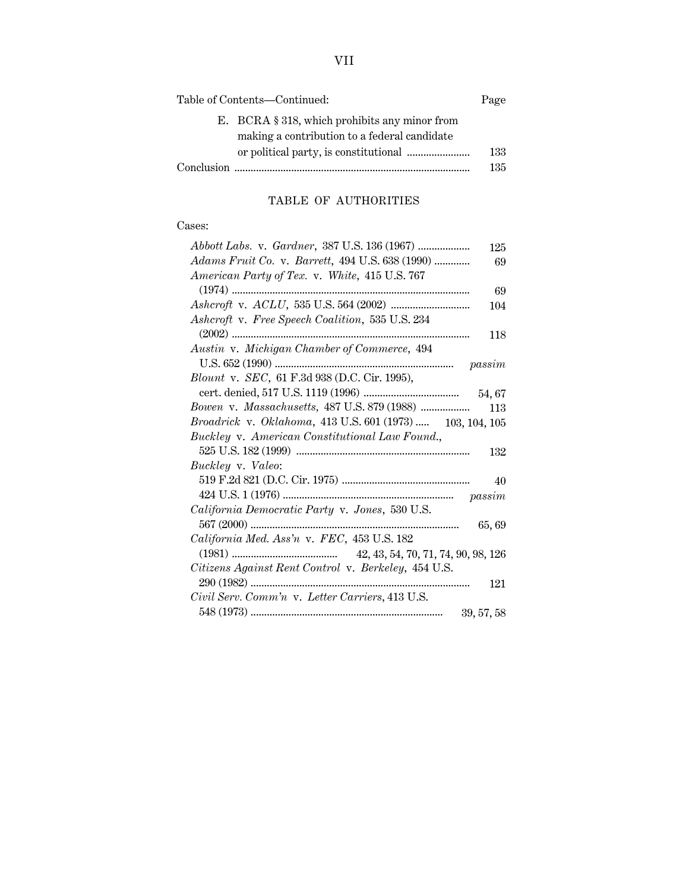| Table of Contents—Continued: |                                                  | Page |
|------------------------------|--------------------------------------------------|------|
|                              | E. BCRA $\S$ 318, which prohibits any minor from |      |
|                              | making a contribution to a federal candidate     |      |
|                              |                                                  | 133  |
|                              |                                                  | 135  |

## TABLE OF AUTHORITIES

### Cases:

| 125                                                              |
|------------------------------------------------------------------|
| Adams Fruit Co. v. Barrett, 494 U.S. 638 (1990)<br>69            |
| American Party of Tex. v. White, 415 U.S. 767                    |
| 69                                                               |
| 104                                                              |
| Ashcroft v. Free Speech Coalition, 535 U.S. 234                  |
| 118                                                              |
| Austin v. Michigan Chamber of Commerce, 494                      |
|                                                                  |
| <i>Blount v. SEC</i> , 61 F.3d 938 (D.C. Cir. 1995),             |
|                                                                  |
| 113                                                              |
| <i>Broadrick v. Oklahoma,</i> 413 U.S. 601 (1973)  103, 104, 105 |
| Buckley v. American Constitutional Law Found.,                   |
| 132                                                              |
| Buckley v. Valeo:                                                |
| 40                                                               |
|                                                                  |
| California Democratic Party v. Jones, 530 U.S.                   |
| 65, 69                                                           |
| California Med. Ass'n v. FEC, 453 U.S. 182                       |
|                                                                  |
| Citizens Against Rent Control v. Berkeley, 454 U.S.              |
| 121                                                              |
| Civil Serv. Comm'n v. Letter Carriers, 413 U.S.                  |
|                                                                  |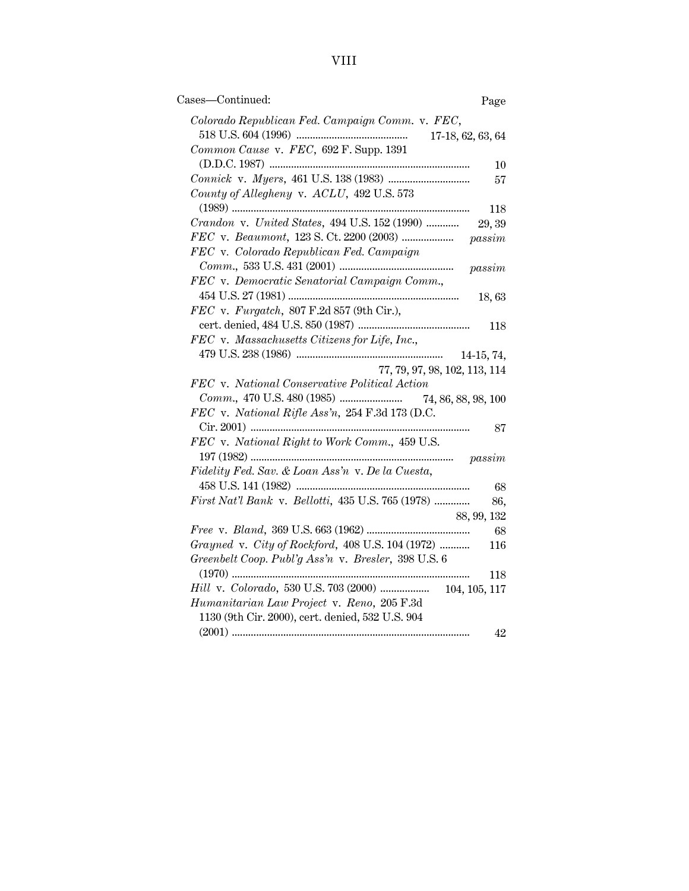| Cases-Continued:<br>Page                                 |
|----------------------------------------------------------|
| Colorado Republican Fed. Campaign Comm. v. FEC,          |
| 17-18, 62, 63, 64                                        |
| Common Cause v. FEC, 692 F. Supp. 1391                   |
| 10                                                       |
| 57                                                       |
| County of Allegheny v. ACLU, 492 U.S. 573<br>118         |
| Crandon v. United States, 494 U.S. 152 (1990)<br>29, 39  |
| passim                                                   |
| FEC v. Colorado Republican Fed. Campaign                 |
| passim                                                   |
| FEC v. Democratic Senatorial Campaign Comm.,             |
| 18,63                                                    |
| $FEC$ v. $Furgatch$ , 807 F.2d 857 (9th Cir.),           |
| 118                                                      |
| FEC v. Massachusetts Citizens for Life, Inc.,            |
| 14-15, 74,                                               |
| 77, 79, 97, 98, 102, 113, 114                            |
| FEC v. National Conservative Political Action            |
|                                                          |
| FEC v. National Rifle Ass'n, 254 F.3d 173 (D.C.          |
| 87                                                       |
| FEC v. National Right to Work Comm., 459 U.S.            |
| passim                                                   |
| Fidelity Fed. Sav. & Loan Ass'n v. De la Cuesta,         |
| 68                                                       |
| First Nat'l Bank v. Bellotti, 435 U.S. 765 (1978)<br>86, |
| 88, 99, 132                                              |
| -68                                                      |
| Grayned v. City of Rockford, 408 U.S. 104 (1972)<br>116  |
| Greenbelt Coop. Publ'g Ass'n v. Bresler, 398 U.S. 6      |
| 118                                                      |
| Hill v. Colorado, 530 U.S. 703 (2000)  104, 105, 117     |
| Humanitarian Law Project v. Reno, 205 F.3d               |
| 1130 (9th Cir. 2000), cert. denied, 532 U.S. 904         |
| 42                                                       |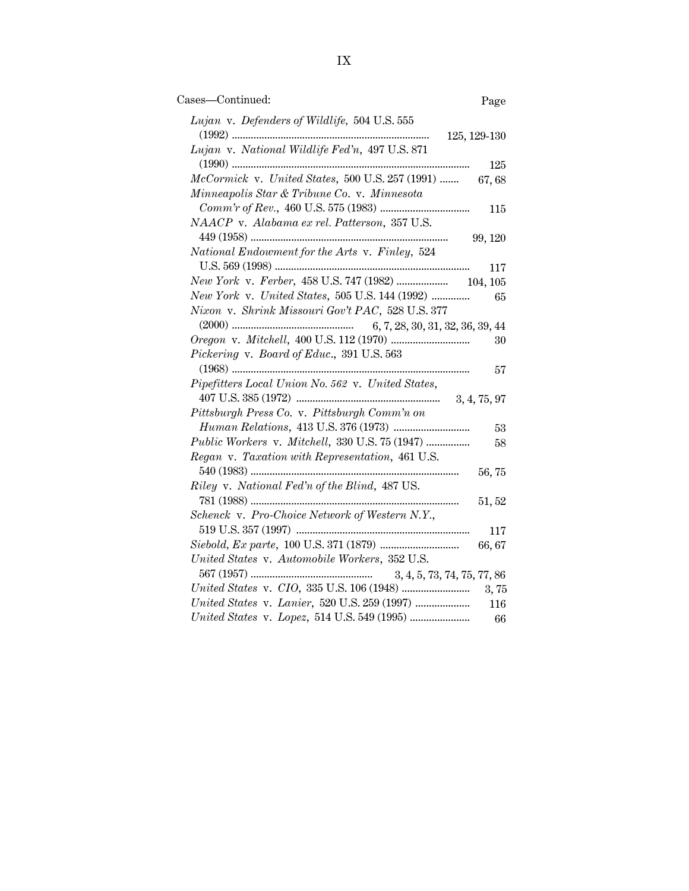| Cases-Continued:                                  | Page         |
|---------------------------------------------------|--------------|
| Lujan v. Defenders of Wildlife, 504 U.S. 555      |              |
| 125, 129-130                                      |              |
| Lujan v. National Wildlife Fed'n, 497 U.S. 871    |              |
|                                                   | 125          |
| McCormick v. United States, 500 U.S. 257 (1991)   | 67,68        |
| Minneapolis Star & Tribune Co. v. Minnesota       |              |
|                                                   | 115          |
| NAACP v. Alabama ex rel. Patterson, 357 U.S.      |              |
|                                                   | 99, 120      |
| National Endowment for the Arts v. Finley, 524    |              |
|                                                   | 117          |
|                                                   |              |
| New York v. United States, 505 U.S. 144 (1992)    | 65           |
| Nixon v. Shrink Missouri Gov't PAC, 528 U.S. 377  |              |
| 6, 7, 28, 30, 31, 32, 36, 39, 44                  |              |
|                                                   | 30           |
| Pickering v. Board of Educ., 391 U.S. 563         |              |
|                                                   | 57           |
| Pipefitters Local Union No. 562 v. United States, |              |
|                                                   | 3, 4, 75, 97 |
| Pittsburgh Press Co. v. Pittsburgh Comm'n on      |              |
|                                                   | 53           |
| Public Workers v. Mitchell, 330 U.S. 75 (1947)    | 58           |
| Regan v. Taxation with Representation, 461 U.S.   |              |
|                                                   | 56,75        |
| Riley v. National Fed'n of the Blind, 487 US.     |              |
|                                                   | 51, 52       |
| Schenck v. Pro-Choice Network of Western N.Y.,    |              |
|                                                   | 117          |
|                                                   | 66,67        |
| United States v. Automobile Workers, 352 U.S.     |              |
| 3, 4, 5, 73, 74, 75, 77, 86                       |              |
|                                                   | 3,75         |
|                                                   | 116          |
|                                                   | 66           |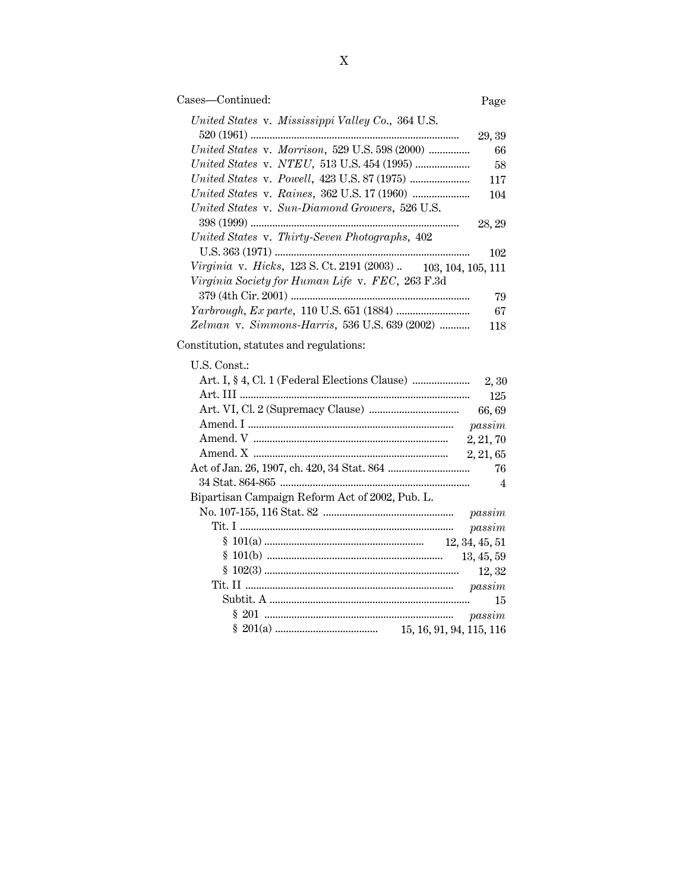| Cases—Continued: | Page |
|------------------|------|
|                  |      |

| United States v. Mississippi Valley Co., 364 U.S.                               |        |
|---------------------------------------------------------------------------------|--------|
|                                                                                 | 29, 39 |
| United States v. Morrison, 529 U.S. 598 (2000)                                  | 66     |
|                                                                                 | 58     |
|                                                                                 | 117    |
|                                                                                 | 104    |
| United States v. Sun-Diamond Growers, 526 U.S.                                  |        |
|                                                                                 | 28, 29 |
| United States v. Thirty-Seven Photographs, 402                                  |        |
|                                                                                 | 102    |
| <i>Virginia</i> v. <i>Hicks</i> , 123 S. Ct. 2191 (2003).<br>103, 104, 105, 111 |        |
| Virginia Society for Human Life v. FEC, 263 F.3d                                |        |
|                                                                                 | 79     |
|                                                                                 | 67     |
| Zelman v. Simmons-Harris, 536 U.S. 639 (2002)                                   | 118    |

Constitution, statutes and regulations:

| U.S. Const.:                                    |  |
|-------------------------------------------------|--|
|                                                 |  |
| -- 125                                          |  |
| 66,69                                           |  |
|                                                 |  |
|                                                 |  |
|                                                 |  |
| 76                                              |  |
|                                                 |  |
| Bipartisan Campaign Reform Act of 2002, Pub. L. |  |
|                                                 |  |
| passim                                          |  |
|                                                 |  |
| 13, 45, 59                                      |  |
| 12, 32                                          |  |
|                                                 |  |
| 15                                              |  |
|                                                 |  |
|                                                 |  |
|                                                 |  |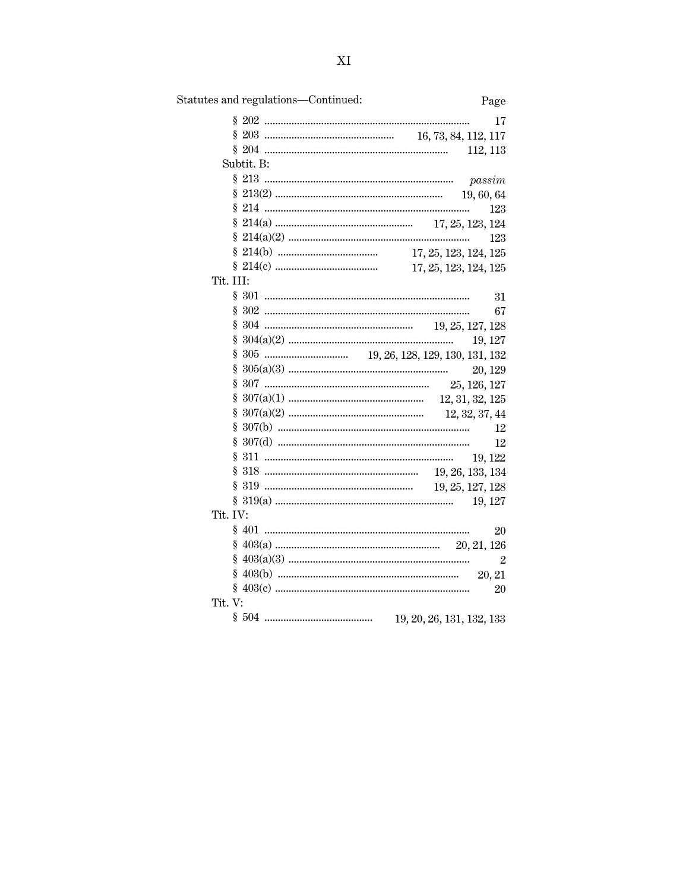| Statutes and regulations—Continued: | Page           |
|-------------------------------------|----------------|
|                                     | 17             |
|                                     |                |
| 112, 113                            |                |
| Subtit. B:                          |                |
|                                     |                |
|                                     |                |
|                                     | 123            |
|                                     |                |
|                                     | 123            |
|                                     |                |
|                                     |                |
| Tit. III:                           |                |
|                                     | 31             |
|                                     | 67             |
|                                     |                |
|                                     | 19, 127        |
|                                     |                |
|                                     | 20, 129        |
| § 307                               |                |
|                                     |                |
|                                     |                |
|                                     | 12             |
|                                     | 12             |
|                                     |                |
|                                     |                |
|                                     |                |
|                                     |                |
| Tit. IV:                            |                |
|                                     | 20             |
|                                     |                |
|                                     | $\overline{2}$ |
|                                     |                |
|                                     | 20             |
| Tit. V:                             |                |
| 19, 20, 26, 131, 132, 133           |                |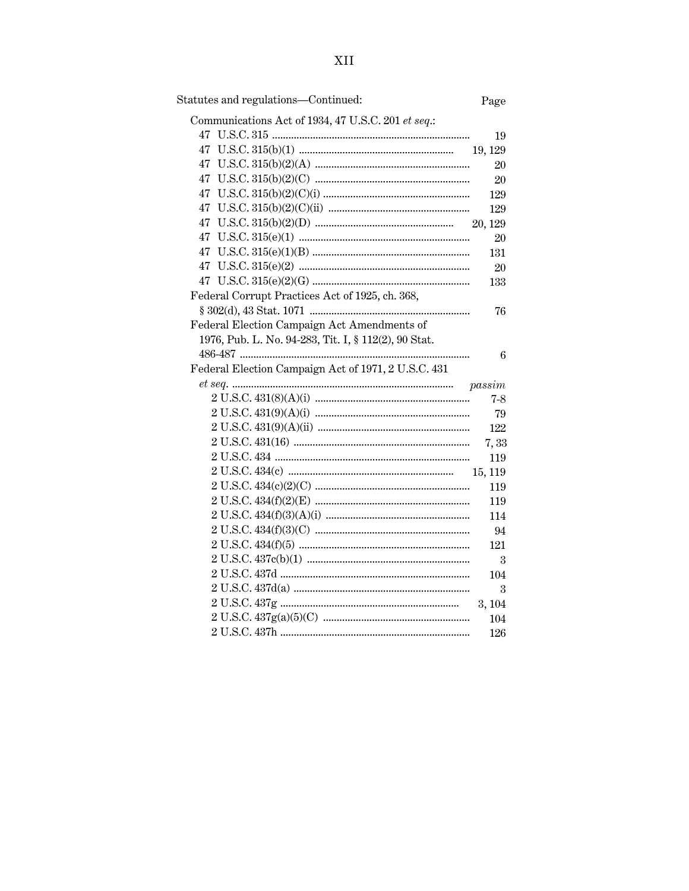| Statutes and regulations-Continued:                  | Page    |
|------------------------------------------------------|---------|
| Communications Act of 1934, 47 U.S.C. 201 et seq.:   |         |
|                                                      | 19      |
|                                                      | 19, 129 |
|                                                      | 20      |
|                                                      | 20      |
|                                                      | 129     |
|                                                      | 129     |
|                                                      | 20, 129 |
|                                                      | 20      |
|                                                      | 131     |
|                                                      | 20      |
|                                                      | 133     |
| Federal Corrupt Practices Act of 1925, ch. 368,      |         |
|                                                      | 76      |
| Federal Election Campaign Act Amendments of          |         |
| 1976, Pub. L. No. 94-283, Tit. I, § 112(2), 90 Stat. |         |
|                                                      | 6       |
| Federal Election Campaign Act of 1971, 2 U.S.C. 431  |         |
|                                                      | passim  |
|                                                      | $7-8$   |
|                                                      | 79      |
|                                                      | 122     |
|                                                      | 7,33    |
|                                                      | 119     |
|                                                      | 15, 119 |
|                                                      | 119     |
|                                                      | 119     |
|                                                      | 114     |
|                                                      | 94      |
|                                                      | 121     |
|                                                      | 3       |
|                                                      | 104     |
|                                                      | 3       |
|                                                      | 3, 104  |
|                                                      | 104     |
|                                                      | 126     |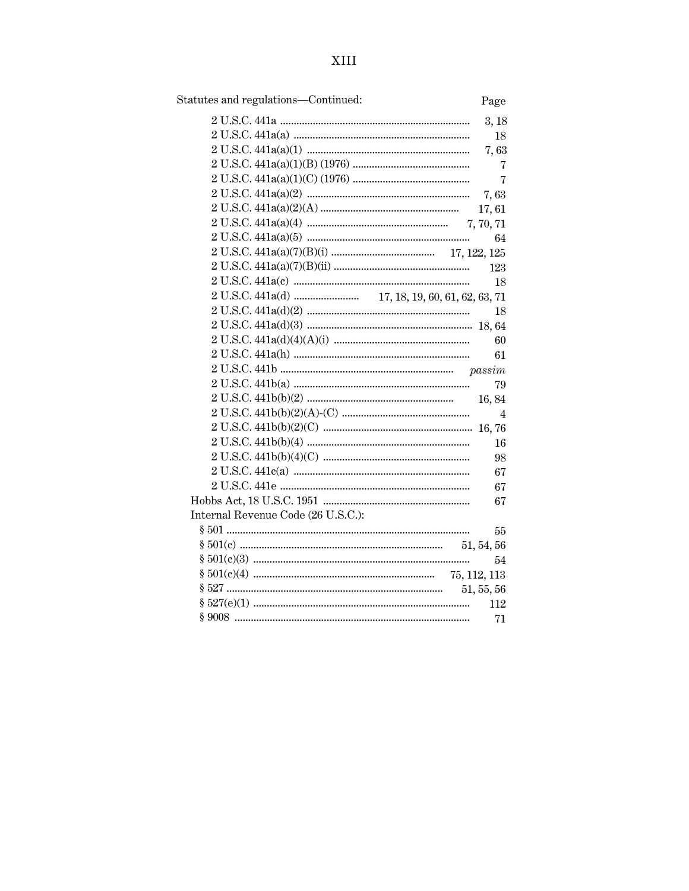| Statutes and regulations-Continued: | Page           |
|-------------------------------------|----------------|
|                                     | 3, 18          |
|                                     | 18             |
|                                     | 7,63           |
|                                     | 7              |
|                                     | $\overline{7}$ |
|                                     | 7,63           |
|                                     | 17,61          |
|                                     | 7, 70, 71      |
|                                     | 64             |
|                                     |                |
|                                     | 123            |
|                                     | 18             |
|                                     |                |
|                                     | 18             |
|                                     |                |
|                                     | 60             |
|                                     | 61             |
|                                     |                |
|                                     | 79             |
|                                     | 16,84          |
|                                     | 4              |
|                                     |                |
|                                     | 16             |
|                                     | 98             |
|                                     | 67             |
|                                     | 67             |
|                                     | 67             |
| Internal Revenue Code (26 U.S.C.):  |                |
|                                     | 55             |
|                                     |                |
|                                     | 54             |
|                                     |                |
|                                     | 51, 55, 56     |
|                                     | 112            |
|                                     | 71             |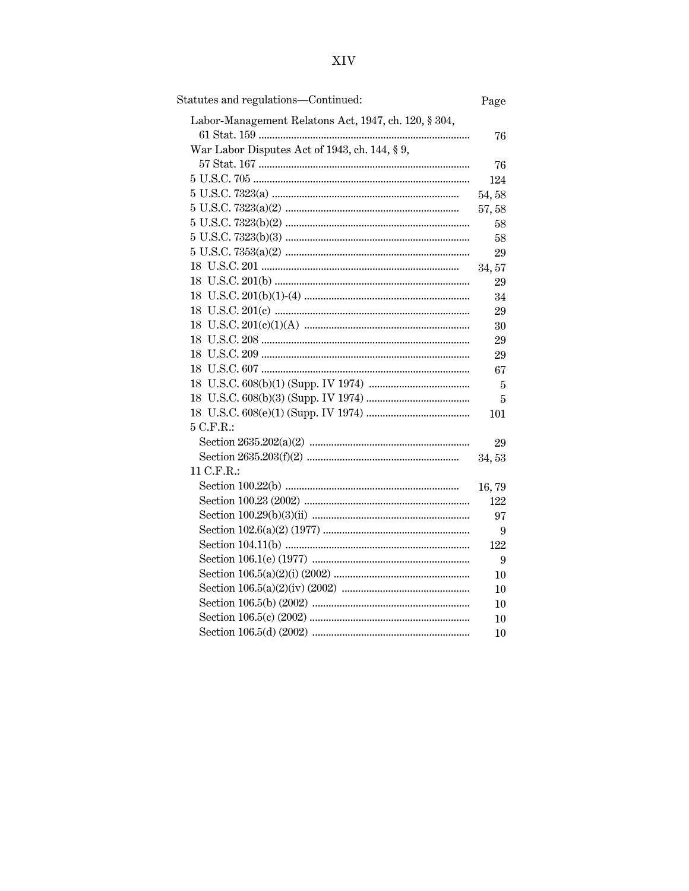| Statutes and regulations—Continued:                  | Page           |
|------------------------------------------------------|----------------|
| Labor-Management Relatons Act, 1947, ch. 120, § 304, |                |
|                                                      | 76             |
| War Labor Disputes Act of 1943, ch. 144, § 9,        |                |
|                                                      | 76             |
|                                                      | 124            |
|                                                      | 54,58          |
|                                                      | 57,58          |
|                                                      | 58             |
|                                                      | 58             |
|                                                      | 29             |
|                                                      | 34, 57         |
|                                                      | 29             |
|                                                      | 34             |
|                                                      | 29             |
|                                                      | 30             |
|                                                      | 29             |
|                                                      | 29             |
|                                                      | 67             |
|                                                      | $\overline{5}$ |
|                                                      | 5              |
|                                                      | 101            |
| 5 C.F.R.:                                            |                |
|                                                      | 29             |
|                                                      | 34,53          |
| 11 C.F.R.:                                           |                |
|                                                      | 16,79          |
|                                                      | 122            |
|                                                      | 97             |
|                                                      | 9              |
|                                                      | 122            |
|                                                      | 9              |
|                                                      | 10             |
|                                                      | 10             |
|                                                      | 10             |
|                                                      | 10             |
|                                                      | 10             |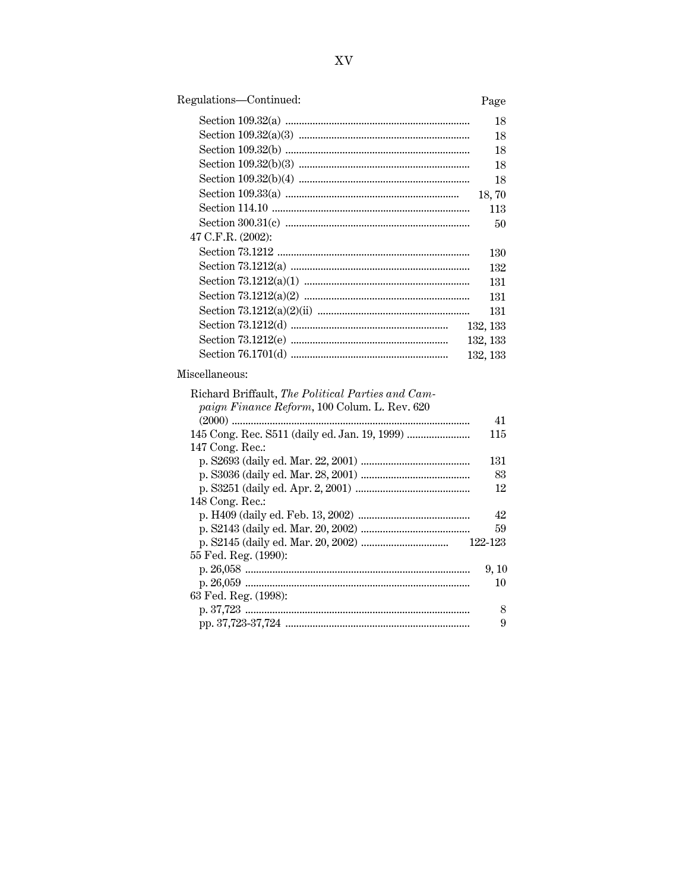## Regulations-Continued:

## Page

|                      | 18       |
|----------------------|----------|
|                      | 18       |
|                      | 18       |
|                      | 18       |
|                      | 18       |
|                      | 18,70    |
|                      | 113      |
|                      | 50       |
| 47 C.F.R. $(2002)$ : |          |
|                      | 130      |
|                      | 132      |
|                      | 131      |
|                      | 131      |
|                      | 131      |
|                      | 132, 133 |
|                      | 132, 133 |
|                      | 132, 133 |
| Miscellaneous:       |          |

| Richard Briffault, The Political Parties and Cam- |         |
|---------------------------------------------------|---------|
| paign Finance Reform, 100 Colum. L. Rev. 620      |         |
|                                                   | 41      |
|                                                   | 115     |
| 147 Cong. Rec.:                                   |         |
|                                                   | 131     |
|                                                   | 83      |
|                                                   | 12      |
| 148 Cong. Rec.:                                   |         |
|                                                   | 42      |
|                                                   | 59      |
|                                                   | 122-123 |
| 55 Fed. Reg. (1990):                              |         |
|                                                   | 9, 10   |
|                                                   | 10      |
| 63 Fed. Reg. (1998):                              |         |
|                                                   | 8       |
|                                                   | 9       |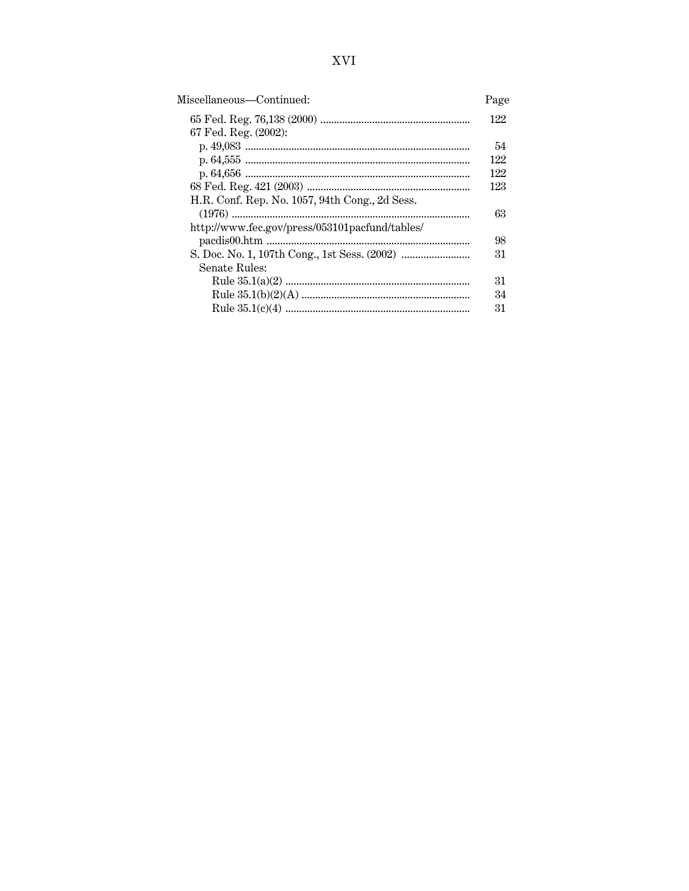| Miscellaneous—Continued:                       | Page |
|------------------------------------------------|------|
|                                                | 122  |
| 67 Fed. Reg. (2002):                           |      |
|                                                | 54   |
|                                                | 122  |
|                                                | 122  |
|                                                | 123  |
| H.R. Conf. Rep. No. 1057, 94th Cong., 2d Sess. |      |
|                                                | 63   |
| http://www.fec.gov/press/053101pacfund/tables/ |      |
|                                                | 98   |
|                                                | 31   |
| Senate Rules:                                  |      |
|                                                | 31   |
|                                                | 34   |
|                                                | 31   |
|                                                |      |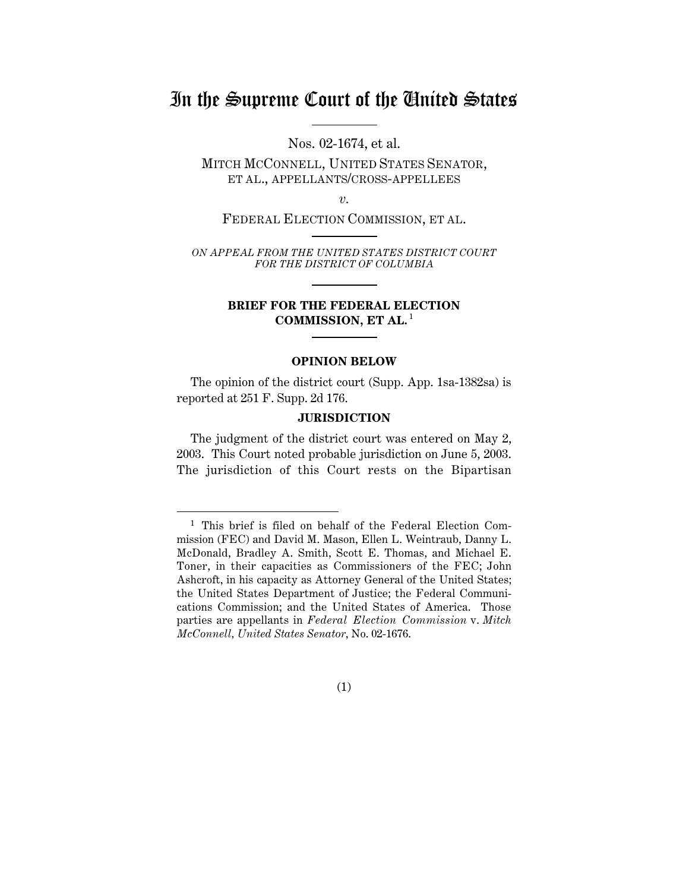## In the Supreme Court of the United States

Nos. 02-1674, et al.

MITCH MCCONNELL, UNITED STATES SENATOR, ET AL., APPELLANTS/CROSS-APPELLEES

*v.*

FEDERAL ELECTION COMMISSION, ET AL.

*ON APPEAL FROM THE UNITED STATES DISTRICT COURT FOR THE DISTRICT OF COLUMBIA*

### **BRIEF FOR THE FEDERAL ELECTION** COMMISSION, ET AL.<sup>1</sup>

### **OPINION BELOW**

The opinion of the district court (Supp. App. 1sa-1382sa) is reported at 251 F. Supp. 2d 176.

### **JURISDICTION**

The judgment of the district court was entered on May 2, 2003. This Court noted probable jurisdiction on June 5, 2003. The jurisdiction of this Court rests on the Bipartisan

### (1)

 <sup>1</sup> This brief is filed on behalf of the Federal Election Commission (FEC) and David M. Mason, Ellen L. Weintraub, Danny L. McDonald, Bradley A. Smith, Scott E. Thomas, and Michael E. Toner, in their capacities as Commissioners of the FEC; John Ashcroft, in his capacity as Attorney General of the United States; the United States Department of Justice; the Federal Communications Commission; and the United States of America. Those parties are appellants in *Federal Election Commission* v. *Mitch McConnell, United States Senator*, No. 02-1676.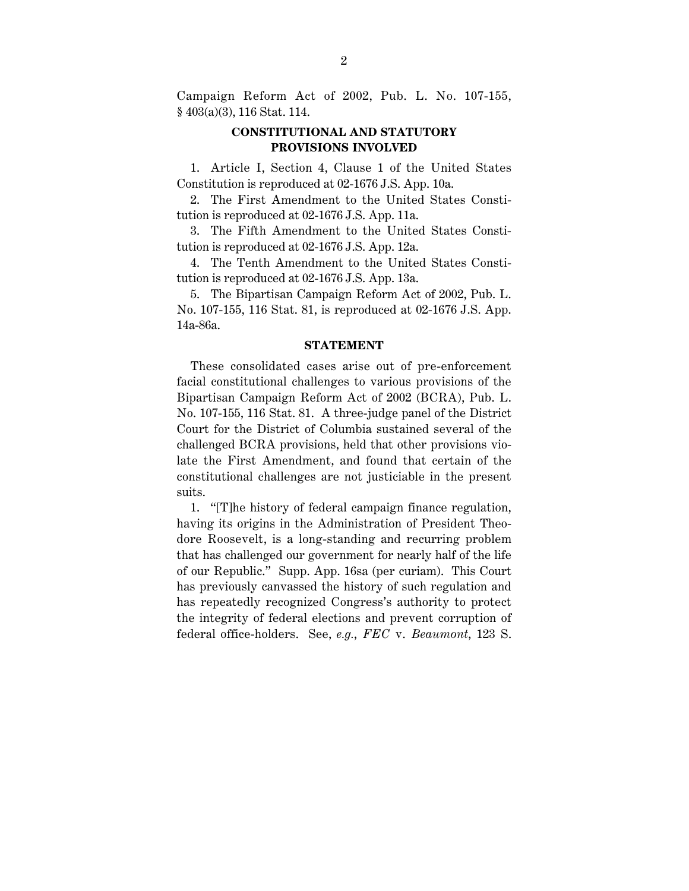Campaign Reform Act of 2002, Pub. L. No. 107-155, § 403(a)(3), 116 Stat. 114.

### **CONSTITUTIONAL AND STATUTORY PROVISIONS INVOLVED**

1. Article I, Section 4, Clause 1 of the United States Constitution is reproduced at 02-1676 J.S. App. 10a.

2. The First Amendment to the United States Constitution is reproduced at 02-1676 J.S. App. 11a.

3. The Fifth Amendment to the United States Constitution is reproduced at 02-1676 J.S. App. 12a.

4. The Tenth Amendment to the United States Constitution is reproduced at 02-1676 J.S. App. 13a.

5. The Bipartisan Campaign Reform Act of 2002, Pub. L. No. 107-155, 116 Stat. 81, is reproduced at 02-1676 J.S. App. 14a-86a.

### **STATEMENT**

These consolidated cases arise out of pre-enforcement facial constitutional challenges to various provisions of the Bipartisan Campaign Reform Act of 2002 (BCRA), Pub. L. No. 107-155, 116 Stat. 81. A three-judge panel of the District Court for the District of Columbia sustained several of the challenged BCRA provisions, held that other provisions violate the First Amendment, and found that certain of the constitutional challenges are not justiciable in the present suits.

1. "[T]he history of federal campaign finance regulation, having its origins in the Administration of President Theodore Roosevelt, is a long-standing and recurring problem that has challenged our government for nearly half of the life of our Republic." Supp. App. 16sa (per curiam). This Court has previously canvassed the history of such regulation and has repeatedly recognized Congress's authority to protect the integrity of federal elections and prevent corruption of federal office-holders. See, *e.g.*, *FEC* v. *Beaumont*, 123 S.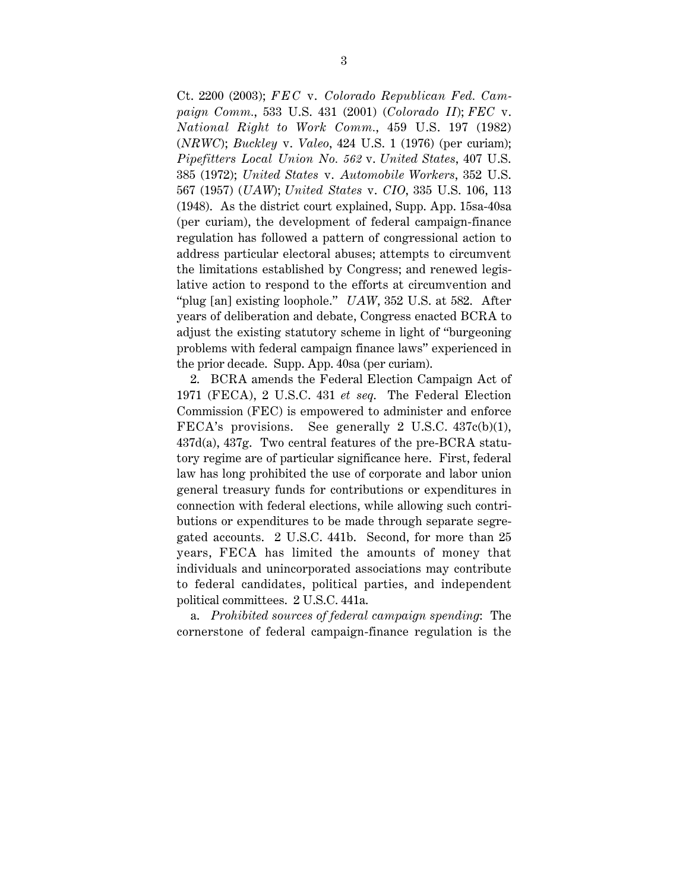Ct. 2200 (2003); *FEC* v. *Colorado Republican Fed. Campaign Comm.*, 533 U.S. 431 (2001) (*Colorado II*); *FEC* v. *National Right to Work Comm.*, 459 U.S. 197 (1982) (*NRWC*); *Buckley* v. *Valeo*, 424 U.S. 1 (1976) (per curiam); *Pipefitters Local Union No. 562* v. *United States*, 407 U.S. 385 (1972); *United States* v. *Automobile Workers*, 352 U.S. 567 (1957) (*UAW*); *United States* v. *CIO*, 335 U.S. 106, 113 (1948). As the district court explained, Supp. App. 15sa-40sa (per curiam), the development of federal campaign-finance regulation has followed a pattern of congressional action to address particular electoral abuses; attempts to circumvent the limitations established by Congress; and renewed legislative action to respond to the efforts at circumvention and "plug [an] existing loophole." *UAW*, 352 U.S. at 582. After years of deliberation and debate, Congress enacted BCRA to adjust the existing statutory scheme in light of "burgeoning problems with federal campaign finance laws" experienced in the prior decade. Supp. App. 40sa (per curiam).

2. BCRA amends the Federal Election Campaign Act of 1971 (FECA), 2 U.S.C. 431 *et seq*. The Federal Election Commission (FEC) is empowered to administer and enforce FECA's provisions. See generally 2 U.S.C. 437c(b)(1), 437d(a), 437g. Two central features of the pre-BCRA statutory regime are of particular significance here. First, federal law has long prohibited the use of corporate and labor union general treasury funds for contributions or expenditures in connection with federal elections, while allowing such contributions or expenditures to be made through separate segregated accounts. 2 U.S.C. 441b. Second, for more than 25 years, FECA has limited the amounts of money that individuals and unincorporated associations may contribute to federal candidates, political parties, and independent political committees. 2 U.S.C. 441a.

a. *Prohibited sources of federal campaign spending*: The cornerstone of federal campaign-finance regulation is the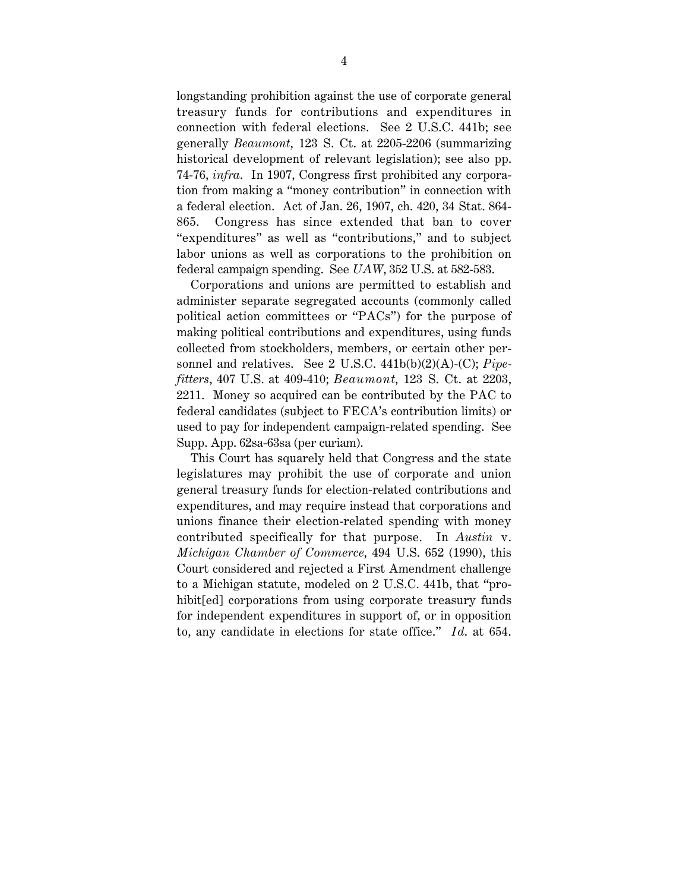longstanding prohibition against the use of corporate general treasury funds for contributions and expenditures in connection with federal elections. See 2 U.S.C. 441b; see generally *Beaumont*, 123 S. Ct. at 2205-2206 (summarizing historical development of relevant legislation); see also pp. 74-76, *infra*. In 1907, Congress first prohibited any corporation from making a "money contribution" in connection with a federal election. Act of Jan. 26, 1907, ch. 420, 34 Stat. 864- 865. Congress has since extended that ban to cover "expenditures" as well as "contributions," and to subject labor unions as well as corporations to the prohibition on federal campaign spending. See *UAW*, 352 U.S. at 582-583.

Corporations and unions are permitted to establish and administer separate segregated accounts (commonly called political action committees or "PACs") for the purpose of making political contributions and expenditures, using funds collected from stockholders, members, or certain other personnel and relatives. See 2 U.S.C. 441b(b)(2)(A)-(C); *Pipefitters*, 407 U.S. at 409-410; *Beaumont*, 123 S. Ct. at 2203, 2211. Money so acquired can be contributed by the PAC to federal candidates (subject to FECA's contribution limits) or used to pay for independent campaign-related spending. See Supp. App. 62sa-63sa (per curiam).

This Court has squarely held that Congress and the state legislatures may prohibit the use of corporate and union general treasury funds for election-related contributions and expenditures, and may require instead that corporations and unions finance their election-related spending with money contributed specifically for that purpose. In *Austin* v. *Michigan Chamber of Commerce*, 494 U.S. 652 (1990), this Court considered and rejected a First Amendment challenge to a Michigan statute, modeled on 2 U.S.C. 441b, that "prohibit[ed] corporations from using corporate treasury funds for independent expenditures in support of, or in opposition to, any candidate in elections for state office." *Id*. at 654.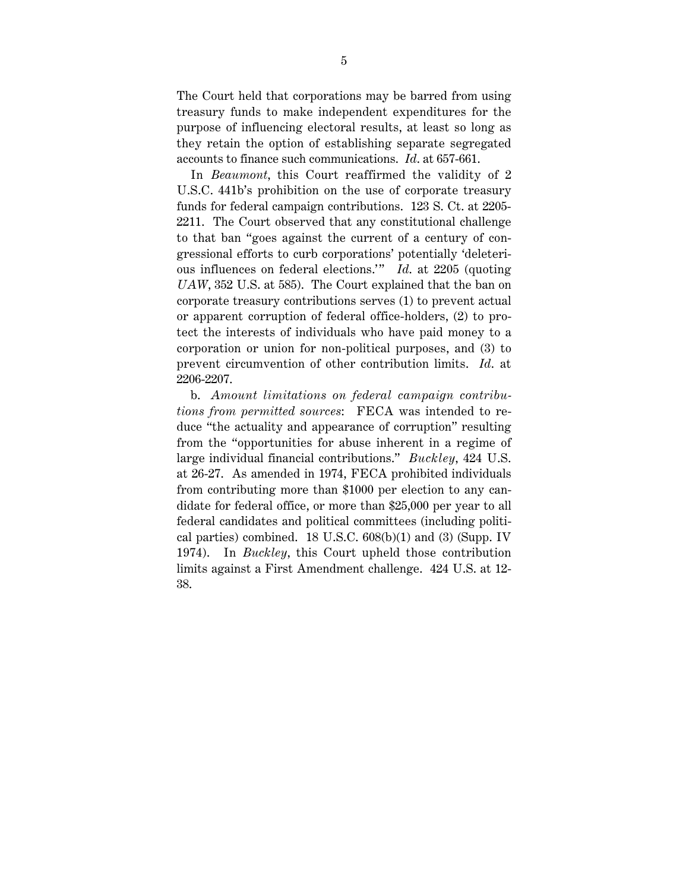The Court held that corporations may be barred from using treasury funds to make independent expenditures for the purpose of influencing electoral results, at least so long as they retain the option of establishing separate segregated accounts to finance such communications. *Id*. at 657-661.

In *Beaumont*, this Court reaffirmed the validity of 2 U.S.C. 441b's prohibition on the use of corporate treasury funds for federal campaign contributions. 123 S. Ct. at 2205- 2211. The Court observed that any constitutional challenge to that ban "goes against the current of a century of congressional efforts to curb corporations' potentially 'deleterious influences on federal elections." *Id.* at 2205 (quoting *UAW*, 352 U.S. at 585). The Court explained that the ban on corporate treasury contributions serves (1) to prevent actual or apparent corruption of federal office-holders, (2) to protect the interests of individuals who have paid money to a corporation or union for non-political purposes, and (3) to prevent circumvention of other contribution limits. *Id*. at 2206-2207.

b. *Amount limitations on federal campaign contributions from permitted sources*: FECA was intended to reduce "the actuality and appearance of corruption" resulting from the "opportunities for abuse inherent in a regime of large individual financial contributions." *Buckley*, 424 U.S. at 26-27. As amended in 1974, FECA prohibited individuals from contributing more than \$1000 per election to any candidate for federal office, or more than \$25,000 per year to all federal candidates and political committees (including political parties) combined. 18 U.S.C. 608(b)(1) and (3) (Supp. IV 1974). In *Buckley*, this Court upheld those contribution limits against a First Amendment challenge. 424 U.S. at 12- 38.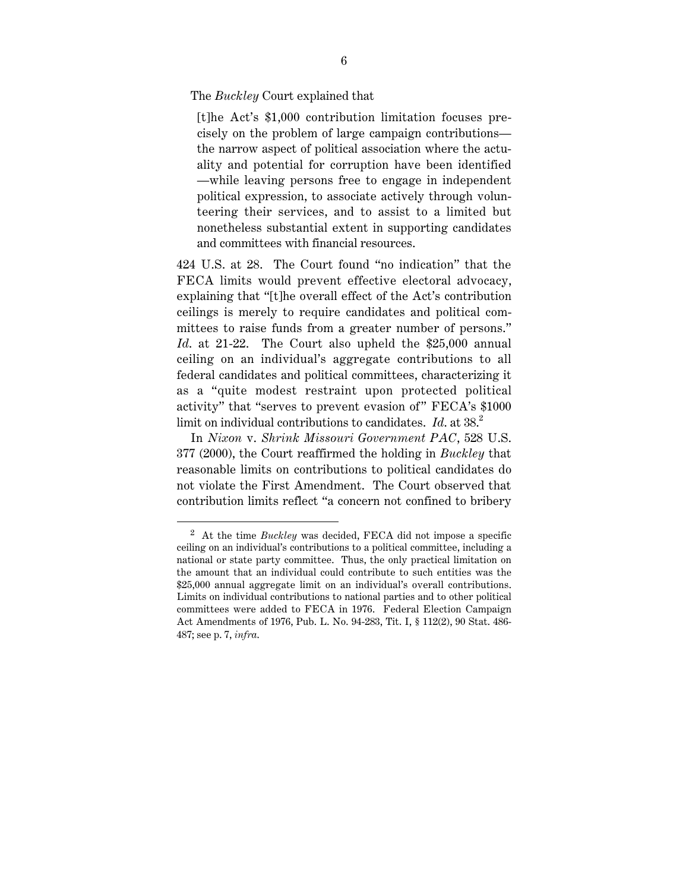The *Buckley* Court explained that

[t]he Act's \$1,000 contribution limitation focuses precisely on the problem of large campaign contributions the narrow aspect of political association where the actuality and potential for corruption have been identified —while leaving persons free to engage in independent political expression, to associate actively through volunteering their services, and to assist to a limited but nonetheless substantial extent in supporting candidates and committees with financial resources.

424 U.S. at 28. The Court found "no indication" that the FECA limits would prevent effective electoral advocacy, explaining that "[t]he overall effect of the Act's contribution ceilings is merely to require candidates and political committees to raise funds from a greater number of persons." *Id*. at 21-22. The Court also upheld the \$25,000 annual ceiling on an individual's aggregate contributions to all federal candidates and political committees, characterizing it as a "quite modest restraint upon protected political activity" that "serves to prevent evasion of" FECA's \$1000 limit on individual contributions to candidates. *Id.* at 38.<sup>2</sup>

In *Nixon* v. *Shrink Missouri Government PAC*, 528 U.S. 377 (2000), the Court reaffirmed the holding in *Buckley* that reasonable limits on contributions to political candidates do not violate the First Amendment. The Court observed that contribution limits reflect "a concern not confined to bribery

 <sup>2</sup> At the time *Buckley* was decided, FECA did not impose a specific ceiling on an individual's contributions to a political committee, including a national or state party committee. Thus, the only practical limitation on the amount that an individual could contribute to such entities was the \$25,000 annual aggregate limit on an individual's overall contributions. Limits on individual contributions to national parties and to other political committees were added to FECA in 1976. Federal Election Campaign Act Amendments of 1976, Pub. L. No. 94-283, Tit. I, § 112(2), 90 Stat. 486- 487; see p. 7, *infra*.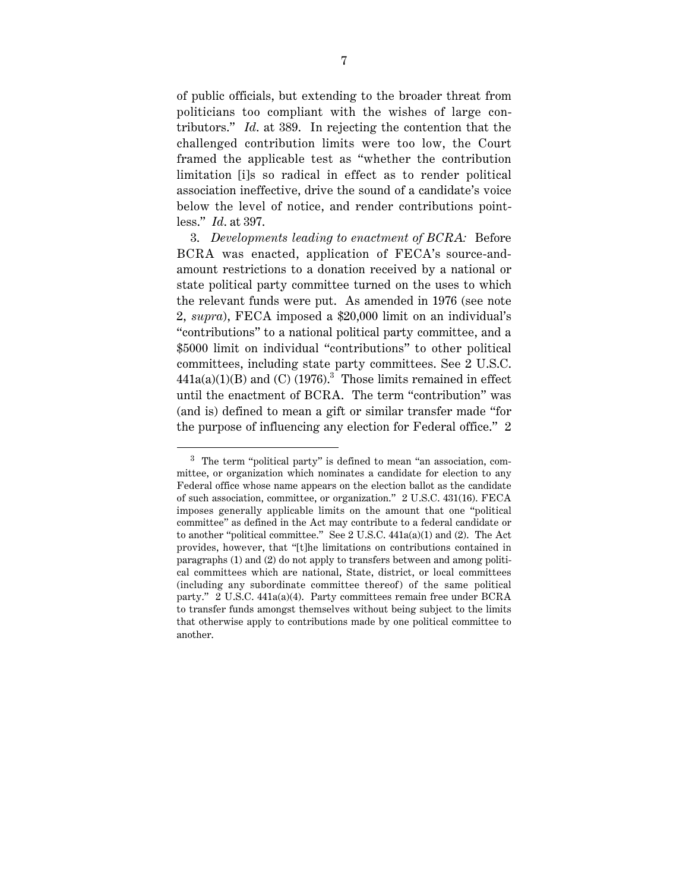of public officials, but extending to the broader threat from politicians too compliant with the wishes of large contributors." *Id*. at 389. In rejecting the contention that the challenged contribution limits were too low, the Court framed the applicable test as "whether the contribution limitation [i]s so radical in effect as to render political association ineffective, drive the sound of a candidate's voice below the level of notice, and render contributions pointless." *Id*. at 397.

3. *Developments leading to enactment of BCRA:* Before BCRA was enacted, application of FECA's source-andamount restrictions to a donation received by a national or state political party committee turned on the uses to which the relevant funds were put. As amended in 1976 (see note 2, *supra*), FECA imposed a \$20,000 limit on an individual's "contributions" to a national political party committee, and a \$5000 limit on individual "contributions" to other political committees, including state party committees. See 2 U.S.C.  $441a(a)(1)(B)$  and (C) (1976).<sup>3</sup> Those limits remained in effect until the enactment of BCRA. The term "contribution" was (and is) defined to mean a gift or similar transfer made "for the purpose of influencing any election for Federal office." 2

 <sup>3</sup> The term "political party" is defined to mean "an association, committee, or organization which nominates a candidate for election to any Federal office whose name appears on the election ballot as the candidate of such association, committee, or organization." 2 U.S.C. 431(16). FECA imposes generally applicable limits on the amount that one "political committee" as defined in the Act may contribute to a federal candidate or to another "political committee." See 2 U.S.C. 441a(a)(1) and (2). The Act provides, however, that "[t]he limitations on contributions contained in paragraphs (1) and (2) do not apply to transfers between and among political committees which are national, State, district, or local committees (including any subordinate committee thereof) of the same political party." 2 U.S.C. 441a(a)(4). Party committees remain free under BCRA to transfer funds amongst themselves without being subject to the limits that otherwise apply to contributions made by one political committee to another.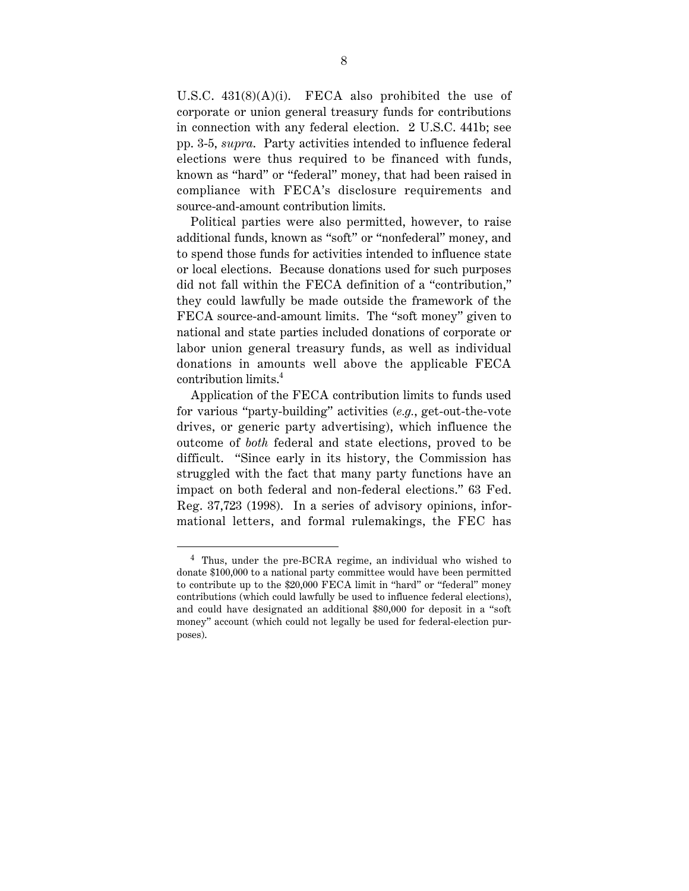U.S.C. 431(8)(A)(i). FECA also prohibited the use of corporate or union general treasury funds for contributions in connection with any federal election. 2 U.S.C. 441b; see pp. 3-5, *supra*. Party activities intended to influence federal elections were thus required to be financed with funds, known as "hard" or "federal" money, that had been raised in compliance with FECA's disclosure requirements and source-and-amount contribution limits.

Political parties were also permitted, however, to raise additional funds, known as "soft" or "nonfederal" money, and to spend those funds for activities intended to influence state or local elections. Because donations used for such purposes did not fall within the FECA definition of a "contribution," they could lawfully be made outside the framework of the FECA source-and-amount limits. The "soft money" given to national and state parties included donations of corporate or labor union general treasury funds, as well as individual donations in amounts well above the applicable FECA contribution limits.4

Application of the FECA contribution limits to funds used for various "party-building" activities (*e.g.*, get-out-the-vote drives, or generic party advertising), which influence the outcome of *both* federal and state elections, proved to be difficult. "Since early in its history, the Commission has struggled with the fact that many party functions have an impact on both federal and non-federal elections." 63 Fed. Reg. 37,723 (1998). In a series of advisory opinions, informational letters, and formal rulemakings, the FEC has

 <sup>4</sup> Thus, under the pre-BCRA regime, an individual who wished to donate \$100,000 to a national party committee would have been permitted to contribute up to the \$20,000 FECA limit in "hard" or "federal" money contributions (which could lawfully be used to influence federal elections), and could have designated an additional \$80,000 for deposit in a "soft money" account (which could not legally be used for federal-election purposes).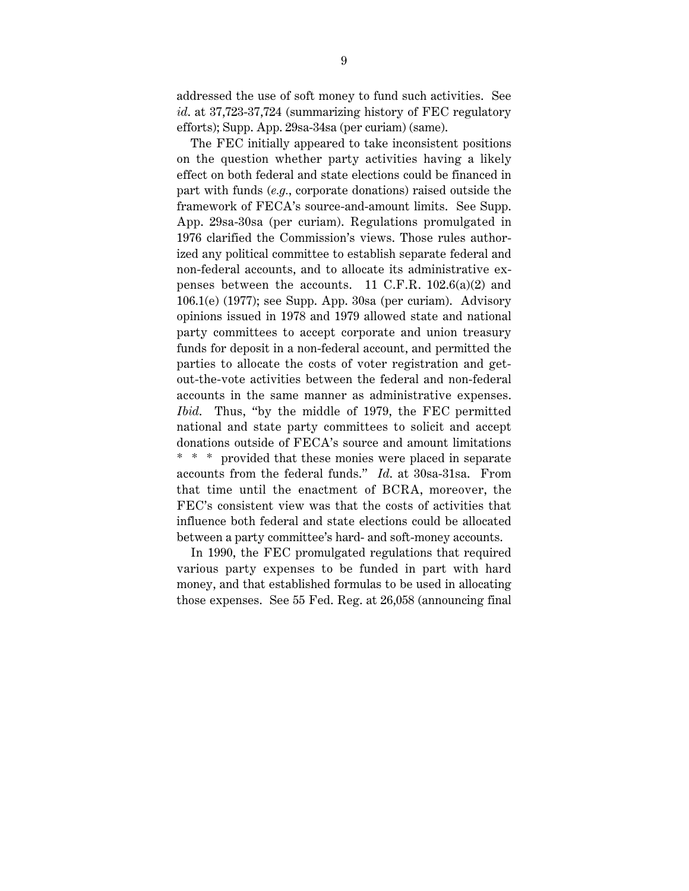addressed the use of soft money to fund such activities. See *id*. at 37,723-37,724 (summarizing history of FEC regulatory efforts); Supp. App. 29sa-34sa (per curiam) (same).

The FEC initially appeared to take inconsistent positions on the question whether party activities having a likely effect on both federal and state elections could be financed in part with funds (*e.g.*, corporate donations) raised outside the framework of FECA's source-and-amount limits. See Supp. App. 29sa-30sa (per curiam). Regulations promulgated in 1976 clarified the Commission's views. Those rules authorized any political committee to establish separate federal and non-federal accounts, and to allocate its administrative expenses between the accounts. 11 C.F.R.  $102.6(a)(2)$  and 106.1(e) (1977); see Supp. App. 30sa (per curiam). Advisory opinions issued in 1978 and 1979 allowed state and national party committees to accept corporate and union treasury funds for deposit in a non-federal account, and permitted the parties to allocate the costs of voter registration and getout-the-vote activities between the federal and non-federal accounts in the same manner as administrative expenses. *Ibid*. Thus, "by the middle of 1979, the FEC permitted national and state party committees to solicit and accept donations outside of FECA's source and amount limitations \* \* \* provided that these monies were placed in separate accounts from the federal funds." *Id*. at 30sa-31sa. From that time until the enactment of BCRA, moreover, the FEC's consistent view was that the costs of activities that influence both federal and state elections could be allocated between a party committee's hard- and soft-money accounts.

In 1990, the FEC promulgated regulations that required various party expenses to be funded in part with hard money, and that established formulas to be used in allocating those expenses. See 55 Fed. Reg. at 26,058 (announcing final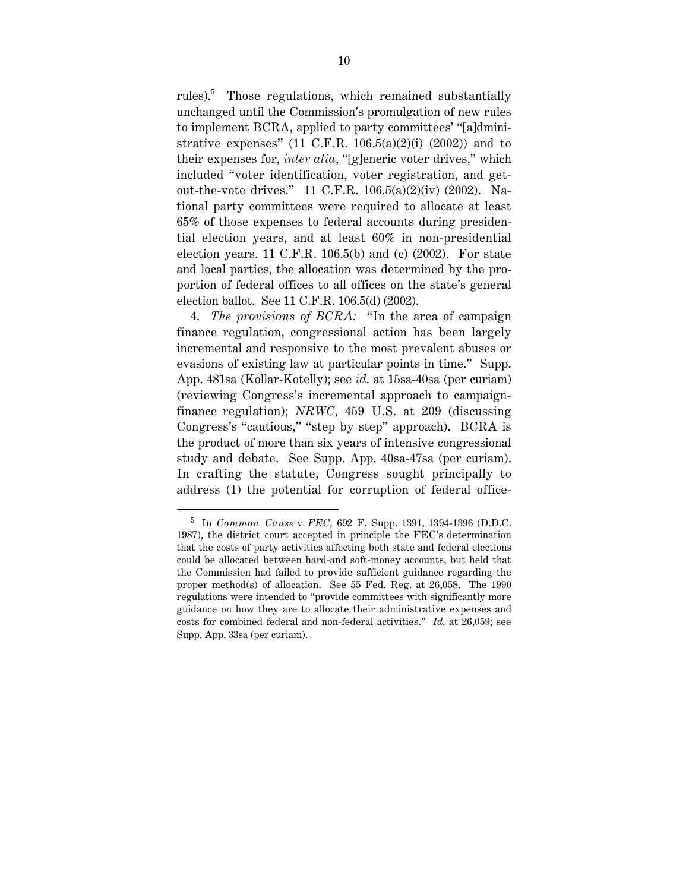rules).<sup>5</sup> Those regulations, which remained substantially unchanged until the Commission's promulgation of new rules to implement BCRA, applied to party committees' "[a]dministrative expenses" (11 C.F.R.  $106.5(a)(2)(i)$  (2002)) and to their expenses for, *inter alia*, "[g]eneric voter drives," which included "voter identification, voter registration, and getout-the-vote drives." 11 C.F.R. 106.5(a)(2)(iv) (2002). National party committees were required to allocate at least 65% of those expenses to federal accounts during presidential election years, and at least 60% in non-presidential election years. 11 C.F.R. 106.5(b) and (c) (2002). For state and local parties, the allocation was determined by the proportion of federal offices to all offices on the state's general election ballot. See 11 C.F.R. 106.5(d) (2002).

4. *The provisions of BCRA:* "In the area of campaign finance regulation, congressional action has been largely incremental and responsive to the most prevalent abuses or evasions of existing law at particular points in time." Supp. App. 481sa (Kollar-Kotelly); see *id*. at 15sa-40sa (per curiam) (reviewing Congress's incremental approach to campaignfinance regulation); *NRWC*, 459 U.S. at 209 (discussing Congress's "cautious," "step by step" approach). BCRA is the product of more than six years of intensive congressional study and debate. See Supp. App. 40sa-47sa (per curiam). In crafting the statute, Congress sought principally to address (1) the potential for corruption of federal office-

 <sup>5</sup> In *Common Cause* v. *FEC*, 692 F. Supp. 1391, 1394-1396 (D.D.C. 1987), the district court accepted in principle the FEC's determination that the costs of party activities affecting both state and federal elections could be allocated between hard-and soft-money accounts, but held that the Commission had failed to provide sufficient guidance regarding the proper method(s) of allocation. See 55 Fed. Reg. at 26,058. The 1990 regulations were intended to "provide committees with significantly more guidance on how they are to allocate their administrative expenses and costs for combined federal and non-federal activities." *Id*. at 26,059; see Supp. App. 33sa (per curiam).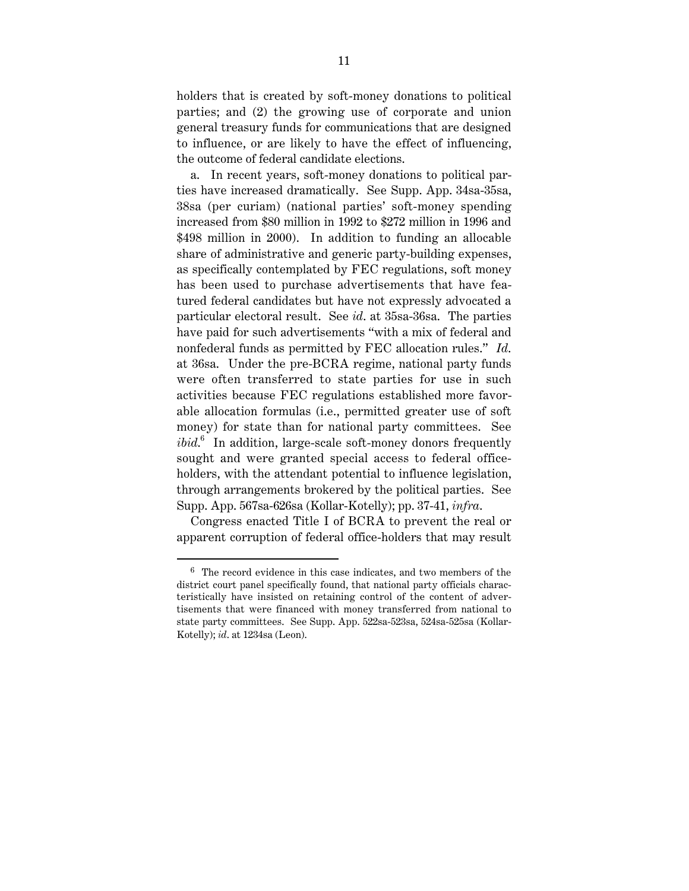holders that is created by soft-money donations to political parties; and (2) the growing use of corporate and union general treasury funds for communications that are designed to influence, or are likely to have the effect of influencing, the outcome of federal candidate elections.

a. In recent years, soft-money donations to political parties have increased dramatically. See Supp. App. 34sa-35sa, 38sa (per curiam) (national parties' soft-money spending increased from \$80 million in 1992 to \$272 million in 1996 and \$498 million in 2000). In addition to funding an allocable share of administrative and generic party-building expenses, as specifically contemplated by FEC regulations, soft money has been used to purchase advertisements that have featured federal candidates but have not expressly advocated a particular electoral result. See *id*. at 35sa-36sa. The parties have paid for such advertisements "with a mix of federal and nonfederal funds as permitted by FEC allocation rules." *Id*. at 36sa. Under the pre-BCRA regime, national party funds were often transferred to state parties for use in such activities because FEC regulations established more favorable allocation formulas (i.e., permitted greater use of soft money) for state than for national party committees. See *ibid*. 6 In addition, large-scale soft-money donors frequently sought and were granted special access to federal officeholders, with the attendant potential to influence legislation, through arrangements brokered by the political parties. See Supp. App. 567sa-626sa (Kollar-Kotelly); pp. 37-41, *infra*.

Congress enacted Title I of BCRA to prevent the real or apparent corruption of federal office-holders that may result

 $6$  The record evidence in this case indicates, and two members of the district court panel specifically found, that national party officials characteristically have insisted on retaining control of the content of advertisements that were financed with money transferred from national to state party committees. See Supp. App. 522sa-523sa, 524sa-525sa (Kollar-Kotelly); *id*. at 1234sa (Leon).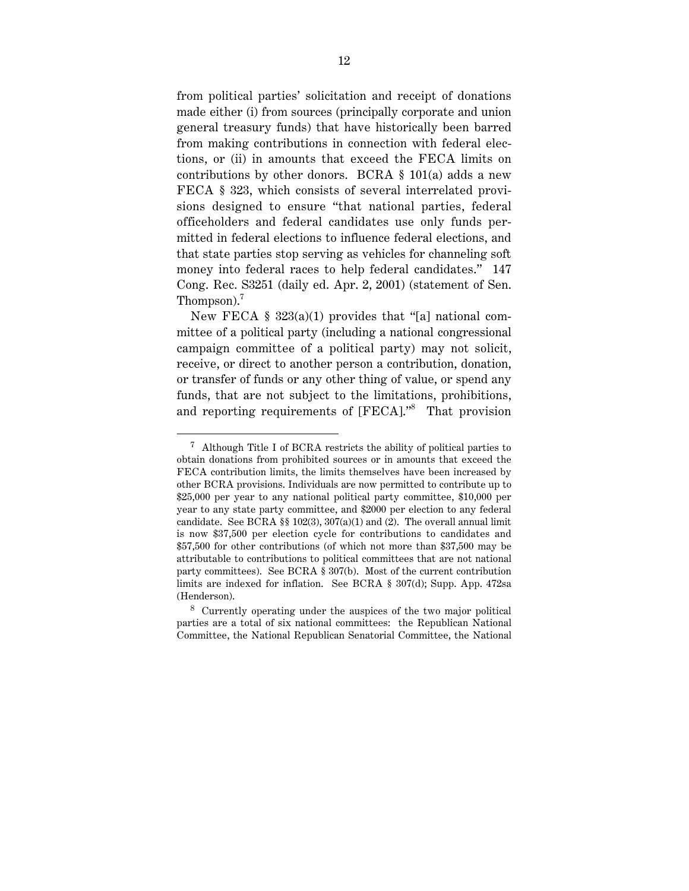from political parties' solicitation and receipt of donations made either (i) from sources (principally corporate and union general treasury funds) that have historically been barred from making contributions in connection with federal elections, or (ii) in amounts that exceed the FECA limits on contributions by other donors. BCRA § 101(a) adds a new FECA § 323, which consists of several interrelated provisions designed to ensure "that national parties, federal officeholders and federal candidates use only funds permitted in federal elections to influence federal elections, and that state parties stop serving as vehicles for channeling soft money into federal races to help federal candidates." 147 Cong. Rec. S3251 (daily ed. Apr. 2, 2001) (statement of Sen. Thompson).<sup>7</sup>

New FECA  $\S$  323(a)(1) provides that "[a] national committee of a political party (including a national congressional campaign committee of a political party) may not solicit, receive, or direct to another person a contribution, donation, or transfer of funds or any other thing of value, or spend any funds, that are not subject to the limitations, prohibitions, and reporting requirements of [FECA]."<sup>8</sup> That provision

 <sup>7</sup> Although Title I of BCRA restricts the ability of political parties to obtain donations from prohibited sources or in amounts that exceed the FECA contribution limits, the limits themselves have been increased by other BCRA provisions. Individuals are now permitted to contribute up to \$25,000 per year to any national political party committee, \$10,000 per year to any state party committee, and \$2000 per election to any federal candidate. See BCRA  $\S$  102(3), 307(a)(1) and (2). The overall annual limit is now \$37,500 per election cycle for contributions to candidates and \$57,500 for other contributions (of which not more than \$37,500 may be attributable to contributions to political committees that are not national party committees). See BCRA § 307(b). Most of the current contribution limits are indexed for inflation. See BCRA § 307(d); Supp. App. 472sa (Henderson).

<sup>8</sup> Currently operating under the auspices of the two major political parties are a total of six national committees: the Republican National Committee, the National Republican Senatorial Committee, the National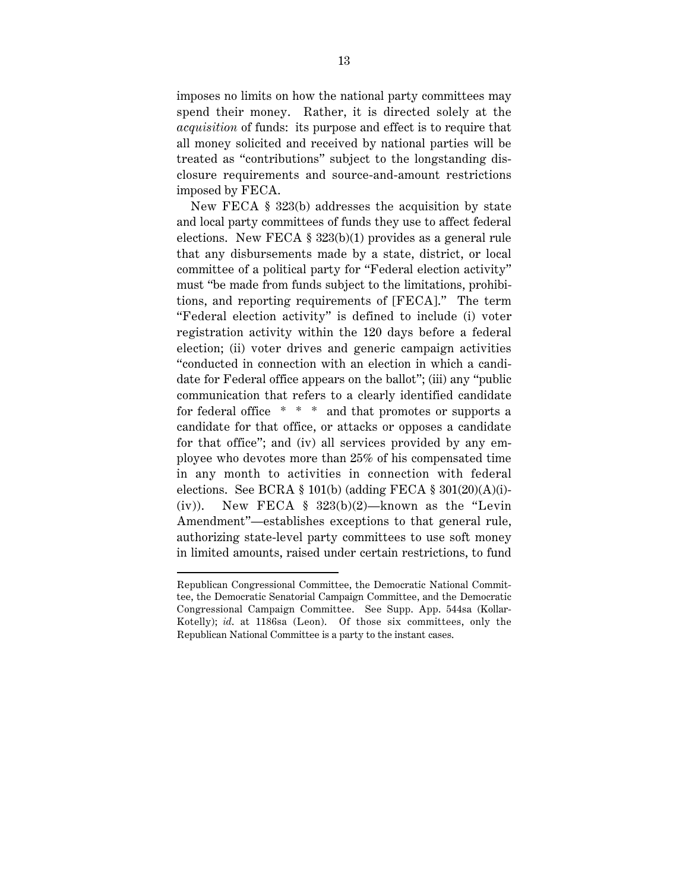imposes no limits on how the national party committees may spend their money. Rather, it is directed solely at the *acquisition* of funds: its purpose and effect is to require that all money solicited and received by national parties will be treated as "contributions" subject to the longstanding disclosure requirements and source-and-amount restrictions imposed by FECA.

New FECA § 323(b) addresses the acquisition by state and local party committees of funds they use to affect federal elections. New FECA § 323(b)(1) provides as a general rule that any disbursements made by a state, district, or local committee of a political party for "Federal election activity" must "be made from funds subject to the limitations, prohibitions, and reporting requirements of [FECA]." The term "Federal election activity" is defined to include (i) voter registration activity within the 120 days before a federal election; (ii) voter drives and generic campaign activities "conducted in connection with an election in which a candidate for Federal office appears on the ballot"; (iii) any "public communication that refers to a clearly identified candidate for federal office \* \* \* and that promotes or supports a candidate for that office, or attacks or opposes a candidate for that office"; and (iv) all services provided by any employee who devotes more than 25% of his compensated time in any month to activities in connection with federal elections. See BCRA § 101(b) (adding FECA § 301(20)(A)(i)- (iv)). New FECA  $\S$  323(b)(2)—known as the "Levin Amendment"—establishes exceptions to that general rule, authorizing state-level party committees to use soft money in limited amounts, raised under certain restrictions, to fund

Republican Congressional Committee, the Democratic National Committee, the Democratic Senatorial Campaign Committee, and the Democratic Congressional Campaign Committee. See Supp. App. 544sa (Kollar-Kotelly); *id*. at 1186sa (Leon). Of those six committees, only the Republican National Committee is a party to the instant cases.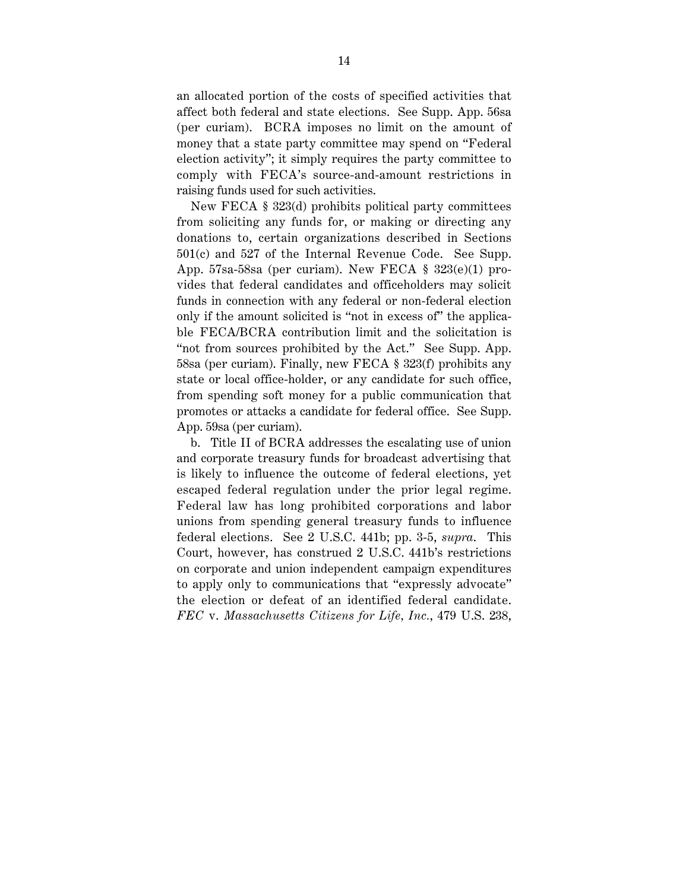an allocated portion of the costs of specified activities that affect both federal and state elections. See Supp. App. 56sa (per curiam). BCRA imposes no limit on the amount of money that a state party committee may spend on "Federal election activity"; it simply requires the party committee to comply with FECA's source-and-amount restrictions in raising funds used for such activities.

New FECA § 323(d) prohibits political party committees from soliciting any funds for, or making or directing any donations to, certain organizations described in Sections 501(c) and 527 of the Internal Revenue Code. See Supp. App. 57sa-58sa (per curiam). New FECA § 323(e)(1) provides that federal candidates and officeholders may solicit funds in connection with any federal or non-federal election only if the amount solicited is "not in excess of" the applicable FECA/BCRA contribution limit and the solicitation is "not from sources prohibited by the Act." See Supp. App. 58sa (per curiam). Finally, new FECA § 323(f) prohibits any state or local office-holder, or any candidate for such office, from spending soft money for a public communication that promotes or attacks a candidate for federal office. See Supp. App. 59sa (per curiam).

b. Title II of BCRA addresses the escalating use of union and corporate treasury funds for broadcast advertising that is likely to influence the outcome of federal elections, yet escaped federal regulation under the prior legal regime. Federal law has long prohibited corporations and labor unions from spending general treasury funds to influence federal elections. See 2 U.S.C. 441b; pp. 3-5, *supra*. This Court, however, has construed 2 U.S.C. 441b's restrictions on corporate and union independent campaign expenditures to apply only to communications that "expressly advocate" the election or defeat of an identified federal candidate. *FEC* v. *Massachusetts Citizens for Life, Inc.*, 479 U.S. 238,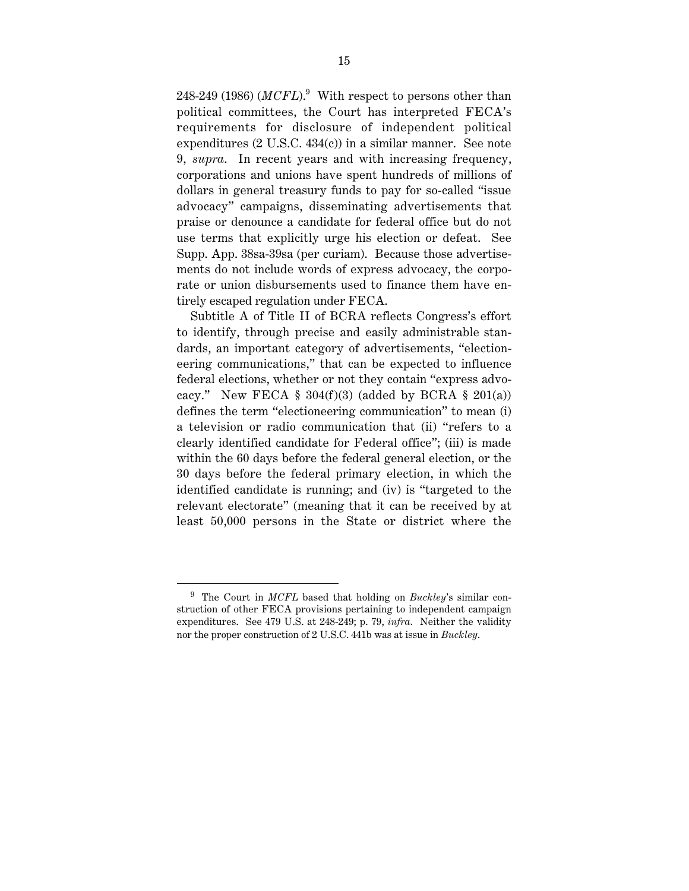$248$ -249 (1986) ( $MCFL$ ). $^9$  With respect to persons other than political committees, the Court has interpreted FECA's requirements for disclosure of independent political expenditures (2 U.S.C. 434(c)) in a similar manner. See note 9, *supra*. In recent years and with increasing frequency, corporations and unions have spent hundreds of millions of dollars in general treasury funds to pay for so-called "issue advocacy" campaigns, disseminating advertisements that praise or denounce a candidate for federal office but do not use terms that explicitly urge his election or defeat. See Supp. App. 38sa-39sa (per curiam). Because those advertisements do not include words of express advocacy, the corporate or union disbursements used to finance them have entirely escaped regulation under FECA.

Subtitle A of Title II of BCRA reflects Congress's effort to identify, through precise and easily administrable standards, an important category of advertisements, "electioneering communications," that can be expected to influence federal elections, whether or not they contain "express advocacy." New FECA  $\S$  304(f)(3) (added by BCRA  $\S$  201(a)) defines the term "electioneering communication" to mean (i) a television or radio communication that (ii) "refers to a clearly identified candidate for Federal office"; (iii) is made within the 60 days before the federal general election, or the 30 days before the federal primary election, in which the identified candidate is running; and (iv) is "targeted to the relevant electorate" (meaning that it can be received by at least 50,000 persons in the State or district where the

 <sup>9</sup> The Court in *MCFL* based that holding on *Buckley*'s similar construction of other FECA provisions pertaining to independent campaign expenditures. See 479 U.S. at 248-249; p. 79, *infra*. Neither the validity nor the proper construction of 2 U.S.C. 441b was at issue in *Buckley*.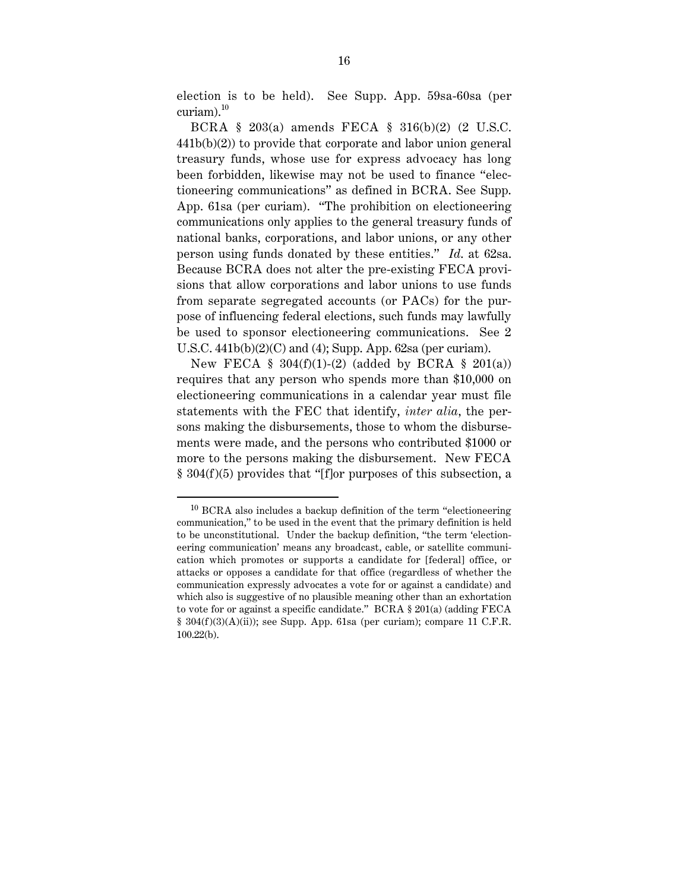election is to be held). See Supp. App. 59sa-60sa (per curiam). $^{10}$ 

BCRA § 203(a) amends FECA § 316(b)(2) (2 U.S.C. 441b(b)(2)) to provide that corporate and labor union general treasury funds, whose use for express advocacy has long been forbidden, likewise may not be used to finance "electioneering communications" as defined in BCRA. See Supp. App. 61sa (per curiam). "The prohibition on electioneering communications only applies to the general treasury funds of national banks, corporations, and labor unions, or any other person using funds donated by these entities." *Id*. at 62sa. Because BCRA does not alter the pre-existing FECA provisions that allow corporations and labor unions to use funds from separate segregated accounts (or PACs) for the purpose of influencing federal elections, such funds may lawfully be used to sponsor electioneering communications. See 2 U.S.C. 441b(b)(2)(C) and (4); Supp. App. 62sa (per curiam).

New FECA  $\S$  304(f)(1)-(2) (added by BCRA  $\S$  201(a)) requires that any person who spends more than \$10,000 on electioneering communications in a calendar year must file statements with the FEC that identify, *inter alia*, the persons making the disbursements, those to whom the disbursements were made, and the persons who contributed \$1000 or more to the persons making the disbursement. New FECA § 304(f)(5) provides that "[f]or purposes of this subsection, a

 <sup>10</sup> BCRA also includes a backup definition of the term "electioneering communication," to be used in the event that the primary definition is held to be unconstitutional. Under the backup definition, "the term 'electioneering communication' means any broadcast, cable, or satellite communication which promotes or supports a candidate for [federal] office, or attacks or opposes a candidate for that office (regardless of whether the communication expressly advocates a vote for or against a candidate) and which also is suggestive of no plausible meaning other than an exhortation to vote for or against a specific candidate." BCRA § 201(a) (adding FECA § 304(f )(3)(A)(ii)); see Supp. App. 61sa (per curiam); compare 11 C.F.R. 100.22(b).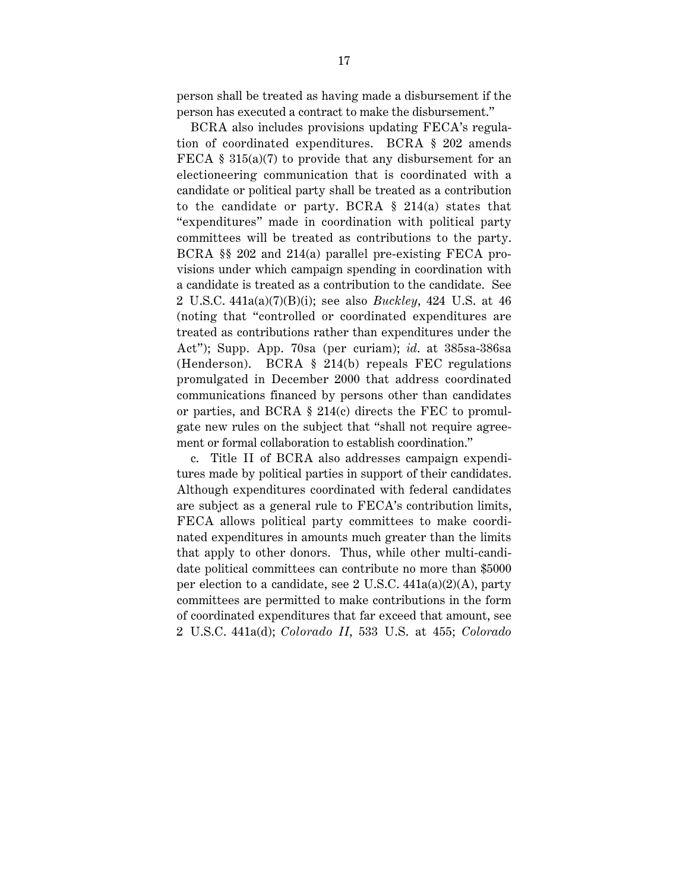person shall be treated as having made a disbursement if the person has executed a contract to make the disbursement."

BCRA also includes provisions updating FECA's regulation of coordinated expenditures. BCRA § 202 amends FECA § 315(a)(7) to provide that any disbursement for an electioneering communication that is coordinated with a candidate or political party shall be treated as a contribution to the candidate or party. BCRA § 214(a) states that "expenditures" made in coordination with political party committees will be treated as contributions to the party. BCRA §§ 202 and 214(a) parallel pre-existing FECA provisions under which campaign spending in coordination with a candidate is treated as a contribution to the candidate. See 2 U.S.C. 441a(a)(7)(B)(i); see also *Buckley*, 424 U.S. at 46 (noting that "controlled or coordinated expenditures are treated as contributions rather than expenditures under the Act"); Supp. App. 70sa (per curiam); *id*. at 385sa-386sa (Henderson). BCRA § 214(b) repeals FEC regulations promulgated in December 2000 that address coordinated communications financed by persons other than candidates or parties, and BCRA § 214(c) directs the FEC to promulgate new rules on the subject that "shall not require agreement or formal collaboration to establish coordination."

c. Title II of BCRA also addresses campaign expenditures made by political parties in support of their candidates. Although expenditures coordinated with federal candidates are subject as a general rule to FECA's contribution limits, FECA allows political party committees to make coordinated expenditures in amounts much greater than the limits that apply to other donors. Thus, while other multi-candidate political committees can contribute no more than \$5000 per election to a candidate, see 2 U.S.C. 441a(a)(2)(A), party committees are permitted to make contributions in the form of coordinated expenditures that far exceed that amount, see 2 U.S.C. 441a(d); *Colorado II*, 533 U.S. at 455; *Colorado*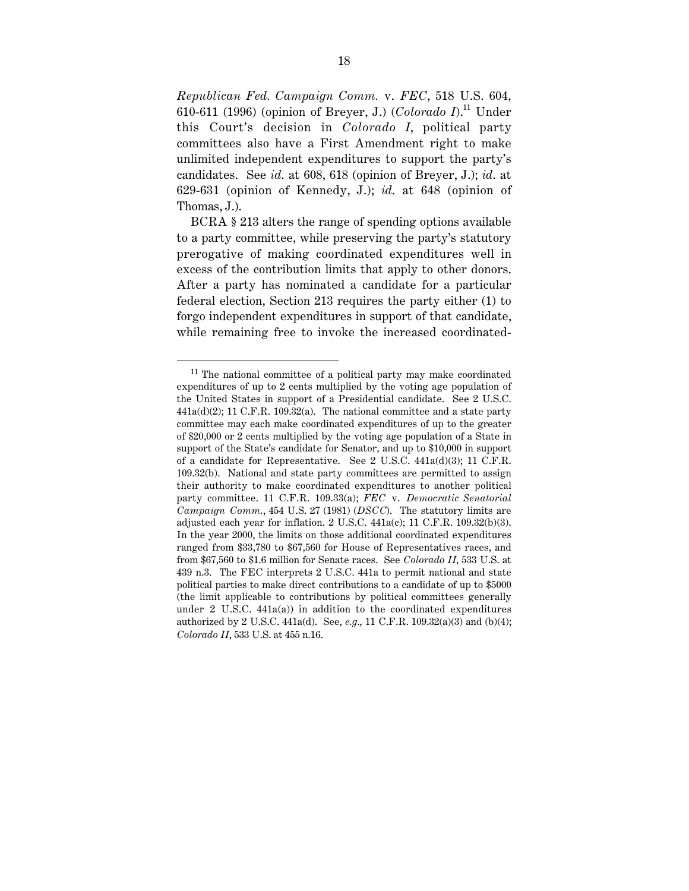*Republican Fed. Campaign Comm.* v. *FEC*, 518 U.S. 604, 610-611 (1996) (opinion of Breyer, J.) (*Colorado I*).11 Under this Court's decision in *Colorado I*, political party committees also have a First Amendment right to make unlimited independent expenditures to support the party's candidates. See *id*. at 608, 618 (opinion of Breyer, J.); *id*. at 629-631 (opinion of Kennedy, J.); *id*. at 648 (opinion of Thomas, J.).

BCRA § 213 alters the range of spending options available to a party committee, while preserving the party's statutory prerogative of making coordinated expenditures well in excess of the contribution limits that apply to other donors. After a party has nominated a candidate for a particular federal election, Section 213 requires the party either (1) to forgo independent expenditures in support of that candidate, while remaining free to invoke the increased coordinated-

<sup>&</sup>lt;sup>11</sup> The national committee of a political party may make coordinated expenditures of up to 2 cents multiplied by the voting age population of the United States in support of a Presidential candidate. See 2 U.S.C.  $441a(d)(2)$ ; 11 C.F.R. 109.32(a). The national committee and a state party committee may each make coordinated expenditures of up to the greater of \$20,000 or 2 cents multiplied by the voting age population of a State in support of the State's candidate for Senator, and up to \$10,000 in support of a candidate for Representative. See 2 U.S.C. 441a(d)(3); 11 C.F.R. 109.32(b). National and state party committees are permitted to assign their authority to make coordinated expenditures to another political party committee. 11 C.F.R. 109.33(a); *FEC* v. *Democratic Senatorial Campaign Comm.*, 454 U.S. 27 (1981) (*DSCC*). The statutory limits are adjusted each year for inflation. 2 U.S.C. 441a(c); 11 C.F.R. 109.32(b)(3). In the year 2000, the limits on those additional coordinated expenditures ranged from \$33,780 to \$67,560 for House of Representatives races, and from \$67,560 to \$1.6 million for Senate races. See *Colorado II*, 533 U.S. at 439 n.3. The FEC interprets 2 U.S.C. 441a to permit national and state political parties to make direct contributions to a candidate of up to \$5000 (the limit applicable to contributions by political committees generally under  $2 \text{ U.S.C. } 441a(a)$  in addition to the coordinated expenditures authorized by 2 U.S.C. 441a(d). See, *e.g.*, 11 C.F.R. 109.32(a)(3) and (b)(4); *Colorado II*, 533 U.S. at 455 n.16.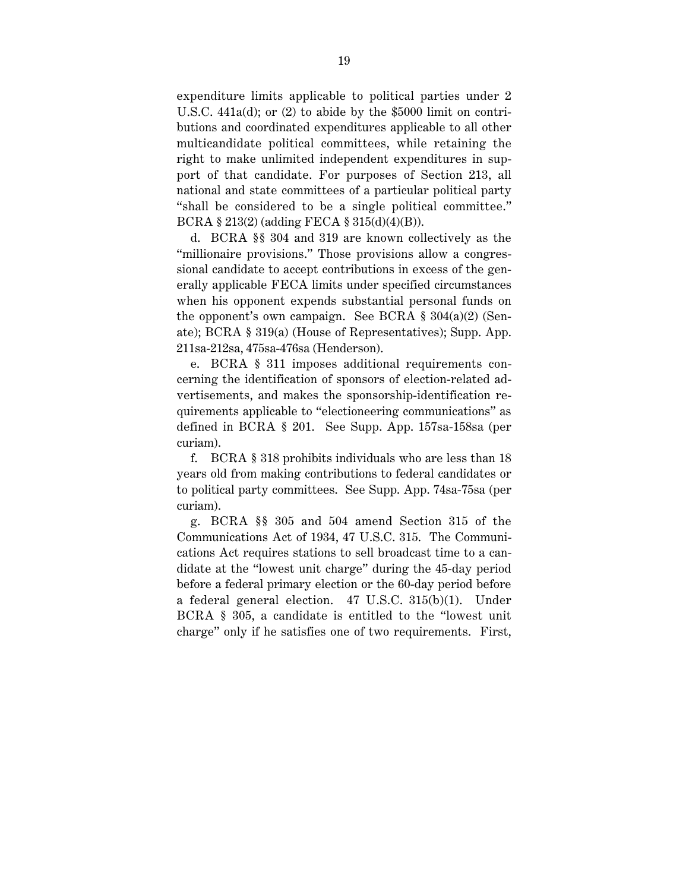expenditure limits applicable to political parties under 2 U.S.C. 441a(d); or (2) to abide by the \$5000 limit on contributions and coordinated expenditures applicable to all other multicandidate political committees, while retaining the right to make unlimited independent expenditures in support of that candidate. For purposes of Section 213, all national and state committees of a particular political party "shall be considered to be a single political committee." BCRA § 213(2) (adding FECA § 315(d)(4)(B)).

d. BCRA §§ 304 and 319 are known collectively as the "millionaire provisions." Those provisions allow a congressional candidate to accept contributions in excess of the generally applicable FECA limits under specified circumstances when his opponent expends substantial personal funds on the opponent's own campaign. See BCRA  $\S$  304(a)(2) (Senate); BCRA § 319(a) (House of Representatives); Supp. App. 211sa-212sa, 475sa-476sa (Henderson).

e. BCRA § 311 imposes additional requirements concerning the identification of sponsors of election-related advertisements, and makes the sponsorship-identification requirements applicable to "electioneering communications" as defined in BCRA § 201. See Supp. App. 157sa-158sa (per curiam).

f. BCRA § 318 prohibits individuals who are less than 18 years old from making contributions to federal candidates or to political party committees. See Supp. App. 74sa-75sa (per curiam).

g. BCRA §§ 305 and 504 amend Section 315 of the Communications Act of 1934, 47 U.S.C. 315. The Communications Act requires stations to sell broadcast time to a candidate at the "lowest unit charge" during the 45-day period before a federal primary election or the 60-day period before a federal general election. 47 U.S.C. 315(b)(1). Under BCRA § 305, a candidate is entitled to the "lowest unit charge" only if he satisfies one of two requirements. First,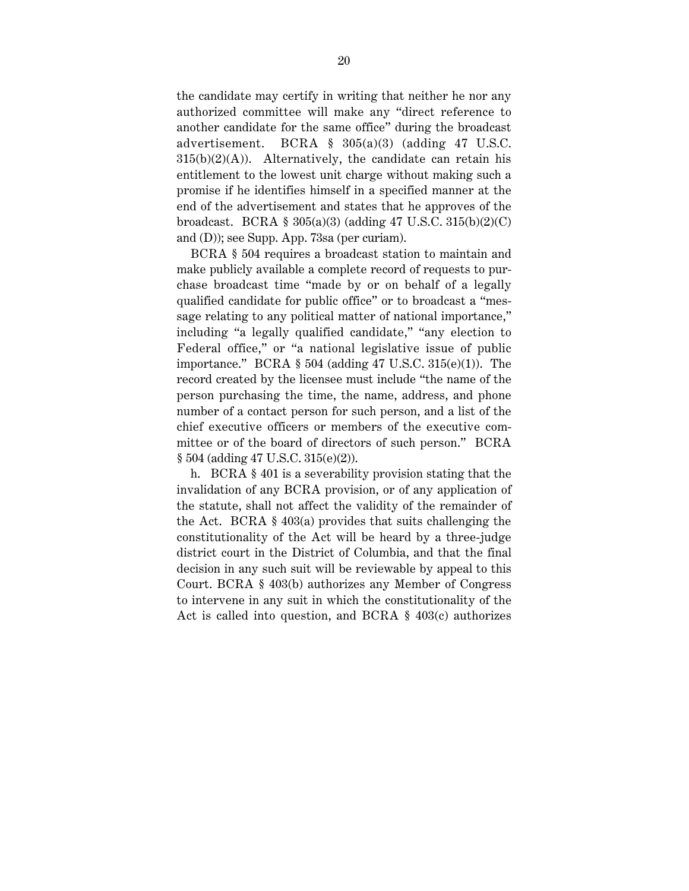the candidate may certify in writing that neither he nor any authorized committee will make any "direct reference to another candidate for the same office" during the broadcast advertisement. BCRA § 305(a)(3) (adding 47 U.S.C.  $315(b)(2)(A)$ . Alternatively, the candidate can retain his entitlement to the lowest unit charge without making such a promise if he identifies himself in a specified manner at the end of the advertisement and states that he approves of the broadcast. BCRA § 305(a)(3) (adding 47 U.S.C. 315(b)(2)(C) and (D)); see Supp. App. 73sa (per curiam).

BCRA § 504 requires a broadcast station to maintain and make publicly available a complete record of requests to purchase broadcast time "made by or on behalf of a legally qualified candidate for public office" or to broadcast a "message relating to any political matter of national importance," including "a legally qualified candidate," "any election to Federal office," or "a national legislative issue of public importance." BCRA  $\S$  504 (adding 47 U.S.C. 315(e)(1)). The record created by the licensee must include "the name of the person purchasing the time, the name, address, and phone number of a contact person for such person, and a list of the chief executive officers or members of the executive committee or of the board of directors of such person." BCRA § 504 (adding 47 U.S.C. 315(e)(2)).

h. BCRA § 401 is a severability provision stating that the invalidation of any BCRA provision, or of any application of the statute, shall not affect the validity of the remainder of the Act. BCRA § 403(a) provides that suits challenging the constitutionality of the Act will be heard by a three-judge district court in the District of Columbia, and that the final decision in any such suit will be reviewable by appeal to this Court. BCRA § 403(b) authorizes any Member of Congress to intervene in any suit in which the constitutionality of the Act is called into question, and BCRA § 403(c) authorizes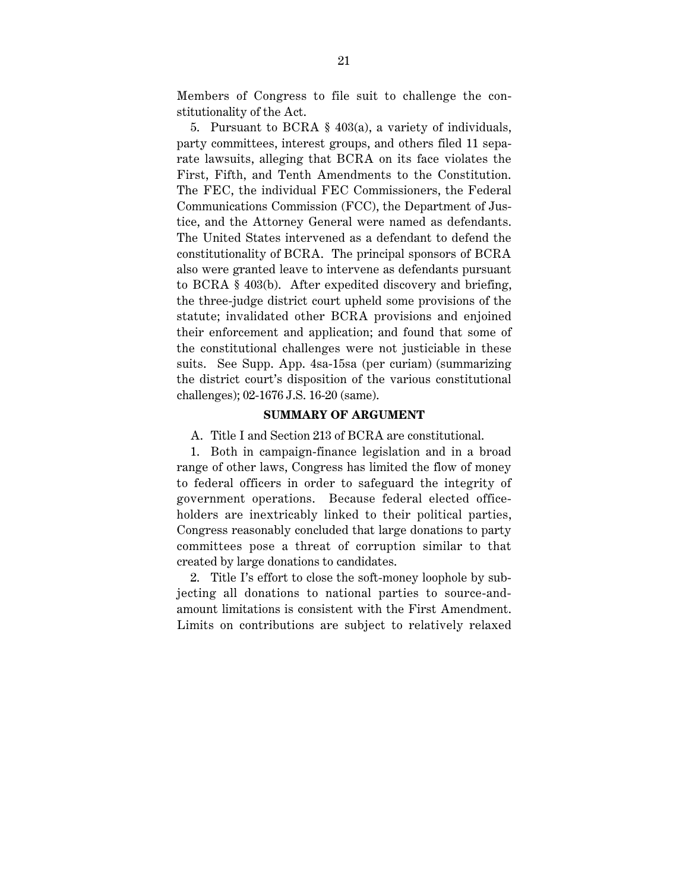Members of Congress to file suit to challenge the constitutionality of the Act.

5. Pursuant to BCRA § 403(a), a variety of individuals, party committees, interest groups, and others filed 11 separate lawsuits, alleging that BCRA on its face violates the First, Fifth, and Tenth Amendments to the Constitution. The FEC, the individual FEC Commissioners, the Federal Communications Commission (FCC), the Department of Justice, and the Attorney General were named as defendants. The United States intervened as a defendant to defend the constitutionality of BCRA. The principal sponsors of BCRA also were granted leave to intervene as defendants pursuant to BCRA § 403(b). After expedited discovery and briefing, the three-judge district court upheld some provisions of the statute; invalidated other BCRA provisions and enjoined their enforcement and application; and found that some of the constitutional challenges were not justiciable in these suits. See Supp. App. 4sa-15sa (per curiam) (summarizing the district court's disposition of the various constitutional challenges); 02-1676 J.S. 16-20 (same).

## **SUMMARY OF ARGUMENT**

A. Title I and Section 213 of BCRA are constitutional.

1. Both in campaign-finance legislation and in a broad range of other laws, Congress has limited the flow of money to federal officers in order to safeguard the integrity of government operations. Because federal elected officeholders are inextricably linked to their political parties, Congress reasonably concluded that large donations to party committees pose a threat of corruption similar to that created by large donations to candidates.

2. Title I's effort to close the soft-money loophole by subjecting all donations to national parties to source-andamount limitations is consistent with the First Amendment. Limits on contributions are subject to relatively relaxed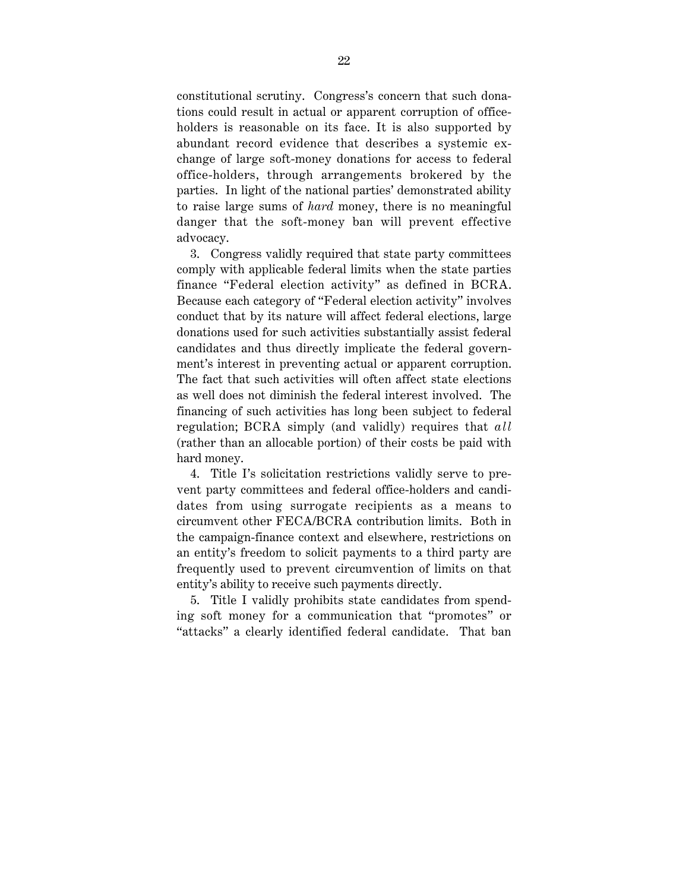constitutional scrutiny. Congress's concern that such donations could result in actual or apparent corruption of officeholders is reasonable on its face. It is also supported by abundant record evidence that describes a systemic exchange of large soft-money donations for access to federal office-holders, through arrangements brokered by the parties. In light of the national parties' demonstrated ability to raise large sums of *hard* money, there is no meaningful danger that the soft-money ban will prevent effective advocacy.

3. Congress validly required that state party committees comply with applicable federal limits when the state parties finance "Federal election activity" as defined in BCRA. Because each category of "Federal election activity" involves conduct that by its nature will affect federal elections, large donations used for such activities substantially assist federal candidates and thus directly implicate the federal government's interest in preventing actual or apparent corruption. The fact that such activities will often affect state elections as well does not diminish the federal interest involved. The financing of such activities has long been subject to federal regulation; BCRA simply (and validly) requires that *all* (rather than an allocable portion) of their costs be paid with hard money.

4. Title I's solicitation restrictions validly serve to prevent party committees and federal office-holders and candidates from using surrogate recipients as a means to circumvent other FECA/BCRA contribution limits. Both in the campaign-finance context and elsewhere, restrictions on an entity's freedom to solicit payments to a third party are frequently used to prevent circumvention of limits on that entity's ability to receive such payments directly.

5. Title I validly prohibits state candidates from spending soft money for a communication that "promotes" or "attacks" a clearly identified federal candidate. That ban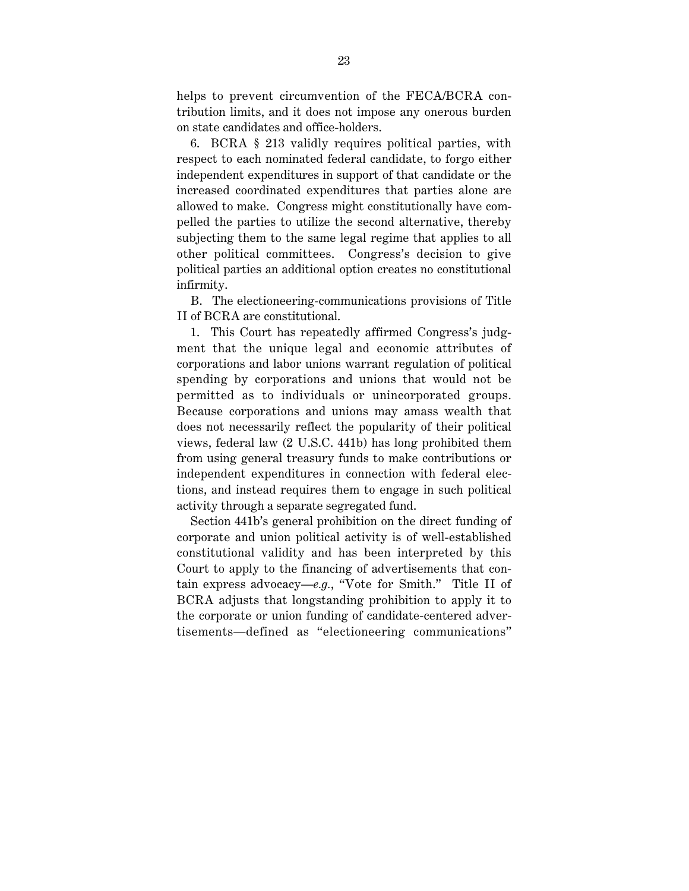helps to prevent circumvention of the FECA/BCRA contribution limits, and it does not impose any onerous burden on state candidates and office-holders.

6. BCRA § 213 validly requires political parties, with respect to each nominated federal candidate, to forgo either independent expenditures in support of that candidate or the increased coordinated expenditures that parties alone are allowed to make. Congress might constitutionally have compelled the parties to utilize the second alternative, thereby subjecting them to the same legal regime that applies to all other political committees. Congress's decision to give political parties an additional option creates no constitutional infirmity.

B. The electioneering-communications provisions of Title II of BCRA are constitutional.

1. This Court has repeatedly affirmed Congress's judgment that the unique legal and economic attributes of corporations and labor unions warrant regulation of political spending by corporations and unions that would not be permitted as to individuals or unincorporated groups. Because corporations and unions may amass wealth that does not necessarily reflect the popularity of their political views, federal law (2 U.S.C. 441b) has long prohibited them from using general treasury funds to make contributions or independent expenditures in connection with federal elections, and instead requires them to engage in such political activity through a separate segregated fund.

Section 441b's general prohibition on the direct funding of corporate and union political activity is of well-established constitutional validity and has been interpreted by this Court to apply to the financing of advertisements that contain express advocacy—*e.g.*, "Vote for Smith." Title II of BCRA adjusts that longstanding prohibition to apply it to the corporate or union funding of candidate-centered advertisements—defined as "electioneering communications"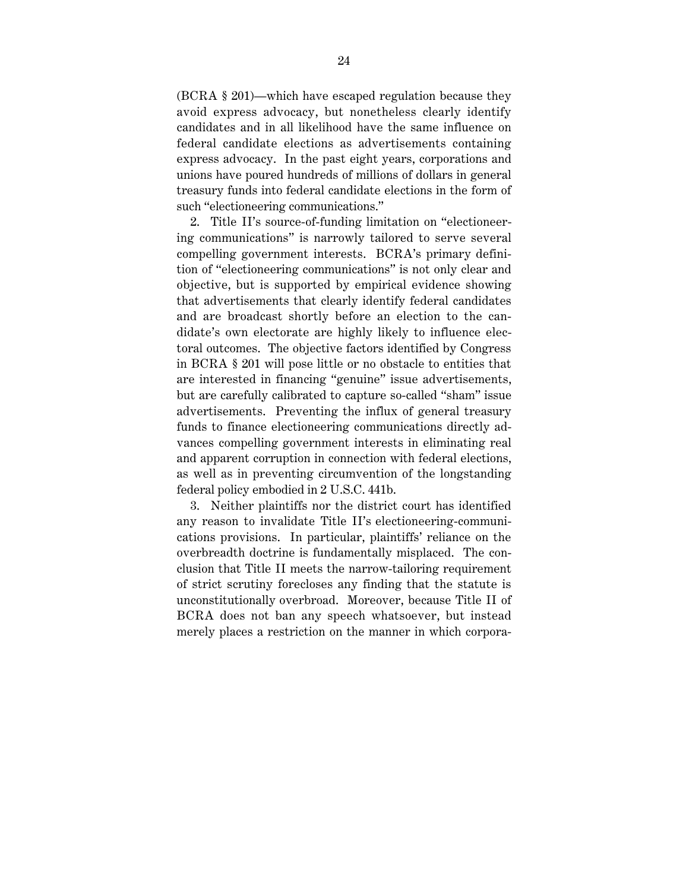(BCRA § 201)—which have escaped regulation because they avoid express advocacy, but nonetheless clearly identify candidates and in all likelihood have the same influence on federal candidate elections as advertisements containing express advocacy. In the past eight years, corporations and unions have poured hundreds of millions of dollars in general treasury funds into federal candidate elections in the form of such "electioneering communications."

2. Title II's source-of-funding limitation on "electioneering communications" is narrowly tailored to serve several compelling government interests. BCRA's primary definition of "electioneering communications" is not only clear and objective, but is supported by empirical evidence showing that advertisements that clearly identify federal candidates and are broadcast shortly before an election to the candidate's own electorate are highly likely to influence electoral outcomes. The objective factors identified by Congress in BCRA § 201 will pose little or no obstacle to entities that are interested in financing "genuine" issue advertisements, but are carefully calibrated to capture so-called "sham" issue advertisements. Preventing the influx of general treasury funds to finance electioneering communications directly advances compelling government interests in eliminating real and apparent corruption in connection with federal elections, as well as in preventing circumvention of the longstanding federal policy embodied in 2 U.S.C. 441b.

3. Neither plaintiffs nor the district court has identified any reason to invalidate Title II's electioneering-communications provisions. In particular, plaintiffs' reliance on the overbreadth doctrine is fundamentally misplaced. The conclusion that Title II meets the narrow-tailoring requirement of strict scrutiny forecloses any finding that the statute is unconstitutionally overbroad. Moreover, because Title II of BCRA does not ban any speech whatsoever, but instead merely places a restriction on the manner in which corpora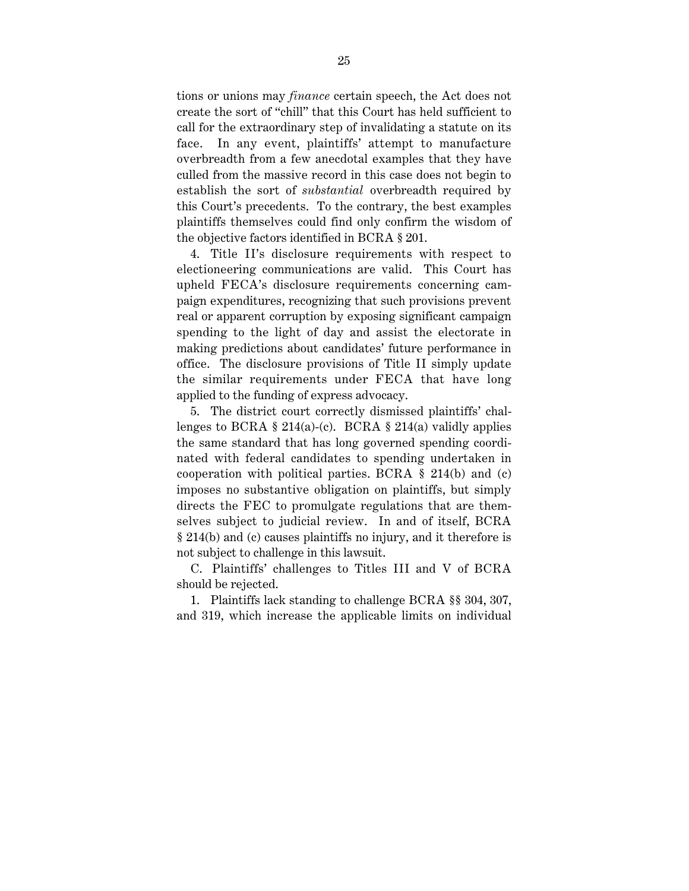tions or unions may *finance* certain speech, the Act does not create the sort of "chill" that this Court has held sufficient to call for the extraordinary step of invalidating a statute on its face. In any event, plaintiffs' attempt to manufacture overbreadth from a few anecdotal examples that they have culled from the massive record in this case does not begin to establish the sort of *substantial* overbreadth required by this Court's precedents. To the contrary, the best examples plaintiffs themselves could find only confirm the wisdom of the objective factors identified in BCRA § 201.

4. Title II's disclosure requirements with respect to electioneering communications are valid. This Court has upheld FECA's disclosure requirements concerning campaign expenditures, recognizing that such provisions prevent real or apparent corruption by exposing significant campaign spending to the light of day and assist the electorate in making predictions about candidates' future performance in office. The disclosure provisions of Title II simply update the similar requirements under FECA that have long applied to the funding of express advocacy.

5. The district court correctly dismissed plaintiffs' challenges to BCRA § 214(a)-(c). BCRA § 214(a) validly applies the same standard that has long governed spending coordinated with federal candidates to spending undertaken in cooperation with political parties. BCRA § 214(b) and (c) imposes no substantive obligation on plaintiffs, but simply directs the FEC to promulgate regulations that are themselves subject to judicial review. In and of itself, BCRA § 214(b) and (c) causes plaintiffs no injury, and it therefore is not subject to challenge in this lawsuit.

C. Plaintiffs' challenges to Titles III and V of BCRA should be rejected.

1. Plaintiffs lack standing to challenge BCRA §§ 304, 307, and 319, which increase the applicable limits on individual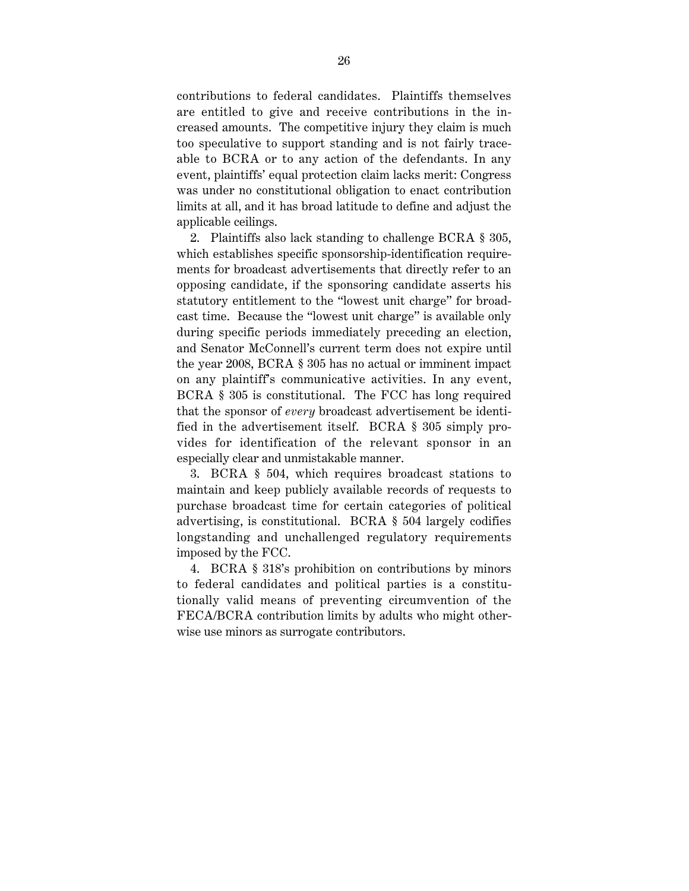contributions to federal candidates. Plaintiffs themselves are entitled to give and receive contributions in the increased amounts. The competitive injury they claim is much too speculative to support standing and is not fairly traceable to BCRA or to any action of the defendants. In any event, plaintiffs' equal protection claim lacks merit: Congress was under no constitutional obligation to enact contribution limits at all, and it has broad latitude to define and adjust the applicable ceilings.

2. Plaintiffs also lack standing to challenge BCRA § 305, which establishes specific sponsorship-identification requirements for broadcast advertisements that directly refer to an opposing candidate, if the sponsoring candidate asserts his statutory entitlement to the "lowest unit charge" for broadcast time. Because the "lowest unit charge" is available only during specific periods immediately preceding an election, and Senator McConnell's current term does not expire until the year 2008, BCRA § 305 has no actual or imminent impact on any plaintiff's communicative activities. In any event, BCRA § 305 is constitutional. The FCC has long required that the sponsor of *every* broadcast advertisement be identified in the advertisement itself. BCRA § 305 simply provides for identification of the relevant sponsor in an especially clear and unmistakable manner.

3. BCRA § 504, which requires broadcast stations to maintain and keep publicly available records of requests to purchase broadcast time for certain categories of political advertising, is constitutional. BCRA § 504 largely codifies longstanding and unchallenged regulatory requirements imposed by the FCC.

4. BCRA § 318's prohibition on contributions by minors to federal candidates and political parties is a constitutionally valid means of preventing circumvention of the FECA/BCRA contribution limits by adults who might otherwise use minors as surrogate contributors.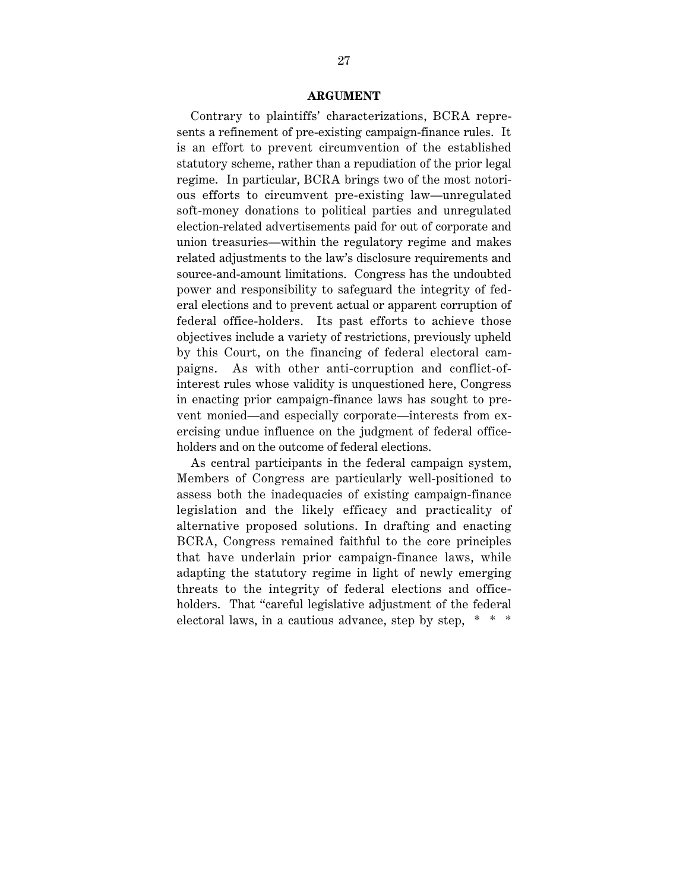## **ARGUMENT**

Contrary to plaintiffs' characterizations, BCRA represents a refinement of pre-existing campaign-finance rules. It is an effort to prevent circumvention of the established statutory scheme, rather than a repudiation of the prior legal regime. In particular, BCRA brings two of the most notorious efforts to circumvent pre-existing law—unregulated soft-money donations to political parties and unregulated election-related advertisements paid for out of corporate and union treasuries—within the regulatory regime and makes related adjustments to the law's disclosure requirements and source-and-amount limitations. Congress has the undoubted power and responsibility to safeguard the integrity of federal elections and to prevent actual or apparent corruption of federal office-holders. Its past efforts to achieve those objectives include a variety of restrictions, previously upheld by this Court, on the financing of federal electoral campaigns. As with other anti-corruption and conflict-ofinterest rules whose validity is unquestioned here, Congress in enacting prior campaign-finance laws has sought to prevent monied—and especially corporate—interests from exercising undue influence on the judgment of federal officeholders and on the outcome of federal elections.

As central participants in the federal campaign system, Members of Congress are particularly well-positioned to assess both the inadequacies of existing campaign-finance legislation and the likely efficacy and practicality of alternative proposed solutions. In drafting and enacting BCRA, Congress remained faithful to the core principles that have underlain prior campaign-finance laws, while adapting the statutory regime in light of newly emerging threats to the integrity of federal elections and officeholders. That "careful legislative adjustment of the federal electoral laws, in a cautious advance, step by step, \* \* \*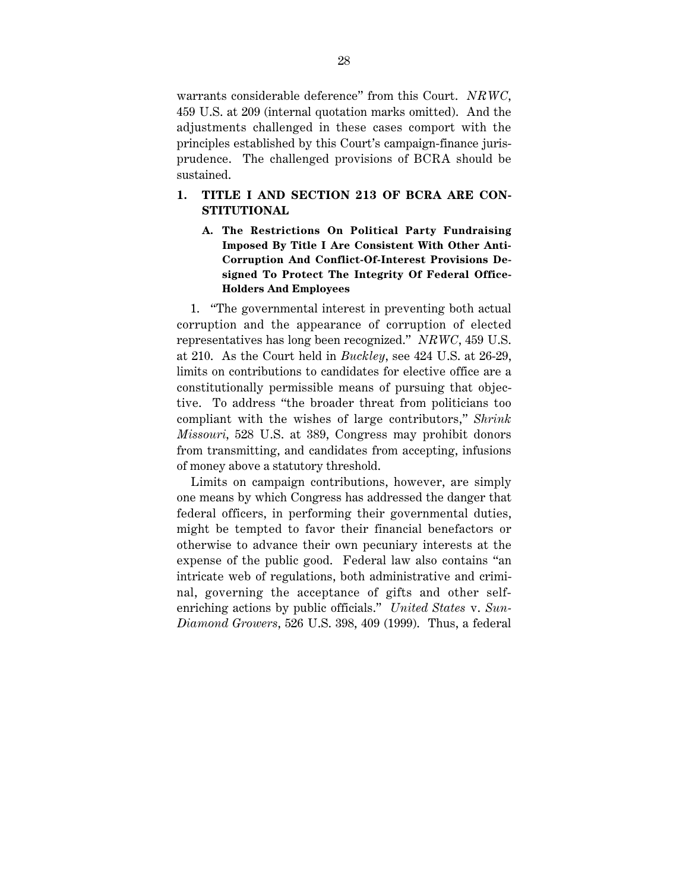warrants considerable deference" from this Court. *NRWC*, 459 U.S. at 209 (internal quotation marks omitted). And the adjustments challenged in these cases comport with the principles established by this Court's campaign-finance jurisprudence. The challenged provisions of BCRA should be sustained.

## **1. TITLE I AND SECTION 213 OF BCRA ARE CON-STITUTIONAL**

**A. The Restrictions On Political Party Fundraising Imposed By Title I Are Consistent With Other Anti-Corruption And Conflict-Of-Interest Provisions Designed To Protect The Integrity Of Federal Office-Holders And Employees**

1. "The governmental interest in preventing both actual corruption and the appearance of corruption of elected representatives has long been recognized." *NRWC*, 459 U.S. at 210. As the Court held in *Buckley*, see 424 U.S. at 26-29, limits on contributions to candidates for elective office are a constitutionally permissible means of pursuing that objective. To address "the broader threat from politicians too compliant with the wishes of large contributors," *Shrink Missouri*, 528 U.S. at 389, Congress may prohibit donors from transmitting, and candidates from accepting, infusions of money above a statutory threshold.

Limits on campaign contributions, however, are simply one means by which Congress has addressed the danger that federal officers, in performing their governmental duties, might be tempted to favor their financial benefactors or otherwise to advance their own pecuniary interests at the expense of the public good. Federal law also contains "an intricate web of regulations, both administrative and criminal, governing the acceptance of gifts and other selfenriching actions by public officials." *United States* v. *Sun-Diamond Growers*, 526 U.S. 398, 409 (1999). Thus, a federal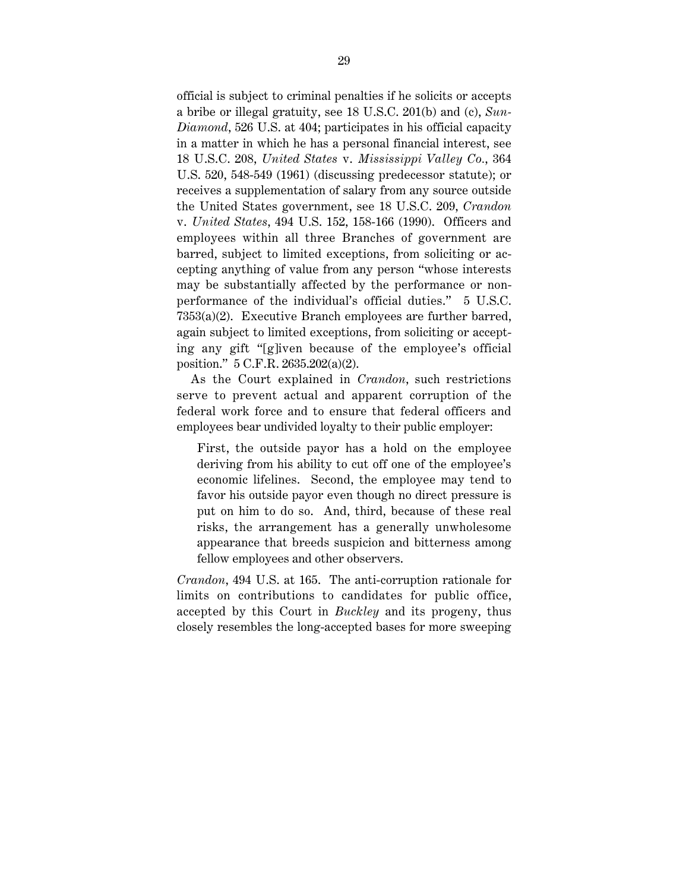official is subject to criminal penalties if he solicits or accepts a bribe or illegal gratuity, see 18 U.S.C. 201(b) and (c), *Sun-Diamond*, 526 U.S. at 404; participates in his official capacity in a matter in which he has a personal financial interest, see 18 U.S.C. 208, *United States* v. *Mississippi Valley Co.*, 364 U.S. 520, 548-549 (1961) (discussing predecessor statute); or receives a supplementation of salary from any source outside the United States government, see 18 U.S.C. 209, *Crandon* v. *United States*, 494 U.S. 152, 158-166 (1990). Officers and employees within all three Branches of government are barred, subject to limited exceptions, from soliciting or accepting anything of value from any person "whose interests may be substantially affected by the performance or nonperformance of the individual's official duties." 5 U.S.C. 7353(a)(2). Executive Branch employees are further barred, again subject to limited exceptions, from soliciting or accepting any gift "[g]iven because of the employee's official position." 5 C.F.R. 2635.202(a)(2).

As the Court explained in *Crandon*, such restrictions serve to prevent actual and apparent corruption of the federal work force and to ensure that federal officers and employees bear undivided loyalty to their public employer:

First, the outside payor has a hold on the employee deriving from his ability to cut off one of the employee's economic lifelines. Second, the employee may tend to favor his outside payor even though no direct pressure is put on him to do so. And, third, because of these real risks, the arrangement has a generally unwholesome appearance that breeds suspicion and bitterness among fellow employees and other observers.

*Crandon*, 494 U.S. at 165. The anti-corruption rationale for limits on contributions to candidates for public office, accepted by this Court in *Buckley* and its progeny, thus closely resembles the long-accepted bases for more sweeping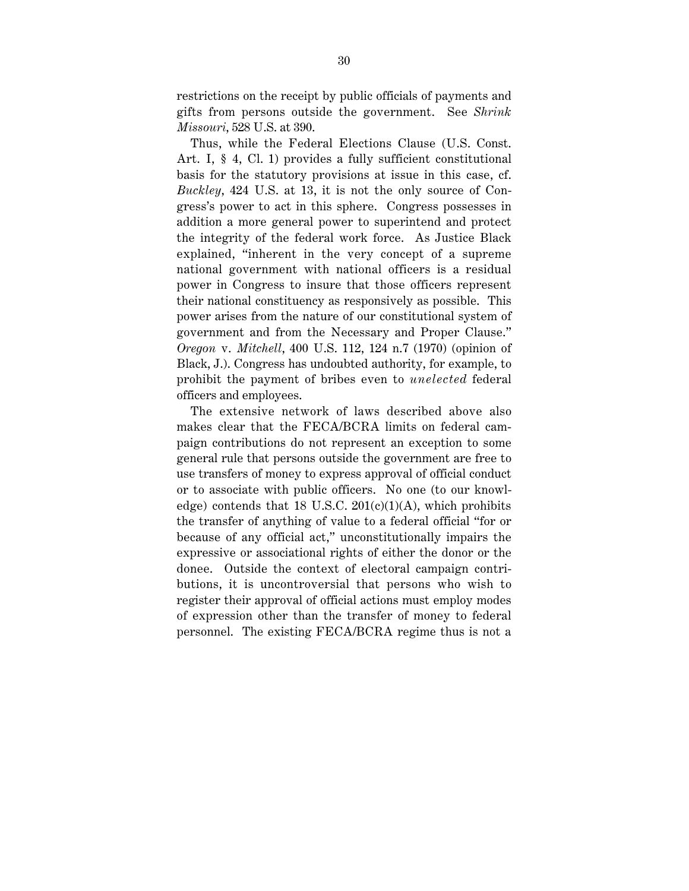restrictions on the receipt by public officials of payments and gifts from persons outside the government. See *Shrink Missouri*, 528 U.S. at 390.

Thus, while the Federal Elections Clause (U.S. Const. Art. I, § 4, Cl. 1) provides a fully sufficient constitutional basis for the statutory provisions at issue in this case, cf. *Buckley*, 424 U.S. at 13, it is not the only source of Congress's power to act in this sphere. Congress possesses in addition a more general power to superintend and protect the integrity of the federal work force. As Justice Black explained, "inherent in the very concept of a supreme national government with national officers is a residual power in Congress to insure that those officers represent their national constituency as responsively as possible. This power arises from the nature of our constitutional system of government and from the Necessary and Proper Clause." *Oregon* v. *Mitchell*, 400 U.S. 112, 124 n.7 (1970) (opinion of Black, J.). Congress has undoubted authority, for example, to prohibit the payment of bribes even to *unelected* federal officers and employees.

The extensive network of laws described above also makes clear that the FECA/BCRA limits on federal campaign contributions do not represent an exception to some general rule that persons outside the government are free to use transfers of money to express approval of official conduct or to associate with public officers. No one (to our knowledge) contends that 18 U.S.C.  $201(c)(1)(A)$ , which prohibits the transfer of anything of value to a federal official "for or because of any official act," unconstitutionally impairs the expressive or associational rights of either the donor or the donee. Outside the context of electoral campaign contributions, it is uncontroversial that persons who wish to register their approval of official actions must employ modes of expression other than the transfer of money to federal personnel. The existing FECA/BCRA regime thus is not a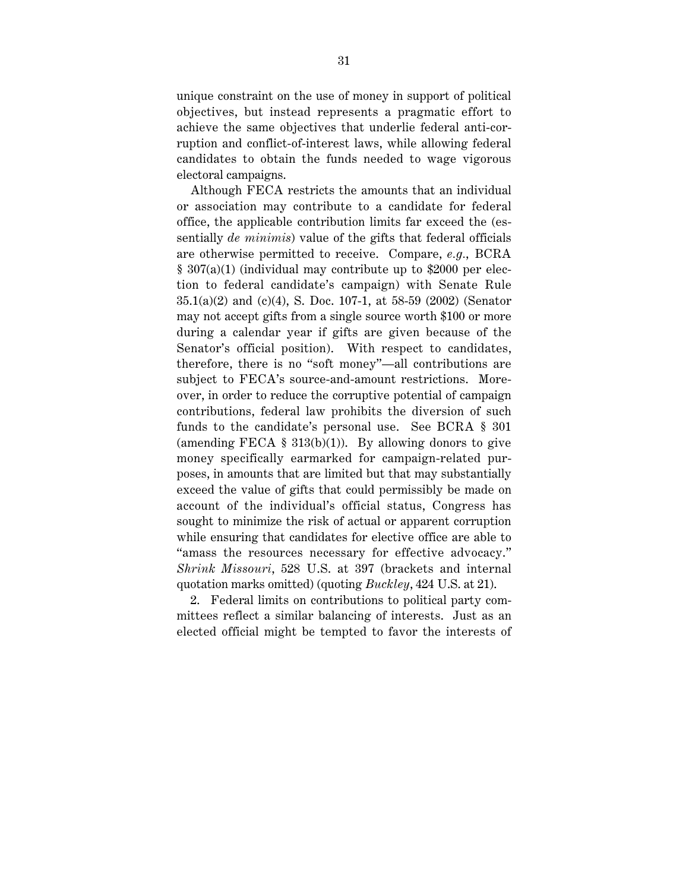unique constraint on the use of money in support of political objectives, but instead represents a pragmatic effort to achieve the same objectives that underlie federal anti-corruption and conflict-of-interest laws, while allowing federal candidates to obtain the funds needed to wage vigorous electoral campaigns.

Although FECA restricts the amounts that an individual or association may contribute to a candidate for federal office, the applicable contribution limits far exceed the (essentially *de minimis*) value of the gifts that federal officials are otherwise permitted to receive. Compare, *e.g.*, BCRA § 307(a)(1) (individual may contribute up to \$2000 per election to federal candidate's campaign) with Senate Rule 35.1(a)(2) and (c)(4), S. Doc. 107-1, at 58-59 (2002) (Senator may not accept gifts from a single source worth \$100 or more during a calendar year if gifts are given because of the Senator's official position). With respect to candidates, therefore, there is no "soft money"—all contributions are subject to FECA's source-and-amount restrictions. Moreover, in order to reduce the corruptive potential of campaign contributions, federal law prohibits the diversion of such funds to the candidate's personal use. See BCRA § 301 (amending FECA  $\S$  313(b)(1)). By allowing donors to give money specifically earmarked for campaign-related purposes, in amounts that are limited but that may substantially exceed the value of gifts that could permissibly be made on account of the individual's official status, Congress has sought to minimize the risk of actual or apparent corruption while ensuring that candidates for elective office are able to "amass the resources necessary for effective advocacy." *Shrink Missouri*, 528 U.S. at 397 (brackets and internal quotation marks omitted) (quoting *Buckley*, 424 U.S. at 21).

2. Federal limits on contributions to political party committees reflect a similar balancing of interests. Just as an elected official might be tempted to favor the interests of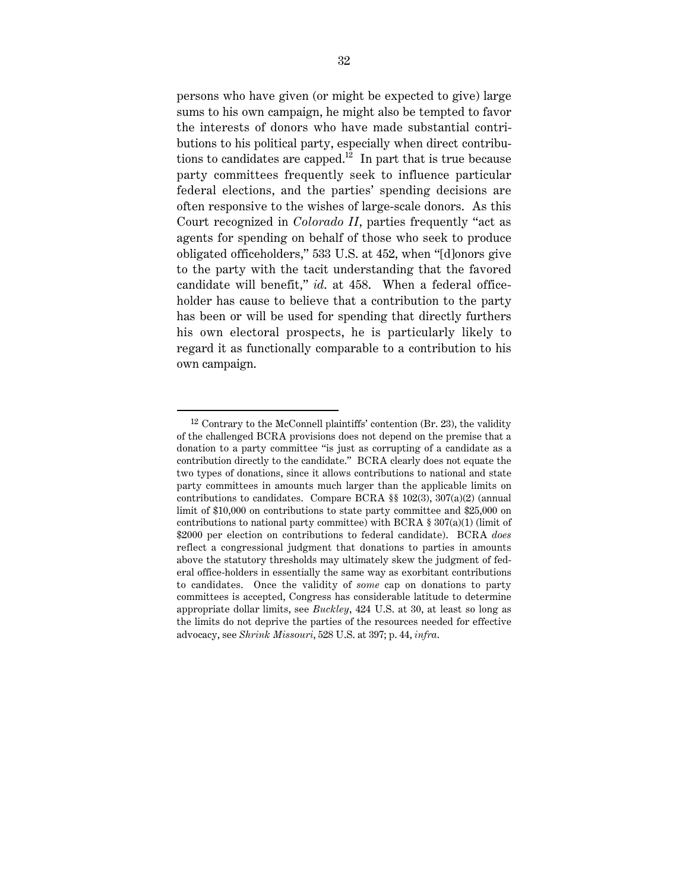persons who have given (or might be expected to give) large sums to his own campaign, he might also be tempted to favor the interests of donors who have made substantial contributions to his political party, especially when direct contributions to candidates are capped. $12$  In part that is true because party committees frequently seek to influence particular federal elections, and the parties' spending decisions are often responsive to the wishes of large-scale donors. As this Court recognized in *Colorado II*, parties frequently "act as agents for spending on behalf of those who seek to produce obligated officeholders," 533 U.S. at 452, when "[d]onors give to the party with the tacit understanding that the favored candidate will benefit," *id*. at 458. When a federal officeholder has cause to believe that a contribution to the party has been or will be used for spending that directly furthers his own electoral prospects, he is particularly likely to regard it as functionally comparable to a contribution to his own campaign.

 $12$  Contrary to the McConnell plaintiffs' contention (Br. 23), the validity of the challenged BCRA provisions does not depend on the premise that a donation to a party committee "is just as corrupting of a candidate as a contribution directly to the candidate." BCRA clearly does not equate the two types of donations, since it allows contributions to national and state party committees in amounts much larger than the applicable limits on contributions to candidates. Compare BCRA  $\S$  102(3), 307(a)(2) (annual limit of \$10,000 on contributions to state party committee and \$25,000 on contributions to national party committee) with BCRA  $\S 307(a)(1)$  (limit of \$2000 per election on contributions to federal candidate). BCRA *does* reflect a congressional judgment that donations to parties in amounts above the statutory thresholds may ultimately skew the judgment of federal office-holders in essentially the same way as exorbitant contributions to candidates. Once the validity of *some* cap on donations to party committees is accepted, Congress has considerable latitude to determine appropriate dollar limits, see *Buckley*, 424 U.S. at 30, at least so long as the limits do not deprive the parties of the resources needed for effective advocacy, see *Shrink Missouri*, 528 U.S. at 397; p. 44, *infra*.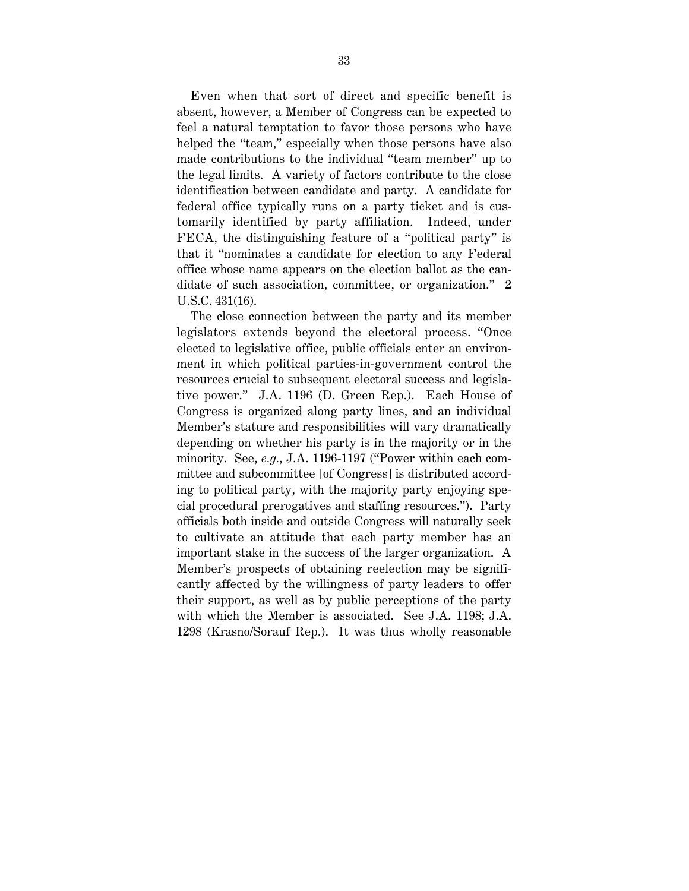Even when that sort of direct and specific benefit is absent, however, a Member of Congress can be expected to feel a natural temptation to favor those persons who have helped the "team," especially when those persons have also made contributions to the individual "team member" up to the legal limits. A variety of factors contribute to the close identification between candidate and party. A candidate for federal office typically runs on a party ticket and is customarily identified by party affiliation. Indeed, under FECA, the distinguishing feature of a "political party" is that it "nominates a candidate for election to any Federal office whose name appears on the election ballot as the candidate of such association, committee, or organization." 2 U.S.C. 431(16).

The close connection between the party and its member legislators extends beyond the electoral process. "Once elected to legislative office, public officials enter an environment in which political parties-in-government control the resources crucial to subsequent electoral success and legislative power." J.A. 1196 (D. Green Rep.). Each House of Congress is organized along party lines, and an individual Member's stature and responsibilities will vary dramatically depending on whether his party is in the majority or in the minority. See, *e.g.*, J.A. 1196-1197 ("Power within each committee and subcommittee [of Congress] is distributed according to political party, with the majority party enjoying special procedural prerogatives and staffing resources."). Party officials both inside and outside Congress will naturally seek to cultivate an attitude that each party member has an important stake in the success of the larger organization. A Member's prospects of obtaining reelection may be significantly affected by the willingness of party leaders to offer their support, as well as by public perceptions of the party with which the Member is associated. See J.A. 1198; J.A. 1298 (Krasno/Sorauf Rep.). It was thus wholly reasonable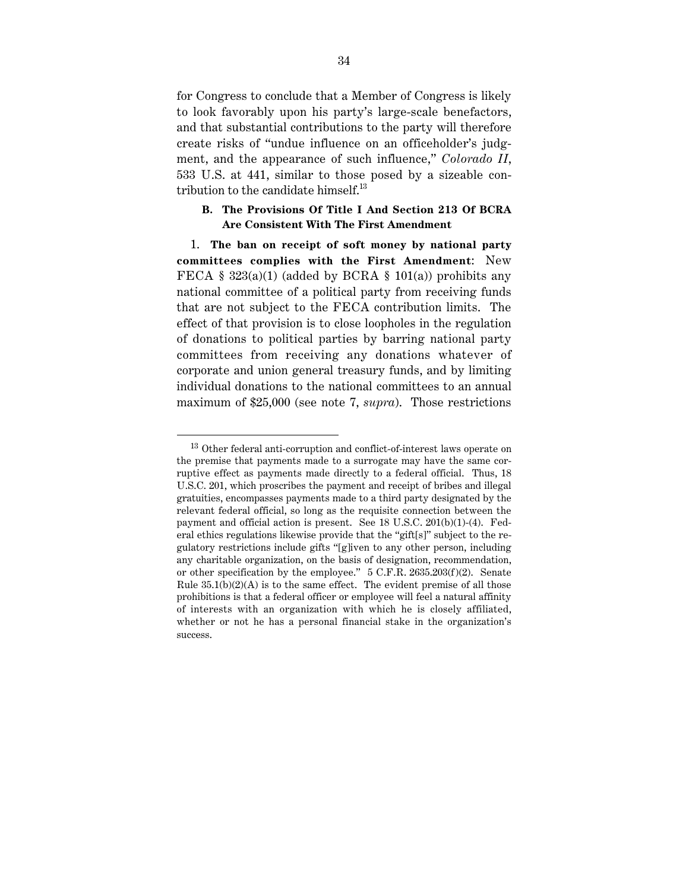for Congress to conclude that a Member of Congress is likely to look favorably upon his party's large-scale benefactors, and that substantial contributions to the party will therefore create risks of "undue influence on an officeholder's judgment, and the appearance of such influence," *Colorado II*, 533 U.S. at 441, similar to those posed by a sizeable contribution to the candidate himself.<sup>13</sup>

## **B. The Provisions Of Title I And Section 213 Of BCRA Are Consistent With The First Amendment**

1. **The ban on receipt of soft money by national party committees complies with the First Amendment**: New FECA § 323(a)(1) (added by BCRA § 101(a)) prohibits any national committee of a political party from receiving funds that are not subject to the FECA contribution limits. The effect of that provision is to close loopholes in the regulation of donations to political parties by barring national party committees from receiving any donations whatever of corporate and union general treasury funds, and by limiting individual donations to the national committees to an annual maximum of \$25,000 (see note 7, *supra*). Those restrictions

<sup>&</sup>lt;sup>13</sup> Other federal anti-corruption and conflict-of-interest laws operate on the premise that payments made to a surrogate may have the same corruptive effect as payments made directly to a federal official. Thus, 18 U.S.C. 201, which proscribes the payment and receipt of bribes and illegal gratuities, encompasses payments made to a third party designated by the relevant federal official, so long as the requisite connection between the payment and official action is present. See 18 U.S.C. 201(b)(1)-(4). Federal ethics regulations likewise provide that the "gift[s]" subject to the regulatory restrictions include gifts "[g]iven to any other person, including any charitable organization, on the basis of designation, recommendation, or other specification by the employee."  $5$  C.F.R. 2635.203(f)(2). Senate Rule  $35.1(b)(2)(A)$  is to the same effect. The evident premise of all those prohibitions is that a federal officer or employee will feel a natural affinity of interests with an organization with which he is closely affiliated, whether or not he has a personal financial stake in the organization's success.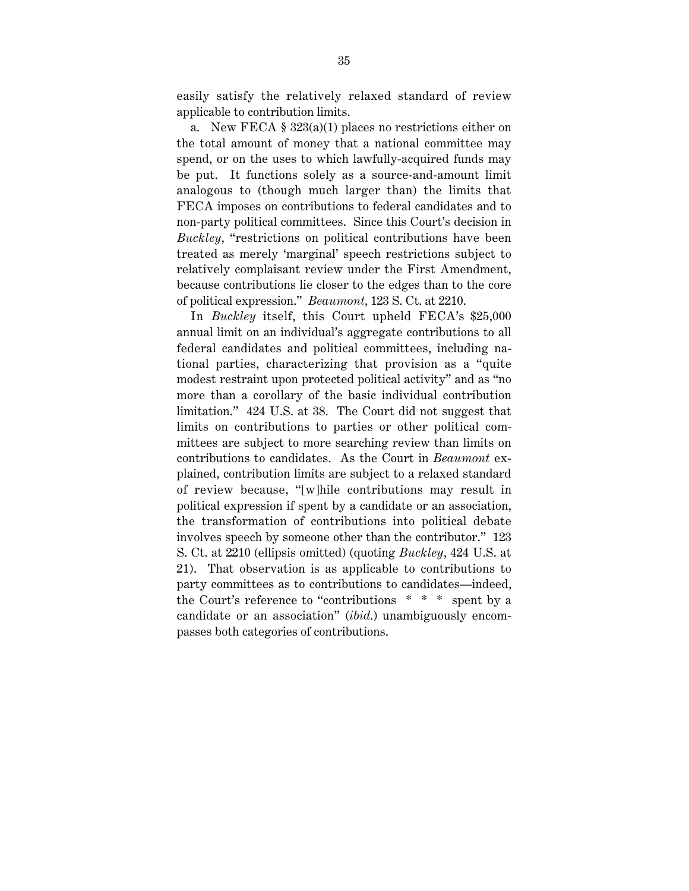easily satisfy the relatively relaxed standard of review applicable to contribution limits.

a. New FECA § 323(a)(1) places no restrictions either on the total amount of money that a national committee may spend, or on the uses to which lawfully-acquired funds may be put. It functions solely as a source-and-amount limit analogous to (though much larger than) the limits that FECA imposes on contributions to federal candidates and to non-party political committees. Since this Court's decision in *Buckley*, "restrictions on political contributions have been treated as merely 'marginal' speech restrictions subject to relatively complaisant review under the First Amendment, because contributions lie closer to the edges than to the core of political expression." *Beaumont*, 123 S. Ct. at 2210.

In *Buckley* itself, this Court upheld FECA's \$25,000 annual limit on an individual's aggregate contributions to all federal candidates and political committees, including national parties, characterizing that provision as a "quite modest restraint upon protected political activity" and as "no more than a corollary of the basic individual contribution limitation." 424 U.S. at 38. The Court did not suggest that limits on contributions to parties or other political committees are subject to more searching review than limits on contributions to candidates. As the Court in *Beaumont* explained, contribution limits are subject to a relaxed standard of review because, "[w]hile contributions may result in political expression if spent by a candidate or an association, the transformation of contributions into political debate involves speech by someone other than the contributor." 123 S. Ct. at 2210 (ellipsis omitted) (quoting *Buckley*, 424 U.S. at 21). That observation is as applicable to contributions to party committees as to contributions to candidates—indeed, the Court's reference to "contributions \* \* \* spent by a candidate or an association" (*ibid*.) unambiguously encompasses both categories of contributions.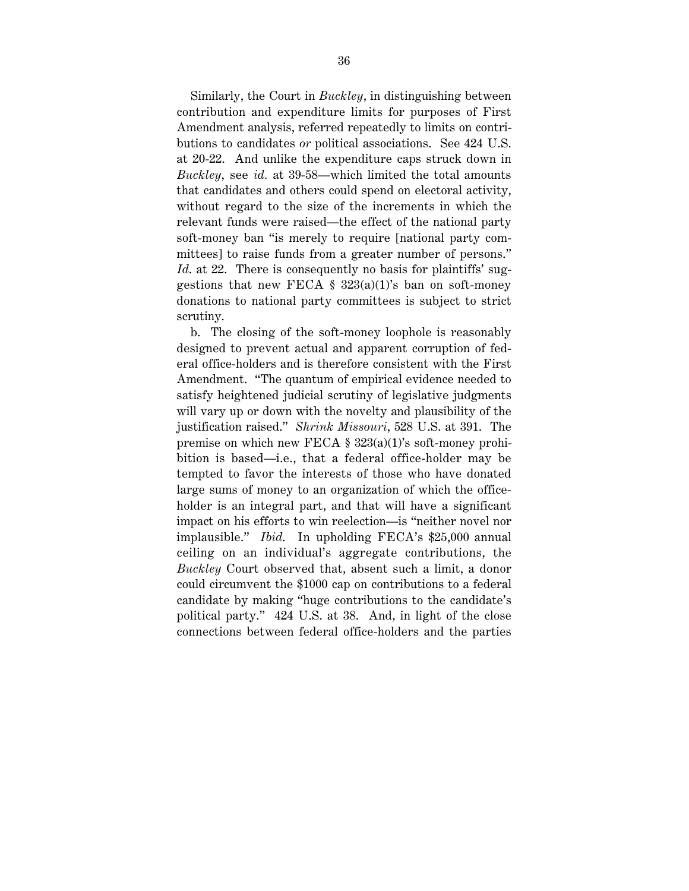Similarly, the Court in *Buckley*, in distinguishing between contribution and expenditure limits for purposes of First Amendment analysis, referred repeatedly to limits on contributions to candidates *or* political associations. See 424 U.S. at 20-22. And unlike the expenditure caps struck down in *Buckley*, see *id.* at 39-58—which limited the total amounts that candidates and others could spend on electoral activity, without regard to the size of the increments in which the relevant funds were raised—the effect of the national party soft-money ban "is merely to require [national party committees] to raise funds from a greater number of persons." *Id.* at 22. There is consequently no basis for plaintiffs' suggestions that new FECA  $\S$  323(a)(1)'s ban on soft-money donations to national party committees is subject to strict scrutiny.

b. The closing of the soft-money loophole is reasonably designed to prevent actual and apparent corruption of federal office-holders and is therefore consistent with the First Amendment. "The quantum of empirical evidence needed to satisfy heightened judicial scrutiny of legislative judgments will vary up or down with the novelty and plausibility of the justification raised." *Shrink Missouri*, 528 U.S. at 391. The premise on which new FECA § 323(a)(1)'s soft-money prohibition is based—i.e., that a federal office-holder may be tempted to favor the interests of those who have donated large sums of money to an organization of which the officeholder is an integral part, and that will have a significant impact on his efforts to win reelection—is "neither novel nor implausible." *Ibid*. In upholding FECA's \$25,000 annual ceiling on an individual's aggregate contributions, the *Buckley* Court observed that, absent such a limit, a donor could circumvent the \$1000 cap on contributions to a federal candidate by making "huge contributions to the candidate's political party." 424 U.S. at 38. And, in light of the close connections between federal office-holders and the parties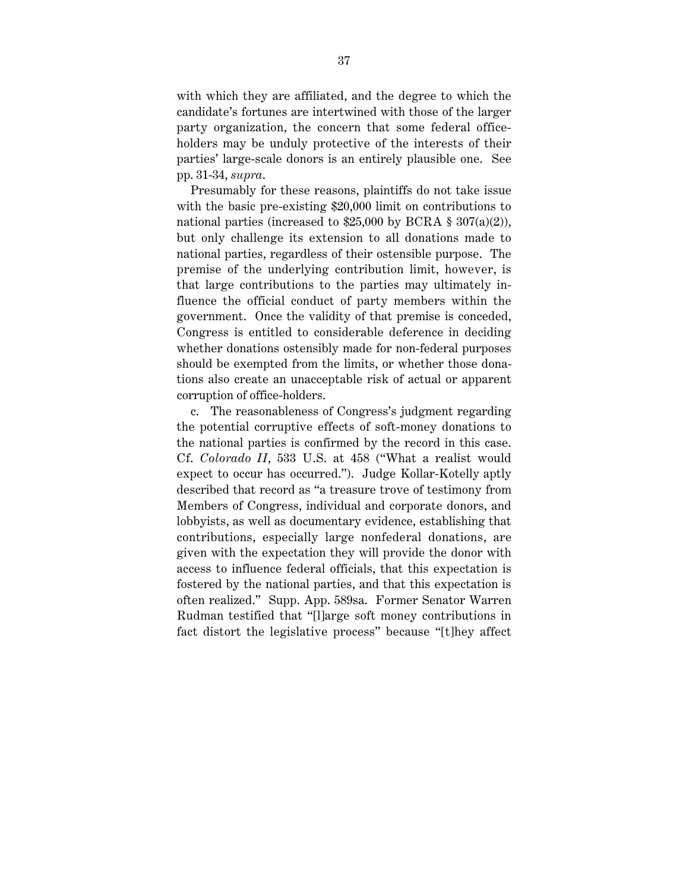with which they are affiliated, and the degree to which the candidate's fortunes are intertwined with those of the larger party organization, the concern that some federal officeholders may be unduly protective of the interests of their parties' large-scale donors is an entirely plausible one. See pp. 31-34, *supra*.

Presumably for these reasons, plaintiffs do not take issue with the basic pre-existing \$20,000 limit on contributions to national parties (increased to  $$25,000$  by BCRA  $$307(a)(2)$ ), but only challenge its extension to all donations made to national parties, regardless of their ostensible purpose. The premise of the underlying contribution limit, however, is that large contributions to the parties may ultimately influence the official conduct of party members within the government. Once the validity of that premise is conceded, Congress is entitled to considerable deference in deciding whether donations ostensibly made for non-federal purposes should be exempted from the limits, or whether those donations also create an unacceptable risk of actual or apparent corruption of office-holders.

c. The reasonableness of Congress's judgment regarding the potential corruptive effects of soft-money donations to the national parties is confirmed by the record in this case. Cf. *Colorado II*, 533 U.S. at 458 ("What a realist would expect to occur has occurred."). Judge Kollar-Kotelly aptly described that record as "a treasure trove of testimony from Members of Congress, individual and corporate donors, and lobbyists, as well as documentary evidence, establishing that contributions, especially large nonfederal donations, are given with the expectation they will provide the donor with access to influence federal officials, that this expectation is fostered by the national parties, and that this expectation is often realized." Supp. App. 589sa. Former Senator Warren Rudman testified that "[l]arge soft money contributions in fact distort the legislative process" because "[t]hey affect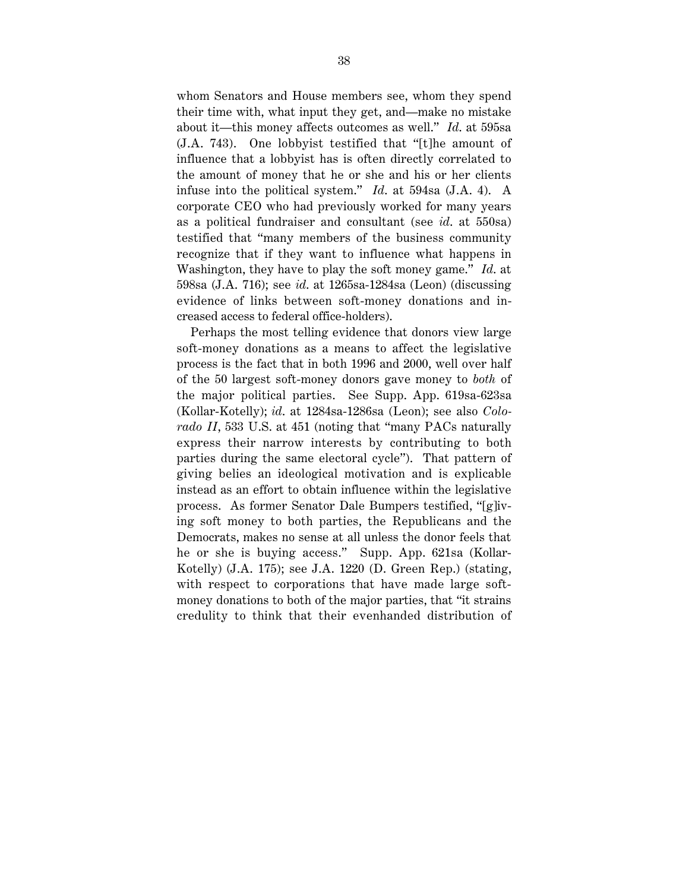whom Senators and House members see, whom they spend their time with, what input they get, and—make no mistake about it—this money affects outcomes as well." *Id*. at 595sa (J.A. 743). One lobbyist testified that "[t]he amount of influence that a lobbyist has is often directly correlated to the amount of money that he or she and his or her clients infuse into the political system." *Id*. at 594sa (J.A. 4). A corporate CEO who had previously worked for many years as a political fundraiser and consultant (see *id*. at 550sa) testified that "many members of the business community recognize that if they want to influence what happens in Washington, they have to play the soft money game." *Id*. at 598sa (J.A. 716); see *id*. at 1265sa-1284sa (Leon) (discussing evidence of links between soft-money donations and increased access to federal office-holders).

Perhaps the most telling evidence that donors view large soft-money donations as a means to affect the legislative process is the fact that in both 1996 and 2000, well over half of the 50 largest soft-money donors gave money to *both* of the major political parties. See Supp. App. 619sa-623sa (Kollar-Kotelly); *id*. at 1284sa-1286sa (Leon); see also *Colorado II*, 533 U.S. at 451 (noting that "many PACs naturally express their narrow interests by contributing to both parties during the same electoral cycle"). That pattern of giving belies an ideological motivation and is explicable instead as an effort to obtain influence within the legislative process. As former Senator Dale Bumpers testified, "[g]iving soft money to both parties, the Republicans and the Democrats, makes no sense at all unless the donor feels that he or she is buying access." Supp. App. 621sa (Kollar-Kotelly) (J.A. 175); see J.A. 1220 (D. Green Rep.) (stating, with respect to corporations that have made large softmoney donations to both of the major parties, that "it strains credulity to think that their evenhanded distribution of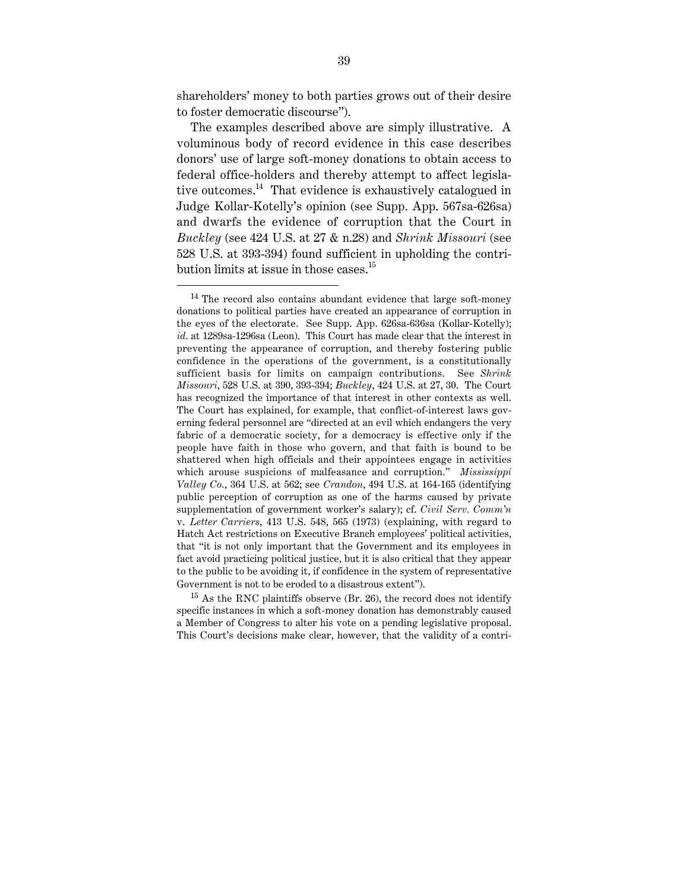shareholders' money to both parties grows out of their desire to foster democratic discourse").

The examples described above are simply illustrative. A voluminous body of record evidence in this case describes donors' use of large soft-money donations to obtain access to federal office-holders and thereby attempt to affect legislative outcomes.<sup>14</sup> That evidence is exhaustively catalogued in Judge Kollar-Kotelly's opinion (see Supp. App. 567sa-626sa) and dwarfs the evidence of corruption that the Court in *Buckley* (see 424 U.S. at 27 & n.28) and *Shrink Missouri* (see 528 U.S. at 393-394) found sufficient in upholding the contribution limits at issue in those cases. $^{15}$ 

 $15$  As the RNC plaintiffs observe (Br. 26), the record does not identify specific instances in which a soft-money donation has demonstrably caused a Member of Congress to alter his vote on a pending legislative proposal. This Court's decisions make clear, however, that the validity of a contri-

 $14$  The record also contains abundant evidence that large soft-money donations to political parties have created an appearance of corruption in the eyes of the electorate. See Supp. App. 626sa-636sa (Kollar-Kotelly); *id*. at 1289sa-1296sa (Leon). This Court has made clear that the interest in preventing the appearance of corruption, and thereby fostering public confidence in the operations of the government, is a constitutionally sufficient basis for limits on campaign contributions. See *Shrink Missouri*, 528 U.S. at 390, 393-394; *Buckley*, 424 U.S. at 27, 30. The Court has recognized the importance of that interest in other contexts as well. The Court has explained, for example, that conflict-of-interest laws governing federal personnel are "directed at an evil which endangers the very fabric of a democratic society, for a democracy is effective only if the people have faith in those who govern, and that faith is bound to be shattered when high officials and their appointees engage in activities which arouse suspicions of malfeasance and corruption." *Mississippi Valley Co.*, 364 U.S. at 562; see *Crandon*, 494 U.S. at 164-165 (identifying public perception of corruption as one of the harms caused by private supplementation of government worker's salary); cf. *Civil Serv. Comm'n* v. *Letter Carriers*, 413 U.S. 548, 565 (1973) (explaining, with regard to Hatch Act restrictions on Executive Branch employees' political activities, that "it is not only important that the Government and its employees in fact avoid practicing political justice, but it is also critical that they appear to the public to be avoiding it, if confidence in the system of representative Government is not to be eroded to a disastrous extent").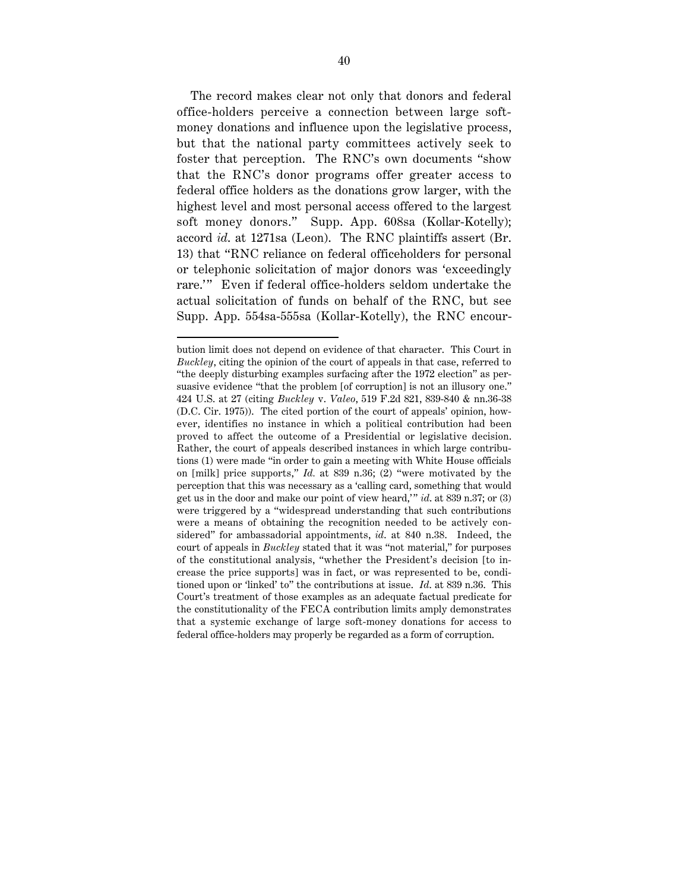The record makes clear not only that donors and federal office-holders perceive a connection between large softmoney donations and influence upon the legislative process, but that the national party committees actively seek to foster that perception. The RNC's own documents "show that the RNC's donor programs offer greater access to federal office holders as the donations grow larger, with the highest level and most personal access offered to the largest soft money donors." Supp. App. 608sa (Kollar-Kotelly); accord *id*. at 1271sa (Leon). The RNC plaintiffs assert (Br. 13) that "RNC reliance on federal officeholders for personal or telephonic solicitation of major donors was 'exceedingly rare." Even if federal office-holders seldom undertake the actual solicitation of funds on behalf of the RNC, but see Supp. App. 554sa-555sa (Kollar-Kotelly), the RNC encour-

bution limit does not depend on evidence of that character. This Court in *Buckley*, citing the opinion of the court of appeals in that case, referred to "the deeply disturbing examples surfacing after the 1972 election" as persuasive evidence "that the problem [of corruption] is not an illusory one." 424 U.S. at 27 (citing *Buckley* v. *Valeo*, 519 F.2d 821, 839-840 & nn.36-38 (D.C. Cir. 1975)). The cited portion of the court of appeals' opinion, however, identifies no instance in which a political contribution had been proved to affect the outcome of a Presidential or legislative decision. Rather, the court of appeals described instances in which large contributions (1) were made "in order to gain a meeting with White House officials on [milk] price supports," *Id.* at 839 n.36; (2) "were motivated by the perception that this was necessary as a 'calling card, something that would get us in the door and make our point of view heard," *id.* at 839 n.37; or (3) were triggered by a "widespread understanding that such contributions were a means of obtaining the recognition needed to be actively considered" for ambassadorial appointments, *id*. at 840 n.38. Indeed, the court of appeals in *Buckley* stated that it was "not material," for purposes of the constitutional analysis, "whether the President's decision [to increase the price supports] was in fact, or was represented to be, conditioned upon or 'linked' to" the contributions at issue. *Id*. at 839 n.36. This Court's treatment of those examples as an adequate factual predicate for the constitutionality of the FECA contribution limits amply demonstrates that a systemic exchange of large soft-money donations for access to federal office-holders may properly be regarded as a form of corruption.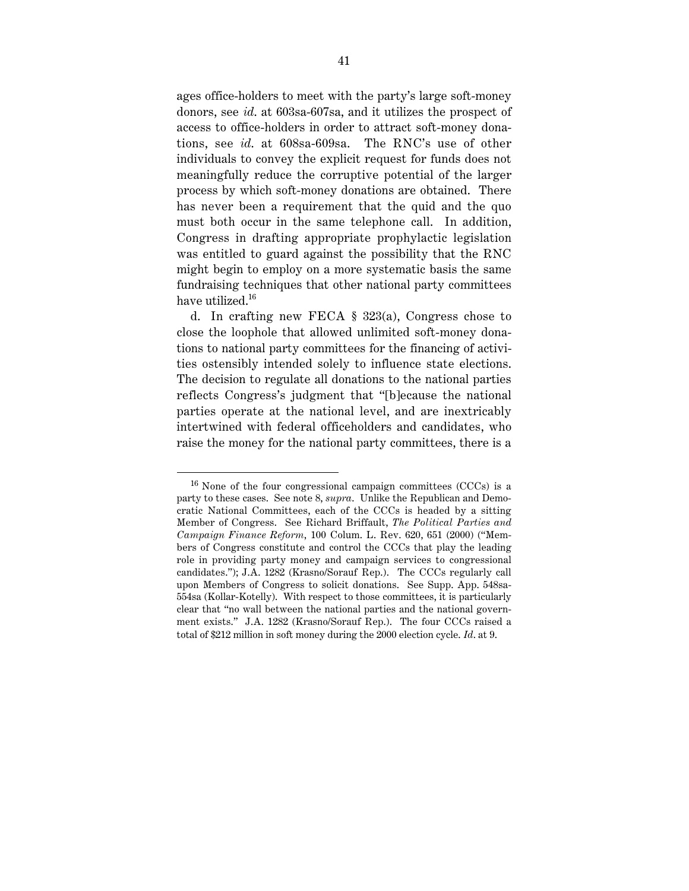ages office-holders to meet with the party's large soft-money donors, see *id*. at 603sa-607sa, and it utilizes the prospect of access to office-holders in order to attract soft-money donations, see *id*. at 608sa-609sa. The RNC's use of other individuals to convey the explicit request for funds does not meaningfully reduce the corruptive potential of the larger process by which soft-money donations are obtained. There has never been a requirement that the quid and the quo must both occur in the same telephone call. In addition, Congress in drafting appropriate prophylactic legislation was entitled to guard against the possibility that the RNC might begin to employ on a more systematic basis the same fundraising techniques that other national party committees have utilized.<sup>16</sup>

d. In crafting new FECA § 323(a), Congress chose to close the loophole that allowed unlimited soft-money donations to national party committees for the financing of activities ostensibly intended solely to influence state elections. The decision to regulate all donations to the national parties reflects Congress's judgment that "[b]ecause the national parties operate at the national level, and are inextricably intertwined with federal officeholders and candidates, who raise the money for the national party committees, there is a

 $16$  None of the four congressional campaign committees (CCCs) is a party to these cases. See note 8, *supra*. Unlike the Republican and Democratic National Committees, each of the CCCs is headed by a sitting Member of Congress. See Richard Briffault, *The Political Parties and Campaign Finance Reform*, 100 Colum. L. Rev. 620, 651 (2000) ("Members of Congress constitute and control the CCCs that play the leading role in providing party money and campaign services to congressional candidates."); J.A. 1282 (Krasno/Sorauf Rep.). The CCCs regularly call upon Members of Congress to solicit donations. See Supp. App. 548sa-554sa (Kollar-Kotelly). With respect to those committees, it is particularly clear that "no wall between the national parties and the national government exists." J.A. 1282 (Krasno/Sorauf Rep.). The four CCCs raised a total of \$212 million in soft money during the 2000 election cycle. *Id*. at 9.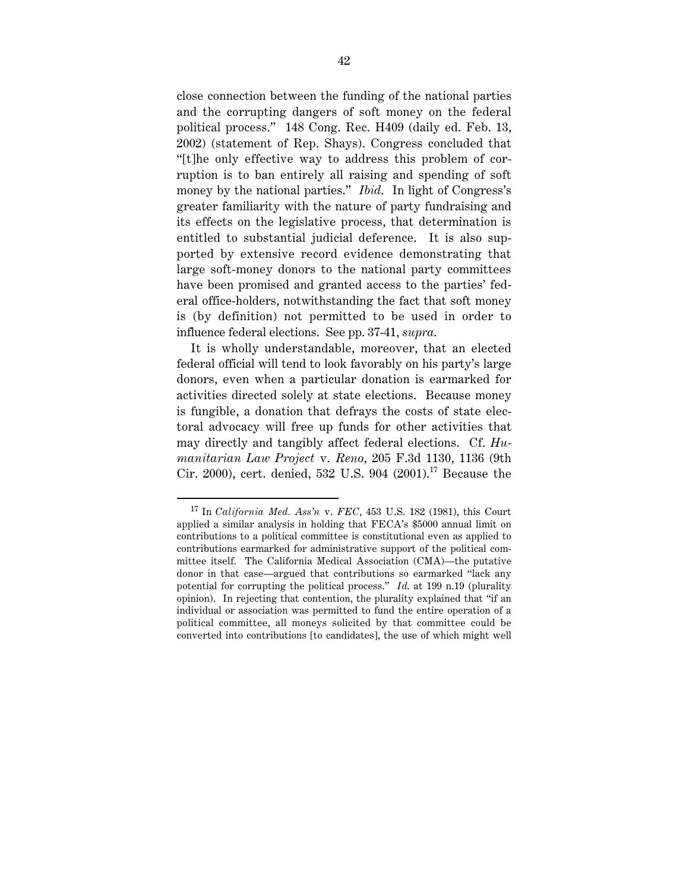close connection between the funding of the national parties and the corrupting dangers of soft money on the federal political process." 148 Cong. Rec. H409 (daily ed. Feb. 13, 2002) (statement of Rep. Shays). Congress concluded that "[t]he only effective way to address this problem of corruption is to ban entirely all raising and spending of soft money by the national parties." *Ibid*. In light of Congress's greater familiarity with the nature of party fundraising and its effects on the legislative process, that determination is entitled to substantial judicial deference. It is also supported by extensive record evidence demonstrating that large soft-money donors to the national party committees have been promised and granted access to the parties' federal office-holders, notwithstanding the fact that soft money is (by definition) not permitted to be used in order to influence federal elections. See pp. 37-41, *supra*.

It is wholly understandable, moreover, that an elected federal official will tend to look favorably on his party's large donors, even when a particular donation is earmarked for activities directed solely at state elections. Because money is fungible, a donation that defrays the costs of state electoral advocacy will free up funds for other activities that may directly and tangibly affect federal elections. Cf. *Humanitarian Law Project* v. *Reno*, 205 F.3d 1130, 1136 (9th Cir. 2000), cert. denied, 532 U.S. 904 (2001).17 Because the

 <sup>17</sup> In *California Med. Ass'n* v. *FEC*, 453 U.S. 182 (1981), this Court applied a similar analysis in holding that FECA's \$5000 annual limit on contributions to a political committee is constitutional even as applied to contributions earmarked for administrative support of the political committee itself. The California Medical Association (CMA)—the putative donor in that case—argued that contributions so earmarked "lack any potential for corrupting the political process." *Id*. at 199 n.19 (plurality opinion). In rejecting that contention, the plurality explained that "if an individual or association was permitted to fund the entire operation of a political committee, all moneys solicited by that committee could be converted into contributions [to candidates], the use of which might well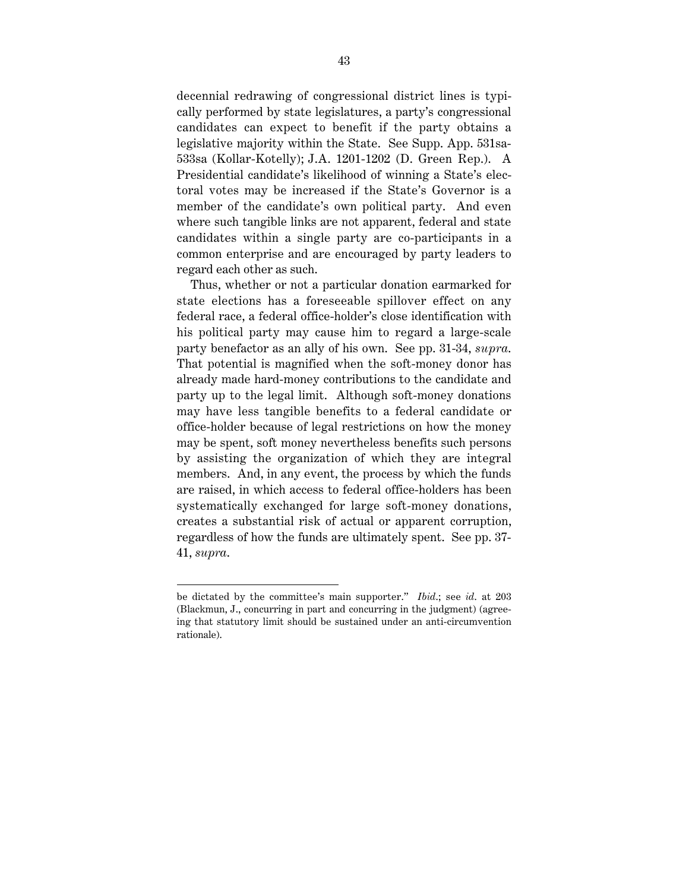decennial redrawing of congressional district lines is typically performed by state legislatures, a party's congressional candidates can expect to benefit if the party obtains a legislative majority within the State. See Supp. App. 531sa-533sa (Kollar-Kotelly); J.A. 1201-1202 (D. Green Rep.). A Presidential candidate's likelihood of winning a State's electoral votes may be increased if the State's Governor is a member of the candidate's own political party. And even where such tangible links are not apparent, federal and state candidates within a single party are co-participants in a common enterprise and are encouraged by party leaders to regard each other as such.

Thus, whether or not a particular donation earmarked for state elections has a foreseeable spillover effect on any federal race, a federal office-holder's close identification with his political party may cause him to regard a large-scale party benefactor as an ally of his own. See pp. 31-34, *supra*. That potential is magnified when the soft-money donor has already made hard-money contributions to the candidate and party up to the legal limit. Although soft-money donations may have less tangible benefits to a federal candidate or office-holder because of legal restrictions on how the money may be spent, soft money nevertheless benefits such persons by assisting the organization of which they are integral members. And, in any event, the process by which the funds are raised, in which access to federal office-holders has been systematically exchanged for large soft-money donations, creates a substantial risk of actual or apparent corruption, regardless of how the funds are ultimately spent. See pp. 37- 41, *supra*.

be dictated by the committee's main supporter." *Ibid*.; see *id*. at 203 (Blackmun, J., concurring in part and concurring in the judgment) (agreeing that statutory limit should be sustained under an anti-circumvention rationale).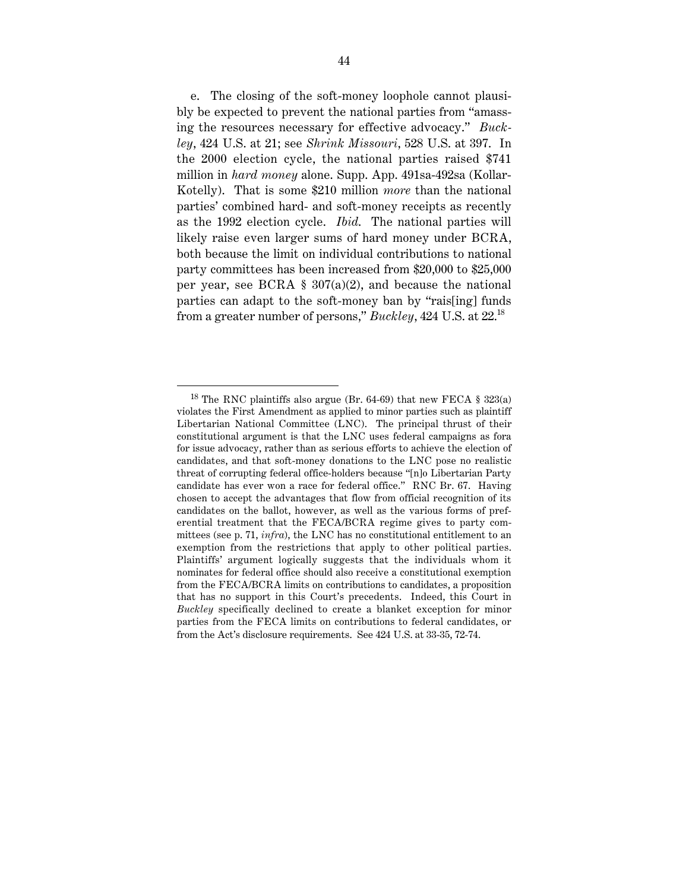e. The closing of the soft-money loophole cannot plausibly be expected to prevent the national parties from "amassing the resources necessary for effective advocacy." *Buckley*, 424 U.S. at 21; see *Shrink Missouri*, 528 U.S. at 397. In the 2000 election cycle, the national parties raised \$741 million in *hard money* alone. Supp. App. 491sa-492sa (Kollar-Kotelly). That is some \$210 million *more* than the national parties' combined hard- and soft-money receipts as recently as the 1992 election cycle. *Ibid*. The national parties will likely raise even larger sums of hard money under BCRA, both because the limit on individual contributions to national party committees has been increased from \$20,000 to \$25,000 per year, see BCRA  $\S 307(a)(2)$ , and because the national parties can adapt to the soft-money ban by "rais[ing] funds from a greater number of persons," *Buckley*, 424 U.S. at 22.18

<sup>&</sup>lt;sup>18</sup> The RNC plaintiffs also argue (Br. 64-69) that new FECA  $\S$  323(a) violates the First Amendment as applied to minor parties such as plaintiff Libertarian National Committee (LNC). The principal thrust of their constitutional argument is that the LNC uses federal campaigns as fora for issue advocacy, rather than as serious efforts to achieve the election of candidates, and that soft-money donations to the LNC pose no realistic threat of corrupting federal office-holders because "[n]o Libertarian Party candidate has ever won a race for federal office." RNC Br. 67. Having chosen to accept the advantages that flow from official recognition of its candidates on the ballot, however, as well as the various forms of preferential treatment that the FECA/BCRA regime gives to party committees (see p. 71, *infra*), the LNC has no constitutional entitlement to an exemption from the restrictions that apply to other political parties. Plaintiffs' argument logically suggests that the individuals whom it nominates for federal office should also receive a constitutional exemption from the FECA/BCRA limits on contributions to candidates, a proposition that has no support in this Court's precedents. Indeed, this Court in *Buckley* specifically declined to create a blanket exception for minor parties from the FECA limits on contributions to federal candidates, or from the Act's disclosure requirements. See 424 U.S. at 33-35, 72-74.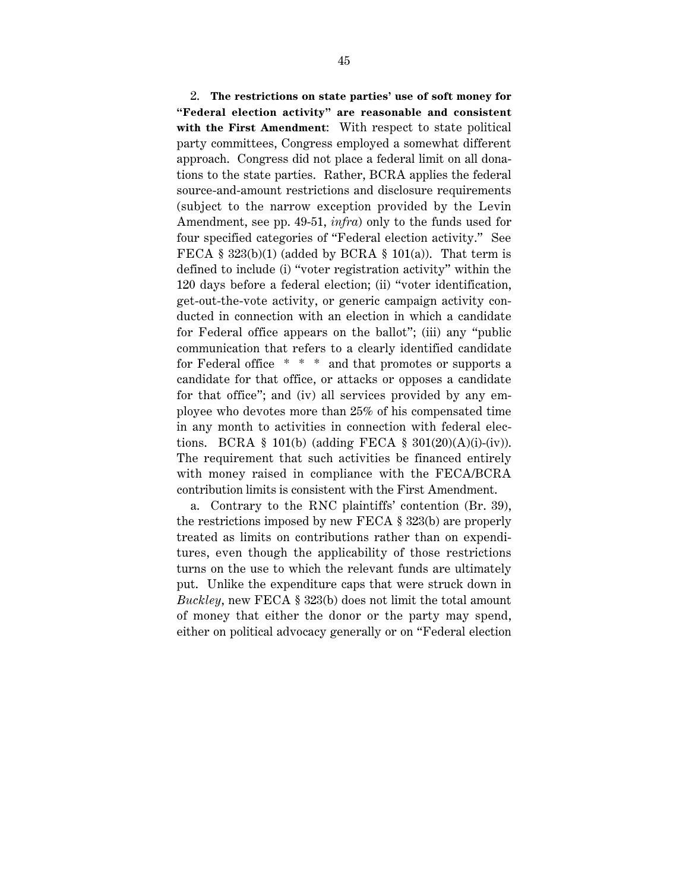2. **The restrictions on state parties' use of soft money for "Federal election activity" are reasonable and consistent with the First Amendment**: With respect to state political party committees, Congress employed a somewhat different approach. Congress did not place a federal limit on all donations to the state parties. Rather, BCRA applies the federal source-and-amount restrictions and disclosure requirements (subject to the narrow exception provided by the Levin Amendment, see pp. 49-51, *infra*) only to the funds used for four specified categories of "Federal election activity." See FECA § 323(b)(1) (added by BCRA § 101(a)). That term is defined to include (i) "voter registration activity" within the 120 days before a federal election; (ii) "voter identification, get-out-the-vote activity, or generic campaign activity conducted in connection with an election in which a candidate for Federal office appears on the ballot"; (iii) any "public communication that refers to a clearly identified candidate for Federal office \* \* \* and that promotes or supports a candidate for that office, or attacks or opposes a candidate for that office"; and (iv) all services provided by any employee who devotes more than 25% of his compensated time in any month to activities in connection with federal elections. BCRA § 101(b) (adding FECA § 301(20)(A)(i)-(iv)). The requirement that such activities be financed entirely with money raised in compliance with the FECA/BCRA contribution limits is consistent with the First Amendment.

a. Contrary to the RNC plaintiffs' contention (Br. 39), the restrictions imposed by new FECA § 323(b) are properly treated as limits on contributions rather than on expenditures, even though the applicability of those restrictions turns on the use to which the relevant funds are ultimately put. Unlike the expenditure caps that were struck down in *Buckley*, new FECA § 323(b) does not limit the total amount of money that either the donor or the party may spend, either on political advocacy generally or on "Federal election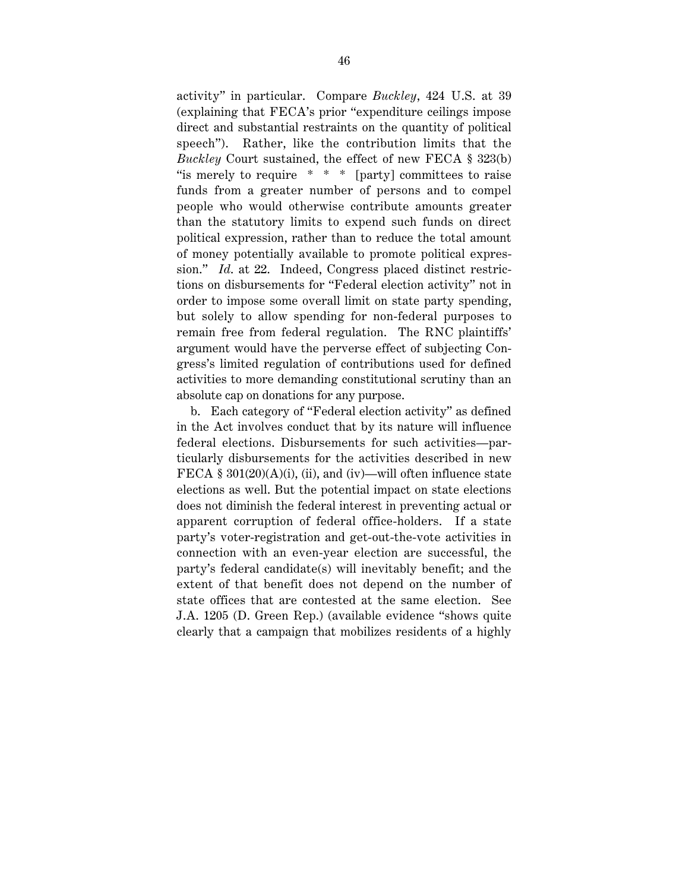activity" in particular. Compare *Buckley*, 424 U.S. at 39 (explaining that FECA's prior "expenditure ceilings impose direct and substantial restraints on the quantity of political speech"). Rather, like the contribution limits that the *Buckley* Court sustained, the effect of new FECA § 323(b) "is merely to require  $* * *$  [party] committees to raise funds from a greater number of persons and to compel people who would otherwise contribute amounts greater than the statutory limits to expend such funds on direct political expression, rather than to reduce the total amount of money potentially available to promote political expression." *Id*. at 22. Indeed, Congress placed distinct restrictions on disbursements for "Federal election activity" not in order to impose some overall limit on state party spending, but solely to allow spending for non-federal purposes to remain free from federal regulation. The RNC plaintiffs' argument would have the perverse effect of subjecting Congress's limited regulation of contributions used for defined activities to more demanding constitutional scrutiny than an absolute cap on donations for any purpose.

b. Each category of "Federal election activity" as defined in the Act involves conduct that by its nature will influence federal elections. Disbursements for such activities—particularly disbursements for the activities described in new FECA §  $301(20)(A)(i)$ , (ii), and (iv)—will often influence state elections as well. But the potential impact on state elections does not diminish the federal interest in preventing actual or apparent corruption of federal office-holders. If a state party's voter-registration and get-out-the-vote activities in connection with an even-year election are successful, the party's federal candidate(s) will inevitably benefit; and the extent of that benefit does not depend on the number of state offices that are contested at the same election. See J.A. 1205 (D. Green Rep.) (available evidence "shows quite clearly that a campaign that mobilizes residents of a highly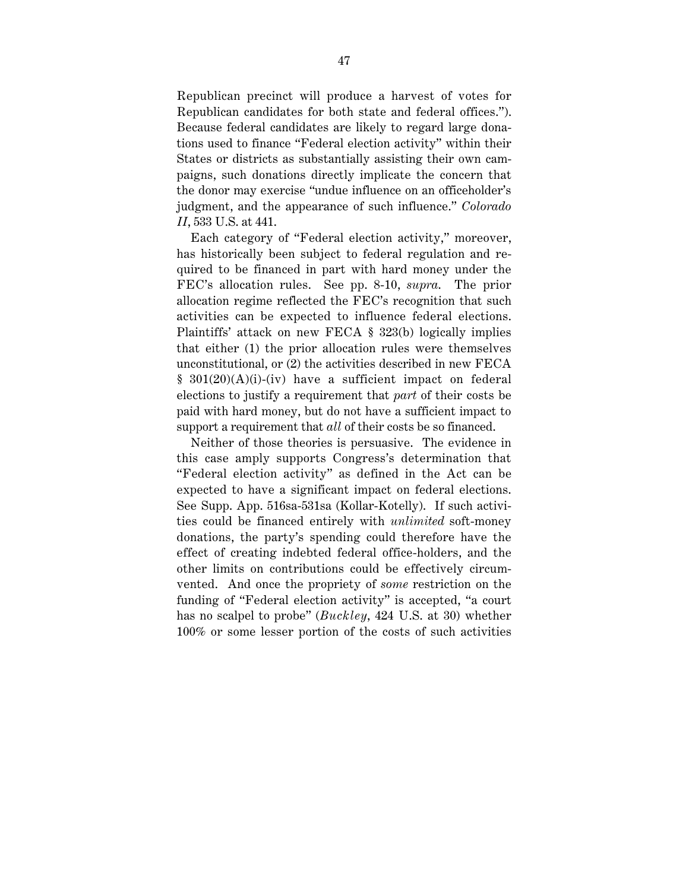Republican precinct will produce a harvest of votes for Republican candidates for both state and federal offices."). Because federal candidates are likely to regard large donations used to finance "Federal election activity" within their States or districts as substantially assisting their own campaigns, such donations directly implicate the concern that the donor may exercise "undue influence on an officeholder's judgment, and the appearance of such influence." *Colorado II*, 533 U.S. at 441.

Each category of "Federal election activity," moreover, has historically been subject to federal regulation and required to be financed in part with hard money under the FEC's allocation rules. See pp. 8-10, *supra*. The prior allocation regime reflected the FEC's recognition that such activities can be expected to influence federal elections. Plaintiffs' attack on new FECA § 323(b) logically implies that either (1) the prior allocation rules were themselves unconstitutional, or (2) the activities described in new FECA § 301(20)(A)(i)-(iv) have a sufficient impact on federal elections to justify a requirement that *part* of their costs be paid with hard money, but do not have a sufficient impact to support a requirement that *all* of their costs be so financed.

Neither of those theories is persuasive. The evidence in this case amply supports Congress's determination that "Federal election activity" as defined in the Act can be expected to have a significant impact on federal elections. See Supp. App. 516sa-531sa (Kollar-Kotelly). If such activities could be financed entirely with *unlimited* soft-money donations, the party's spending could therefore have the effect of creating indebted federal office-holders, and the other limits on contributions could be effectively circumvented. And once the propriety of *some* restriction on the funding of "Federal election activity" is accepted, "a court has no scalpel to probe" (*Buckley*, 424 U.S. at 30) whether 100% or some lesser portion of the costs of such activities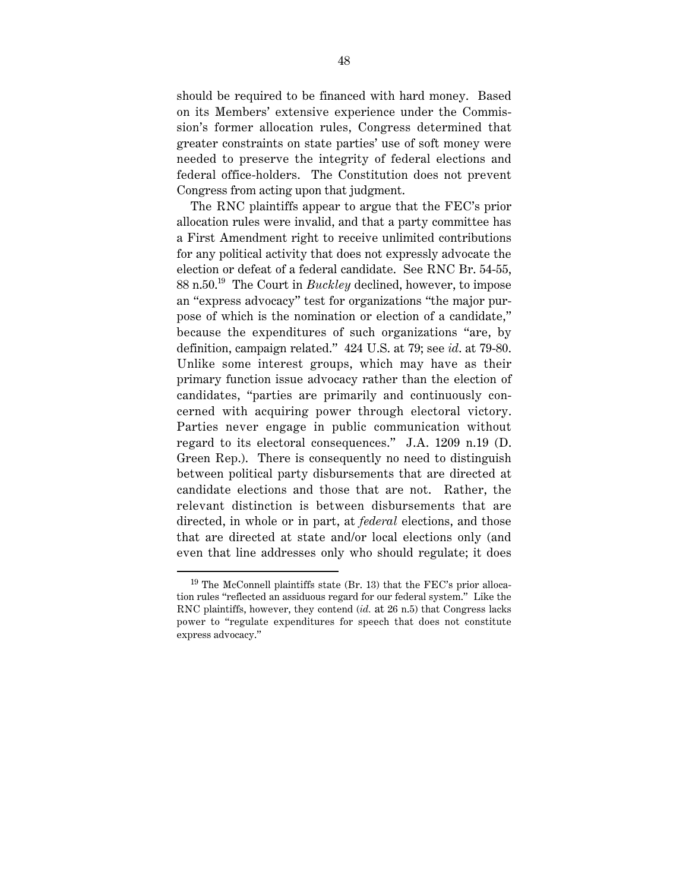should be required to be financed with hard money. Based on its Members' extensive experience under the Commission's former allocation rules, Congress determined that greater constraints on state parties' use of soft money were needed to preserve the integrity of federal elections and federal office-holders. The Constitution does not prevent Congress from acting upon that judgment.

The RNC plaintiffs appear to argue that the FEC's prior allocation rules were invalid, and that a party committee has a First Amendment right to receive unlimited contributions for any political activity that does not expressly advocate the election or defeat of a federal candidate. See RNC Br. 54-55, 88 n.50.19 The Court in *Buckley* declined, however, to impose an "express advocacy" test for organizations "the major purpose of which is the nomination or election of a candidate," because the expenditures of such organizations "are, by definition, campaign related." 424 U.S. at 79; see *id*. at 79-80. Unlike some interest groups, which may have as their primary function issue advocacy rather than the election of candidates, "parties are primarily and continuously concerned with acquiring power through electoral victory. Parties never engage in public communication without regard to its electoral consequences." J.A. 1209 n.19 (D. Green Rep.). There is consequently no need to distinguish between political party disbursements that are directed at candidate elections and those that are not. Rather, the relevant distinction is between disbursements that are directed, in whole or in part, at *federal* elections, and those that are directed at state and/or local elections only (and even that line addresses only who should regulate; it does

 $19$  The McConnell plaintiffs state (Br. 13) that the FEC's prior allocation rules "reflected an assiduous regard for our federal system." Like the RNC plaintiffs, however, they contend (*id.* at 26 n.5) that Congress lacks power to "regulate expenditures for speech that does not constitute express advocacy."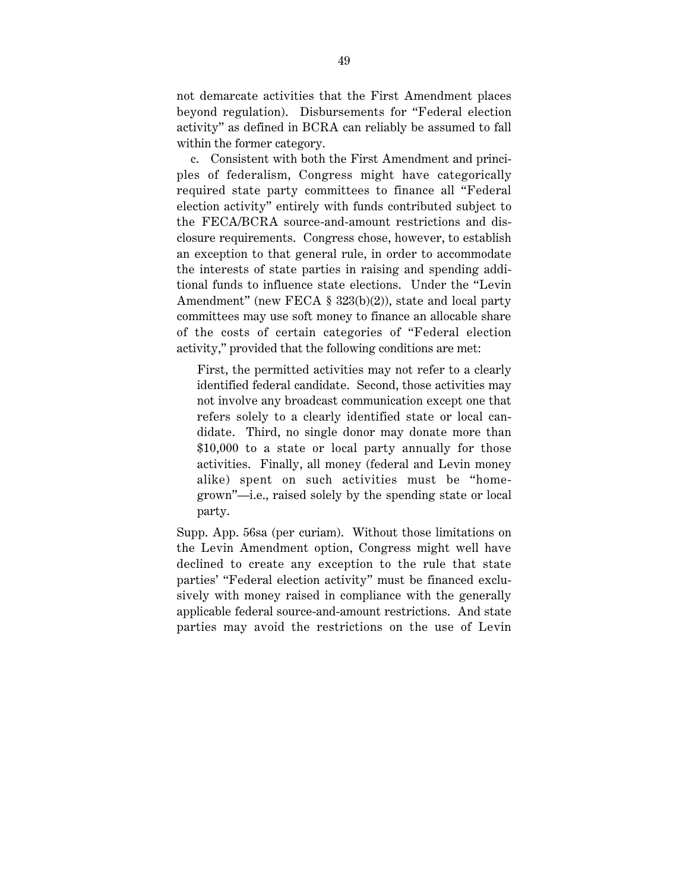not demarcate activities that the First Amendment places beyond regulation). Disbursements for "Federal election activity" as defined in BCRA can reliably be assumed to fall within the former category.

c. Consistent with both the First Amendment and principles of federalism, Congress might have categorically required state party committees to finance all "Federal election activity" entirely with funds contributed subject to the FECA/BCRA source-and-amount restrictions and disclosure requirements. Congress chose, however, to establish an exception to that general rule, in order to accommodate the interests of state parties in raising and spending additional funds to influence state elections. Under the "Levin Amendment" (new FECA § 323(b)(2)), state and local party committees may use soft money to finance an allocable share of the costs of certain categories of "Federal election activity," provided that the following conditions are met:

First, the permitted activities may not refer to a clearly identified federal candidate. Second, those activities may not involve any broadcast communication except one that refers solely to a clearly identified state or local candidate. Third, no single donor may donate more than \$10,000 to a state or local party annually for those activities. Finally, all money (federal and Levin money alike) spent on such activities must be "homegrown"—i.e., raised solely by the spending state or local party.

Supp. App. 56sa (per curiam). Without those limitations on the Levin Amendment option, Congress might well have declined to create any exception to the rule that state parties' "Federal election activity" must be financed exclusively with money raised in compliance with the generally applicable federal source-and-amount restrictions. And state parties may avoid the restrictions on the use of Levin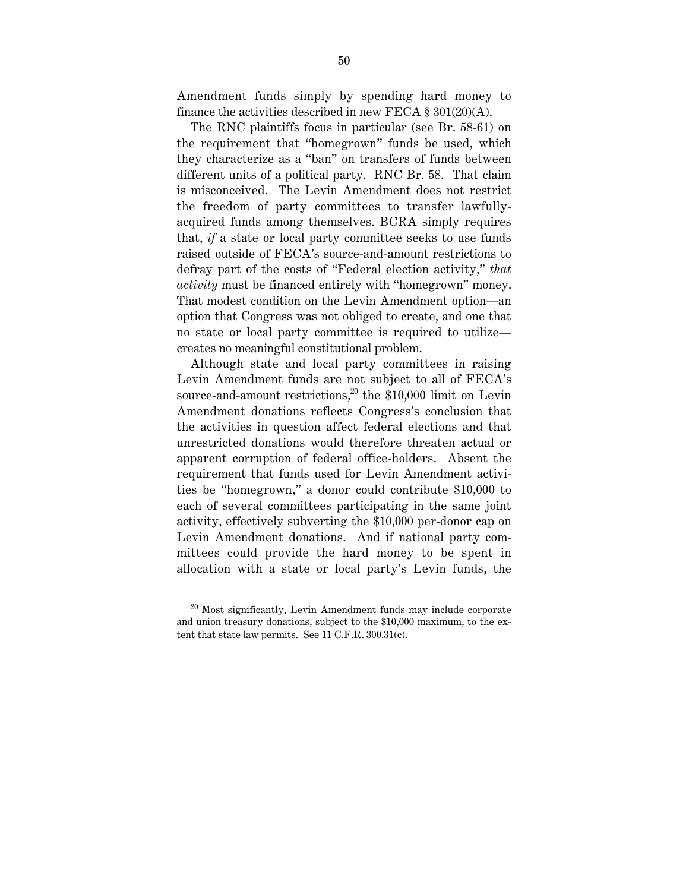Amendment funds simply by spending hard money to finance the activities described in new FECA  $\S 301(20)(A)$ .

The RNC plaintiffs focus in particular (see Br. 58-61) on the requirement that "homegrown" funds be used, which they characterize as a "ban" on transfers of funds between different units of a political party. RNC Br. 58. That claim is misconceived. The Levin Amendment does not restrict the freedom of party committees to transfer lawfullyacquired funds among themselves. BCRA simply requires that, *if* a state or local party committee seeks to use funds raised outside of FECA's source-and-amount restrictions to defray part of the costs of "Federal election activity," *that activity* must be financed entirely with "homegrown" money. That modest condition on the Levin Amendment option—an option that Congress was not obliged to create, and one that no state or local party committee is required to utilize creates no meaningful constitutional problem.

Although state and local party committees in raising Levin Amendment funds are not subject to all of FECA's source-and-amount restrictions, $20$  the \$10,000 limit on Levin Amendment donations reflects Congress's conclusion that the activities in question affect federal elections and that unrestricted donations would therefore threaten actual or apparent corruption of federal office-holders. Absent the requirement that funds used for Levin Amendment activities be "homegrown," a donor could contribute \$10,000 to each of several committees participating in the same joint activity, effectively subverting the \$10,000 per-donor cap on Levin Amendment donations. And if national party committees could provide the hard money to be spent in allocation with a state or local party's Levin funds, the

 $20$  Most significantly, Levin Amendment funds may include corporate and union treasury donations, subject to the \$10,000 maximum, to the extent that state law permits. See 11 C.F.R. 300.31(c).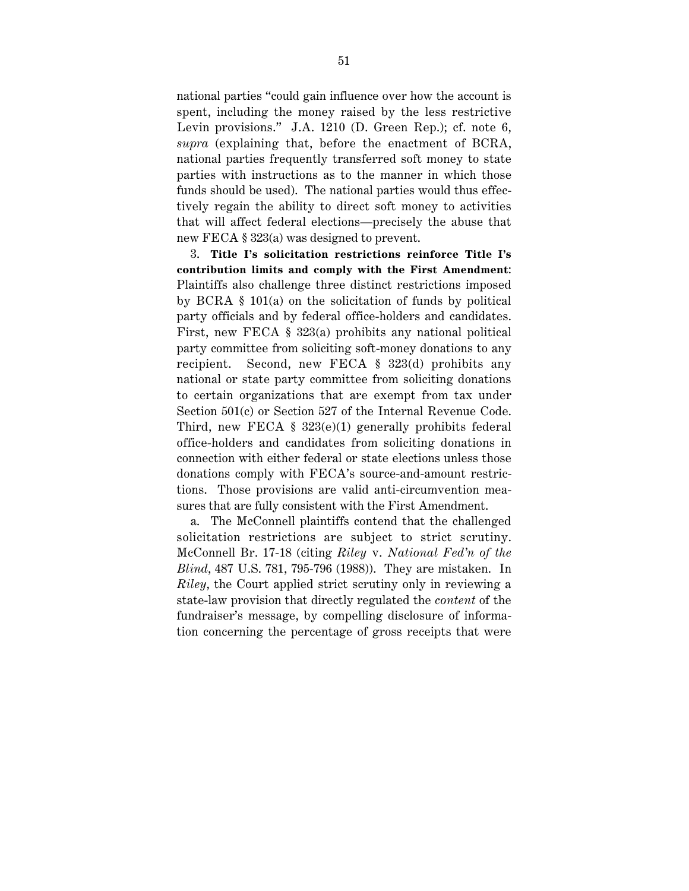national parties "could gain influence over how the account is spent, including the money raised by the less restrictive Levin provisions." J.A. 1210 (D. Green Rep.); cf. note 6, *supra* (explaining that, before the enactment of BCRA, national parties frequently transferred soft money to state parties with instructions as to the manner in which those funds should be used). The national parties would thus effectively regain the ability to direct soft money to activities that will affect federal elections—precisely the abuse that new FECA § 323(a) was designed to prevent.

3. **Title I's solicitation restrictions reinforce Title I's contribution limits and comply with the First Amendment**: Plaintiffs also challenge three distinct restrictions imposed by BCRA § 101(a) on the solicitation of funds by political party officials and by federal office-holders and candidates. First, new FECA § 323(a) prohibits any national political party committee from soliciting soft-money donations to any recipient. Second, new FECA § 323(d) prohibits any national or state party committee from soliciting donations to certain organizations that are exempt from tax under Section 501(c) or Section 527 of the Internal Revenue Code. Third, new FECA § 323(e)(1) generally prohibits federal office-holders and candidates from soliciting donations in connection with either federal or state elections unless those donations comply with FECA's source-and-amount restrictions. Those provisions are valid anti-circumvention measures that are fully consistent with the First Amendment.

a. The McConnell plaintiffs contend that the challenged solicitation restrictions are subject to strict scrutiny. McConnell Br. 17-18 (citing *Riley* v. *National Fed'n of the Blind*, 487 U.S. 781, 795-796 (1988)). They are mistaken. In *Riley*, the Court applied strict scrutiny only in reviewing a state-law provision that directly regulated the *content* of the fundraiser's message, by compelling disclosure of information concerning the percentage of gross receipts that were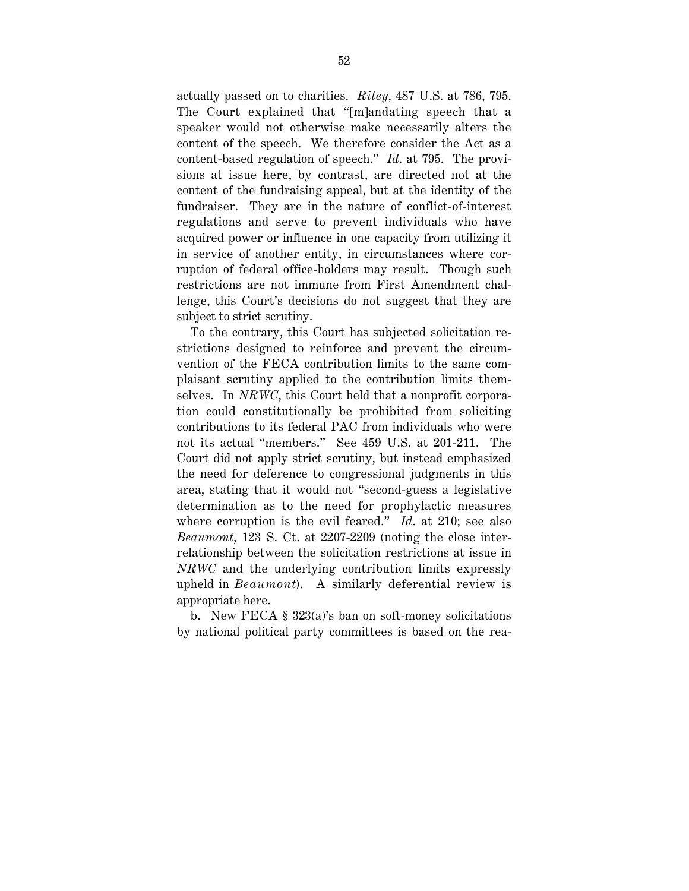actually passed on to charities. *Riley*, 487 U.S. at 786, 795. The Court explained that "[m]andating speech that a speaker would not otherwise make necessarily alters the content of the speech. We therefore consider the Act as a content-based regulation of speech." *Id*. at 795. The provisions at issue here, by contrast, are directed not at the content of the fundraising appeal, but at the identity of the fundraiser. They are in the nature of conflict-of-interest regulations and serve to prevent individuals who have acquired power or influence in one capacity from utilizing it in service of another entity, in circumstances where corruption of federal office-holders may result. Though such restrictions are not immune from First Amendment challenge, this Court's decisions do not suggest that they are subject to strict scrutiny.

To the contrary, this Court has subjected solicitation restrictions designed to reinforce and prevent the circumvention of the FECA contribution limits to the same complaisant scrutiny applied to the contribution limits themselves. In *NRWC*, this Court held that a nonprofit corporation could constitutionally be prohibited from soliciting contributions to its federal PAC from individuals who were not its actual "members." See 459 U.S. at 201-211. The Court did not apply strict scrutiny, but instead emphasized the need for deference to congressional judgments in this area, stating that it would not "second-guess a legislative determination as to the need for prophylactic measures where corruption is the evil feared." *Id*. at 210; see also *Beaumont*, 123 S. Ct. at 2207-2209 (noting the close interrelationship between the solicitation restrictions at issue in *NRWC* and the underlying contribution limits expressly upheld in *Beaumont*). A similarly deferential review is appropriate here.

b. New FECA § 323(a)'s ban on soft-money solicitations by national political party committees is based on the rea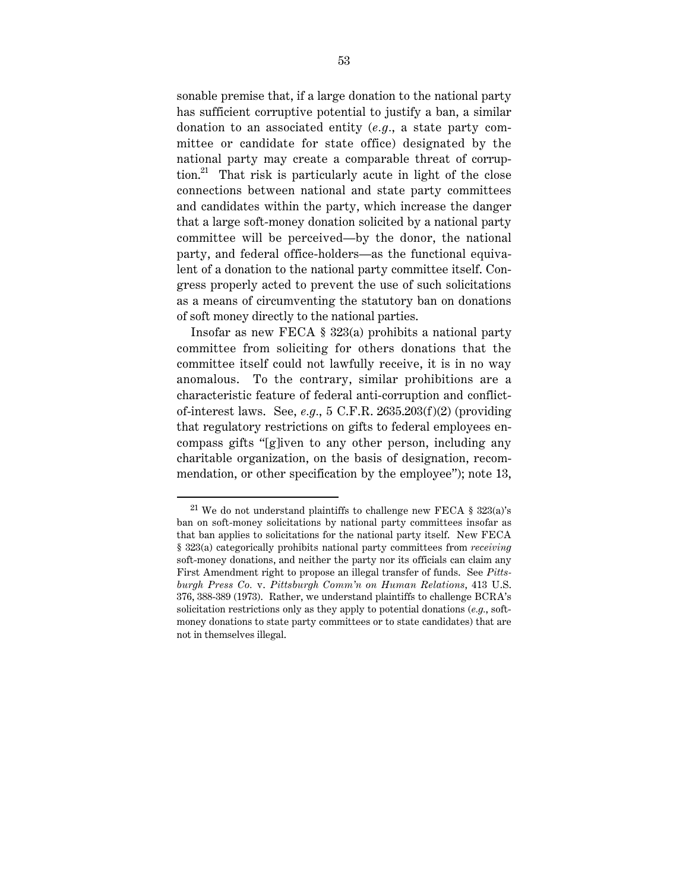sonable premise that, if a large donation to the national party has sufficient corruptive potential to justify a ban, a similar donation to an associated entity (*e.g.*, a state party committee or candidate for state office) designated by the national party may create a comparable threat of corruption.<sup>21</sup> That risk is particularly acute in light of the close connections between national and state party committees and candidates within the party, which increase the danger that a large soft-money donation solicited by a national party committee will be perceived—by the donor, the national party, and federal office-holders—as the functional equivalent of a donation to the national party committee itself. Congress properly acted to prevent the use of such solicitations as a means of circumventing the statutory ban on donations of soft money directly to the national parties.

Insofar as new FECA § 323(a) prohibits a national party committee from soliciting for others donations that the committee itself could not lawfully receive, it is in no way anomalous. To the contrary, similar prohibitions are a characteristic feature of federal anti-corruption and conflictof-interest laws. See,  $e.g., 5 \text{ C.F.R. } 2635.203(f)(2)$  (providing that regulatory restrictions on gifts to federal employees encompass gifts "[g]iven to any other person, including any charitable organization, on the basis of designation, recommendation, or other specification by the employee"); note 13,

<sup>&</sup>lt;sup>21</sup> We do not understand plaintiffs to challenge new FECA  $\S$  323(a)'s ban on soft-money solicitations by national party committees insofar as that ban applies to solicitations for the national party itself. New FECA § 323(a) categorically prohibits national party committees from *receiving* soft-money donations, and neither the party nor its officials can claim any First Amendment right to propose an illegal transfer of funds. See *Pittsburgh Press Co.* v. *Pittsburgh Comm'n on Human Relations*, 413 U.S. 376, 388-389 (1973). Rather, we understand plaintiffs to challenge BCRA's solicitation restrictions only as they apply to potential donations (*e.g.*, softmoney donations to state party committees or to state candidates) that are not in themselves illegal.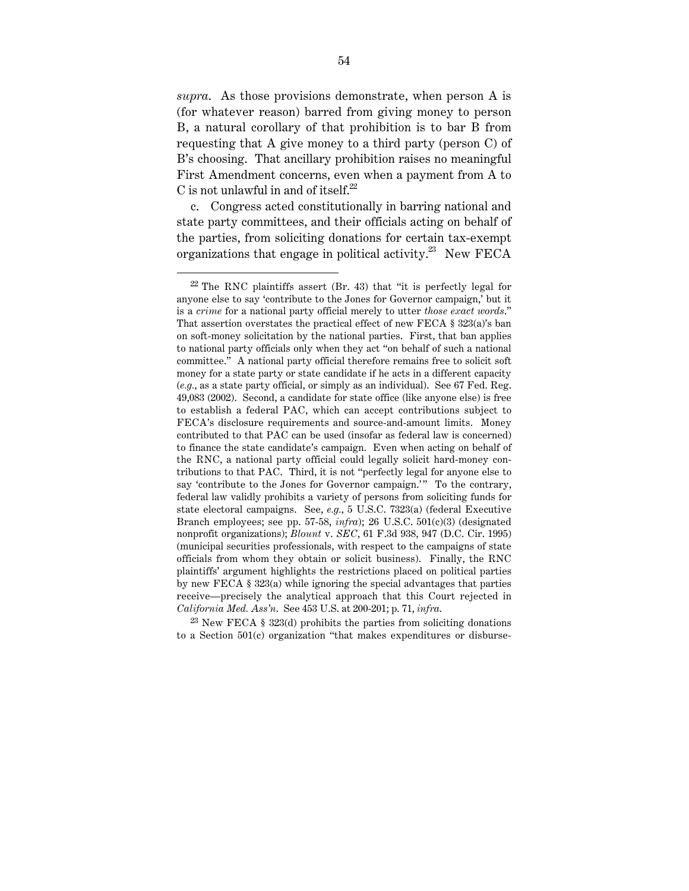*supra*. As those provisions demonstrate, when person A is (for whatever reason) barred from giving money to person B, a natural corollary of that prohibition is to bar B from requesting that A give money to a third party (person C) of B's choosing. That ancillary prohibition raises no meaningful First Amendment concerns, even when a payment from A to C is not unlawful in and of itself. $22$ 

c. Congress acted constitutionally in barring national and state party committees, and their officials acting on behalf of the parties, from soliciting donations for certain tax-exempt organizations that engage in political activity.<sup>23</sup> New FECA

 $^{23}$  New FECA § 323(d) prohibits the parties from soliciting donations to a Section 501(c) organization "that makes expenditures or disburse-

 $22$  The RNC plaintiffs assert (Br. 43) that "it is perfectly legal for anyone else to say 'contribute to the Jones for Governor campaign,' but it is a *crime* for a national party official merely to utter *those exact words*." That assertion overstates the practical effect of new FECA § 323(a)'s ban on soft-money solicitation by the national parties. First, that ban applies to national party officials only when they act "on behalf of such a national committee." A national party official therefore remains free to solicit soft money for a state party or state candidate if he acts in a different capacity (*e.g.*, as a state party official, or simply as an individual). See 67 Fed. Reg. 49,083 (2002). Second, a candidate for state office (like anyone else) is free to establish a federal PAC, which can accept contributions subject to FECA's disclosure requirements and source-and-amount limits. Money contributed to that PAC can be used (insofar as federal law is concerned) to finance the state candidate's campaign. Even when acting on behalf of the RNC, a national party official could legally solicit hard-money contributions to that PAC. Third, it is not "perfectly legal for anyone else to say 'contribute to the Jones for Governor campaign.'" To the contrary, federal law validly prohibits a variety of persons from soliciting funds for state electoral campaigns. See, *e.g.*, 5 U.S.C. 7323(a) (federal Executive Branch employees; see pp. 57-58, *infra*); 26 U.S.C. 501(c)(3) (designated nonprofit organizations); *Blount* v. *SEC*, 61 F.3d 938, 947 (D.C. Cir. 1995) (municipal securities professionals, with respect to the campaigns of state officials from whom they obtain or solicit business). Finally, the RNC plaintiffs' argument highlights the restrictions placed on political parties by new FECA § 323(a) while ignoring the special advantages that parties receive—precisely the analytical approach that this Court rejected in *California Med. Ass'n*. See 453 U.S. at 200-201; p. 71, *infra*.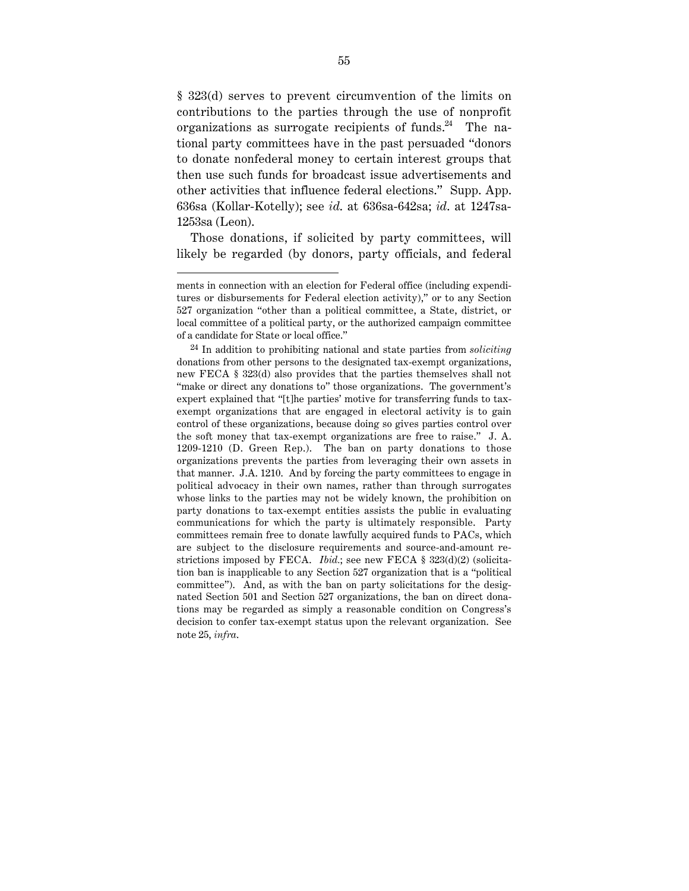§ 323(d) serves to prevent circumvention of the limits on contributions to the parties through the use of nonprofit organizations as surrogate recipients of funds.<sup>24</sup> The national party committees have in the past persuaded "donors to donate nonfederal money to certain interest groups that then use such funds for broadcast issue advertisements and other activities that influence federal elections." Supp. App. 636sa (Kollar-Kotelly); see *id*. at 636sa-642sa; *id*. at 1247sa-1253sa (Leon).

Those donations, if solicited by party committees, will likely be regarded (by donors, party officials, and federal

ments in connection with an election for Federal office (including expenditures or disbursements for Federal election activity)," or to any Section 527 organization "other than a political committee, a State, district, or local committee of a political party, or the authorized campaign committee of a candidate for State or local office."

<sup>24</sup> In addition to prohibiting national and state parties from *soliciting* donations from other persons to the designated tax-exempt organizations, new FECA § 323(d) also provides that the parties themselves shall not "make or direct any donations to" those organizations. The government's expert explained that "[t]he parties' motive for transferring funds to taxexempt organizations that are engaged in electoral activity is to gain control of these organizations, because doing so gives parties control over the soft money that tax-exempt organizations are free to raise." J. A. 1209-1210 (D. Green Rep.). The ban on party donations to those organizations prevents the parties from leveraging their own assets in that manner. J.A. 1210. And by forcing the party committees to engage in political advocacy in their own names, rather than through surrogates whose links to the parties may not be widely known, the prohibition on party donations to tax-exempt entities assists the public in evaluating communications for which the party is ultimately responsible. Party committees remain free to donate lawfully acquired funds to PACs, which are subject to the disclosure requirements and source-and-amount restrictions imposed by FECA. *Ibid.*; see new FECA § 323(d)(2) (solicitation ban is inapplicable to any Section 527 organization that is a "political committee"). And, as with the ban on party solicitations for the designated Section 501 and Section 527 organizations, the ban on direct donations may be regarded as simply a reasonable condition on Congress's decision to confer tax-exempt status upon the relevant organization. See note 25, *infra*.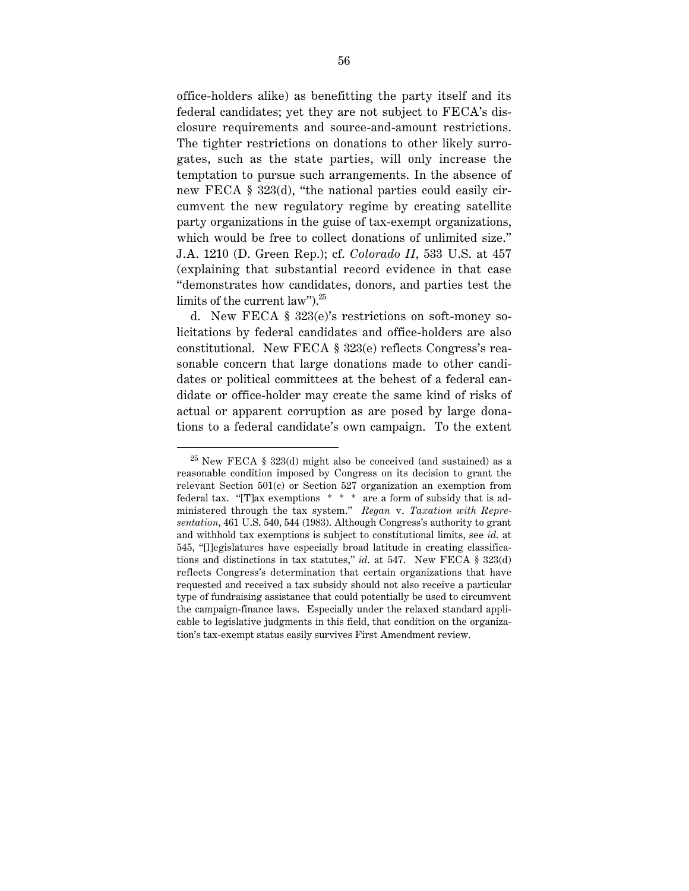office-holders alike) as benefitting the party itself and its federal candidates; yet they are not subject to FECA's disclosure requirements and source-and-amount restrictions. The tighter restrictions on donations to other likely surrogates, such as the state parties, will only increase the temptation to pursue such arrangements. In the absence of new FECA § 323(d), "the national parties could easily circumvent the new regulatory regime by creating satellite party organizations in the guise of tax-exempt organizations, which would be free to collect donations of unlimited size." J.A. 1210 (D. Green Rep.); cf. *Colorado II*, 533 U.S. at 457 (explaining that substantial record evidence in that case "demonstrates how candidates, donors, and parties test the limits of the current law"). $25$ 

d. New FECA § 323(e)'s restrictions on soft-money solicitations by federal candidates and office-holders are also constitutional. New FECA § 323(e) reflects Congress's reasonable concern that large donations made to other candidates or political committees at the behest of a federal candidate or office-holder may create the same kind of risks of actual or apparent corruption as are posed by large donations to a federal candidate's own campaign. To the extent

 $25$  New FECA § 323(d) might also be conceived (and sustained) as a reasonable condition imposed by Congress on its decision to grant the relevant Section 501(c) or Section 527 organization an exemption from federal tax. "[T]ax exemptions \* \* \* are a form of subsidy that is administered through the tax system." *Regan* v. *Taxation with Representation*, 461 U.S. 540, 544 (1983). Although Congress's authority to grant and withhold tax exemptions is subject to constitutional limits, see *id*. at 545, "[l]egislatures have especially broad latitude in creating classifications and distinctions in tax statutes," *id*. at 547. New FECA § 323(d) reflects Congress's determination that certain organizations that have requested and received a tax subsidy should not also receive a particular type of fundraising assistance that could potentially be used to circumvent the campaign-finance laws. Especially under the relaxed standard applicable to legislative judgments in this field, that condition on the organization's tax-exempt status easily survives First Amendment review.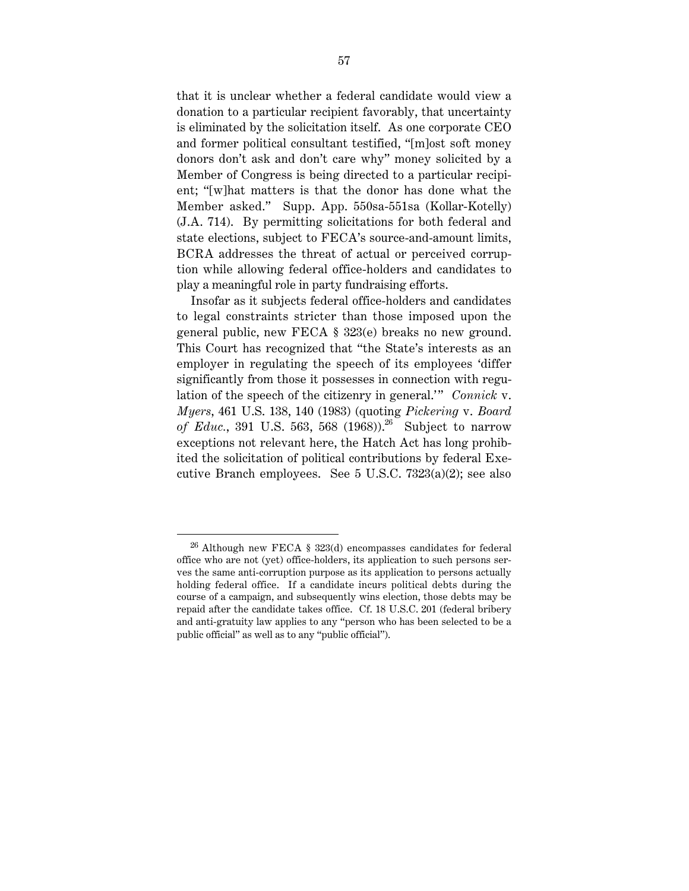that it is unclear whether a federal candidate would view a donation to a particular recipient favorably, that uncertainty is eliminated by the solicitation itself. As one corporate CEO and former political consultant testified, "[m]ost soft money donors don't ask and don't care why" money solicited by a Member of Congress is being directed to a particular recipient; "[w]hat matters is that the donor has done what the Member asked." Supp. App. 550sa-551sa (Kollar-Kotelly) (J.A. 714). By permitting solicitations for both federal and state elections, subject to FECA's source-and-amount limits, BCRA addresses the threat of actual or perceived corruption while allowing federal office-holders and candidates to play a meaningful role in party fundraising efforts.

Insofar as it subjects federal office-holders and candidates to legal constraints stricter than those imposed upon the general public, new FECA § 323(e) breaks no new ground. This Court has recognized that "the State's interests as an employer in regulating the speech of its employees 'differ significantly from those it possesses in connection with regulation of the speech of the citizenry in general.'" *Connick* v. *Myers*, 461 U.S. 138, 140 (1983) (quoting *Pickering* v. *Board of Educ.*, 391 U.S. 563, 568 (1968).<sup>26</sup> Subject to narrow exceptions not relevant here, the Hatch Act has long prohibited the solicitation of political contributions by federal Executive Branch employees. See 5 U.S.C. 7323(a)(2); see also

 $26$  Although new FECA § 323(d) encompasses candidates for federal office who are not (yet) office-holders, its application to such persons serves the same anti-corruption purpose as its application to persons actually holding federal office. If a candidate incurs political debts during the course of a campaign, and subsequently wins election, those debts may be repaid after the candidate takes office. Cf. 18 U.S.C. 201 (federal bribery and anti-gratuity law applies to any "person who has been selected to be a public official" as well as to any "public official").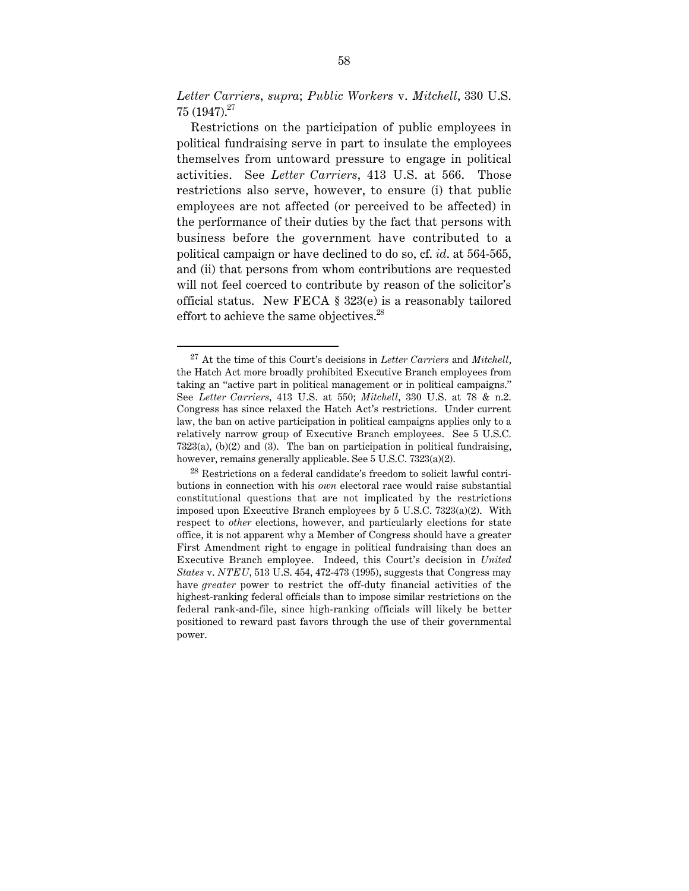*Letter Carriers*, *supra*; *Public Workers* v. *Mitchell*, 330 U.S.  $75$  (1947).<sup>27</sup>

Restrictions on the participation of public employees in political fundraising serve in part to insulate the employees themselves from untoward pressure to engage in political activities. See *Letter Carriers*, 413 U.S. at 566. Those restrictions also serve, however, to ensure (i) that public employees are not affected (or perceived to be affected) in the performance of their duties by the fact that persons with business before the government have contributed to a political campaign or have declined to do so, cf. *id*. at 564-565, and (ii) that persons from whom contributions are requested will not feel coerced to contribute by reason of the solicitor's official status. New FECA § 323(e) is a reasonably tailored effort to achieve the same objectives.<sup>28</sup>

 <sup>27</sup> At the time of this Court's decisions in *Letter Carriers* and *Mitchell*, the Hatch Act more broadly prohibited Executive Branch employees from taking an "active part in political management or in political campaigns." See *Letter Carriers*, 413 U.S. at 550; *Mitchell*, 330 U.S. at 78 & n.2. Congress has since relaxed the Hatch Act's restrictions. Under current law, the ban on active participation in political campaigns applies only to a relatively narrow group of Executive Branch employees. See 5 U.S.C. 7323(a), (b)(2) and (3). The ban on participation in political fundraising, however, remains generally applicable. See 5 U.S.C. 7323(a)(2).

 $^{28}$  Restrictions on a federal candidate's freedom to solicit lawful contributions in connection with his *own* electoral race would raise substantial constitutional questions that are not implicated by the restrictions imposed upon Executive Branch employees by 5 U.S.C. 7323(a)(2). With respect to *other* elections, however, and particularly elections for state office, it is not apparent why a Member of Congress should have a greater First Amendment right to engage in political fundraising than does an Executive Branch employee. Indeed, this Court's decision in *United States* v. *NTEU*, 513 U.S. 454, 472-473 (1995), suggests that Congress may have *greater* power to restrict the off-duty financial activities of the highest-ranking federal officials than to impose similar restrictions on the federal rank-and-file, since high-ranking officials will likely be better positioned to reward past favors through the use of their governmental power.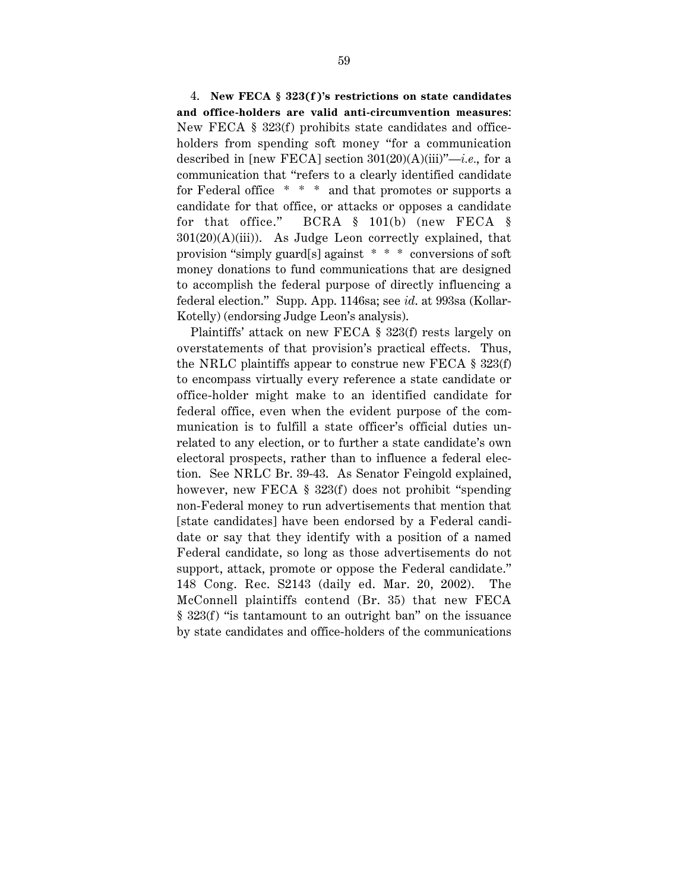4. **New FECA § 323(f )'s restrictions on state candidates and office-holders are valid anti-circumvention measures**: New FECA  $\S$  323(f) prohibits state candidates and officeholders from spending soft money "for a communication described in [new FECA] section 301(20)(A)(iii)"—*i.e.*, for a communication that "refers to a clearly identified candidate for Federal office \* \* \* and that promotes or supports a candidate for that office, or attacks or opposes a candidate for that office." BCRA § 101(b) (new FECA §  $301(20)(A)(iii)$ . As Judge Leon correctly explained, that provision "simply guard[s] against \* \* \* conversions of soft money donations to fund communications that are designed to accomplish the federal purpose of directly influencing a federal election." Supp. App. 1146sa; see *id*. at 993sa (Kollar-Kotelly) (endorsing Judge Leon's analysis).

Plaintiffs' attack on new FECA § 323(f) rests largely on overstatements of that provision's practical effects. Thus, the NRLC plaintiffs appear to construe new FECA § 323(f) to encompass virtually every reference a state candidate or office-holder might make to an identified candidate for federal office, even when the evident purpose of the communication is to fulfill a state officer's official duties unrelated to any election, or to further a state candidate's own electoral prospects, rather than to influence a federal election. See NRLC Br. 39-43. As Senator Feingold explained, however, new FECA  $\S$  323(f) does not prohibit "spending" non-Federal money to run advertisements that mention that [state candidates] have been endorsed by a Federal candidate or say that they identify with a position of a named Federal candidate, so long as those advertisements do not support, attack, promote or oppose the Federal candidate." 148 Cong. Rec. S2143 (daily ed. Mar. 20, 2002). The McConnell plaintiffs contend (Br. 35) that new FECA § 323(f) "is tantamount to an outright ban" on the issuance by state candidates and office-holders of the communications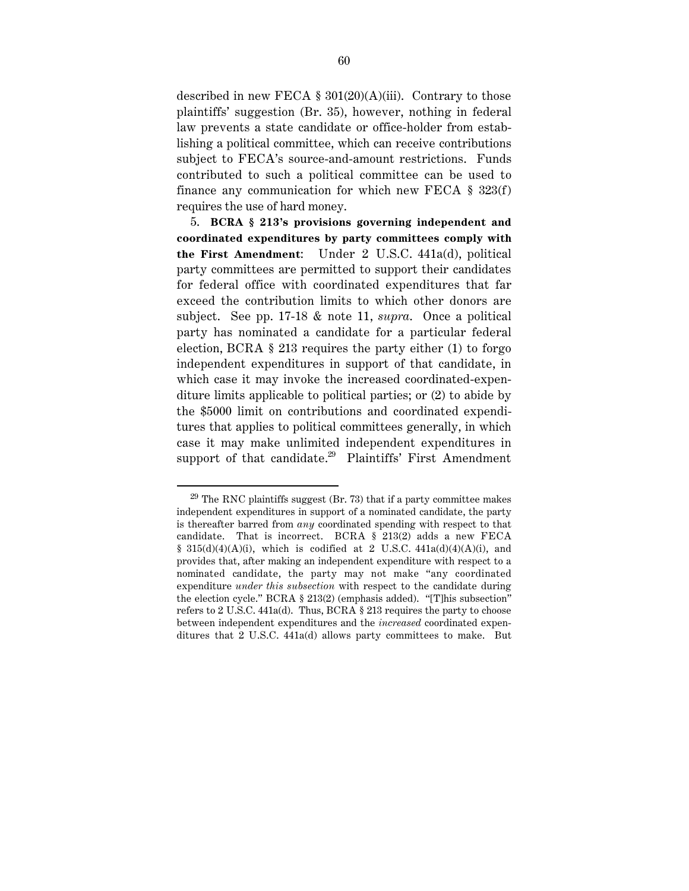described in new FECA  $\S 301(20)(A)(iii)$ . Contrary to those plaintiffs' suggestion (Br. 35), however, nothing in federal law prevents a state candidate or office-holder from establishing a political committee, which can receive contributions subject to FECA's source-and-amount restrictions. Funds contributed to such a political committee can be used to finance any communication for which new FECA  $\S$  323(f) requires the use of hard money.

5. **BCRA § 213's provisions governing independent and coordinated expenditures by party committees comply with the First Amendment**: Under 2 U.S.C. 441a(d), political party committees are permitted to support their candidates for federal office with coordinated expenditures that far exceed the contribution limits to which other donors are subject. See pp. 17-18 & note 11, *supra*. Once a political party has nominated a candidate for a particular federal election, BCRA § 213 requires the party either (1) to forgo independent expenditures in support of that candidate, in which case it may invoke the increased coordinated-expenditure limits applicable to political parties; or (2) to abide by the \$5000 limit on contributions and coordinated expenditures that applies to political committees generally, in which case it may make unlimited independent expenditures in support of that candidate.<sup>29</sup> Plaintiffs' First Amendment

 $29$  The RNC plaintiffs suggest (Br. 73) that if a party committee makes independent expenditures in support of a nominated candidate, the party is thereafter barred from *any* coordinated spending with respect to that candidate. That is incorrect. BCRA § 213(2) adds a new FECA §  $315(d)(4)(A)(i)$ , which is codified at 2 U.S.C.  $441a(d)(4)(A)(i)$ , and provides that, after making an independent expenditure with respect to a nominated candidate, the party may not make "any coordinated expenditure *under this subsection* with respect to the candidate during the election cycle." BCRA § 213(2) (emphasis added). "[T]his subsection" refers to 2 U.S.C. 441a(d). Thus, BCRA § 213 requires the party to choose between independent expenditures and the *increased* coordinated expenditures that 2 U.S.C. 441a(d) allows party committees to make. But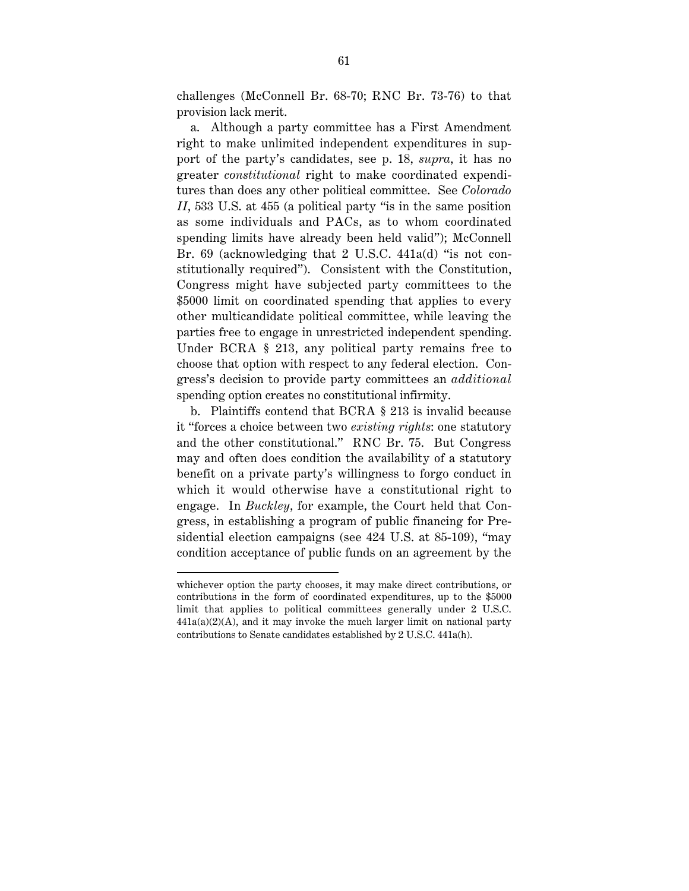challenges (McConnell Br. 68-70; RNC Br. 73-76) to that provision lack merit.

a. Although a party committee has a First Amendment right to make unlimited independent expenditures in support of the party's candidates, see p. 18, *supra*, it has no greater *constitutional* right to make coordinated expenditures than does any other political committee. See *Colorado II*, 533 U.S. at 455 (a political party "is in the same position as some individuals and PACs, as to whom coordinated spending limits have already been held valid"); McConnell Br. 69 (acknowledging that 2 U.S.C. 441a(d) "is not constitutionally required"). Consistent with the Constitution, Congress might have subjected party committees to the \$5000 limit on coordinated spending that applies to every other multicandidate political committee, while leaving the parties free to engage in unrestricted independent spending. Under BCRA § 213, any political party remains free to choose that option with respect to any federal election. Congress's decision to provide party committees an *additional* spending option creates no constitutional infirmity.

b. Plaintiffs contend that BCRA § 213 is invalid because it "forces a choice between two *existing rights*: one statutory and the other constitutional." RNC Br. 75. But Congress may and often does condition the availability of a statutory benefit on a private party's willingness to forgo conduct in which it would otherwise have a constitutional right to engage. In *Buckley*, for example, the Court held that Congress, in establishing a program of public financing for Presidential election campaigns (see 424 U.S. at 85-109), "may condition acceptance of public funds on an agreement by the

whichever option the party chooses, it may make direct contributions, or contributions in the form of coordinated expenditures, up to the \$5000 limit that applies to political committees generally under 2 U.S.C.  $441a(a)(2)(A)$ , and it may invoke the much larger limit on national party contributions to Senate candidates established by 2 U.S.C. 441a(h).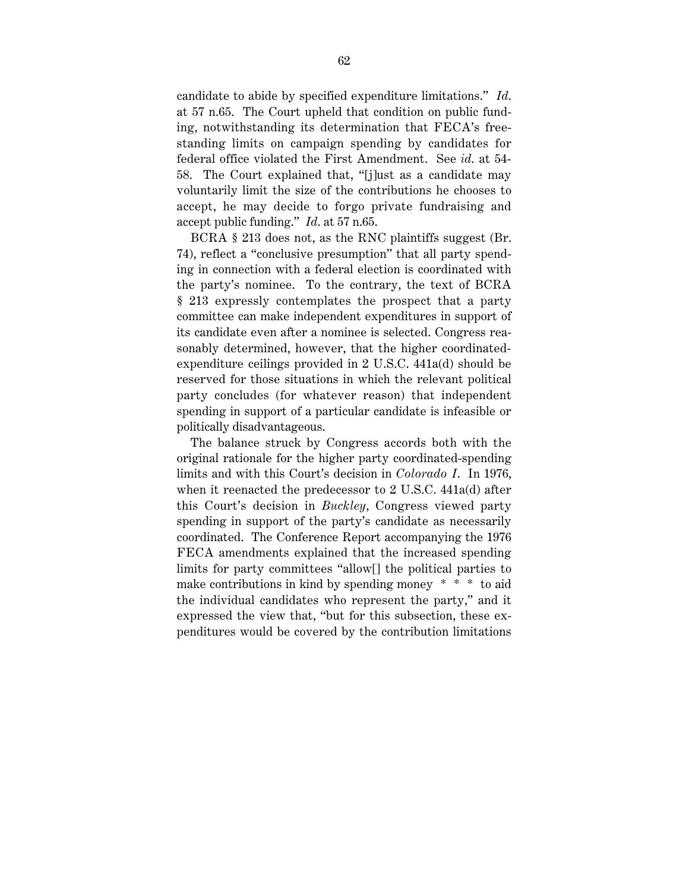candidate to abide by specified expenditure limitations." *Id*. at 57 n.65. The Court upheld that condition on public funding, notwithstanding its determination that FECA's freestanding limits on campaign spending by candidates for federal office violated the First Amendment. See *id*. at 54- 58. The Court explained that, "[j]ust as a candidate may voluntarily limit the size of the contributions he chooses to accept, he may decide to forgo private fundraising and accept public funding." *Id*. at 57 n.65.

BCRA § 213 does not, as the RNC plaintiffs suggest (Br. 74), reflect a "conclusive presumption" that all party spending in connection with a federal election is coordinated with the party's nominee. To the contrary, the text of BCRA § 213 expressly contemplates the prospect that a party committee can make independent expenditures in support of its candidate even after a nominee is selected. Congress reasonably determined, however, that the higher coordinatedexpenditure ceilings provided in 2 U.S.C. 441a(d) should be reserved for those situations in which the relevant political party concludes (for whatever reason) that independent spending in support of a particular candidate is infeasible or politically disadvantageous.

The balance struck by Congress accords both with the original rationale for the higher party coordinated-spending limits and with this Court's decision in *Colorado I*. In 1976, when it reenacted the predecessor to 2 U.S.C. 441a(d) after this Court's decision in *Buckley*, Congress viewed party spending in support of the party's candidate as necessarily coordinated. The Conference Report accompanying the 1976 FECA amendments explained that the increased spending limits for party committees "allow[] the political parties to make contributions in kind by spending money  $* * *$  to aid the individual candidates who represent the party," and it expressed the view that, "but for this subsection, these expenditures would be covered by the contribution limitations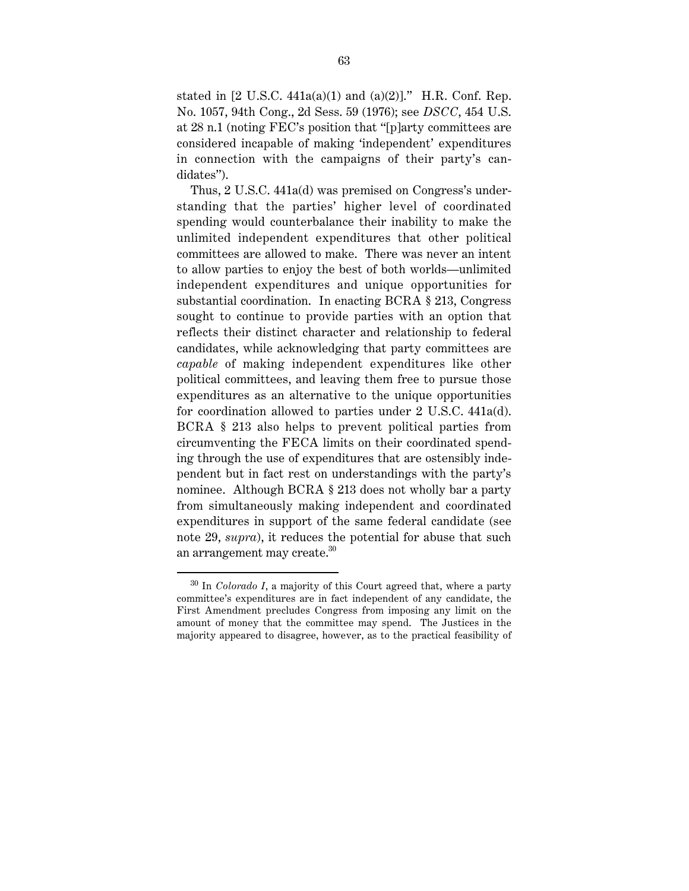stated in [2 U.S.C. 441a(a)(1) and (a)(2)]." H.R. Conf. Rep. No. 1057, 94th Cong., 2d Sess. 59 (1976); see *DSCC*, 454 U.S. at 28 n.1 (noting FEC's position that "[p]arty committees are considered incapable of making 'independent' expenditures in connection with the campaigns of their party's candidates").

Thus, 2 U.S.C. 441a(d) was premised on Congress's understanding that the parties' higher level of coordinated spending would counterbalance their inability to make the unlimited independent expenditures that other political committees are allowed to make. There was never an intent to allow parties to enjoy the best of both worlds—unlimited independent expenditures and unique opportunities for substantial coordination. In enacting BCRA § 213, Congress sought to continue to provide parties with an option that reflects their distinct character and relationship to federal candidates, while acknowledging that party committees are *capable* of making independent expenditures like other political committees, and leaving them free to pursue those expenditures as an alternative to the unique opportunities for coordination allowed to parties under 2 U.S.C. 441a(d). BCRA § 213 also helps to prevent political parties from circumventing the FECA limits on their coordinated spending through the use of expenditures that are ostensibly independent but in fact rest on understandings with the party's nominee. Although BCRA § 213 does not wholly bar a party from simultaneously making independent and coordinated expenditures in support of the same federal candidate (see note 29, *supra*), it reduces the potential for abuse that such an arrangement may create.30

 <sup>30</sup> In *Colorado I*, a majority of this Court agreed that, where a party committee's expenditures are in fact independent of any candidate, the First Amendment precludes Congress from imposing any limit on the amount of money that the committee may spend. The Justices in the majority appeared to disagree, however, as to the practical feasibility of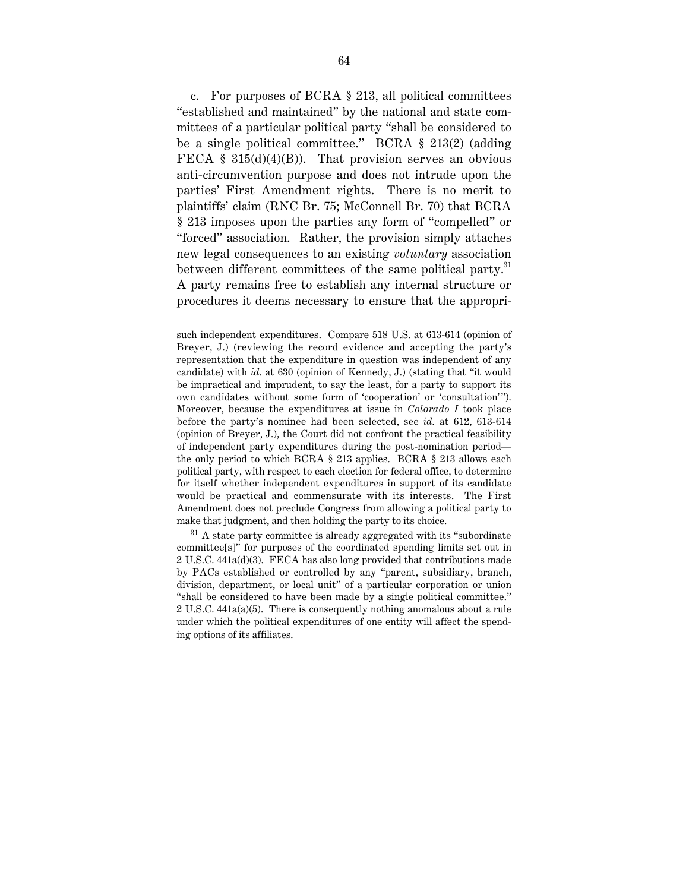c. For purposes of BCRA § 213, all political committees "established and maintained" by the national and state committees of a particular political party "shall be considered to be a single political committee." BCRA § 213(2) (adding FECA  $\S$  315(d)(4)(B)). That provision serves an obvious anti-circumvention purpose and does not intrude upon the parties' First Amendment rights. There is no merit to plaintiffs' claim (RNC Br. 75; McConnell Br. 70) that BCRA § 213 imposes upon the parties any form of "compelled" or "forced" association. Rather, the provision simply attaches new legal consequences to an existing *voluntary* association between different committees of the same political party.<sup>31</sup> A party remains free to establish any internal structure or procedures it deems necessary to ensure that the appropri-

such independent expenditures. Compare 518 U.S. at 613-614 (opinion of Breyer, J.) (reviewing the record evidence and accepting the party's representation that the expenditure in question was independent of any candidate) with *id*. at 630 (opinion of Kennedy, J.) (stating that "it would be impractical and imprudent, to say the least, for a party to support its own candidates without some form of 'cooperation' or 'consultation'"). Moreover, because the expenditures at issue in *Colorado I* took place before the party's nominee had been selected, see *id*. at 612, 613-614 (opinion of Breyer, J.), the Court did not confront the practical feasibility of independent party expenditures during the post-nomination period the only period to which BCRA § 213 applies. BCRA § 213 allows each political party, with respect to each election for federal office, to determine for itself whether independent expenditures in support of its candidate would be practical and commensurate with its interests. The First Amendment does not preclude Congress from allowing a political party to make that judgment, and then holding the party to its choice.

 $31$  A state party committee is already aggregated with its "subordinate committee[s]" for purposes of the coordinated spending limits set out in 2 U.S.C. 441a(d)(3). FECA has also long provided that contributions made by PACs established or controlled by any "parent, subsidiary, branch, division, department, or local unit" of a particular corporation or union "shall be considered to have been made by a single political committee." 2 U.S.C. 441a(a)(5). There is consequently nothing anomalous about a rule under which the political expenditures of one entity will affect the spending options of its affiliates.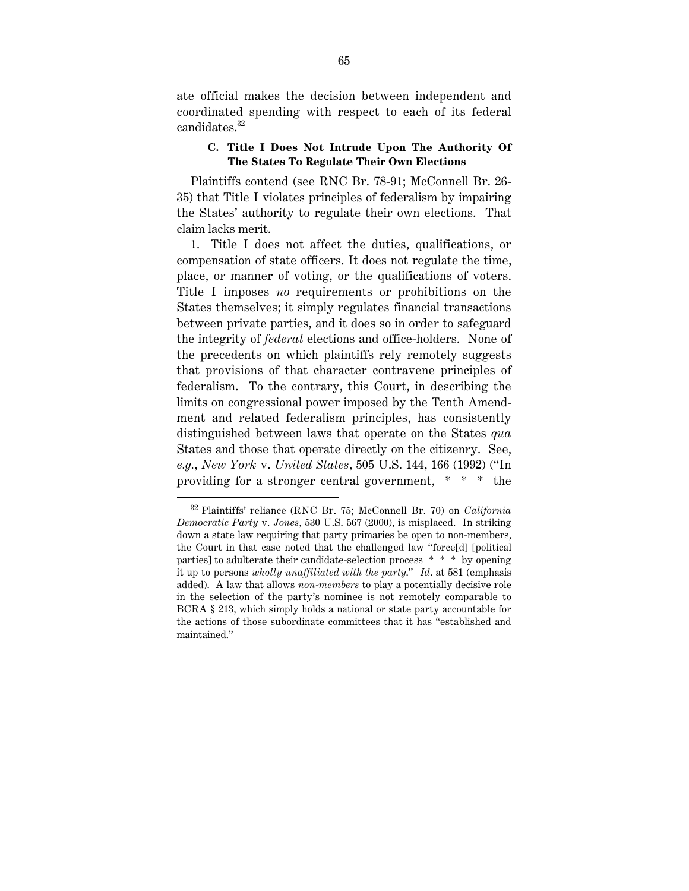ate official makes the decision between independent and coordinated spending with respect to each of its federal candidates.<sup>32</sup>

#### **C. Title I Does Not Intrude Upon The Authority Of The States To Regulate Their Own Elections**

Plaintiffs contend (see RNC Br. 78-91; McConnell Br. 26- 35) that Title I violates principles of federalism by impairing the States' authority to regulate their own elections. That claim lacks merit.

1. Title I does not affect the duties, qualifications, or compensation of state officers. It does not regulate the time, place, or manner of voting, or the qualifications of voters. Title I imposes *no* requirements or prohibitions on the States themselves; it simply regulates financial transactions between private parties, and it does so in order to safeguard the integrity of *federal* elections and office-holders. None of the precedents on which plaintiffs rely remotely suggests that provisions of that character contravene principles of federalism. To the contrary, this Court, in describing the limits on congressional power imposed by the Tenth Amendment and related federalism principles, has consistently distinguished between laws that operate on the States *qua* States and those that operate directly on the citizenry. See, *e.g.*, *New York* v. *United States*, 505 U.S. 144, 166 (1992) ("In providing for a stronger central government, \* \* \* the

 <sup>32</sup> Plaintiffs' reliance (RNC Br. 75; McConnell Br. 70) on *California Democratic Party* v. *Jones*, 530 U.S. 567 (2000), is misplaced. In striking down a state law requiring that party primaries be open to non-members, the Court in that case noted that the challenged law "force[d] [political parties] to adulterate their candidate-selection process \* \* \* by opening it up to persons *wholly unaffiliated with the party*." *Id*. at 581 (emphasis added). A law that allows *non-members* to play a potentially decisive role in the selection of the party's nominee is not remotely comparable to BCRA § 213, which simply holds a national or state party accountable for the actions of those subordinate committees that it has "established and maintained."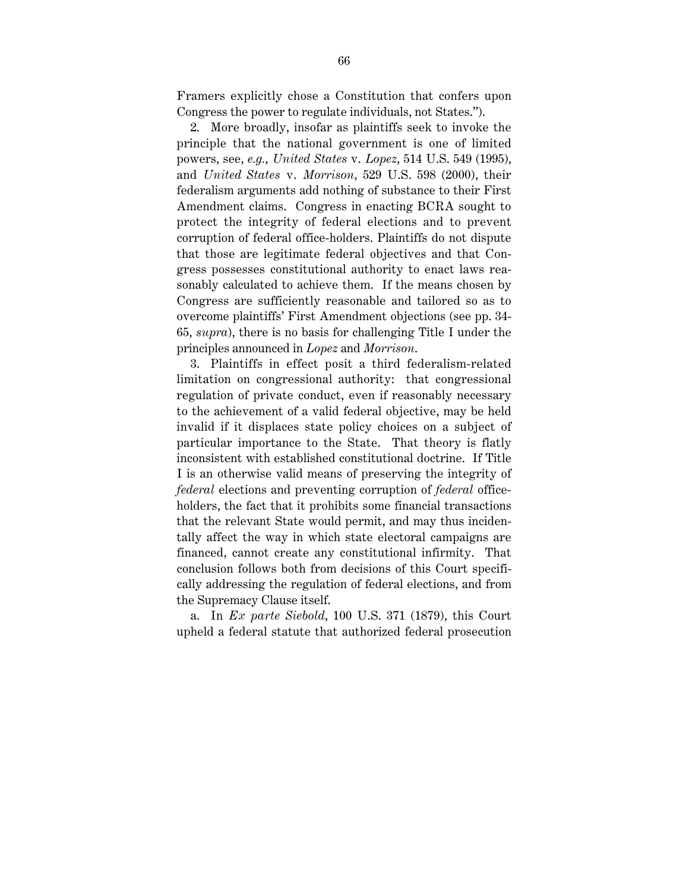Framers explicitly chose a Constitution that confers upon Congress the power to regulate individuals, not States.").

2. More broadly, insofar as plaintiffs seek to invoke the principle that the national government is one of limited powers, see, *e.g.*, *United States* v. *Lopez*, 514 U.S. 549 (1995), and *United States* v. *Morrison*, 529 U.S. 598 (2000), their federalism arguments add nothing of substance to their First Amendment claims. Congress in enacting BCRA sought to protect the integrity of federal elections and to prevent corruption of federal office-holders. Plaintiffs do not dispute that those are legitimate federal objectives and that Congress possesses constitutional authority to enact laws reasonably calculated to achieve them. If the means chosen by Congress are sufficiently reasonable and tailored so as to overcome plaintiffs' First Amendment objections (see pp. 34- 65, *supra*), there is no basis for challenging Title I under the principles announced in *Lopez* and *Morrison*.

3. Plaintiffs in effect posit a third federalism-related limitation on congressional authority: that congressional regulation of private conduct, even if reasonably necessary to the achievement of a valid federal objective, may be held invalid if it displaces state policy choices on a subject of particular importance to the State. That theory is flatly inconsistent with established constitutional doctrine. If Title I is an otherwise valid means of preserving the integrity of *federal* elections and preventing corruption of *federal* officeholders, the fact that it prohibits some financial transactions that the relevant State would permit, and may thus incidentally affect the way in which state electoral campaigns are financed, cannot create any constitutional infirmity. That conclusion follows both from decisions of this Court specifically addressing the regulation of federal elections, and from the Supremacy Clause itself.

a. In *Ex parte Siebold*, 100 U.S. 371 (1879), this Court upheld a federal statute that authorized federal prosecution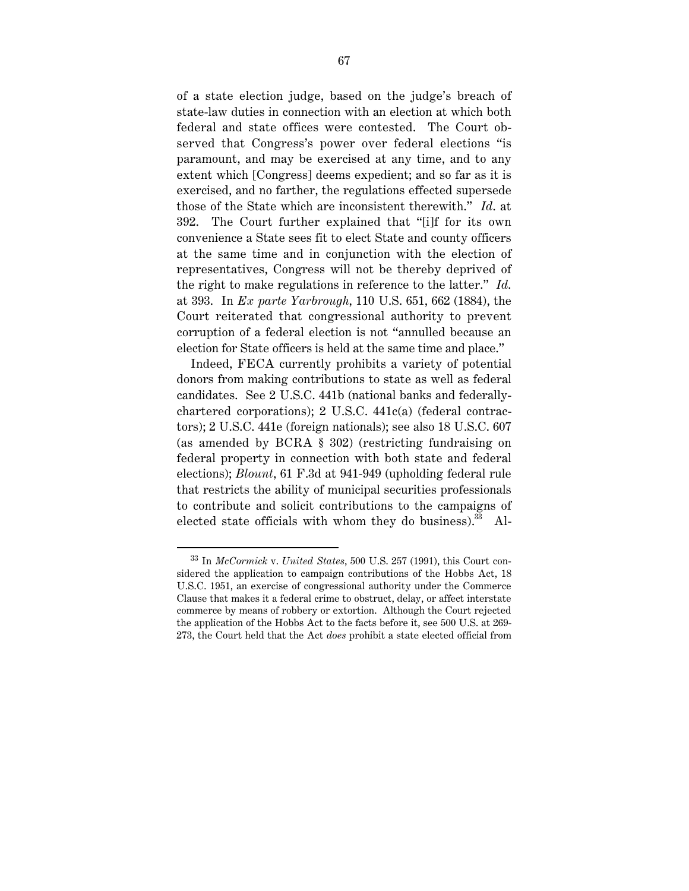of a state election judge, based on the judge's breach of state-law duties in connection with an election at which both federal and state offices were contested. The Court observed that Congress's power over federal elections "is paramount, and may be exercised at any time, and to any extent which [Congress] deems expedient; and so far as it is exercised, and no farther, the regulations effected supersede those of the State which are inconsistent therewith." *Id*. at 392. The Court further explained that "[i]f for its own convenience a State sees fit to elect State and county officers at the same time and in conjunction with the election of representatives, Congress will not be thereby deprived of the right to make regulations in reference to the latter." *Id*. at 393. In *Ex parte Yarbrough*, 110 U.S. 651, 662 (1884), the Court reiterated that congressional authority to prevent corruption of a federal election is not "annulled because an election for State officers is held at the same time and place."

Indeed, FECA currently prohibits a variety of potential donors from making contributions to state as well as federal candidates. See 2 U.S.C. 441b (national banks and federallychartered corporations); 2 U.S.C. 441c(a) (federal contractors); 2 U.S.C. 441e (foreign nationals); see also 18 U.S.C. 607 (as amended by BCRA § 302) (restricting fundraising on federal property in connection with both state and federal elections); *Blount*, 61 F.3d at 941-949 (upholding federal rule that restricts the ability of municipal securities professionals to contribute and solicit contributions to the campaigns of elected state officials with whom they do business). $^{33}$  Al-

 <sup>33</sup> In *McCormick* v. *United States*, 500 U.S. 257 (1991), this Court considered the application to campaign contributions of the Hobbs Act, 18 U.S.C. 1951, an exercise of congressional authority under the Commerce Clause that makes it a federal crime to obstruct, delay, or affect interstate commerce by means of robbery or extortion. Although the Court rejected the application of the Hobbs Act to the facts before it, see 500 U.S. at 269- 273, the Court held that the Act *does* prohibit a state elected official from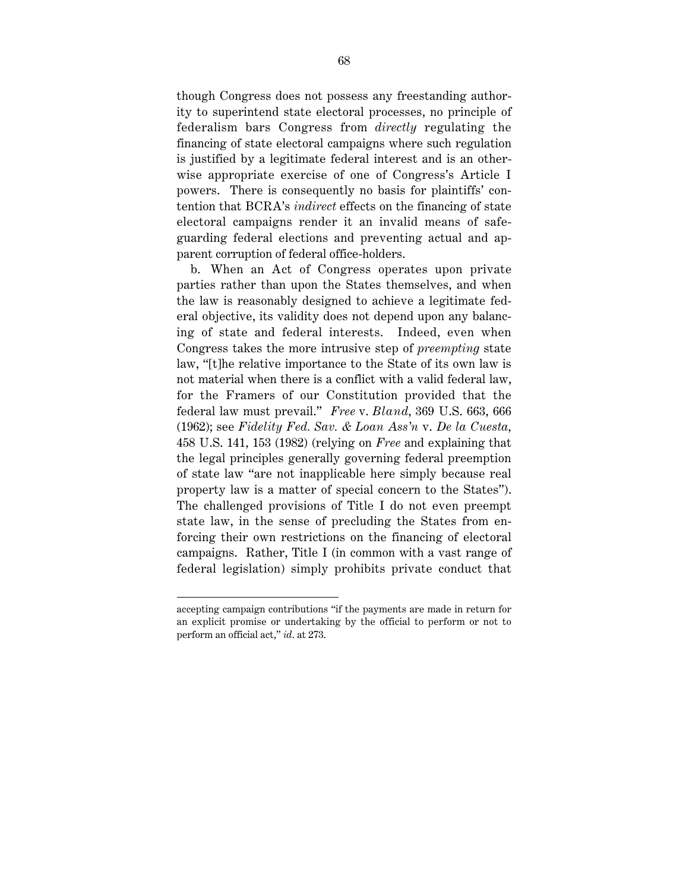though Congress does not possess any freestanding authority to superintend state electoral processes, no principle of federalism bars Congress from *directly* regulating the financing of state electoral campaigns where such regulation is justified by a legitimate federal interest and is an otherwise appropriate exercise of one of Congress's Article I powers. There is consequently no basis for plaintiffs' contention that BCRA's *indirect* effects on the financing of state electoral campaigns render it an invalid means of safeguarding federal elections and preventing actual and apparent corruption of federal office-holders.

b. When an Act of Congress operates upon private parties rather than upon the States themselves, and when the law is reasonably designed to achieve a legitimate federal objective, its validity does not depend upon any balancing of state and federal interests. Indeed, even when Congress takes the more intrusive step of *preempting* state law, "[t]he relative importance to the State of its own law is not material when there is a conflict with a valid federal law, for the Framers of our Constitution provided that the federal law must prevail." *Free* v. *Bland*, 369 U.S. 663, 666 (1962); see *Fidelity Fed. Sav. & Loan Ass'n* v. *De la Cuesta*, 458 U.S. 141, 153 (1982) (relying on *Free* and explaining that the legal principles generally governing federal preemption of state law "are not inapplicable here simply because real property law is a matter of special concern to the States"). The challenged provisions of Title I do not even preempt state law, in the sense of precluding the States from enforcing their own restrictions on the financing of electoral campaigns. Rather, Title I (in common with a vast range of federal legislation) simply prohibits private conduct that

accepting campaign contributions "if the payments are made in return for an explicit promise or undertaking by the official to perform or not to perform an official act," *id*. at 273.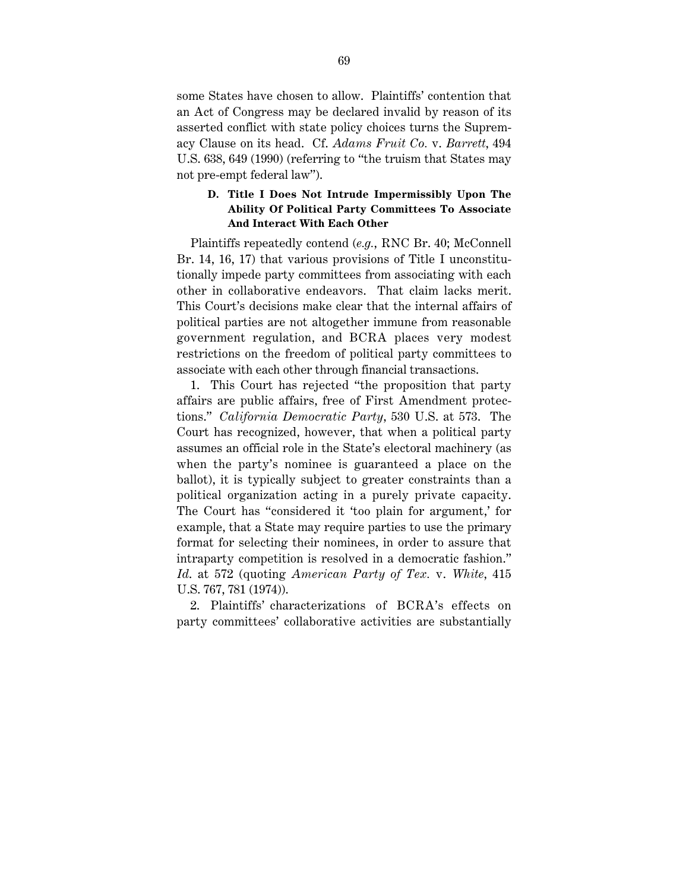some States have chosen to allow. Plaintiffs' contention that an Act of Congress may be declared invalid by reason of its asserted conflict with state policy choices turns the Supremacy Clause on its head. Cf. *Adams Fruit Co.* v. *Barrett*, 494 U.S. 638, 649 (1990) (referring to "the truism that States may not pre-empt federal law").

#### **D. Title I Does Not Intrude Impermissibly Upon The Ability Of Political Party Committees To Associate And Interact With Each Other**

Plaintiffs repeatedly contend (*e.g.*, RNC Br. 40; McConnell Br. 14, 16, 17) that various provisions of Title I unconstitutionally impede party committees from associating with each other in collaborative endeavors. That claim lacks merit. This Court's decisions make clear that the internal affairs of political parties are not altogether immune from reasonable government regulation, and BCRA places very modest restrictions on the freedom of political party committees to associate with each other through financial transactions.

1. This Court has rejected "the proposition that party affairs are public affairs, free of First Amendment protections." *California Democratic Party*, 530 U.S. at 573. The Court has recognized, however, that when a political party assumes an official role in the State's electoral machinery (as when the party's nominee is guaranteed a place on the ballot), it is typically subject to greater constraints than a political organization acting in a purely private capacity. The Court has "considered it 'too plain for argument,' for example, that a State may require parties to use the primary format for selecting their nominees, in order to assure that intraparty competition is resolved in a democratic fashion." *Id*. at 572 (quoting *American Party of Tex.* v. *White*, 415 U.S. 767, 781 (1974)).

2. Plaintiffs' characterizations of BCRA's effects on party committees' collaborative activities are substantially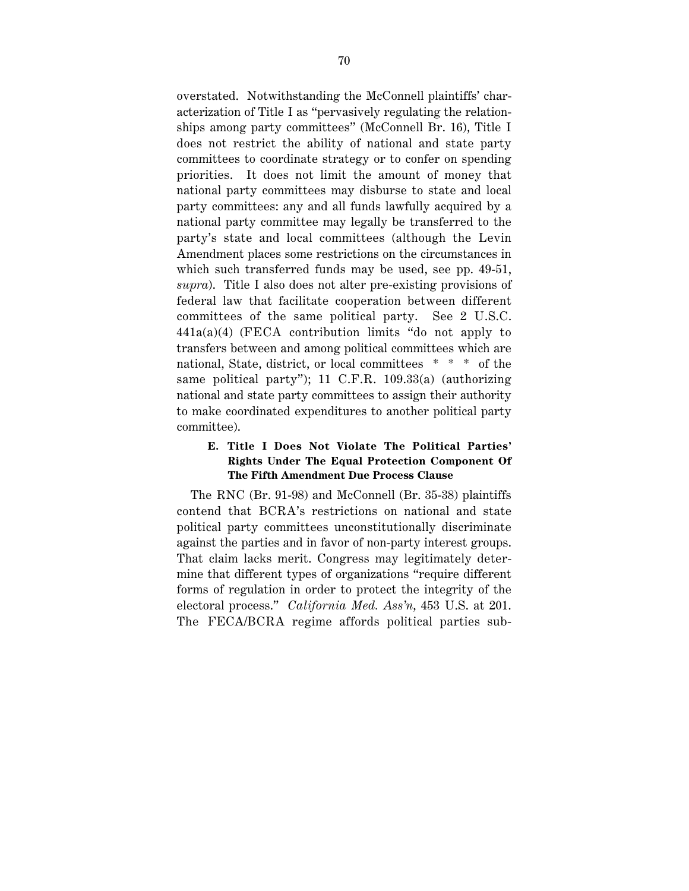overstated. Notwithstanding the McConnell plaintiffs' characterization of Title I as "pervasively regulating the relationships among party committees" (McConnell Br. 16), Title I does not restrict the ability of national and state party committees to coordinate strategy or to confer on spending priorities. It does not limit the amount of money that national party committees may disburse to state and local party committees: any and all funds lawfully acquired by a national party committee may legally be transferred to the party's state and local committees (although the Levin Amendment places some restrictions on the circumstances in which such transferred funds may be used, see pp. 49-51, *supra*). Title I also does not alter pre-existing provisions of federal law that facilitate cooperation between different committees of the same political party. See 2 U.S.C. 441a(a)(4) (FECA contribution limits "do not apply to transfers between and among political committees which are national, State, district, or local committees \* \* \* of the same political party"); 11 C.F.R. 109.33(a) (authorizing national and state party committees to assign their authority to make coordinated expenditures to another political party committee).

## **E. Title I Does Not Violate The Political Parties' Rights Under The Equal Protection Component Of The Fifth Amendment Due Process Clause**

The RNC (Br. 91-98) and McConnell (Br. 35-38) plaintiffs contend that BCRA's restrictions on national and state political party committees unconstitutionally discriminate against the parties and in favor of non-party interest groups. That claim lacks merit. Congress may legitimately determine that different types of organizations "require different forms of regulation in order to protect the integrity of the electoral process." *California Med. Ass'n*, 453 U.S. at 201. The FECA/BCRA regime affords political parties sub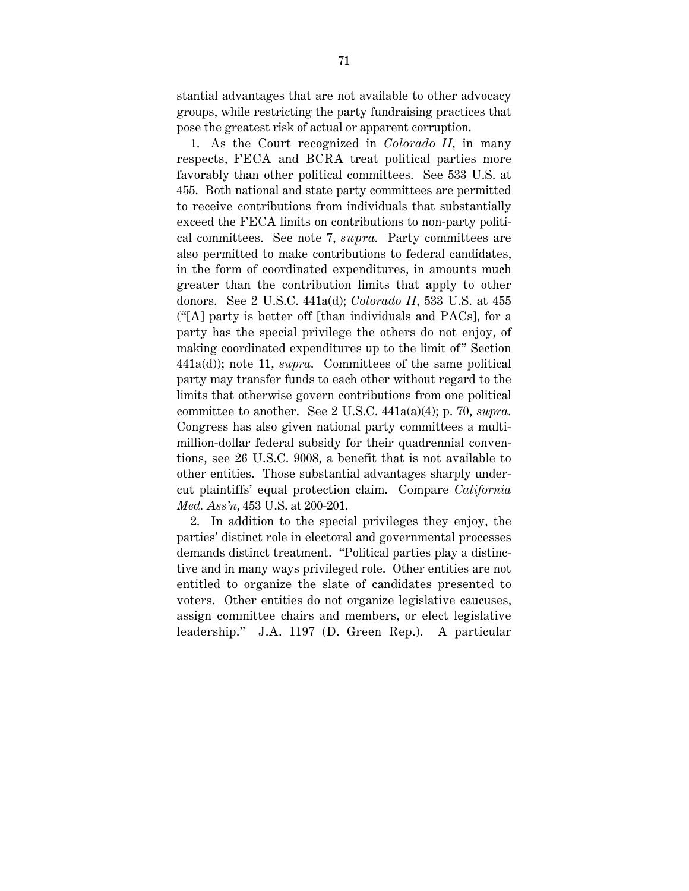stantial advantages that are not available to other advocacy groups, while restricting the party fundraising practices that pose the greatest risk of actual or apparent corruption.

1. As the Court recognized in *Colorado II*, in many respects, FECA and BCRA treat political parties more favorably than other political committees. See 533 U.S. at 455. Both national and state party committees are permitted to receive contributions from individuals that substantially exceed the FECA limits on contributions to non-party political committees. See note 7, *supra*. Party committees are also permitted to make contributions to federal candidates, in the form of coordinated expenditures, in amounts much greater than the contribution limits that apply to other donors. See 2 U.S.C. 441a(d); *Colorado II*, 533 U.S. at 455 ("[A] party is better off [than individuals and PACs], for a party has the special privilege the others do not enjoy, of making coordinated expenditures up to the limit of" Section 441a(d)); note 11, *supra*. Committees of the same political party may transfer funds to each other without regard to the limits that otherwise govern contributions from one political committee to another. See 2 U.S.C. 441a(a)(4); p. 70, *supra*. Congress has also given national party committees a multimillion-dollar federal subsidy for their quadrennial conventions, see 26 U.S.C. 9008, a benefit that is not available to other entities. Those substantial advantages sharply undercut plaintiffs' equal protection claim. Compare *California Med. Ass'n*, 453 U.S. at 200-201.

2. In addition to the special privileges they enjoy, the parties' distinct role in electoral and governmental processes demands distinct treatment. "Political parties play a distinctive and in many ways privileged role. Other entities are not entitled to organize the slate of candidates presented to voters. Other entities do not organize legislative caucuses, assign committee chairs and members, or elect legislative leadership." J.A. 1197 (D. Green Rep.). A particular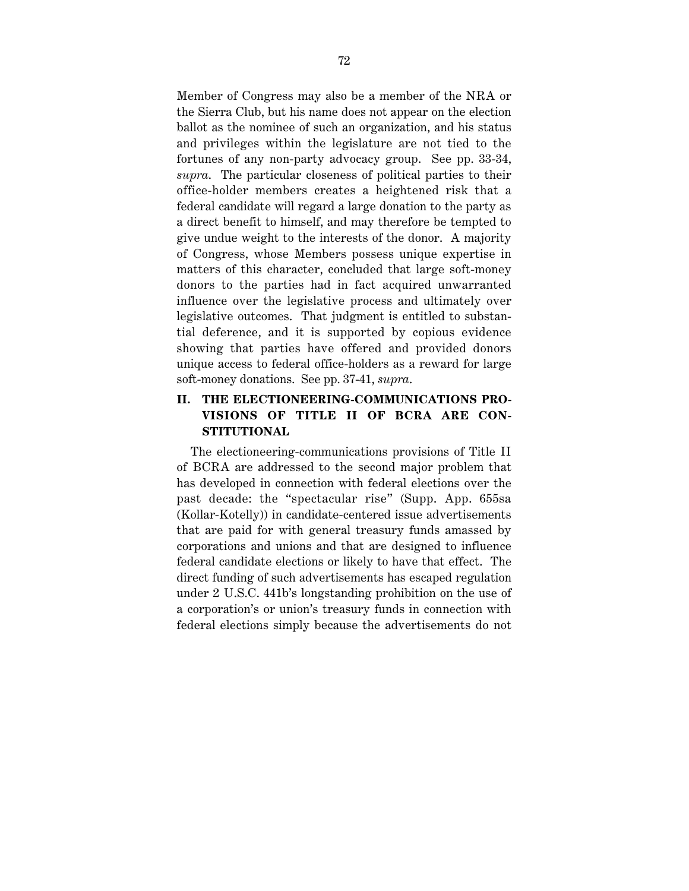Member of Congress may also be a member of the NRA or the Sierra Club, but his name does not appear on the election ballot as the nominee of such an organization, and his status and privileges within the legislature are not tied to the fortunes of any non-party advocacy group. See pp. 33-34, *supra*. The particular closeness of political parties to their office-holder members creates a heightened risk that a federal candidate will regard a large donation to the party as a direct benefit to himself, and may therefore be tempted to give undue weight to the interests of the donor. A majority of Congress, whose Members possess unique expertise in matters of this character, concluded that large soft-money donors to the parties had in fact acquired unwarranted influence over the legislative process and ultimately over legislative outcomes. That judgment is entitled to substantial deference, and it is supported by copious evidence showing that parties have offered and provided donors unique access to federal office-holders as a reward for large soft-money donations. See pp. 37-41, *supra*.

# **II. THE ELECTIONEERING-COMMUNICATIONS PRO-VISIONS OF TITLE II OF BCRA ARE CON-STITUTIONAL**

The electioneering-communications provisions of Title II of BCRA are addressed to the second major problem that has developed in connection with federal elections over the past decade: the "spectacular rise" (Supp. App. 655sa (Kollar-Kotelly)) in candidate-centered issue advertisements that are paid for with general treasury funds amassed by corporations and unions and that are designed to influence federal candidate elections or likely to have that effect. The direct funding of such advertisements has escaped regulation under 2 U.S.C. 441b's longstanding prohibition on the use of a corporation's or union's treasury funds in connection with federal elections simply because the advertisements do not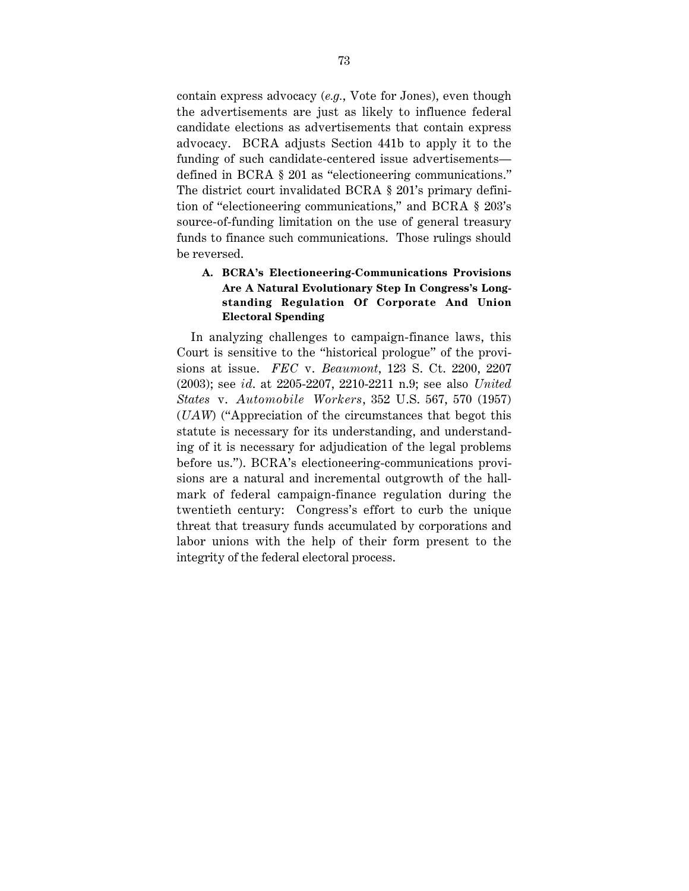contain express advocacy (*e.g.*, Vote for Jones), even though the advertisements are just as likely to influence federal candidate elections as advertisements that contain express advocacy. BCRA adjusts Section 441b to apply it to the funding of such candidate-centered issue advertisements defined in BCRA § 201 as "electioneering communications." The district court invalidated BCRA § 201's primary definition of "electioneering communications," and BCRA § 203's source-of-funding limitation on the use of general treasury funds to finance such communications. Those rulings should be reversed.

# **A. BCRA's Electioneering-Communications Provisions Are A Natural Evolutionary Step In Congress's Longstanding Regulation Of Corporate And Union Electoral Spending**

In analyzing challenges to campaign-finance laws, this Court is sensitive to the "historical prologue" of the provisions at issue. *FEC* v. *Beaumont*, 123 S. Ct. 2200, 2207 (2003); see *id*. at 2205-2207, 2210-2211 n.9; see also *United States* v. *Automobile Workers*, 352 U.S. 567, 570 (1957) (*UAW*) ("Appreciation of the circumstances that begot this statute is necessary for its understanding, and understanding of it is necessary for adjudication of the legal problems before us."). BCRA's electioneering-communications provisions are a natural and incremental outgrowth of the hallmark of federal campaign-finance regulation during the twentieth century: Congress's effort to curb the unique threat that treasury funds accumulated by corporations and labor unions with the help of their form present to the integrity of the federal electoral process.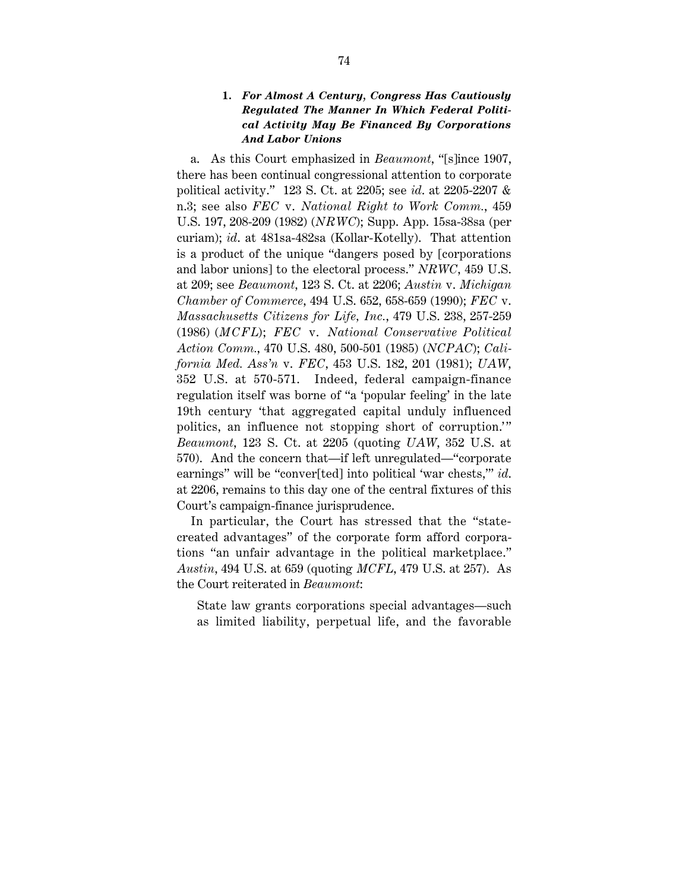#### **1.** *For Almost A Century, Congress Has Cautiously Regulated The Manner In Which Federal Political Activity May Be Financed By Corporations And Labor Unions*

a. As this Court emphasized in *Beaumont*, "[s]ince 1907, there has been continual congressional attention to corporate political activity." 123 S. Ct. at 2205; see *id*. at 2205-2207 & n.3; see also *FEC* v. *National Right to Work Comm.*, 459 U.S. 197, 208-209 (1982) (*NRWC*); Supp. App. 15sa-38sa (per curiam); *id*. at 481sa-482sa (Kollar-Kotelly). That attention is a product of the unique "dangers posed by [corporations and labor unions] to the electoral process." *NRWC*, 459 U.S. at 209; see *Beaumont*, 123 S. Ct. at 2206; *Austin* v. *Michigan Chamber of Commerce*, 494 U.S. 652, 658-659 (1990); *FEC* v. *Massachusetts Citizens for Life, Inc.*, 479 U.S. 238, 257-259 (1986) (*MCFL*); *FEC* v. *National Conservative Political Action Comm.*, 470 U.S. 480, 500-501 (1985) (*NCPAC*); *California Med. Ass'n* v. *FEC*, 453 U.S. 182, 201 (1981); *UAW*, 352 U.S. at 570-571. Indeed, federal campaign-finance regulation itself was borne of "a 'popular feeling' in the late 19th century 'that aggregated capital unduly influenced politics, an influence not stopping short of corruption." *Beaumont*, 123 S. Ct. at 2205 (quoting *UAW*, 352 U.S. at 570). And the concern that—if left unregulated—"corporate earnings" will be "conver[ted] into political 'war chests,'" *id*. at 2206, remains to this day one of the central fixtures of this Court's campaign-finance jurisprudence.

In particular, the Court has stressed that the "statecreated advantages" of the corporate form afford corporations "an unfair advantage in the political marketplace." *Austin*, 494 U.S. at 659 (quoting *MCFL*, 479 U.S. at 257). As the Court reiterated in *Beaumont*:

State law grants corporations special advantages—such as limited liability, perpetual life, and the favorable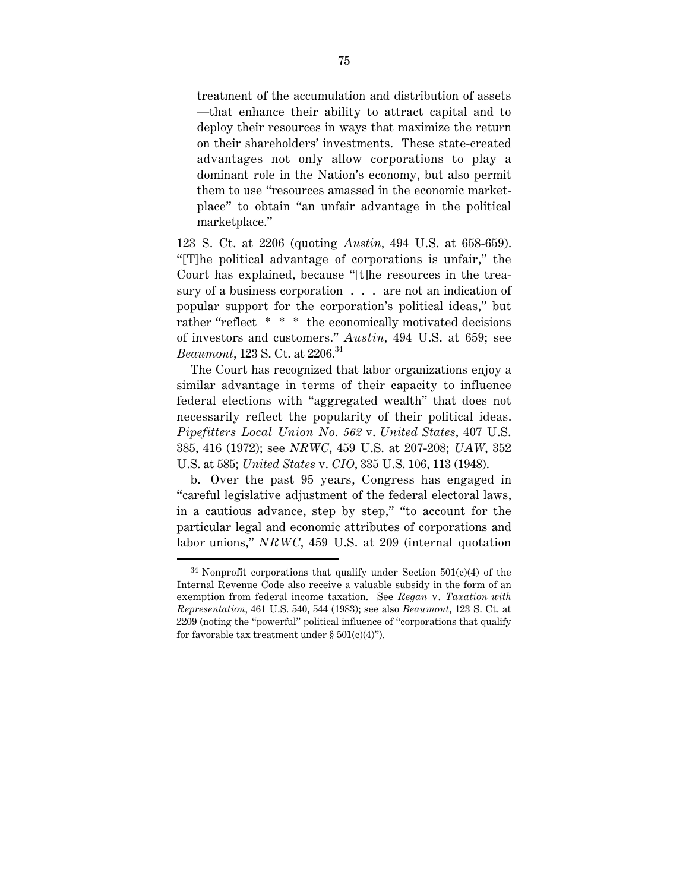treatment of the accumulation and distribution of assets —that enhance their ability to attract capital and to deploy their resources in ways that maximize the return on their shareholders' investments. These state-created advantages not only allow corporations to play a dominant role in the Nation's economy, but also permit them to use "resources amassed in the economic marketplace" to obtain "an unfair advantage in the political marketplace."

123 S. Ct. at 2206 (quoting *Austin*, 494 U.S. at 658-659). "[T]he political advantage of corporations is unfair," the Court has explained, because "[t]he resources in the treasury of a business corporation . . . are not an indication of popular support for the corporation's political ideas," but rather "reflect \* \* \* the economically motivated decisions of investors and customers." *Austin*, 494 U.S. at 659; see *Beaumont*, 123 S. Ct. at 2206.34

The Court has recognized that labor organizations enjoy a similar advantage in terms of their capacity to influence federal elections with "aggregated wealth" that does not necessarily reflect the popularity of their political ideas. *Pipefitters Local Union No. 562* v. *United States*, 407 U.S. 385, 416 (1972); see *NRWC*, 459 U.S. at 207-208; *UAW*, 352 U.S. at 585; *United States* v. *CIO*, 335 U.S. 106, 113 (1948).

b. Over the past 95 years, Congress has engaged in "careful legislative adjustment of the federal electoral laws, in a cautious advance, step by step," "to account for the particular legal and economic attributes of corporations and labor unions," *NRWC*, 459 U.S. at 209 (internal quotation

 $34$  Nonprofit corporations that qualify under Section  $501(c)(4)$  of the Internal Revenue Code also receive a valuable subsidy in the form of an exemption from federal income taxation. See *Regan* v. *Taxation with Representation*, 461 U.S. 540, 544 (1983); see also *Beaumont*, 123 S. Ct. at 2209 (noting the "powerful" political influence of "corporations that qualify for favorable tax treatment under  $\S~501(c)(4)$ ").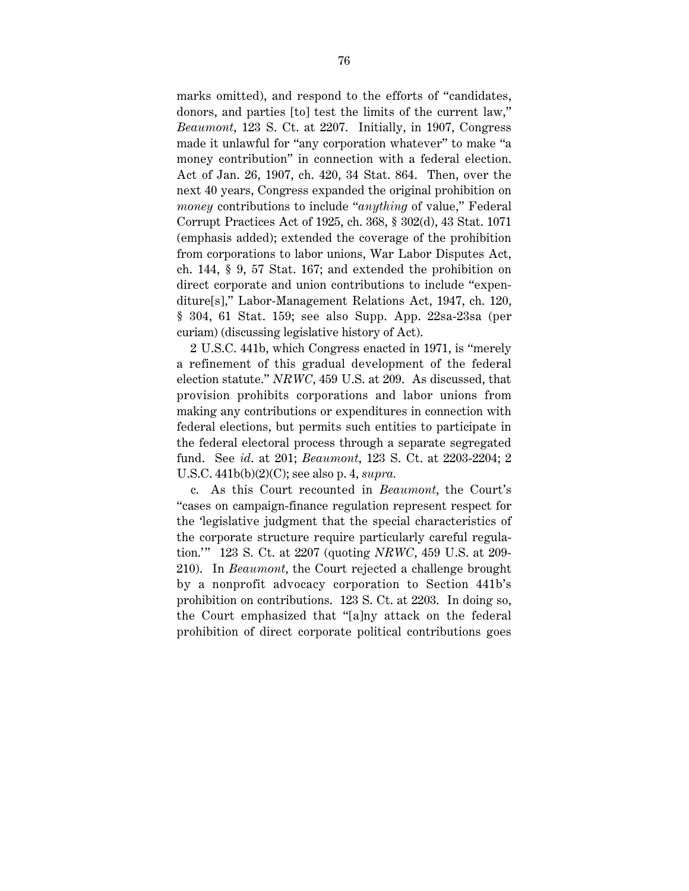marks omitted), and respond to the efforts of "candidates, donors, and parties [to] test the limits of the current law," *Beaumont*, 123 S. Ct. at 2207. Initially, in 1907, Congress made it unlawful for "any corporation whatever" to make "a money contribution" in connection with a federal election. Act of Jan. 26, 1907, ch. 420, 34 Stat. 864. Then, over the next 40 years, Congress expanded the original prohibition on *money* contributions to include "*anything* of value," Federal Corrupt Practices Act of 1925, ch. 368, § 302(d), 43 Stat. 1071 (emphasis added); extended the coverage of the prohibition from corporations to labor unions, War Labor Disputes Act, ch. 144, § 9, 57 Stat. 167; and extended the prohibition on direct corporate and union contributions to include "expenditure[s]," Labor-Management Relations Act, 1947, ch. 120, § 304, 61 Stat. 159; see also Supp. App. 22sa-23sa (per curiam) (discussing legislative history of Act).

2 U.S.C. 441b, which Congress enacted in 1971, is "merely a refinement of this gradual development of the federal election statute." *NRWC*, 459 U.S. at 209. As discussed, that provision prohibits corporations and labor unions from making any contributions or expenditures in connection with federal elections, but permits such entities to participate in the federal electoral process through a separate segregated fund. See *id*. at 201; *Beaumont*, 123 S. Ct. at 2203-2204; 2 U.S.C. 441b(b)(2)(C); see also p. 4, *supra.*

c. As this Court recounted in *Beaumont*, the Court's "cases on campaign-finance regulation represent respect for the 'legislative judgment that the special characteristics of the corporate structure require particularly careful regulation.'" 123 S. Ct. at 2207 (quoting *NRWC*, 459 U.S. at 209-210). In *Beaumont*, the Court rejected a challenge brought by a nonprofit advocacy corporation to Section 441b's prohibition on contributions. 123 S. Ct. at 2203. In doing so, the Court emphasized that "[a]ny attack on the federal prohibition of direct corporate political contributions goes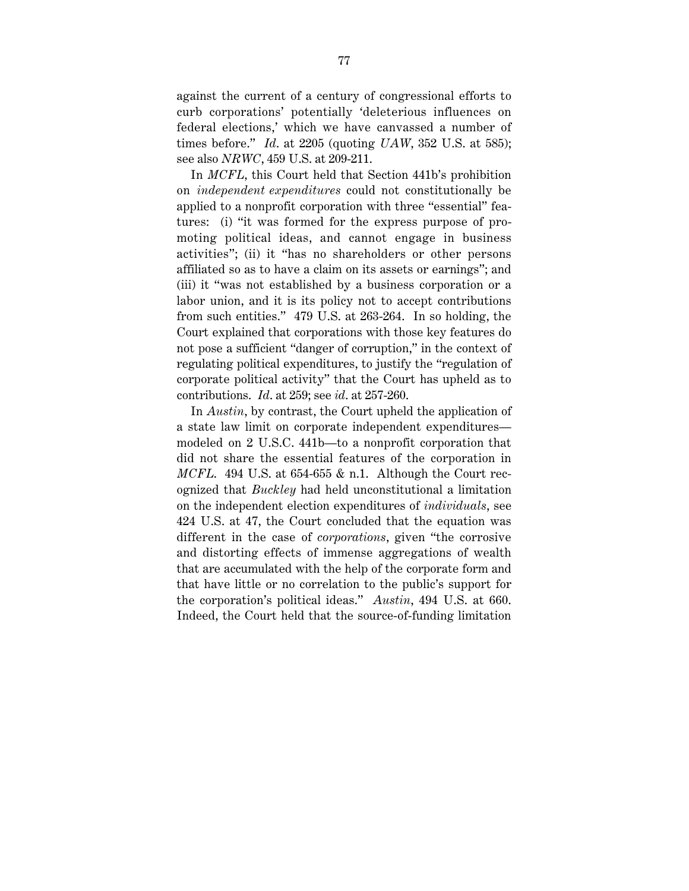against the current of a century of congressional efforts to curb corporations' potentially 'deleterious influences on federal elections,' which we have canvassed a number of times before." *Id*. at 2205 (quoting *UAW*, 352 U.S. at 585); see also *NRWC*, 459 U.S. at 209-211.

In *MCFL*, this Court held that Section 441b's prohibition on *independent expenditures* could not constitutionally be applied to a nonprofit corporation with three "essential" features: (i) "it was formed for the express purpose of promoting political ideas, and cannot engage in business activities"; (ii) it "has no shareholders or other persons affiliated so as to have a claim on its assets or earnings"; and (iii) it "was not established by a business corporation or a labor union, and it is its policy not to accept contributions from such entities." 479 U.S. at 263-264. In so holding, the Court explained that corporations with those key features do not pose a sufficient "danger of corruption," in the context of regulating political expenditures, to justify the "regulation of corporate political activity" that the Court has upheld as to contributions. *Id*. at 259; see *id*. at 257-260.

In *Austin*, by contrast, the Court upheld the application of a state law limit on corporate independent expenditures modeled on 2 U.S.C. 441b—to a nonprofit corporation that did not share the essential features of the corporation in *MCFL*. 494 U.S. at 654-655 & n.1. Although the Court recognized that *Buckley* had held unconstitutional a limitation on the independent election expenditures of *individuals*, see 424 U.S. at 47, the Court concluded that the equation was different in the case of *corporations*, given "the corrosive and distorting effects of immense aggregations of wealth that are accumulated with the help of the corporate form and that have little or no correlation to the public's support for the corporation's political ideas." *Austin*, 494 U.S. at 660. Indeed, the Court held that the source-of-funding limitation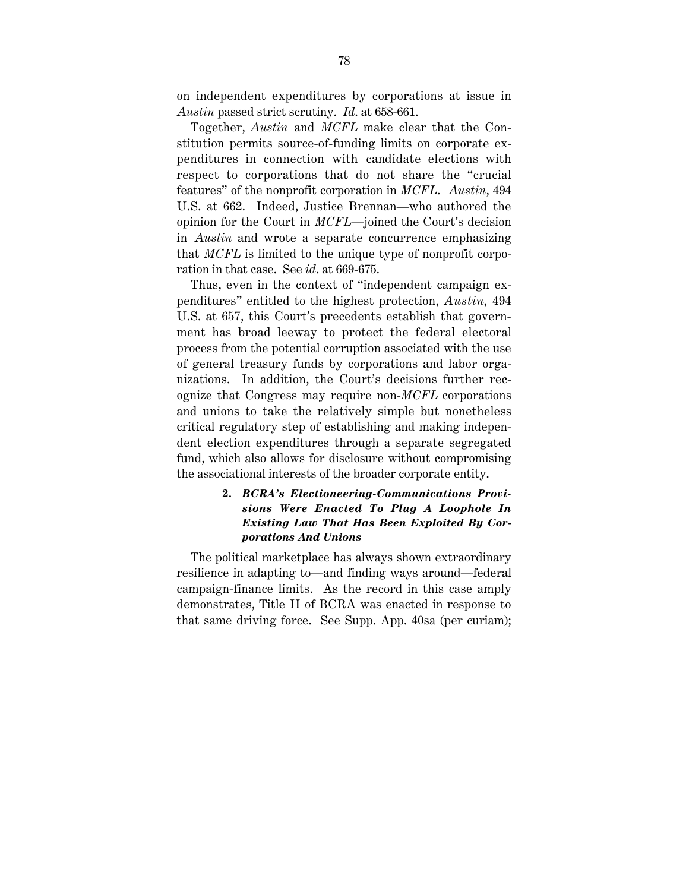on independent expenditures by corporations at issue in *Austin* passed strict scrutiny. *Id*. at 658-661.

Together, *Austin* and *MCFL* make clear that the Constitution permits source-of-funding limits on corporate expenditures in connection with candidate elections with respect to corporations that do not share the "crucial features" of the nonprofit corporation in *MCFL*. *Austin*, 494 U.S. at 662. Indeed, Justice Brennan—who authored the opinion for the Court in *MCFL*—joined the Court's decision in *Austin* and wrote a separate concurrence emphasizing that *MCFL* is limited to the unique type of nonprofit corporation in that case. See *id*. at 669-675.

Thus, even in the context of "independent campaign expenditures" entitled to the highest protection, *Austin*, 494 U.S. at 657, this Court's precedents establish that government has broad leeway to protect the federal electoral process from the potential corruption associated with the use of general treasury funds by corporations and labor organizations. In addition, the Court's decisions further recognize that Congress may require non-*MCFL* corporations and unions to take the relatively simple but nonetheless critical regulatory step of establishing and making independent election expenditures through a separate segregated fund, which also allows for disclosure without compromising the associational interests of the broader corporate entity.

## **2.** *BCRA's Electioneering-Communications Provisions Were Enacted To Plug A Loophole In Existing Law That Has Been Exploited By Corporations And Unions*

The political marketplace has always shown extraordinary resilience in adapting to—and finding ways around—federal campaign-finance limits. As the record in this case amply demonstrates, Title II of BCRA was enacted in response to that same driving force. See Supp. App. 40sa (per curiam);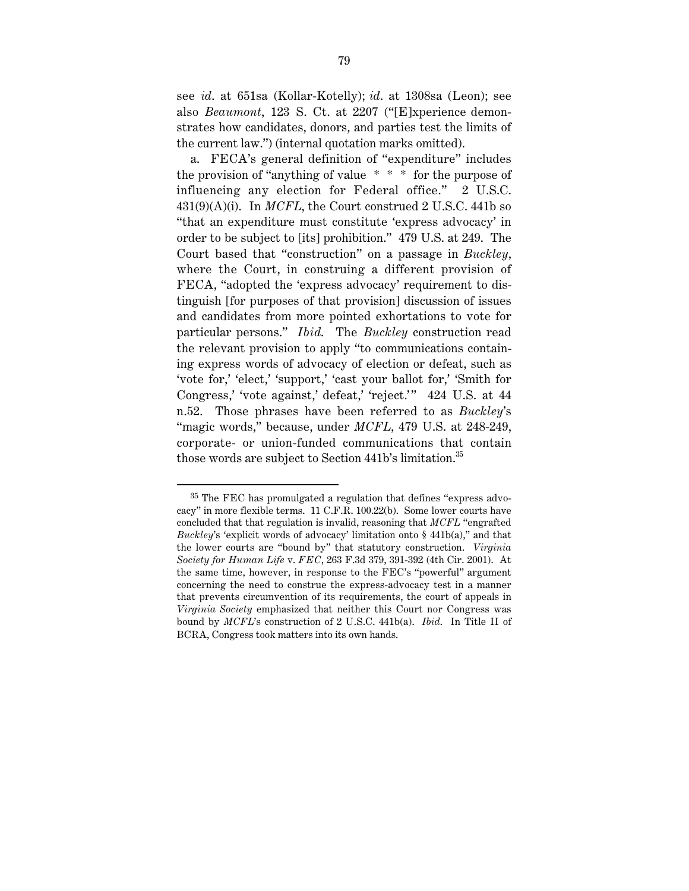see *id*. at 651sa (Kollar-Kotelly); *id*. at 1308sa (Leon); see also *Beaumont*, 123 S. Ct. at 2207 ("[E]xperience demonstrates how candidates, donors, and parties test the limits of the current law.") (internal quotation marks omitted).

a. FECA's general definition of "expenditure" includes the provision of "anything of value  $* * *$  for the purpose of influencing any election for Federal office." 2 U.S.C. 431(9)(A)(i). In *MCFL*, the Court construed 2 U.S.C. 441b so "that an expenditure must constitute 'express advocacy' in order to be subject to [its] prohibition." 479 U.S. at 249. The Court based that "construction" on a passage in *Buckley*, where the Court, in construing a different provision of FECA, "adopted the 'express advocacy' requirement to distinguish [for purposes of that provision] discussion of issues and candidates from more pointed exhortations to vote for particular persons." *Ibid*. The *Buckley* construction read the relevant provision to apply "to communications containing express words of advocacy of election or defeat, such as 'vote for,' 'elect,' 'support,' 'cast your ballot for,' 'Smith for Congress,' 'vote against,' defeat,' 'reject.'" 424 U.S. at 44 n.52. Those phrases have been referred to as *Buckley*'s "magic words," because, under *MCFL*, 479 U.S. at 248-249, corporate- or union-funded communications that contain those words are subject to Section 441b's limitation.<sup>35</sup>

 <sup>35</sup> The FEC has promulgated a regulation that defines "express advocacy" in more flexible terms. 11 C.F.R. 100.22(b). Some lower courts have concluded that that regulation is invalid, reasoning that *MCFL* "engrafted *Buckley*'s 'explicit words of advocacy' limitation onto § 441b(a)," and that the lower courts are "bound by" that statutory construction. *Virginia Society for Human Life* v. *FEC*, 263 F.3d 379, 391-392 (4th Cir. 2001). At the same time, however, in response to the FEC's "powerful" argument concerning the need to construe the express-advocacy test in a manner that prevents circumvention of its requirements, the court of appeals in *Virginia Society* emphasized that neither this Court nor Congress was bound by *MCFL*'s construction of 2 U.S.C. 441b(a). *Ibid*. In Title II of BCRA, Congress took matters into its own hands.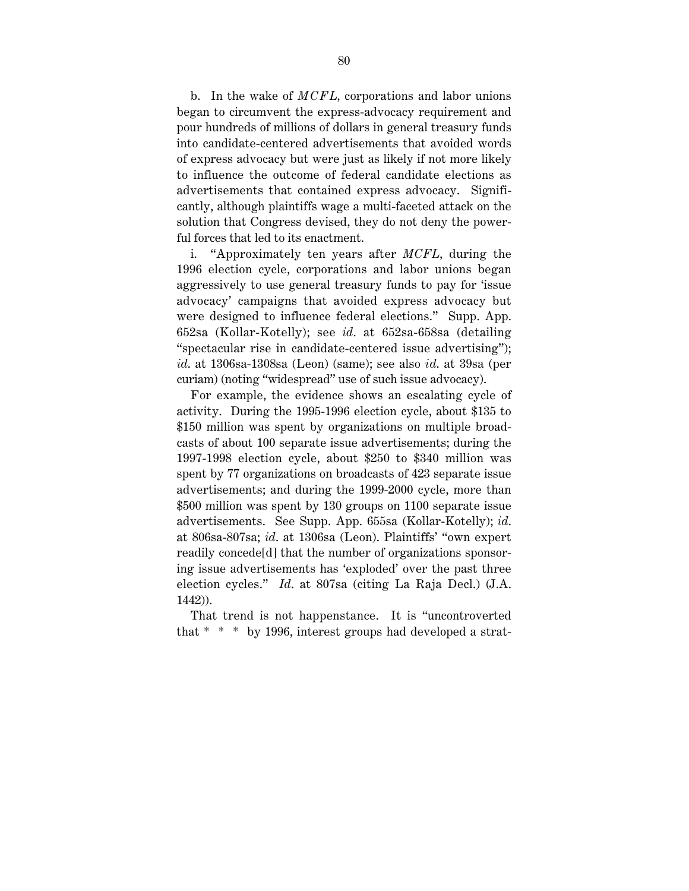b. In the wake of *MCFL*, corporations and labor unions began to circumvent the express-advocacy requirement and pour hundreds of millions of dollars in general treasury funds into candidate-centered advertisements that avoided words of express advocacy but were just as likely if not more likely to influence the outcome of federal candidate elections as advertisements that contained express advocacy. Significantly, although plaintiffs wage a multi-faceted attack on the solution that Congress devised, they do not deny the powerful forces that led to its enactment.

i. "Approximately ten years after *MCFL*, during the 1996 election cycle, corporations and labor unions began aggressively to use general treasury funds to pay for 'issue advocacy' campaigns that avoided express advocacy but were designed to influence federal elections." Supp. App. 652sa (Kollar-Kotelly); see *id*. at 652sa-658sa (detailing "spectacular rise in candidate-centered issue advertising"); *id*. at 1306sa-1308sa (Leon) (same); see also *id*. at 39sa (per curiam) (noting "widespread" use of such issue advocacy).

For example, the evidence shows an escalating cycle of activity. During the 1995-1996 election cycle, about \$135 to \$150 million was spent by organizations on multiple broadcasts of about 100 separate issue advertisements; during the 1997-1998 election cycle, about \$250 to \$340 million was spent by 77 organizations on broadcasts of 423 separate issue advertisements; and during the 1999-2000 cycle, more than \$500 million was spent by 130 groups on 1100 separate issue advertisements. See Supp. App. 655sa (Kollar-Kotelly); *id*. at 806sa-807sa; *id*. at 1306sa (Leon). Plaintiffs' "own expert readily concede[d] that the number of organizations sponsoring issue advertisements has 'exploded' over the past three election cycles." *Id*. at 807sa (citing La Raja Decl.) (J.A. 1442)).

That trend is not happenstance. It is "uncontroverted that \* \* \* by 1996, interest groups had developed a strat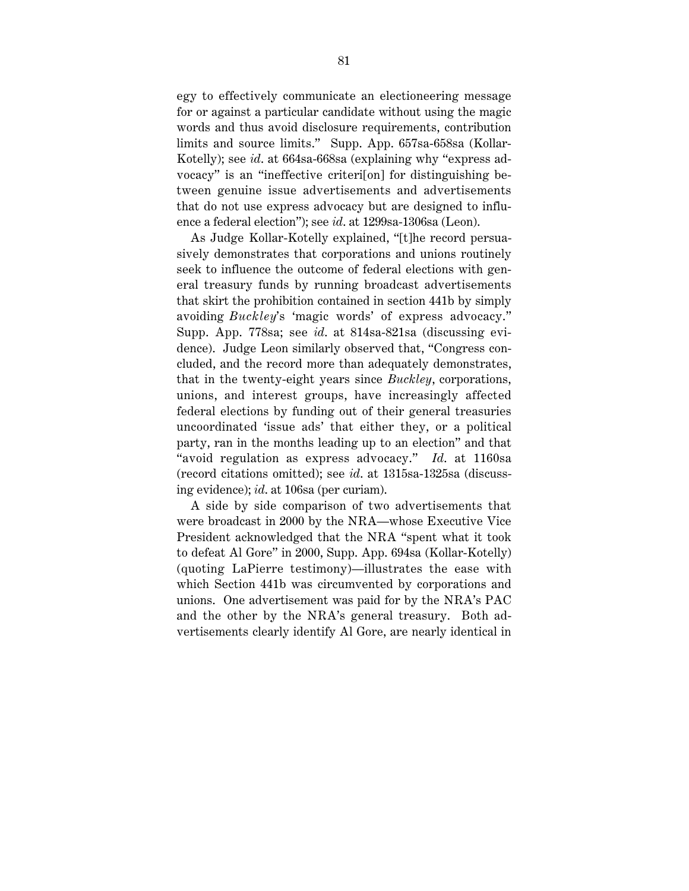egy to effectively communicate an electioneering message for or against a particular candidate without using the magic words and thus avoid disclosure requirements, contribution limits and source limits." Supp. App. 657sa-658sa (Kollar-Kotelly); see *id*. at 664sa-668sa (explaining why "express advocacy" is an "ineffective criteri[on] for distinguishing between genuine issue advertisements and advertisements that do not use express advocacy but are designed to influence a federal election"); see *id*. at 1299sa-1306sa (Leon).

As Judge Kollar-Kotelly explained, "[t]he record persuasively demonstrates that corporations and unions routinely seek to influence the outcome of federal elections with general treasury funds by running broadcast advertisements that skirt the prohibition contained in section 441b by simply avoiding *Buckley*'s 'magic words' of express advocacy." Supp. App. 778sa; see *id*. at 814sa-821sa (discussing evidence). Judge Leon similarly observed that, "Congress concluded, and the record more than adequately demonstrates, that in the twenty-eight years since *Buckley*, corporations, unions, and interest groups, have increasingly affected federal elections by funding out of their general treasuries uncoordinated 'issue ads' that either they, or a political party, ran in the months leading up to an election" and that "avoid regulation as express advocacy." *Id*. at 1160sa (record citations omitted); see *id*. at 1315sa-1325sa (discussing evidence); *id*. at 106sa (per curiam).

A side by side comparison of two advertisements that were broadcast in 2000 by the NRA—whose Executive Vice President acknowledged that the NRA "spent what it took to defeat Al Gore" in 2000, Supp. App. 694sa (Kollar-Kotelly) (quoting LaPierre testimony)—illustrates the ease with which Section 441b was circumvented by corporations and unions. One advertisement was paid for by the NRA's PAC and the other by the NRA's general treasury. Both advertisements clearly identify Al Gore, are nearly identical in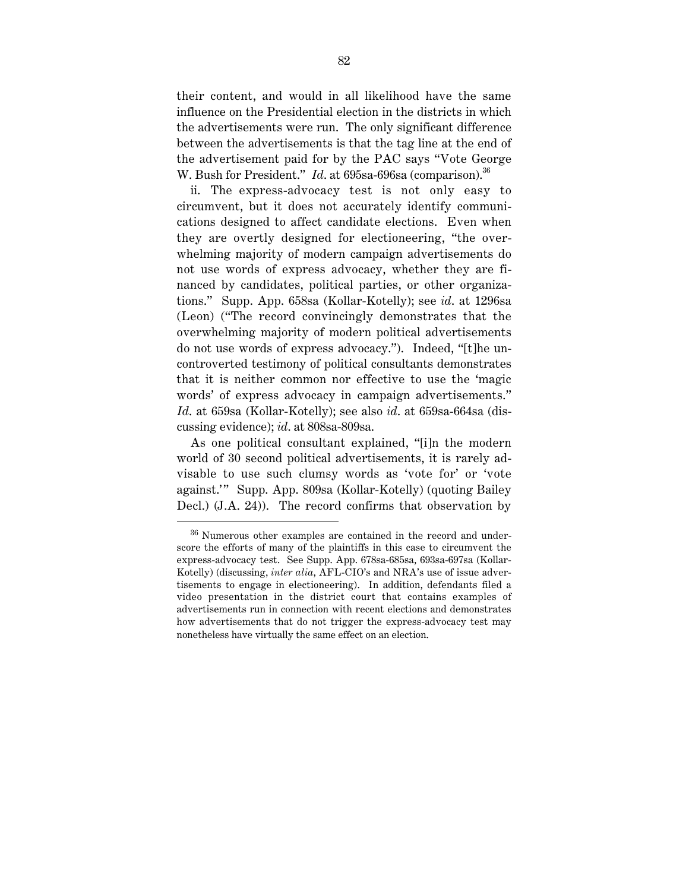their content, and would in all likelihood have the same influence on the Presidential election in the districts in which the advertisements were run. The only significant difference between the advertisements is that the tag line at the end of the advertisement paid for by the PAC says "Vote George W. Bush for President." *Id.* at 695sa-696sa (comparison).<sup>36</sup>

ii. The express-advocacy test is not only easy to circumvent, but it does not accurately identify communications designed to affect candidate elections. Even when they are overtly designed for electioneering, "the overwhelming majority of modern campaign advertisements do not use words of express advocacy, whether they are financed by candidates, political parties, or other organizations." Supp. App. 658sa (Kollar-Kotelly); see *id*. at 1296sa (Leon) ("The record convincingly demonstrates that the overwhelming majority of modern political advertisements do not use words of express advocacy."). Indeed, "[t]he uncontroverted testimony of political consultants demonstrates that it is neither common nor effective to use the 'magic words' of express advocacy in campaign advertisements." *Id*. at 659sa (Kollar-Kotelly); see also *id*. at 659sa-664sa (discussing evidence); *id*. at 808sa-809sa.

As one political consultant explained, "[i]n the modern world of 30 second political advertisements, it is rarely advisable to use such clumsy words as 'vote for' or 'vote against.'" Supp. App. 809sa (Kollar-Kotelly) (quoting Bailey Decl.) (J.A. 24)). The record confirms that observation by

 <sup>36</sup> Numerous other examples are contained in the record and underscore the efforts of many of the plaintiffs in this case to circumvent the express-advocacy test. See Supp. App. 678sa-685sa, 693sa-697sa (Kollar-Kotelly) (discussing, *inter alia*, AFL-CIO's and NRA's use of issue advertisements to engage in electioneering). In addition, defendants filed a video presentation in the district court that contains examples of advertisements run in connection with recent elections and demonstrates how advertisements that do not trigger the express-advocacy test may nonetheless have virtually the same effect on an election.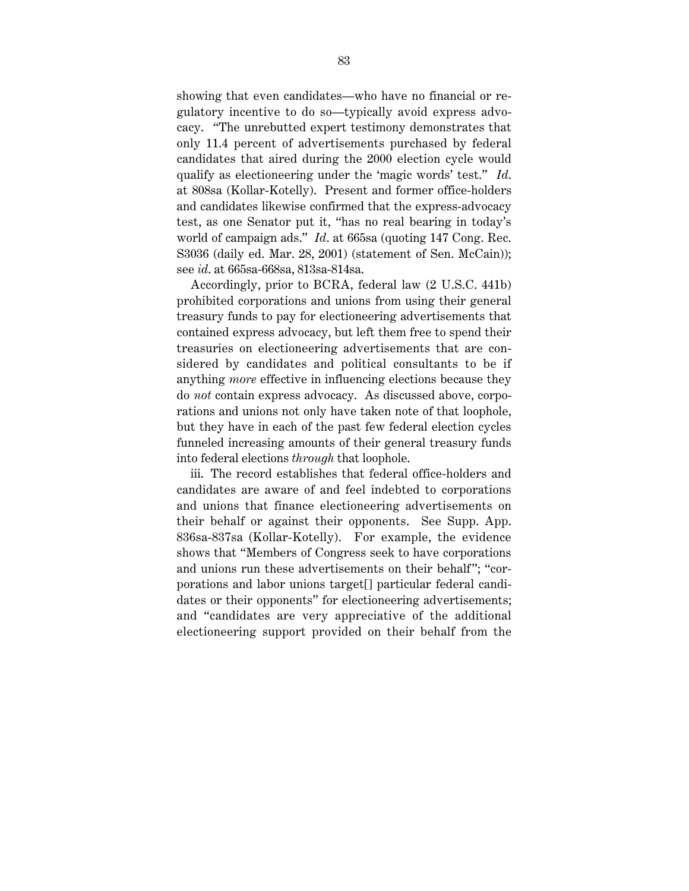showing that even candidates—who have no financial or regulatory incentive to do so—typically avoid express advocacy. "The unrebutted expert testimony demonstrates that only 11.4 percent of advertisements purchased by federal candidates that aired during the 2000 election cycle would qualify as electioneering under the 'magic words' test." *Id*. at 808sa (Kollar-Kotelly). Present and former office-holders and candidates likewise confirmed that the express-advocacy test, as one Senator put it, "has no real bearing in today's world of campaign ads." *Id*. at 665sa (quoting 147 Cong. Rec. S3036 (daily ed. Mar. 28, 2001) (statement of Sen. McCain)); see *id*. at 665sa-668sa, 813sa-814sa.

Accordingly, prior to BCRA, federal law (2 U.S.C. 441b) prohibited corporations and unions from using their general treasury funds to pay for electioneering advertisements that contained express advocacy, but left them free to spend their treasuries on electioneering advertisements that are considered by candidates and political consultants to be if anything *more* effective in influencing elections because they do *not* contain express advocacy. As discussed above, corporations and unions not only have taken note of that loophole, but they have in each of the past few federal election cycles funneled increasing amounts of their general treasury funds into federal elections *through* that loophole.

iii. The record establishes that federal office-holders and candidates are aware of and feel indebted to corporations and unions that finance electioneering advertisements on their behalf or against their opponents. See Supp. App. 836sa-837sa (Kollar-Kotelly). For example, the evidence shows that "Members of Congress seek to have corporations and unions run these advertisements on their behalf"; "corporations and labor unions target[] particular federal candidates or their opponents" for electioneering advertisements; and "candidates are very appreciative of the additional electioneering support provided on their behalf from the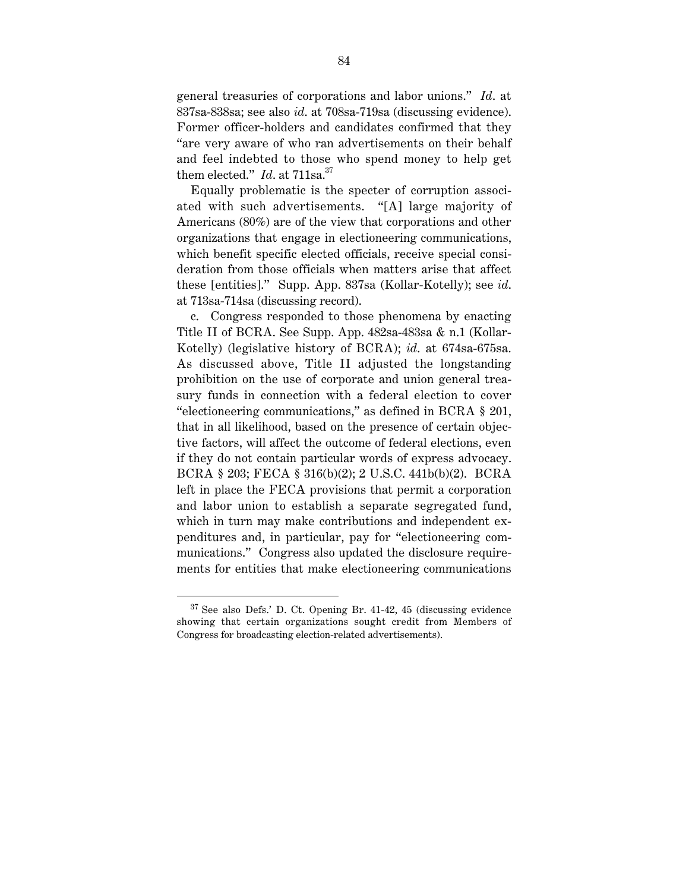general treasuries of corporations and labor unions." *Id*. at 837sa-838sa; see also *id*. at 708sa-719sa (discussing evidence). Former officer-holders and candidates confirmed that they "are very aware of who ran advertisements on their behalf and feel indebted to those who spend money to help get them elected." *Id.* at 711sa.<sup>37</sup>

Equally problematic is the specter of corruption associated with such advertisements. "[A] large majority of Americans (80%) are of the view that corporations and other organizations that engage in electioneering communications, which benefit specific elected officials, receive special consideration from those officials when matters arise that affect these [entities]." Supp. App. 837sa (Kollar-Kotelly); see *id*. at 713sa-714sa (discussing record).

c. Congress responded to those phenomena by enacting Title II of BCRA. See Supp. App. 482sa-483sa & n.1 (Kollar-Kotelly) (legislative history of BCRA); *id*. at 674sa-675sa. As discussed above, Title II adjusted the longstanding prohibition on the use of corporate and union general treasury funds in connection with a federal election to cover "electioneering communications," as defined in BCRA § 201, that in all likelihood, based on the presence of certain objective factors, will affect the outcome of federal elections, even if they do not contain particular words of express advocacy. BCRA § 203; FECA § 316(b)(2); 2 U.S.C. 441b(b)(2). BCRA left in place the FECA provisions that permit a corporation and labor union to establish a separate segregated fund, which in turn may make contributions and independent expenditures and, in particular, pay for "electioneering communications." Congress also updated the disclosure requirements for entities that make electioneering communications

 $37$  See also Defs.' D. Ct. Opening Br. 41-42, 45 (discussing evidence showing that certain organizations sought credit from Members of Congress for broadcasting election-related advertisements).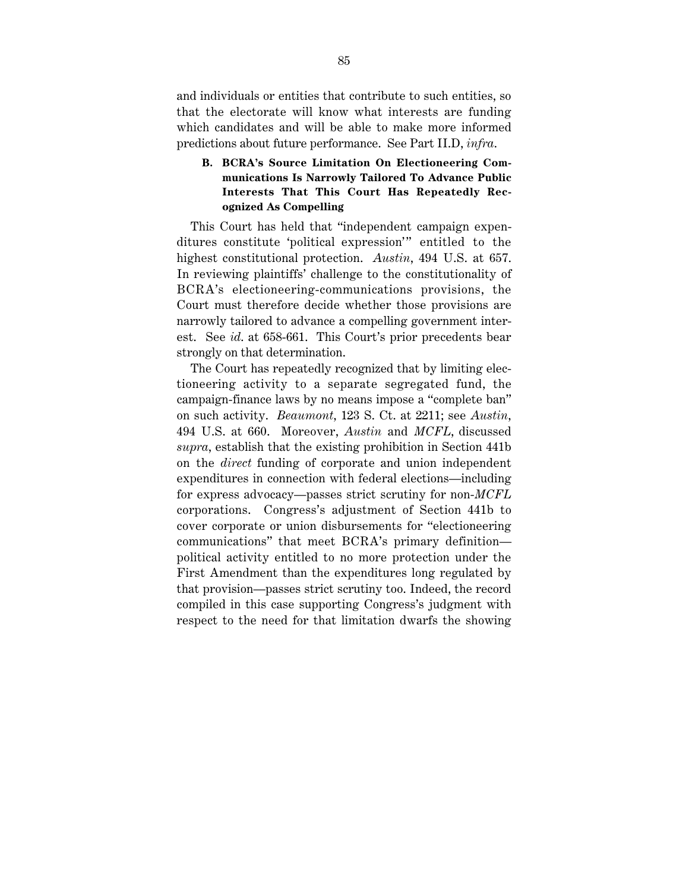and individuals or entities that contribute to such entities, so that the electorate will know what interests are funding which candidates and will be able to make more informed predictions about future performance. See Part II.D, *infra*.

# **B. BCRA's Source Limitation On Electioneering Communications Is Narrowly Tailored To Advance Public Interests That This Court Has Repeatedly Recognized As Compelling**

This Court has held that "independent campaign expenditures constitute 'political expression'" entitled to the highest constitutional protection. *Austin*, 494 U.S. at 657. In reviewing plaintiffs' challenge to the constitutionality of BCRA's electioneering-communications provisions, the Court must therefore decide whether those provisions are narrowly tailored to advance a compelling government interest. See *id*. at 658-661. This Court's prior precedents bear strongly on that determination.

The Court has repeatedly recognized that by limiting electioneering activity to a separate segregated fund, the campaign-finance laws by no means impose a "complete ban" on such activity. *Beaumont*, 123 S. Ct. at 2211; see *Austin*, 494 U.S. at 660. Moreover, *Austin* and *MCFL*, discussed *supra*, establish that the existing prohibition in Section 441b on the *direct* funding of corporate and union independent expenditures in connection with federal elections—including for express advocacy—passes strict scrutiny for non-*MCFL* corporations. Congress's adjustment of Section 441b to cover corporate or union disbursements for "electioneering communications" that meet BCRA's primary definition political activity entitled to no more protection under the First Amendment than the expenditures long regulated by that provision—passes strict scrutiny too. Indeed, the record compiled in this case supporting Congress's judgment with respect to the need for that limitation dwarfs the showing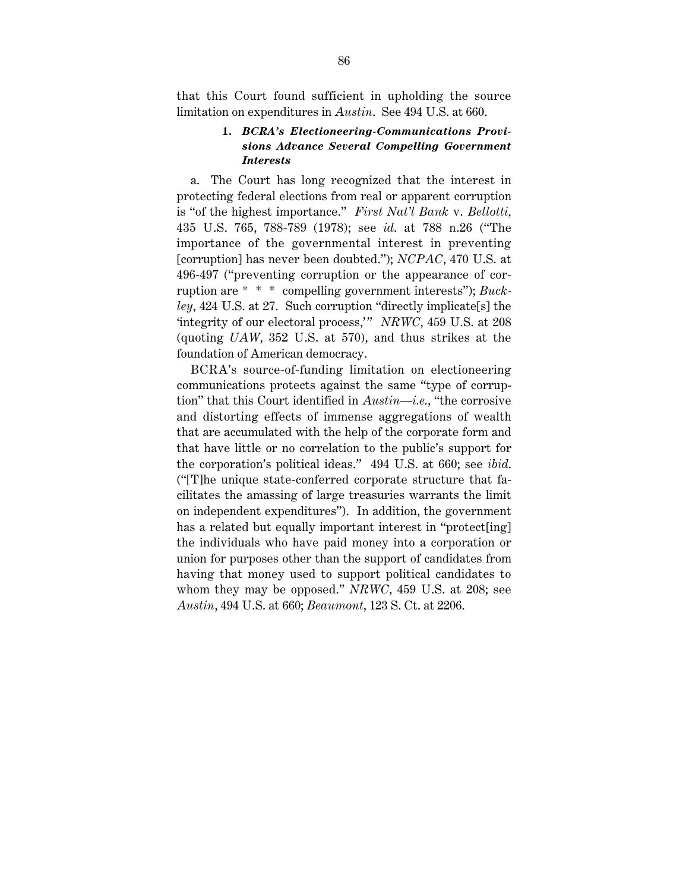that this Court found sufficient in upholding the source limitation on expenditures in *Austin*. See 494 U.S. at 660.

#### **1.** *BCRA's Electioneering-Communications Provisions Advance Several Compelling Government Interests*

a. The Court has long recognized that the interest in protecting federal elections from real or apparent corruption is "of the highest importance." *First Nat'l Bank* v. *Bellotti*, 435 U.S. 765, 788-789 (1978); see *id*. at 788 n.26 ("The importance of the governmental interest in preventing [corruption] has never been doubted."); *NCPAC*, 470 U.S. at 496-497 ("preventing corruption or the appearance of corruption are \* \* \* compelling government interests"); *Buckley*, 424 U.S. at 27. Such corruption "directly implicate[s] the 'integrity of our electoral process,'" *NRWC*, 459 U.S. at 208 (quoting *UAW*, 352 U.S. at 570), and thus strikes at the foundation of American democracy.

BCRA's source-of-funding limitation on electioneering communications protects against the same "type of corruption" that this Court identified in *Austin*—*i.e.*, "the corrosive and distorting effects of immense aggregations of wealth that are accumulated with the help of the corporate form and that have little or no correlation to the public's support for the corporation's political ideas." 494 U.S. at 660; see *ibid*. ("[T]he unique state-conferred corporate structure that facilitates the amassing of large treasuries warrants the limit on independent expenditures"). In addition, the government has a related but equally important interest in "protect[ing] the individuals who have paid money into a corporation or union for purposes other than the support of candidates from having that money used to support political candidates to whom they may be opposed." *NRWC*, 459 U.S. at 208; see *Austin*, 494 U.S. at 660; *Beaumont*, 123 S. Ct. at 2206.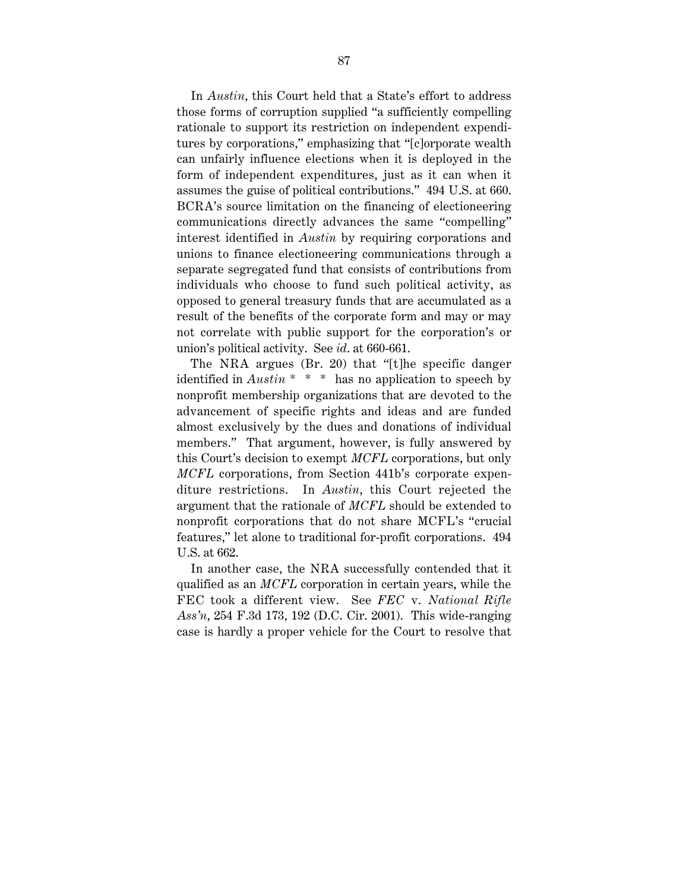In *Austin*, this Court held that a State's effort to address those forms of corruption supplied "a sufficiently compelling rationale to support its restriction on independent expenditures by corporations," emphasizing that "[c]orporate wealth can unfairly influence elections when it is deployed in the form of independent expenditures, just as it can when it assumes the guise of political contributions." 494 U.S. at 660. BCRA's source limitation on the financing of electioneering communications directly advances the same "compelling" interest identified in *Austin* by requiring corporations and unions to finance electioneering communications through a separate segregated fund that consists of contributions from individuals who choose to fund such political activity, as opposed to general treasury funds that are accumulated as a result of the benefits of the corporate form and may or may not correlate with public support for the corporation's or union's political activity. See *id*. at 660-661.

The NRA argues (Br. 20) that "[t]he specific danger identified in *Austin* \* \* \* has no application to speech by nonprofit membership organizations that are devoted to the advancement of specific rights and ideas and are funded almost exclusively by the dues and donations of individual members." That argument, however, is fully answered by this Court's decision to exempt *MCFL* corporations, but only *MCFL* corporations, from Section 441b's corporate expenditure restrictions. In *Austin*, this Court rejected the argument that the rationale of *MCFL* should be extended to nonprofit corporations that do not share MCFL's "crucial features," let alone to traditional for-profit corporations. 494 U.S. at 662.

In another case, the NRA successfully contended that it qualified as an *MCFL* corporation in certain years, while the FEC took a different view. See *FEC* v. *National Rifle Ass'n*, 254 F.3d 173, 192 (D.C. Cir. 2001). This wide-ranging case is hardly a proper vehicle for the Court to resolve that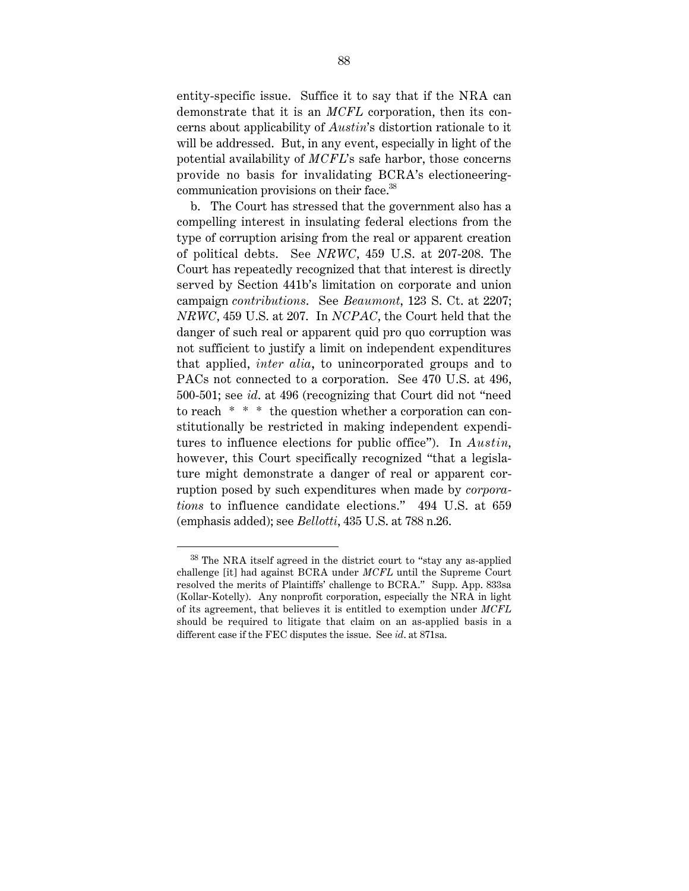entity-specific issue. Suffice it to say that if the NRA can demonstrate that it is an *MCFL* corporation, then its concerns about applicability of *Austin*'s distortion rationale to it will be addressed. But, in any event, especially in light of the potential availability of *MCFL*'s safe harbor, those concerns provide no basis for invalidating BCRA's electioneeringcommunication provisions on their face.<sup>38</sup>

b. The Court has stressed that the government also has a compelling interest in insulating federal elections from the type of corruption arising from the real or apparent creation of political debts. See *NRWC*, 459 U.S. at 207-208. The Court has repeatedly recognized that that interest is directly served by Section 441b's limitation on corporate and union campaign *contributions*. See *Beaumont*, 123 S. Ct. at 2207; *NRWC*, 459 U.S. at 207. In *NCPAC*, the Court held that the danger of such real or apparent quid pro quo corruption was not sufficient to justify a limit on independent expenditures that applied, *inter alia*, to unincorporated groups and to PACs not connected to a corporation. See 470 U.S. at 496, 500-501; see *id*. at 496 (recognizing that Court did not "need to reach \* \* \* the question whether a corporation can constitutionally be restricted in making independent expenditures to influence elections for public office"). In *Austin*, however, this Court specifically recognized "that a legislature might demonstrate a danger of real or apparent corruption posed by such expenditures when made by *corporations* to influence candidate elections." 494 U.S. at 659 (emphasis added); see *Bellotti*, 435 U.S. at 788 n.26.

 <sup>38</sup> The NRA itself agreed in the district court to "stay any as-applied challenge [it] had against BCRA under *MCFL* until the Supreme Court resolved the merits of Plaintiffs' challenge to BCRA." Supp. App. 833sa (Kollar-Kotelly). Any nonprofit corporation, especially the NRA in light of its agreement, that believes it is entitled to exemption under *MCFL* should be required to litigate that claim on an as-applied basis in a different case if the FEC disputes the issue. See *id*. at 871sa.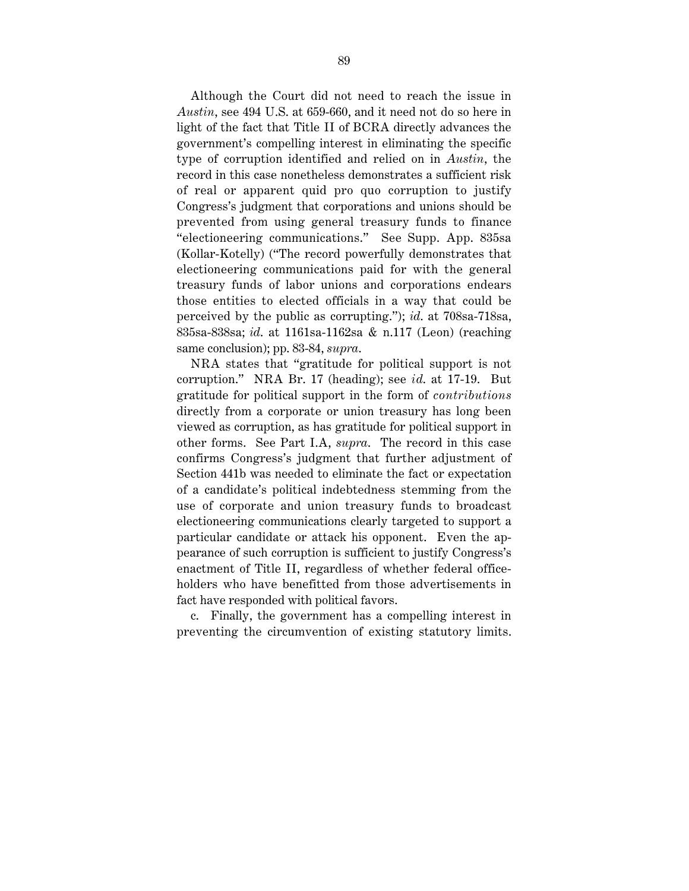Although the Court did not need to reach the issue in *Austin*, see 494 U.S. at 659-660, and it need not do so here in light of the fact that Title II of BCRA directly advances the government's compelling interest in eliminating the specific type of corruption identified and relied on in *Austin*, the record in this case nonetheless demonstrates a sufficient risk of real or apparent quid pro quo corruption to justify Congress's judgment that corporations and unions should be prevented from using general treasury funds to finance "electioneering communications." See Supp. App. 835sa (Kollar-Kotelly) ("The record powerfully demonstrates that electioneering communications paid for with the general treasury funds of labor unions and corporations endears those entities to elected officials in a way that could be perceived by the public as corrupting."); *id*. at 708sa-718sa, 835sa-838sa; *id*. at 1161sa-1162sa & n.117 (Leon) (reaching same conclusion); pp. 83-84, *supra*.

NRA states that "gratitude for political support is not corruption." NRA Br. 17 (heading); see *id*. at 17-19. But gratitude for political support in the form of *contributions* directly from a corporate or union treasury has long been viewed as corruption, as has gratitude for political support in other forms. See Part I.A, *supra*. The record in this case confirms Congress's judgment that further adjustment of Section 441b was needed to eliminate the fact or expectation of a candidate's political indebtedness stemming from the use of corporate and union treasury funds to broadcast electioneering communications clearly targeted to support a particular candidate or attack his opponent. Even the appearance of such corruption is sufficient to justify Congress's enactment of Title II, regardless of whether federal officeholders who have benefitted from those advertisements in fact have responded with political favors.

c. Finally, the government has a compelling interest in preventing the circumvention of existing statutory limits.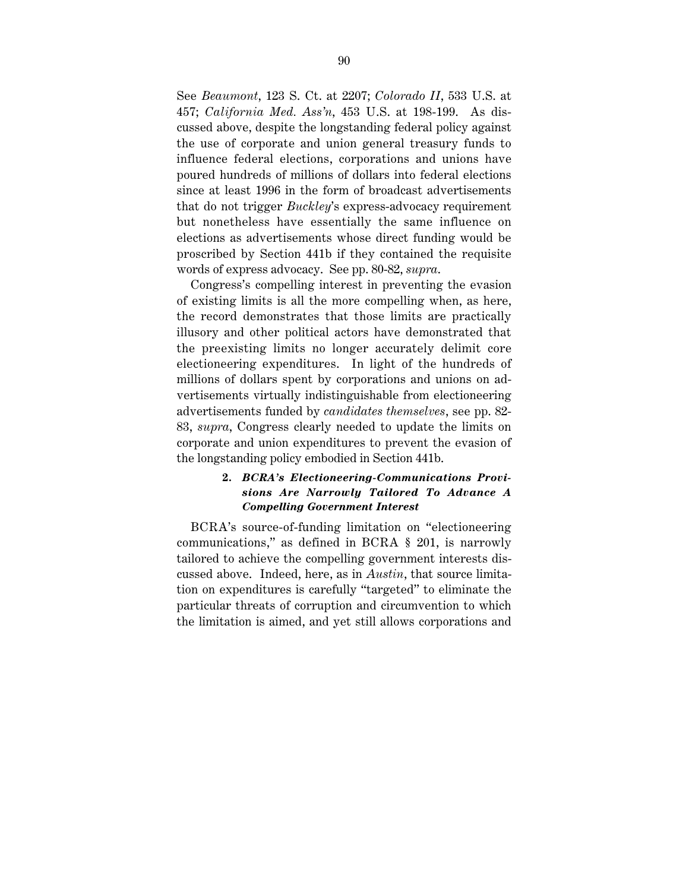See *Beaumont*, 123 S. Ct. at 2207; *Colorado II*, 533 U.S. at 457; *California Med. Ass'n*, 453 U.S. at 198-199. As discussed above, despite the longstanding federal policy against the use of corporate and union general treasury funds to influence federal elections, corporations and unions have poured hundreds of millions of dollars into federal elections since at least 1996 in the form of broadcast advertisements that do not trigger *Buckley*'s express-advocacy requirement but nonetheless have essentially the same influence on elections as advertisements whose direct funding would be proscribed by Section 441b if they contained the requisite words of express advocacy. See pp. 80-82, *supra*.

Congress's compelling interest in preventing the evasion of existing limits is all the more compelling when, as here, the record demonstrates that those limits are practically illusory and other political actors have demonstrated that the preexisting limits no longer accurately delimit core electioneering expenditures. In light of the hundreds of millions of dollars spent by corporations and unions on advertisements virtually indistinguishable from electioneering advertisements funded by *candidates themselves*, see pp. 82- 83, *supra*, Congress clearly needed to update the limits on corporate and union expenditures to prevent the evasion of the longstanding policy embodied in Section 441b.

## **2.** *BCRA's Electioneering-Communications Provisions Are Narrowly Tailored To Advance A Compelling Government Interest*

BCRA's source-of-funding limitation on "electioneering communications," as defined in BCRA § 201, is narrowly tailored to achieve the compelling government interests discussed above. Indeed, here, as in *Austin*, that source limitation on expenditures is carefully "targeted" to eliminate the particular threats of corruption and circumvention to which the limitation is aimed, and yet still allows corporations and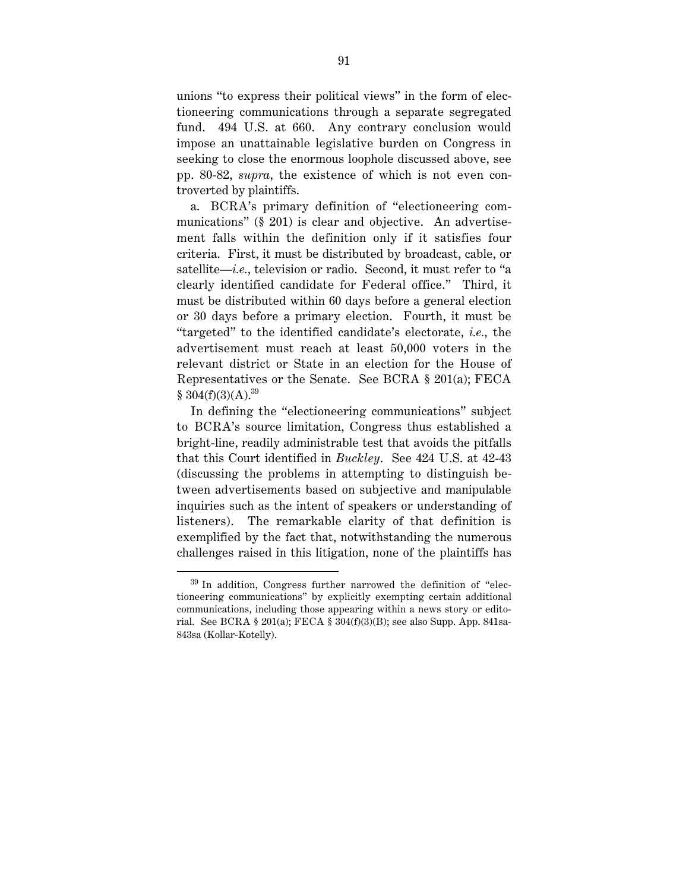unions "to express their political views" in the form of electioneering communications through a separate segregated fund. 494 U.S. at 660. Any contrary conclusion would impose an unattainable legislative burden on Congress in seeking to close the enormous loophole discussed above, see pp. 80-82, *supra*, the existence of which is not even controverted by plaintiffs.

a. BCRA's primary definition of "electioneering communications" (§ 201) is clear and objective. An advertisement falls within the definition only if it satisfies four criteria. First, it must be distributed by broadcast, cable, or satellite—*i.e.*, television or radio. Second, it must refer to "a clearly identified candidate for Federal office." Third, it must be distributed within 60 days before a general election or 30 days before a primary election. Fourth, it must be "targeted" to the identified candidate's electorate, *i.e.*, the advertisement must reach at least 50,000 voters in the relevant district or State in an election for the House of Representatives or the Senate. See BCRA § 201(a); FECA  $§ 304(f)(3)(A).^{39}$ 

In defining the "electioneering communications" subject to BCRA's source limitation, Congress thus established a bright-line, readily administrable test that avoids the pitfalls that this Court identified in *Buckley*. See 424 U.S. at 42-43 (discussing the problems in attempting to distinguish between advertisements based on subjective and manipulable inquiries such as the intent of speakers or understanding of listeners). The remarkable clarity of that definition is exemplified by the fact that, notwithstanding the numerous challenges raised in this litigation, none of the plaintiffs has

 <sup>39</sup> In addition, Congress further narrowed the definition of "electioneering communications" by explicitly exempting certain additional communications, including those appearing within a news story or editorial. See BCRA § 201(a); FECA § 304(f)(3)(B); see also Supp. App. 841sa-843sa (Kollar-Kotelly).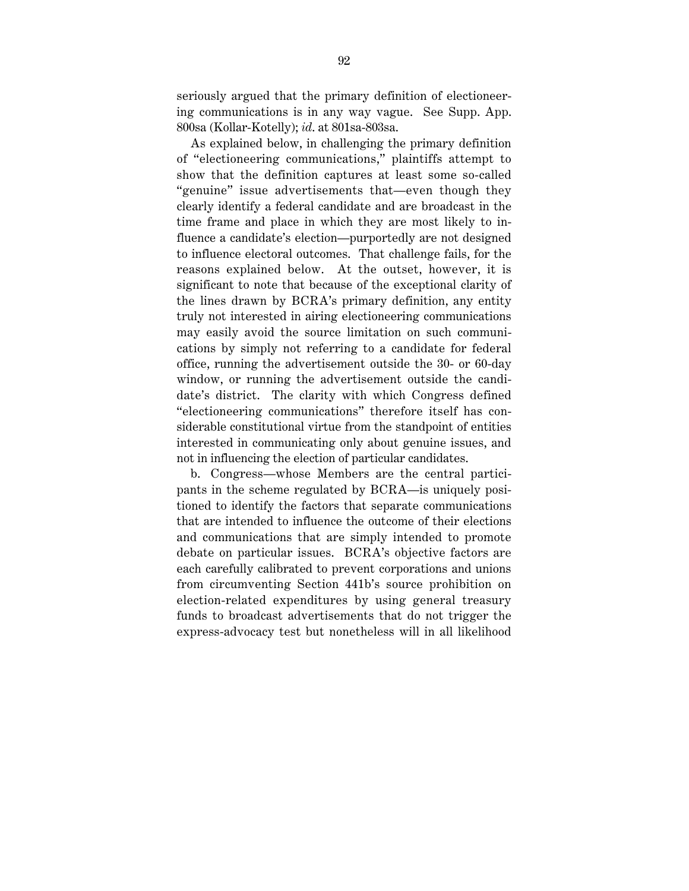seriously argued that the primary definition of electioneering communications is in any way vague. See Supp. App. 800sa (Kollar-Kotelly); *id*. at 801sa-803sa.

As explained below, in challenging the primary definition of "electioneering communications," plaintiffs attempt to show that the definition captures at least some so-called "genuine" issue advertisements that—even though they clearly identify a federal candidate and are broadcast in the time frame and place in which they are most likely to influence a candidate's election—purportedly are not designed to influence electoral outcomes. That challenge fails, for the reasons explained below. At the outset, however, it is significant to note that because of the exceptional clarity of the lines drawn by BCRA's primary definition, any entity truly not interested in airing electioneering communications may easily avoid the source limitation on such communications by simply not referring to a candidate for federal office, running the advertisement outside the 30- or 60-day window, or running the advertisement outside the candidate's district. The clarity with which Congress defined "electioneering communications" therefore itself has considerable constitutional virtue from the standpoint of entities interested in communicating only about genuine issues, and not in influencing the election of particular candidates.

b. Congress—whose Members are the central participants in the scheme regulated by BCRA—is uniquely positioned to identify the factors that separate communications that are intended to influence the outcome of their elections and communications that are simply intended to promote debate on particular issues. BCRA's objective factors are each carefully calibrated to prevent corporations and unions from circumventing Section 441b's source prohibition on election-related expenditures by using general treasury funds to broadcast advertisements that do not trigger the express-advocacy test but nonetheless will in all likelihood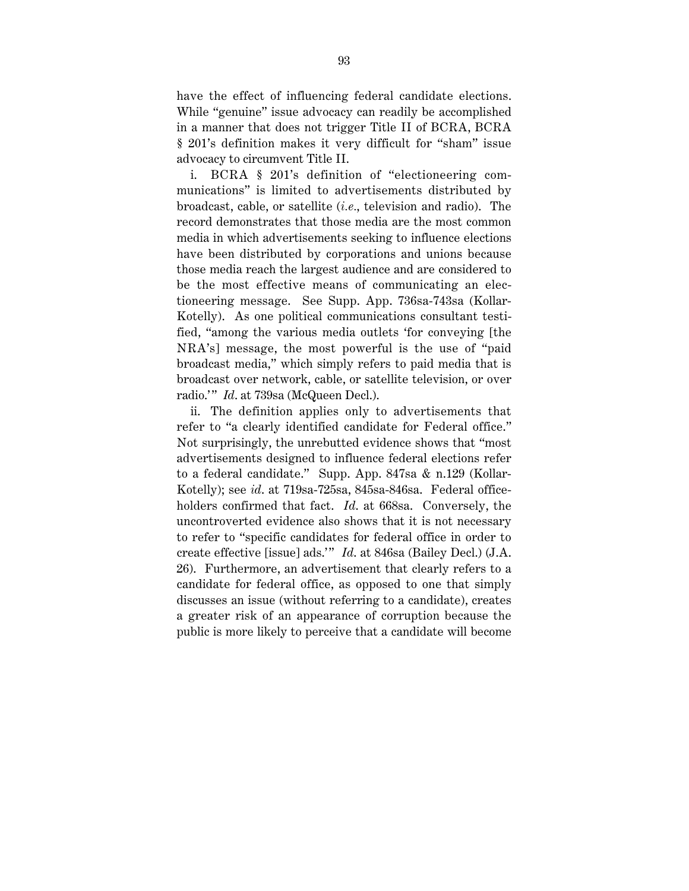have the effect of influencing federal candidate elections. While "genuine" issue advocacy can readily be accomplished in a manner that does not trigger Title II of BCRA, BCRA § 201's definition makes it very difficult for "sham" issue advocacy to circumvent Title II.

i. BCRA § 201's definition of "electioneering communications" is limited to advertisements distributed by broadcast, cable, or satellite (*i.e.*, television and radio). The record demonstrates that those media are the most common media in which advertisements seeking to influence elections have been distributed by corporations and unions because those media reach the largest audience and are considered to be the most effective means of communicating an electioneering message. See Supp. App. 736sa-743sa (Kollar-Kotelly). As one political communications consultant testified, "among the various media outlets 'for conveying [the NRA's] message, the most powerful is the use of "paid broadcast media," which simply refers to paid media that is broadcast over network, cable, or satellite television, or over radio.'" *Id.* at 739sa (McQueen Decl.).

ii. The definition applies only to advertisements that refer to "a clearly identified candidate for Federal office." Not surprisingly, the unrebutted evidence shows that "most advertisements designed to influence federal elections refer to a federal candidate." Supp. App. 847sa & n.129 (Kollar-Kotelly); see *id*. at 719sa-725sa, 845sa-846sa. Federal officeholders confirmed that fact. *Id*. at 668sa. Conversely, the uncontroverted evidence also shows that it is not necessary to refer to "specific candidates for federal office in order to create effective [issue] ads." *Id.* at 846sa (Bailey Decl.) (J.A. 26). Furthermore, an advertisement that clearly refers to a candidate for federal office, as opposed to one that simply discusses an issue (without referring to a candidate), creates a greater risk of an appearance of corruption because the public is more likely to perceive that a candidate will become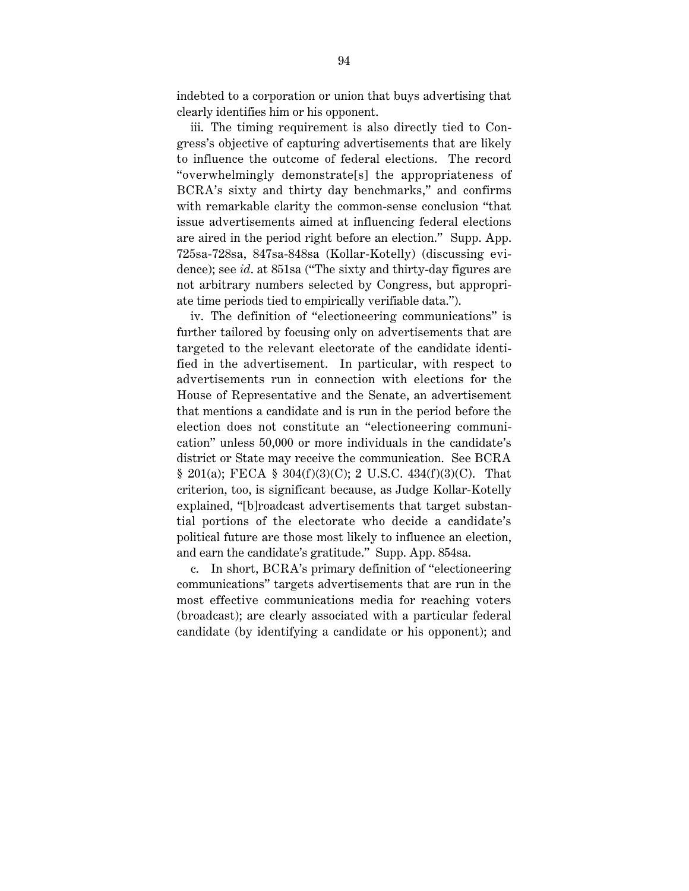indebted to a corporation or union that buys advertising that clearly identifies him or his opponent.

iii. The timing requirement is also directly tied to Congress's objective of capturing advertisements that are likely to influence the outcome of federal elections. The record "overwhelmingly demonstrate[s] the appropriateness of BCRA's sixty and thirty day benchmarks," and confirms with remarkable clarity the common-sense conclusion "that issue advertisements aimed at influencing federal elections are aired in the period right before an election." Supp. App. 725sa-728sa, 847sa-848sa (Kollar-Kotelly) (discussing evidence); see *id*. at 851sa ("The sixty and thirty-day figures are not arbitrary numbers selected by Congress, but appropriate time periods tied to empirically verifiable data.").

iv. The definition of "electioneering communications" is further tailored by focusing only on advertisements that are targeted to the relevant electorate of the candidate identified in the advertisement. In particular, with respect to advertisements run in connection with elections for the House of Representative and the Senate, an advertisement that mentions a candidate and is run in the period before the election does not constitute an "electioneering communication" unless 50,000 or more individuals in the candidate's district or State may receive the communication. See BCRA  $$ 201(a); \text{ FECA} $ 304(f)(3)(C); 2 U.S.C. 434(f)(3)(C). \text{ That}$ criterion, too, is significant because, as Judge Kollar-Kotelly explained, "[b]roadcast advertisements that target substantial portions of the electorate who decide a candidate's political future are those most likely to influence an election, and earn the candidate's gratitude." Supp. App. 854sa.

c. In short, BCRA's primary definition of "electioneering communications" targets advertisements that are run in the most effective communications media for reaching voters (broadcast); are clearly associated with a particular federal candidate (by identifying a candidate or his opponent); and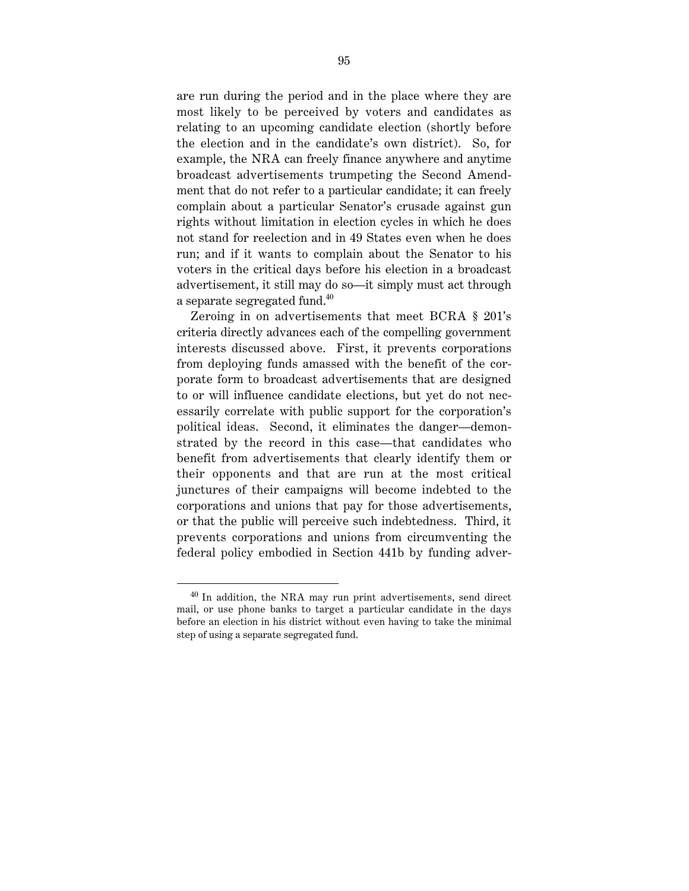are run during the period and in the place where they are most likely to be perceived by voters and candidates as relating to an upcoming candidate election (shortly before the election and in the candidate's own district). So, for example, the NRA can freely finance anywhere and anytime broadcast advertisements trumpeting the Second Amendment that do not refer to a particular candidate; it can freely complain about a particular Senator's crusade against gun rights without limitation in election cycles in which he does not stand for reelection and in 49 States even when he does run; and if it wants to complain about the Senator to his voters in the critical days before his election in a broadcast advertisement, it still may do so—it simply must act through a separate segregated fund.<sup>40</sup>

Zeroing in on advertisements that meet BCRA § 201's criteria directly advances each of the compelling government interests discussed above. First, it prevents corporations from deploying funds amassed with the benefit of the corporate form to broadcast advertisements that are designed to or will influence candidate elections, but yet do not necessarily correlate with public support for the corporation's political ideas. Second, it eliminates the danger—demonstrated by the record in this case—that candidates who benefit from advertisements that clearly identify them or their opponents and that are run at the most critical junctures of their campaigns will become indebted to the corporations and unions that pay for those advertisements, or that the public will perceive such indebtedness. Third, it prevents corporations and unions from circumventing the federal policy embodied in Section 441b by funding adver-

 $40$  In addition, the NRA may run print advertisements, send direct mail, or use phone banks to target a particular candidate in the days before an election in his district without even having to take the minimal step of using a separate segregated fund.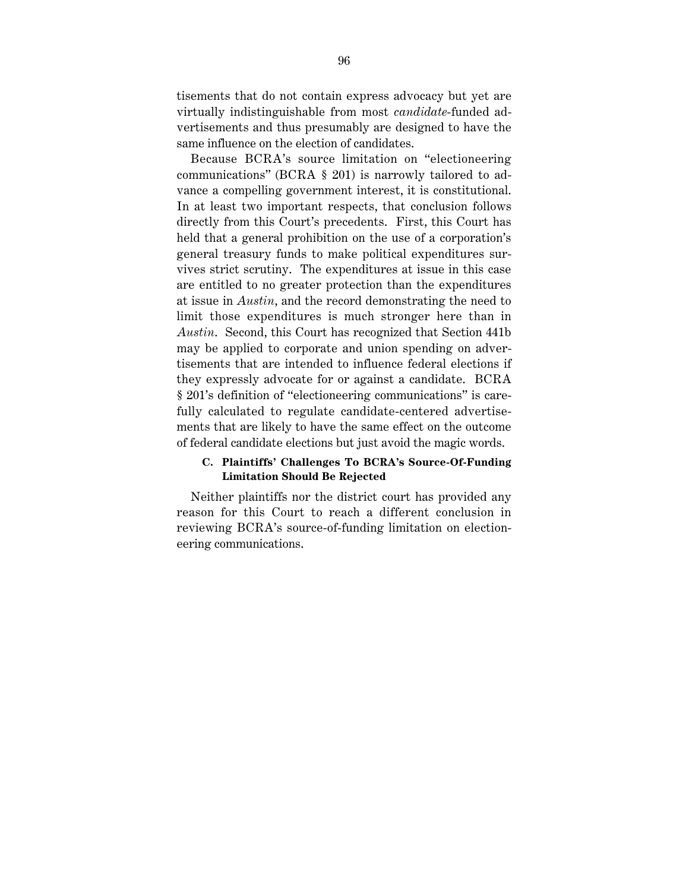tisements that do not contain express advocacy but yet are virtually indistinguishable from most *candidate*-funded advertisements and thus presumably are designed to have the same influence on the election of candidates.

Because BCRA's source limitation on "electioneering communications" (BCRA § 201) is narrowly tailored to advance a compelling government interest, it is constitutional. In at least two important respects, that conclusion follows directly from this Court's precedents. First, this Court has held that a general prohibition on the use of a corporation's general treasury funds to make political expenditures survives strict scrutiny. The expenditures at issue in this case are entitled to no greater protection than the expenditures at issue in *Austin*, and the record demonstrating the need to limit those expenditures is much stronger here than in *Austin*. Second, this Court has recognized that Section 441b may be applied to corporate and union spending on advertisements that are intended to influence federal elections if they expressly advocate for or against a candidate. BCRA § 201's definition of "electioneering communications" is carefully calculated to regulate candidate-centered advertisements that are likely to have the same effect on the outcome of federal candidate elections but just avoid the magic words.

#### **C. Plaintiffs' Challenges To BCRA's Source-Of-Funding Limitation Should Be Rejected**

Neither plaintiffs nor the district court has provided any reason for this Court to reach a different conclusion in reviewing BCRA's source-of-funding limitation on electioneering communications.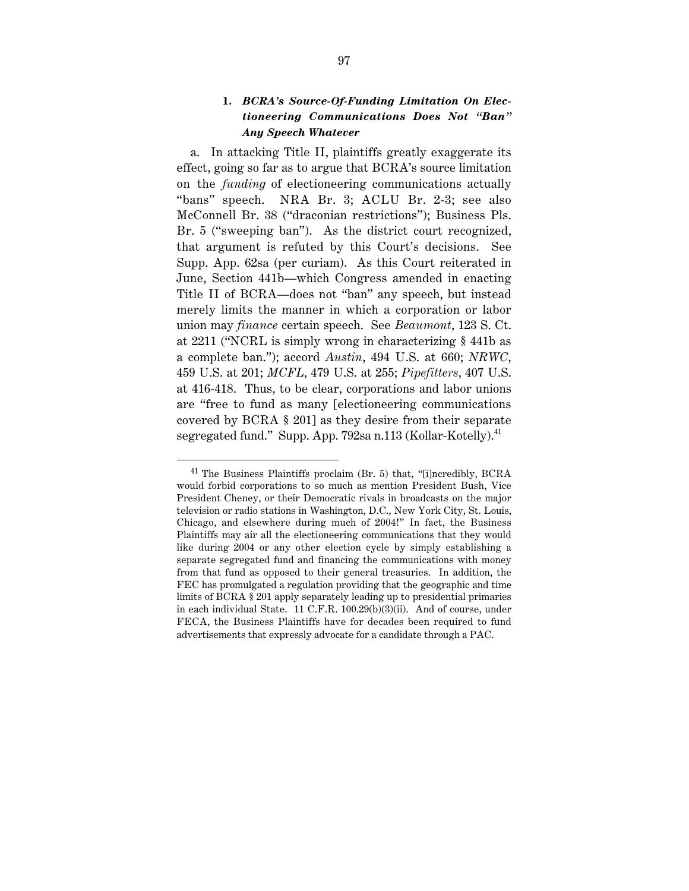# **1.** *BCRA's Source-Of-Funding Limitation On Electioneering Communications Does Not "Ban" Any Speech Whatever*

a. In attacking Title II, plaintiffs greatly exaggerate its effect, going so far as to argue that BCRA's source limitation on the *funding* of electioneering communications actually "bans" speech. NRA Br. 3; ACLU Br. 2-3; see also McConnell Br. 38 ("draconian restrictions"); Business Pls. Br. 5 ("sweeping ban"). As the district court recognized, that argument is refuted by this Court's decisions. See Supp. App. 62sa (per curiam). As this Court reiterated in June, Section 441b—which Congress amended in enacting Title II of BCRA—does not "ban" any speech, but instead merely limits the manner in which a corporation or labor union may *finance* certain speech. See *Beaumont*, 123 S. Ct. at 2211 ("NCRL is simply wrong in characterizing § 441b as a complete ban."); accord *Austin*, 494 U.S. at 660; *NRWC*, 459 U.S. at 201; *MCFL*, 479 U.S. at 255; *Pipefitters*, 407 U.S. at 416-418. Thus, to be clear, corporations and labor unions are "free to fund as many [electioneering communications covered by BCRA § 201] as they desire from their separate segregated fund." Supp. App. 792sa n.113 (Kollar-Kotelly).<sup>41</sup>

 <sup>41</sup> The Business Plaintiffs proclaim (Br. 5) that, "[i]ncredibly, BCRA would forbid corporations to so much as mention President Bush, Vice President Cheney, or their Democratic rivals in broadcasts on the major television or radio stations in Washington, D.C., New York City, St. Louis, Chicago, and elsewhere during much of 2004!" In fact, the Business Plaintiffs may air all the electioneering communications that they would like during 2004 or any other election cycle by simply establishing a separate segregated fund and financing the communications with money from that fund as opposed to their general treasuries. In addition, the FEC has promulgated a regulation providing that the geographic and time limits of BCRA § 201 apply separately leading up to presidential primaries in each individual State. 11 C.F.R. 100.29(b)(3)(ii). And of course, under FECA, the Business Plaintiffs have for decades been required to fund advertisements that expressly advocate for a candidate through a PAC.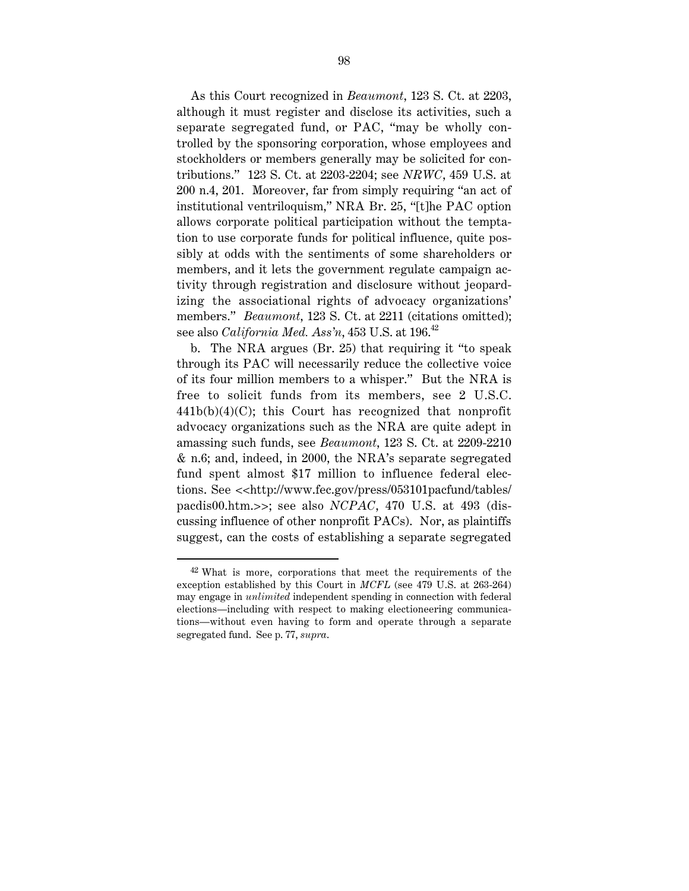As this Court recognized in *Beaumont*, 123 S. Ct. at 2203, although it must register and disclose its activities, such a separate segregated fund, or PAC, "may be wholly controlled by the sponsoring corporation, whose employees and stockholders or members generally may be solicited for contributions." 123 S. Ct. at 2203-2204; see *NRWC*, 459 U.S. at 200 n.4, 201. Moreover, far from simply requiring "an act of institutional ventriloquism," NRA Br. 25, "[t]he PAC option allows corporate political participation without the temptation to use corporate funds for political influence, quite possibly at odds with the sentiments of some shareholders or members, and it lets the government regulate campaign activity through registration and disclosure without jeopardizing the associational rights of advocacy organizations' members." *Beaumont*, 123 S. Ct. at 2211 (citations omitted); see also *California Med. Ass'n*, 453 U.S. at 196.<sup>42</sup>

b. The NRA argues (Br. 25) that requiring it "to speak through its PAC will necessarily reduce the collective voice of its four million members to a whisper." But the NRA is free to solicit funds from its members, see 2 U.S.C.  $441b(b)(4)(C)$ ; this Court has recognized that nonprofit advocacy organizations such as the NRA are quite adept in amassing such funds, see *Beaumont*, 123 S. Ct. at 2209-2210 & n.6; and, indeed, in 2000, the NRA's separate segregated fund spent almost \$17 million to influence federal elections. See <<http://www.fec.gov/press/053101pacfund/tables/ pacdis00.htm.>>; see also *NCPAC*, 470 U.S. at 493 (discussing influence of other nonprofit PACs). Nor, as plaintiffs suggest, can the costs of establishing a separate segregated

 $42$  What is more, corporations that meet the requirements of the exception established by this Court in *MCFL* (see 479 U.S. at 263-264) may engage in *unlimited* independent spending in connection with federal elections—including with respect to making electioneering communications—without even having to form and operate through a separate segregated fund. See p. 77, *supra*.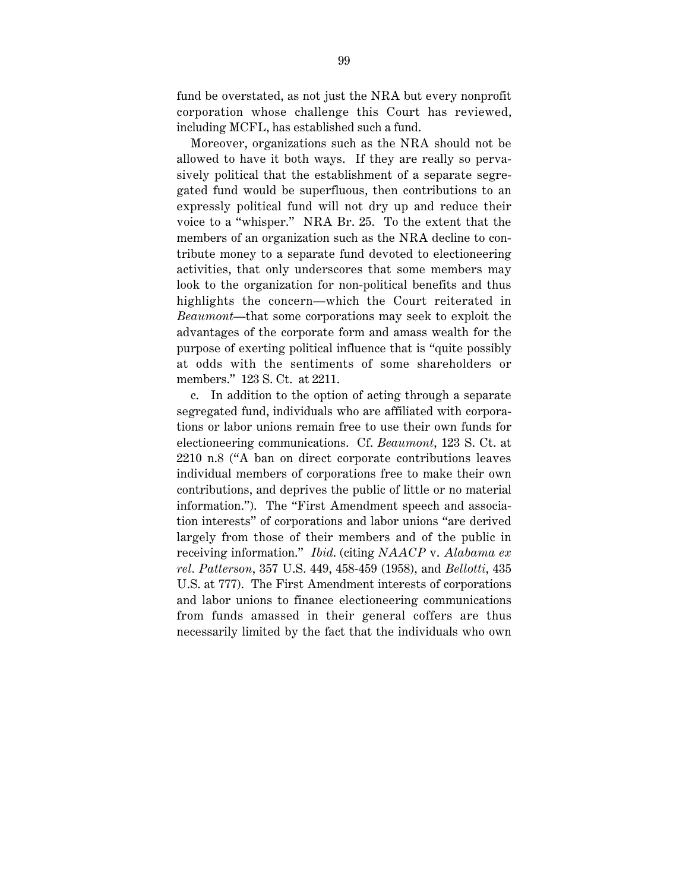fund be overstated, as not just the NRA but every nonprofit corporation whose challenge this Court has reviewed, including MCFL, has established such a fund.

Moreover, organizations such as the NRA should not be allowed to have it both ways. If they are really so pervasively political that the establishment of a separate segregated fund would be superfluous, then contributions to an expressly political fund will not dry up and reduce their voice to a "whisper." NRA Br. 25. To the extent that the members of an organization such as the NRA decline to contribute money to a separate fund devoted to electioneering activities, that only underscores that some members may look to the organization for non-political benefits and thus highlights the concern—which the Court reiterated in *Beaumont*—that some corporations may seek to exploit the advantages of the corporate form and amass wealth for the purpose of exerting political influence that is "quite possibly at odds with the sentiments of some shareholders or members." 123 S. Ct. at 2211.

c. In addition to the option of acting through a separate segregated fund, individuals who are affiliated with corporations or labor unions remain free to use their own funds for electioneering communications. Cf. *Beaumont*, 123 S. Ct. at 2210 n.8 ("A ban on direct corporate contributions leaves individual members of corporations free to make their own contributions, and deprives the public of little or no material information."). The "First Amendment speech and association interests" of corporations and labor unions "are derived largely from those of their members and of the public in receiving information." *Ibid*. (citing *NAACP* v. *Alabama ex rel. Patterson*, 357 U.S. 449, 458-459 (1958), and *Bellotti*, 435 U.S. at 777). The First Amendment interests of corporations and labor unions to finance electioneering communications from funds amassed in their general coffers are thus necessarily limited by the fact that the individuals who own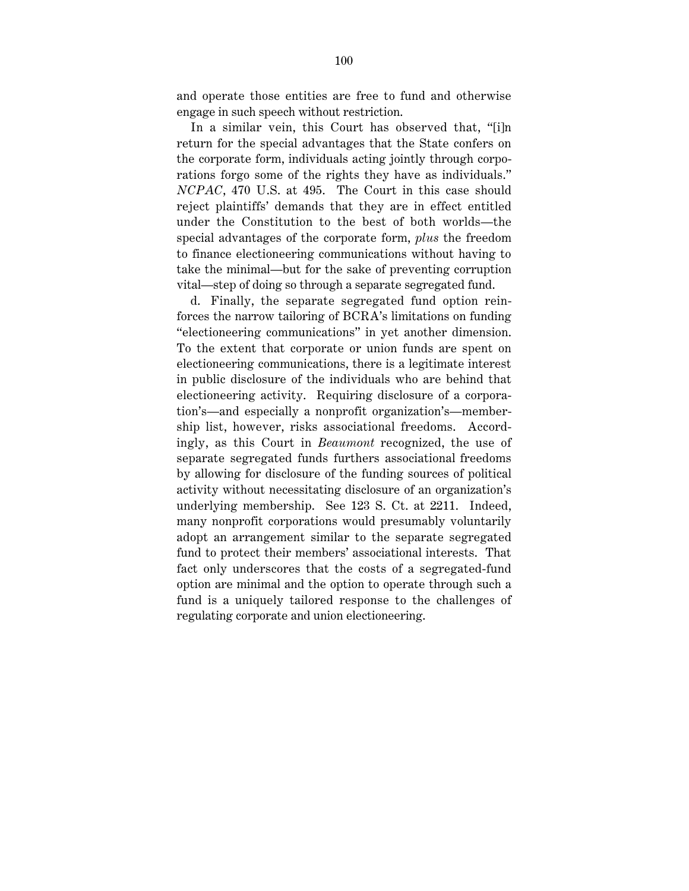and operate those entities are free to fund and otherwise engage in such speech without restriction.

In a similar vein, this Court has observed that, "[i]n return for the special advantages that the State confers on the corporate form, individuals acting jointly through corporations forgo some of the rights they have as individuals." *NCPAC*, 470 U.S. at 495. The Court in this case should reject plaintiffs' demands that they are in effect entitled under the Constitution to the best of both worlds—the special advantages of the corporate form, *plus* the freedom to finance electioneering communications without having to take the minimal—but for the sake of preventing corruption vital—step of doing so through a separate segregated fund.

d. Finally, the separate segregated fund option reinforces the narrow tailoring of BCRA's limitations on funding "electioneering communications" in yet another dimension. To the extent that corporate or union funds are spent on electioneering communications, there is a legitimate interest in public disclosure of the individuals who are behind that electioneering activity. Requiring disclosure of a corporation's—and especially a nonprofit organization's—membership list, however, risks associational freedoms. Accordingly, as this Court in *Beaumont* recognized, the use of separate segregated funds furthers associational freedoms by allowing for disclosure of the funding sources of political activity without necessitating disclosure of an organization's underlying membership. See 123 S. Ct. at 2211. Indeed, many nonprofit corporations would presumably voluntarily adopt an arrangement similar to the separate segregated fund to protect their members' associational interests. That fact only underscores that the costs of a segregated-fund option are minimal and the option to operate through such a fund is a uniquely tailored response to the challenges of regulating corporate and union electioneering.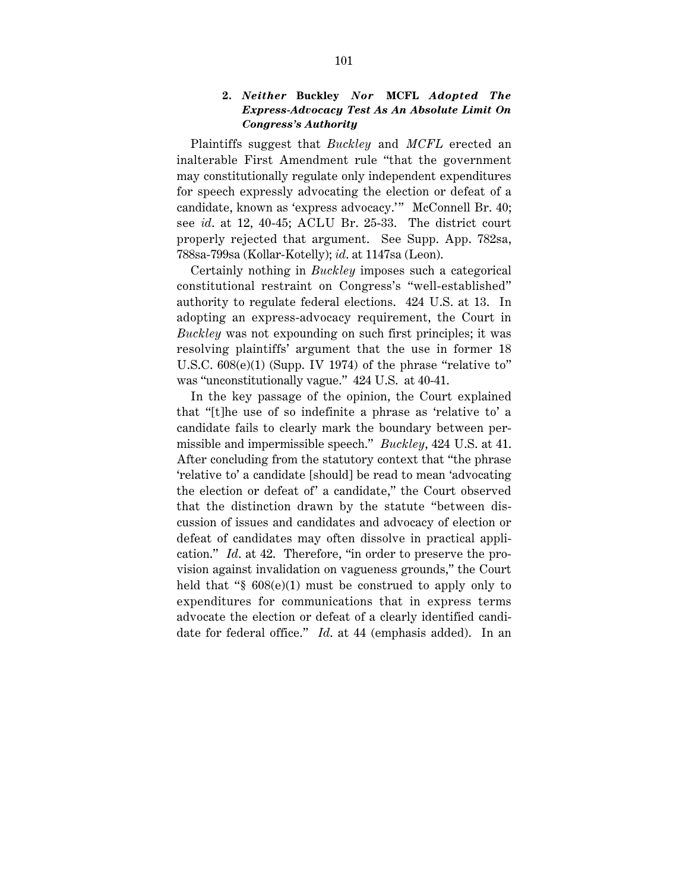#### **2.** *Neither* **Buckley** *Nor* **MCFL** *Adopted The Express-Advocacy Test As An Absolute Limit On Congress's Authority*

Plaintiffs suggest that *Buckley* and *MCFL* erected an inalterable First Amendment rule "that the government may constitutionally regulate only independent expenditures for speech expressly advocating the election or defeat of a candidate, known as 'express advocacy.'" McConnell Br. 40; see *id*. at 12, 40-45; ACLU Br. 25-33. The district court properly rejected that argument. See Supp. App. 782sa, 788sa-799sa (Kollar-Kotelly); *id*. at 1147sa (Leon).

Certainly nothing in *Buckley* imposes such a categorical constitutional restraint on Congress's "well-established" authority to regulate federal elections. 424 U.S. at 13. In adopting an express-advocacy requirement, the Court in *Buckley* was not expounding on such first principles; it was resolving plaintiffs' argument that the use in former 18 U.S.C. 608(e)(1) (Supp. IV 1974) of the phrase "relative to" was "unconstitutionally vague." 424 U.S. at 40-41.

In the key passage of the opinion, the Court explained that "[t]he use of so indefinite a phrase as 'relative to' a candidate fails to clearly mark the boundary between permissible and impermissible speech." *Buckley*, 424 U.S. at 41. After concluding from the statutory context that "the phrase 'relative to' a candidate [should] be read to mean 'advocating the election or defeat of' a candidate," the Court observed that the distinction drawn by the statute "between discussion of issues and candidates and advocacy of election or defeat of candidates may often dissolve in practical application." *Id*. at 42. Therefore, "in order to preserve the provision against invalidation on vagueness grounds," the Court held that "§ 608(e)(1) must be construed to apply only to expenditures for communications that in express terms advocate the election or defeat of a clearly identified candidate for federal office." *Id*. at 44 (emphasis added). In an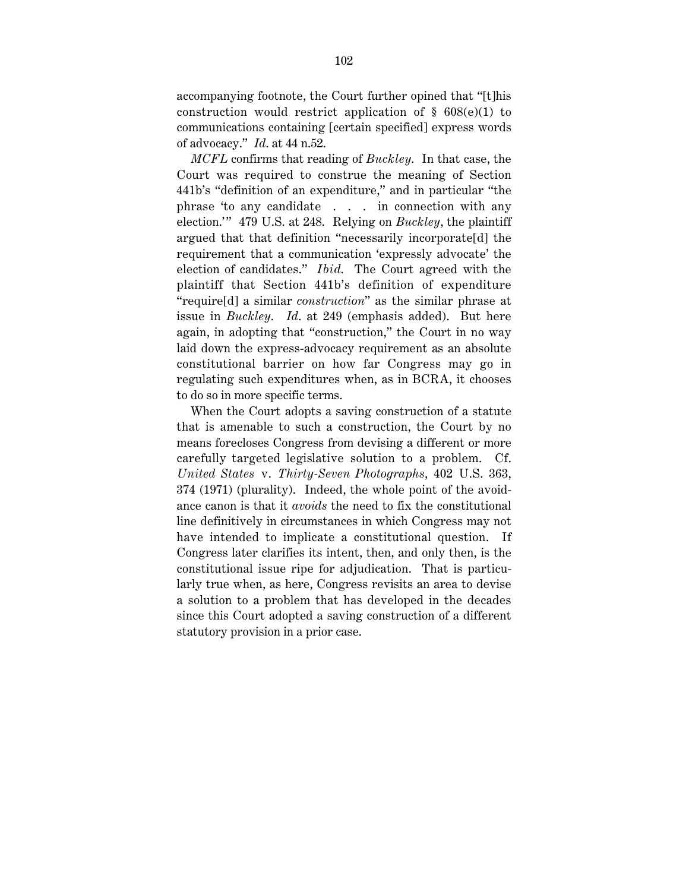accompanying footnote, the Court further opined that "[t]his construction would restrict application of  $\S$  608(e)(1) to communications containing [certain specified] express words of advocacy." *Id*. at 44 n.52.

*MCFL* confirms that reading of *Buckley*. In that case, the Court was required to construe the meaning of Section 441b's "definition of an expenditure," and in particular "the phrase 'to any candidate . . . in connection with any election.'" 479 U.S. at 248. Relying on *Buckley*, the plaintiff argued that that definition "necessarily incorporate[d] the requirement that a communication 'expressly advocate' the election of candidates." *Ibid*. The Court agreed with the plaintiff that Section 441b's definition of expenditure "require[d] a similar *construction*" as the similar phrase at issue in *Buckley*. *Id*. at 249 (emphasis added). But here again, in adopting that "construction," the Court in no way laid down the express-advocacy requirement as an absolute constitutional barrier on how far Congress may go in regulating such expenditures when, as in BCRA, it chooses to do so in more specific terms.

When the Court adopts a saving construction of a statute that is amenable to such a construction, the Court by no means forecloses Congress from devising a different or more carefully targeted legislative solution to a problem. Cf. *United States* v. *Thirty-Seven Photographs*, 402 U.S. 363, 374 (1971) (plurality). Indeed, the whole point of the avoidance canon is that it *avoids* the need to fix the constitutional line definitively in circumstances in which Congress may not have intended to implicate a constitutional question. If Congress later clarifies its intent, then, and only then, is the constitutional issue ripe for adjudication. That is particularly true when, as here, Congress revisits an area to devise a solution to a problem that has developed in the decades since this Court adopted a saving construction of a different statutory provision in a prior case.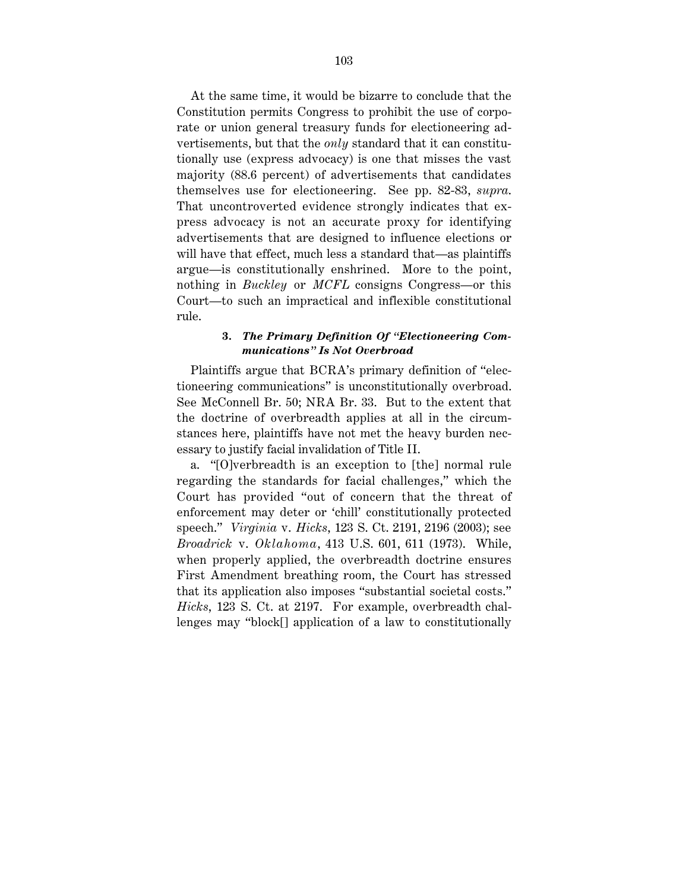At the same time, it would be bizarre to conclude that the Constitution permits Congress to prohibit the use of corporate or union general treasury funds for electioneering advertisements, but that the *only* standard that it can constitutionally use (express advocacy) is one that misses the vast majority (88.6 percent) of advertisements that candidates themselves use for electioneering. See pp. 82-83, *supra*. That uncontroverted evidence strongly indicates that express advocacy is not an accurate proxy for identifying advertisements that are designed to influence elections or will have that effect, much less a standard that—as plaintiffs argue—is constitutionally enshrined. More to the point, nothing in *Buckley* or *MCFL* consigns Congress—or this Court—to such an impractical and inflexible constitutional rule.

#### **3.** *The Primary Definition Of "Electioneering Communications" Is Not Overbroad*

Plaintiffs argue that BCRA's primary definition of "electioneering communications" is unconstitutionally overbroad. See McConnell Br. 50; NRA Br. 33. But to the extent that the doctrine of overbreadth applies at all in the circumstances here, plaintiffs have not met the heavy burden necessary to justify facial invalidation of Title II.

a. "[O]verbreadth is an exception to [the] normal rule regarding the standards for facial challenges," which the Court has provided "out of concern that the threat of enforcement may deter or 'chill' constitutionally protected speech." *Virginia* v. *Hicks*, 123 S. Ct. 2191, 2196 (2003); see *Broadrick* v. *Oklahoma*, 413 U.S. 601, 611 (1973). While, when properly applied, the overbreadth doctrine ensures First Amendment breathing room, the Court has stressed that its application also imposes "substantial societal costs." *Hicks*, 123 S. Ct. at 2197. For example, overbreadth challenges may "block[] application of a law to constitutionally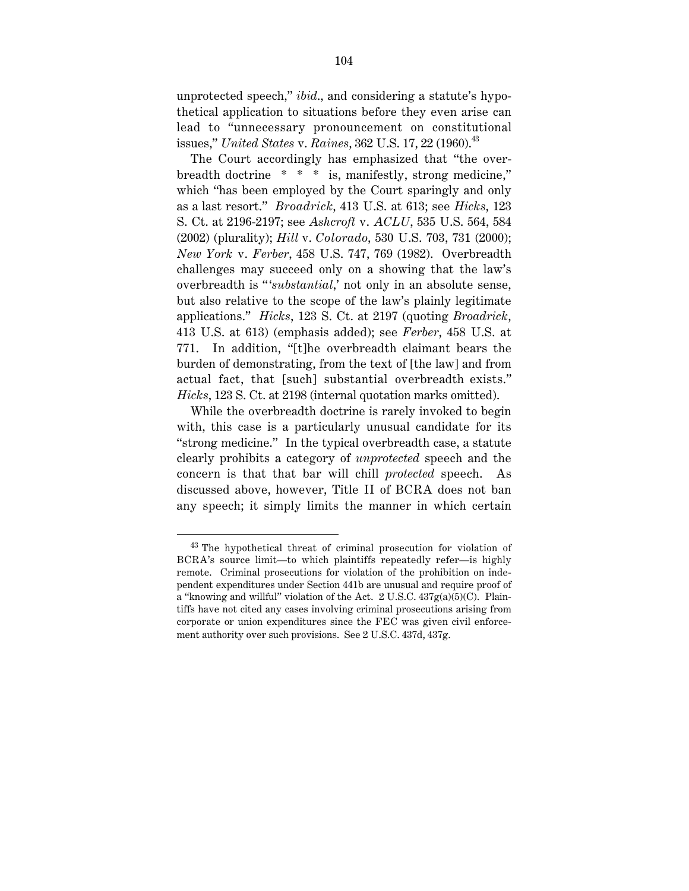unprotected speech," *ibid*., and considering a statute's hypothetical application to situations before they even arise can lead to "unnecessary pronouncement on constitutional issues," *United States* v. *Raines*, 362 U.S. 17, 22 (1960).<sup>43</sup>

The Court accordingly has emphasized that "the overbreadth doctrine \* \* \* is, manifestly, strong medicine," which "has been employed by the Court sparingly and only as a last resort." *Broadrick*, 413 U.S. at 613; see *Hicks*, 123 S. Ct. at 2196-2197; see *Ashcroft* v. *ACLU*, 535 U.S. 564, 584 (2002) (plurality); *Hill* v. *Colorado*, 530 U.S. 703, 731 (2000); *New York* v. *Ferber*, 458 U.S. 747, 769 (1982). Overbreadth challenges may succeed only on a showing that the law's overbreadth is "'substantial,' not only in an absolute sense, but also relative to the scope of the law's plainly legitimate applications." *Hicks*, 123 S. Ct. at 2197 (quoting *Broadrick*, 413 U.S. at 613) (emphasis added); see *Ferber*, 458 U.S. at 771. In addition, "[t]he overbreadth claimant bears the burden of demonstrating, from the text of [the law] and from actual fact, that [such] substantial overbreadth exists." *Hicks*, 123 S. Ct. at 2198 (internal quotation marks omitted).

While the overbreadth doctrine is rarely invoked to begin with, this case is a particularly unusual candidate for its "strong medicine." In the typical overbreadth case, a statute clearly prohibits a category of *unprotected* speech and the concern is that that bar will chill *protected* speech. As discussed above, however, Title II of BCRA does not ban any speech; it simply limits the manner in which certain

 <sup>43</sup> The hypothetical threat of criminal prosecution for violation of BCRA's source limit—to which plaintiffs repeatedly refer—is highly remote. Criminal prosecutions for violation of the prohibition on independent expenditures under Section 441b are unusual and require proof of a "knowing and willful" violation of the Act. 2 U.S.C.  $437g(a)(5)(C)$ . Plaintiffs have not cited any cases involving criminal prosecutions arising from corporate or union expenditures since the FEC was given civil enforcement authority over such provisions. See 2 U.S.C. 437d, 437g.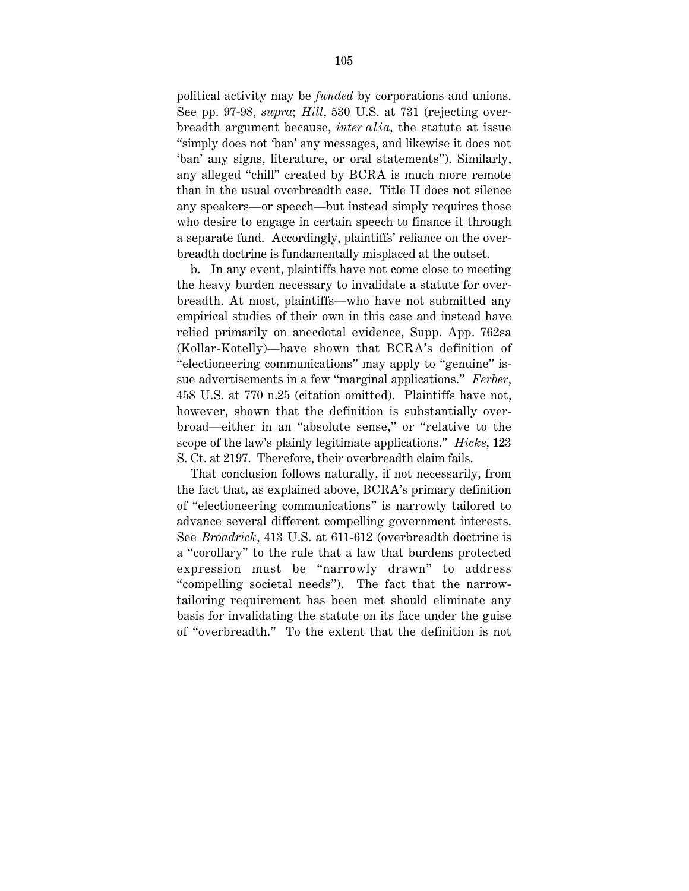political activity may be *funded* by corporations and unions. See pp. 97-98, *supra*; *Hill*, 530 U.S. at 731 (rejecting overbreadth argument because, *inter alia*, the statute at issue "simply does not 'ban' any messages, and likewise it does not 'ban' any signs, literature, or oral statements"). Similarly, any alleged "chill" created by BCRA is much more remote than in the usual overbreadth case. Title II does not silence any speakers—or speech—but instead simply requires those who desire to engage in certain speech to finance it through a separate fund. Accordingly, plaintiffs' reliance on the overbreadth doctrine is fundamentally misplaced at the outset.

b. In any event, plaintiffs have not come close to meeting the heavy burden necessary to invalidate a statute for overbreadth. At most, plaintiffs—who have not submitted any empirical studies of their own in this case and instead have relied primarily on anecdotal evidence, Supp. App. 762sa (Kollar-Kotelly)—have shown that BCRA's definition of "electioneering communications" may apply to "genuine" issue advertisements in a few "marginal applications." *Ferber*, 458 U.S. at 770 n.25 (citation omitted). Plaintiffs have not, however, shown that the definition is substantially overbroad—either in an "absolute sense," or "relative to the scope of the law's plainly legitimate applications." *Hicks*, 123 S. Ct. at 2197. Therefore, their overbreadth claim fails.

That conclusion follows naturally, if not necessarily, from the fact that, as explained above, BCRA's primary definition of "electioneering communications" is narrowly tailored to advance several different compelling government interests. See *Broadrick*, 413 U.S. at 611-612 (overbreadth doctrine is a "corollary" to the rule that a law that burdens protected expression must be "narrowly drawn" to address "compelling societal needs"). The fact that the narrowtailoring requirement has been met should eliminate any basis for invalidating the statute on its face under the guise of "overbreadth." To the extent that the definition is not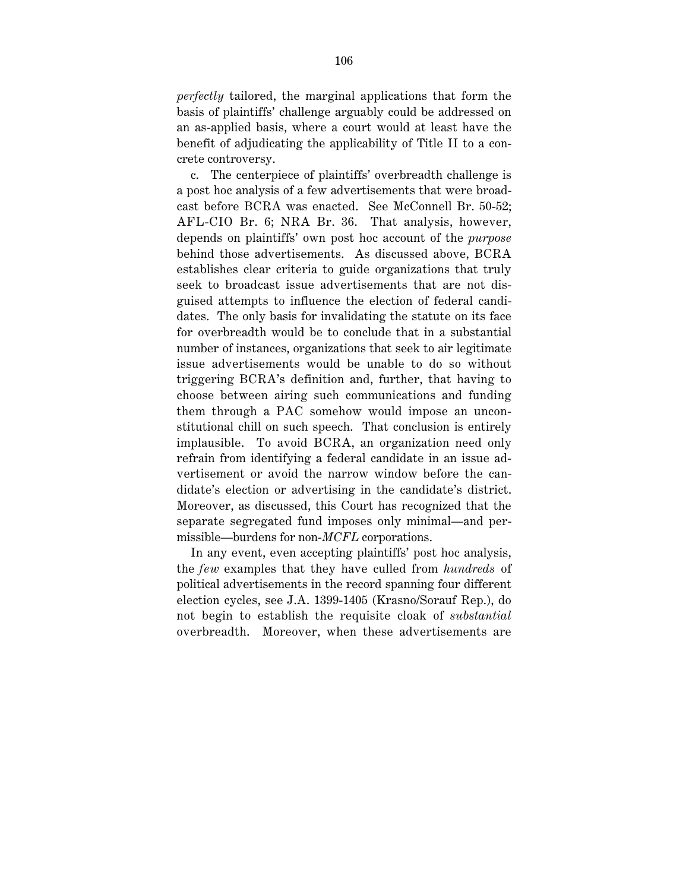*perfectly* tailored, the marginal applications that form the basis of plaintiffs' challenge arguably could be addressed on an as-applied basis, where a court would at least have the benefit of adjudicating the applicability of Title II to a concrete controversy.

c. The centerpiece of plaintiffs' overbreadth challenge is a post hoc analysis of a few advertisements that were broadcast before BCRA was enacted. See McConnell Br. 50-52; AFL-CIO Br. 6; NRA Br. 36. That analysis, however, depends on plaintiffs' own post hoc account of the *purpose* behind those advertisements. As discussed above, BCRA establishes clear criteria to guide organizations that truly seek to broadcast issue advertisements that are not disguised attempts to influence the election of federal candidates. The only basis for invalidating the statute on its face for overbreadth would be to conclude that in a substantial number of instances, organizations that seek to air legitimate issue advertisements would be unable to do so without triggering BCRA's definition and, further, that having to choose between airing such communications and funding them through a PAC somehow would impose an unconstitutional chill on such speech. That conclusion is entirely implausible. To avoid BCRA, an organization need only refrain from identifying a federal candidate in an issue advertisement or avoid the narrow window before the candidate's election or advertising in the candidate's district. Moreover, as discussed, this Court has recognized that the separate segregated fund imposes only minimal—and permissible—burdens for non-*MCFL* corporations.

In any event, even accepting plaintiffs' post hoc analysis, the *few* examples that they have culled from *hundreds* of political advertisements in the record spanning four different election cycles, see J.A. 1399-1405 (Krasno/Sorauf Rep.), do not begin to establish the requisite cloak of *substantial* overbreadth. Moreover, when these advertisements are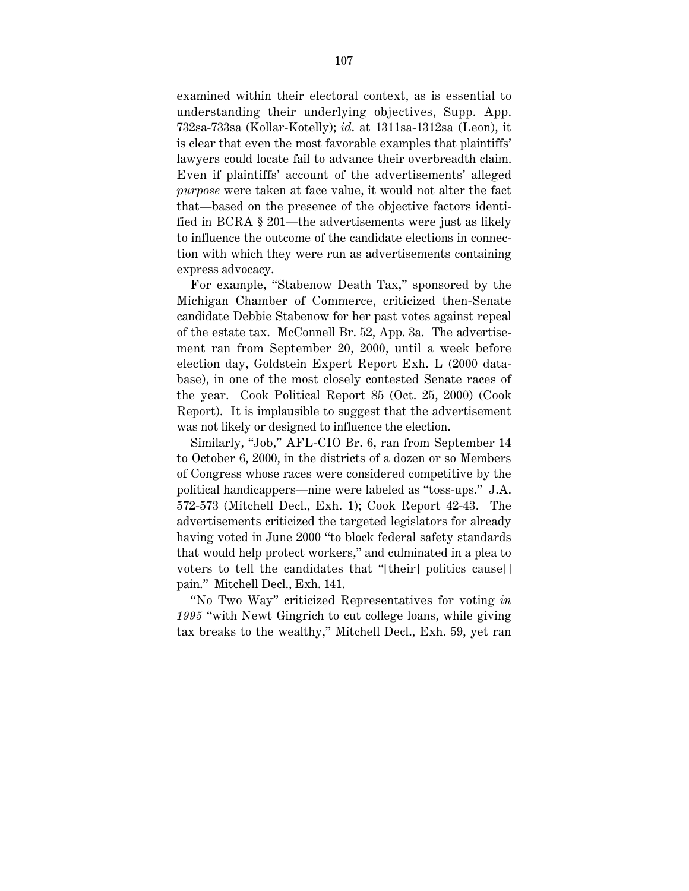examined within their electoral context, as is essential to understanding their underlying objectives, Supp. App. 732sa-733sa (Kollar-Kotelly); *id*. at 1311sa-1312sa (Leon), it is clear that even the most favorable examples that plaintiffs' lawyers could locate fail to advance their overbreadth claim. Even if plaintiffs' account of the advertisements' alleged *purpose* were taken at face value, it would not alter the fact that—based on the presence of the objective factors identified in BCRA § 201—the advertisements were just as likely to influence the outcome of the candidate elections in connection with which they were run as advertisements containing express advocacy.

For example, "Stabenow Death Tax," sponsored by the Michigan Chamber of Commerce, criticized then-Senate candidate Debbie Stabenow for her past votes against repeal of the estate tax. McConnell Br. 52, App. 3a. The advertisement ran from September 20, 2000, until a week before election day, Goldstein Expert Report Exh. L (2000 database), in one of the most closely contested Senate races of the year. Cook Political Report 85 (Oct. 25, 2000) (Cook Report). It is implausible to suggest that the advertisement was not likely or designed to influence the election.

Similarly, "Job," AFL-CIO Br. 6, ran from September 14 to October 6, 2000, in the districts of a dozen or so Members of Congress whose races were considered competitive by the political handicappers—nine were labeled as "toss-ups." J.A. 572-573 (Mitchell Decl., Exh. 1); Cook Report 42-43. The advertisements criticized the targeted legislators for already having voted in June 2000 "to block federal safety standards that would help protect workers," and culminated in a plea to voters to tell the candidates that "[their] politics cause[] pain." Mitchell Decl., Exh. 141.

"No Two Way" criticized Representatives for voting *in 1995* "with Newt Gingrich to cut college loans, while giving tax breaks to the wealthy," Mitchell Decl., Exh. 59, yet ran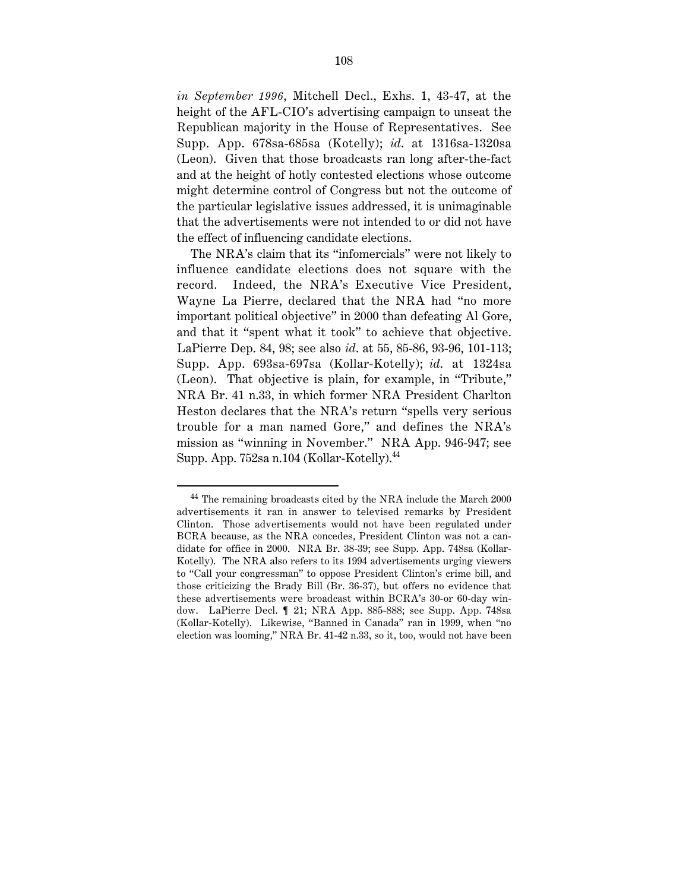*in September 1996*, Mitchell Decl., Exhs. 1, 43-47, at the height of the AFL-CIO's advertising campaign to unseat the Republican majority in the House of Representatives. See Supp. App. 678sa-685sa (Kotelly); *id*. at 1316sa-1320sa (Leon). Given that those broadcasts ran long after-the-fact and at the height of hotly contested elections whose outcome might determine control of Congress but not the outcome of the particular legislative issues addressed, it is unimaginable that the advertisements were not intended to or did not have the effect of influencing candidate elections.

The NRA's claim that its "infomercials" were not likely to influence candidate elections does not square with the record. Indeed, the NRA's Executive Vice President, Wayne La Pierre, declared that the NRA had "no more important political objective" in 2000 than defeating Al Gore, and that it "spent what it took" to achieve that objective. LaPierre Dep. 84, 98; see also *id*. at 55, 85-86, 93-96, 101-113; Supp. App. 693sa-697sa (Kollar-Kotelly); *id*. at 1324sa (Leon). That objective is plain, for example, in "Tribute," NRA Br. 41 n.33, in which former NRA President Charlton Heston declares that the NRA's return "spells very serious trouble for a man named Gore," and defines the NRA's mission as "winning in November." NRA App. 946-947; see Supp. App. 752sa n.104 (Kollar-Kotelly).<sup>44</sup>

 <sup>44</sup> The remaining broadcasts cited by the NRA include the March 2000 advertisements it ran in answer to televised remarks by President Clinton. Those advertisements would not have been regulated under BCRA because, as the NRA concedes, President Clinton was not a candidate for office in 2000. NRA Br. 38-39; see Supp. App. 748sa (Kollar-Kotelly). The NRA also refers to its 1994 advertisements urging viewers to "Call your congressman" to oppose President Clinton's crime bill, and those criticizing the Brady Bill (Br. 36-37), but offers no evidence that these advertisements were broadcast within BCRA's 30-or 60-day window. LaPierre Decl. ¶ 21; NRA App. 885-888; see Supp. App. 748sa (Kollar-Kotelly). Likewise, "Banned in Canada" ran in 1999, when "no election was looming," NRA Br. 41-42 n.33, so it, too, would not have been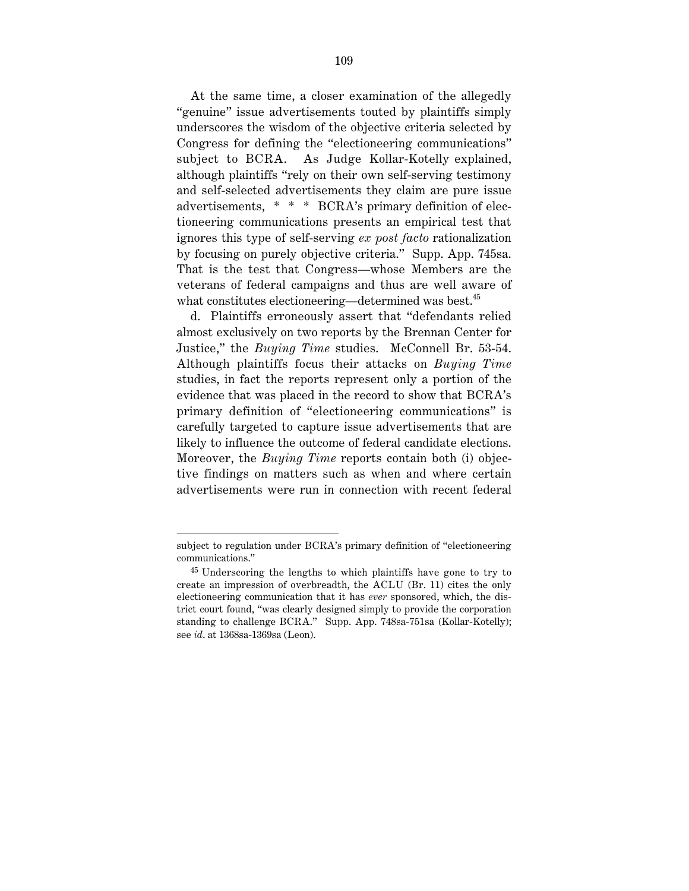At the same time, a closer examination of the allegedly "genuine" issue advertisements touted by plaintiffs simply underscores the wisdom of the objective criteria selected by Congress for defining the "electioneering communications" subject to BCRA. As Judge Kollar-Kotelly explained, although plaintiffs "rely on their own self-serving testimony and self-selected advertisements they claim are pure issue advertisements, \* \* \* BCRA's primary definition of electioneering communications presents an empirical test that ignores this type of self-serving *ex post facto* rationalization by focusing on purely objective criteria." Supp. App. 745sa. That is the test that Congress—whose Members are the veterans of federal campaigns and thus are well aware of what constitutes electioneering—determined was best.<sup>45</sup>

d. Plaintiffs erroneously assert that "defendants relied almost exclusively on two reports by the Brennan Center for Justice," the *Buying Time* studies. McConnell Br. 53-54. Although plaintiffs focus their attacks on *Buying Time* studies, in fact the reports represent only a portion of the evidence that was placed in the record to show that BCRA's primary definition of "electioneering communications" is carefully targeted to capture issue advertisements that are likely to influence the outcome of federal candidate elections. Moreover, the *Buying Time* reports contain both (i) objective findings on matters such as when and where certain advertisements were run in connection with recent federal

subject to regulation under BCRA's primary definition of "electioneering communications."

 $45$  Underscoring the lengths to which plaintiffs have gone to try to create an impression of overbreadth, the ACLU (Br. 11) cites the only electioneering communication that it has *ever* sponsored, which, the district court found, "was clearly designed simply to provide the corporation standing to challenge BCRA." Supp. App. 748sa-751sa (Kollar-Kotelly); see *id*. at 1368sa-1369sa (Leon).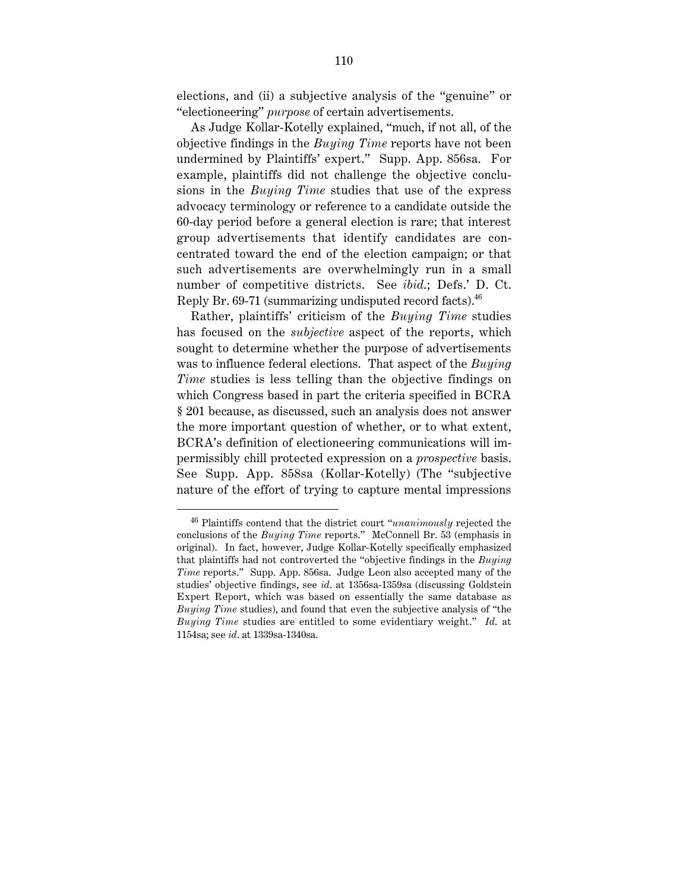elections, and (ii) a subjective analysis of the "genuine" or "electioneering" *purpose* of certain advertisements.

As Judge Kollar-Kotelly explained, "much, if not all, of the objective findings in the *Buying Time* reports have not been undermined by Plaintiffs' expert." Supp. App. 856sa. For example, plaintiffs did not challenge the objective conclusions in the *Buying Time* studies that use of the express advocacy terminology or reference to a candidate outside the 60-day period before a general election is rare; that interest group advertisements that identify candidates are concentrated toward the end of the election campaign; or that such advertisements are overwhelmingly run in a small number of competitive districts. See *ibid*.; Defs.' D. Ct. Reply Br. 69-71 (summarizing undisputed record facts).<sup>46</sup>

Rather, plaintiffs' criticism of the *Buying Time* studies has focused on the *subjective* aspect of the reports, which sought to determine whether the purpose of advertisements was to influence federal elections. That aspect of the *Buying Time* studies is less telling than the objective findings on which Congress based in part the criteria specified in BCRA § 201 because, as discussed, such an analysis does not answer the more important question of whether, or to what extent, BCRA's definition of electioneering communications will impermissibly chill protected expression on a *prospective* basis. See Supp. App. 858sa (Kollar-Kotelly) (The "subjective nature of the effort of trying to capture mental impressions

 <sup>46</sup> Plaintiffs contend that the district court "*unanimously* rejected the conclusions of the *Buying Time* reports." McConnell Br. 53 (emphasis in original). In fact, however, Judge Kollar-Kotelly specifically emphasized that plaintiffs had not controverted the "objective findings in the *Buying Time* reports." Supp. App. 856sa. Judge Leon also accepted many of the studies' objective findings, see *id*. at 1356sa-1359sa (discussing Goldstein Expert Report, which was based on essentially the same database as *Buying Time* studies), and found that even the subjective analysis of "the *Buying Time* studies are entitled to some evidentiary weight." *Id*. at 1154sa; see *id*. at 1339sa-1340sa.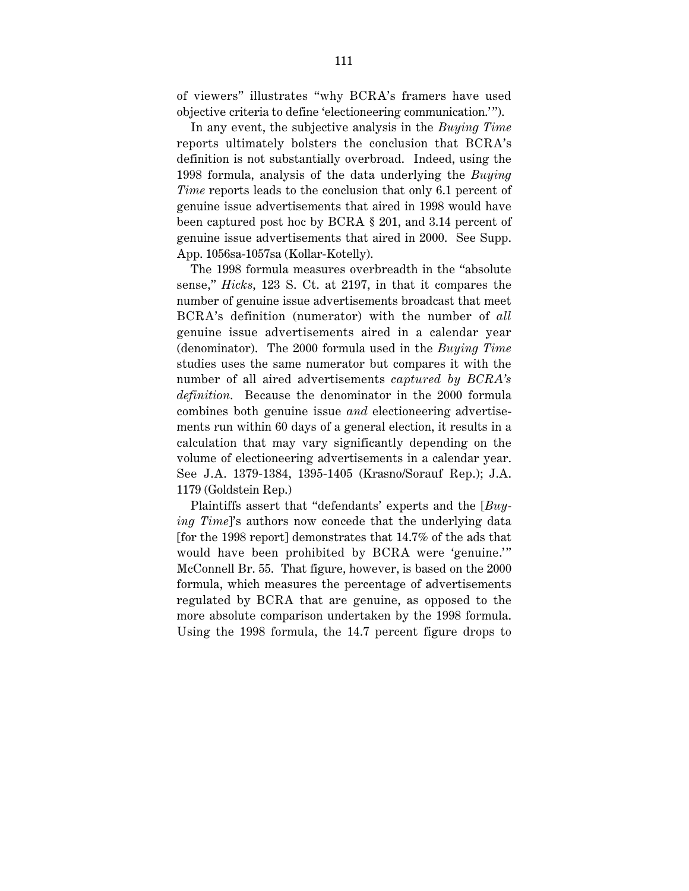of viewers" illustrates "why BCRA's framers have used objective criteria to define 'electioneering communication.' ").

In any event, the subjective analysis in the *Buying Time* reports ultimately bolsters the conclusion that BCRA's definition is not substantially overbroad. Indeed, using the 1998 formula, analysis of the data underlying the *Buying Time* reports leads to the conclusion that only 6.1 percent of genuine issue advertisements that aired in 1998 would have been captured post hoc by BCRA § 201, and 3.14 percent of genuine issue advertisements that aired in 2000. See Supp. App. 1056sa-1057sa (Kollar-Kotelly).

The 1998 formula measures overbreadth in the "absolute sense," *Hicks*, 123 S. Ct. at 2197, in that it compares the number of genuine issue advertisements broadcast that meet BCRA's definition (numerator) with the number of *all* genuine issue advertisements aired in a calendar year (denominator). The 2000 formula used in the *Buying Time* studies uses the same numerator but compares it with the number of all aired advertisements *captured by BCRA's definition*. Because the denominator in the 2000 formula combines both genuine issue *and* electioneering advertisements run within 60 days of a general election, it results in a calculation that may vary significantly depending on the volume of electioneering advertisements in a calendar year. See J.A. 1379-1384, 1395-1405 (Krasno/Sorauf Rep.); J.A. 1179 (Goldstein Rep.)

Plaintiffs assert that "defendants' experts and the [*Buying Time*]'s authors now concede that the underlying data [for the 1998 report] demonstrates that 14.7% of the ads that would have been prohibited by BCRA were 'genuine.'" McConnell Br. 55. That figure, however, is based on the 2000 formula, which measures the percentage of advertisements regulated by BCRA that are genuine, as opposed to the more absolute comparison undertaken by the 1998 formula. Using the 1998 formula, the 14.7 percent figure drops to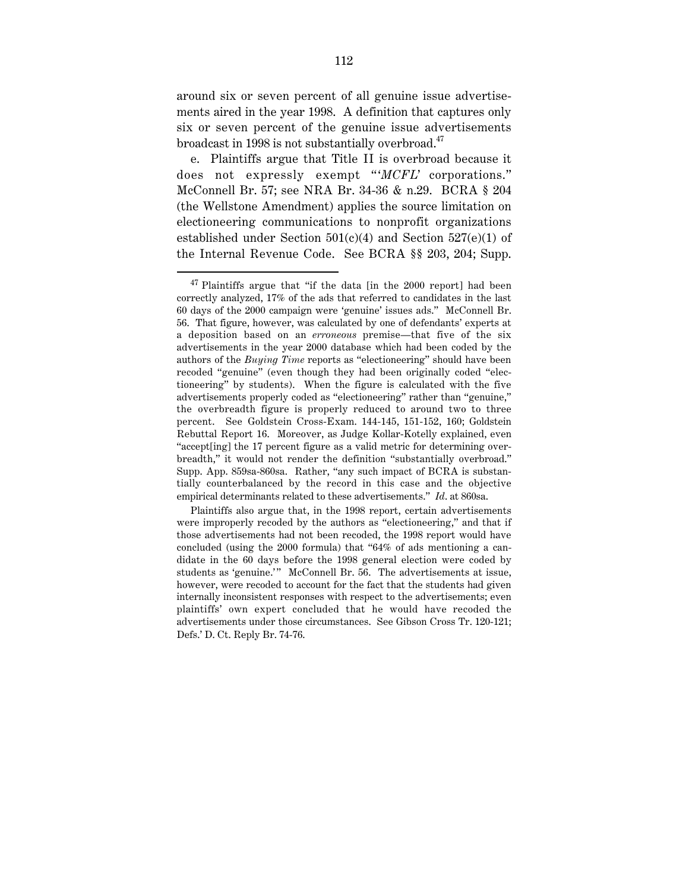around six or seven percent of all genuine issue advertisements aired in the year 1998. A definition that captures only six or seven percent of the genuine issue advertisements broadcast in 1998 is not substantially overbroad.<sup>47</sup>

e. Plaintiffs argue that Title II is overbroad because it does not expressly exempt "*MCFL*' corporations." McConnell Br. 57; see NRA Br. 34-36 & n.29. BCRA § 204 (the Wellstone Amendment) applies the source limitation on electioneering communications to nonprofit organizations established under Section  $501(c)(4)$  and Section  $527(e)(1)$  of the Internal Revenue Code. See BCRA §§ 203, 204; Supp.

 $47$  Plaintiffs argue that "if the data [in the 2000 report] had been correctly analyzed, 17% of the ads that referred to candidates in the last 60 days of the 2000 campaign were 'genuine' issues ads." McConnell Br. 56. That figure, however, was calculated by one of defendants' experts at a deposition based on an *erroneous* premise—that five of the six advertisements in the year 2000 database which had been coded by the authors of the *Buying Time* reports as "electioneering" should have been recoded "genuine" (even though they had been originally coded "electioneering" by students). When the figure is calculated with the five advertisements properly coded as "electioneering" rather than "genuine," the overbreadth figure is properly reduced to around two to three percent. See Goldstein Cross-Exam. 144-145, 151-152, 160; Goldstein Rebuttal Report 16. Moreover, as Judge Kollar-Kotelly explained, even "accept[ing] the 17 percent figure as a valid metric for determining overbreadth," it would not render the definition "substantially overbroad." Supp. App. 859sa-860sa. Rather, "any such impact of BCRA is substantially counterbalanced by the record in this case and the objective empirical determinants related to these advertisements." *Id*. at 860sa.

Plaintiffs also argue that, in the 1998 report, certain advertisements were improperly recoded by the authors as "electioneering," and that if those advertisements had not been recoded, the 1998 report would have concluded (using the 2000 formula) that "64% of ads mentioning a candidate in the 60 days before the 1998 general election were coded by students as 'genuine.'" McConnell Br. 56. The advertisements at issue, however, were recoded to account for the fact that the students had given internally inconsistent responses with respect to the advertisements; even plaintiffs' own expert concluded that he would have recoded the advertisements under those circumstances. See Gibson Cross Tr. 120-121; Defs.' D. Ct. Reply Br. 74-76.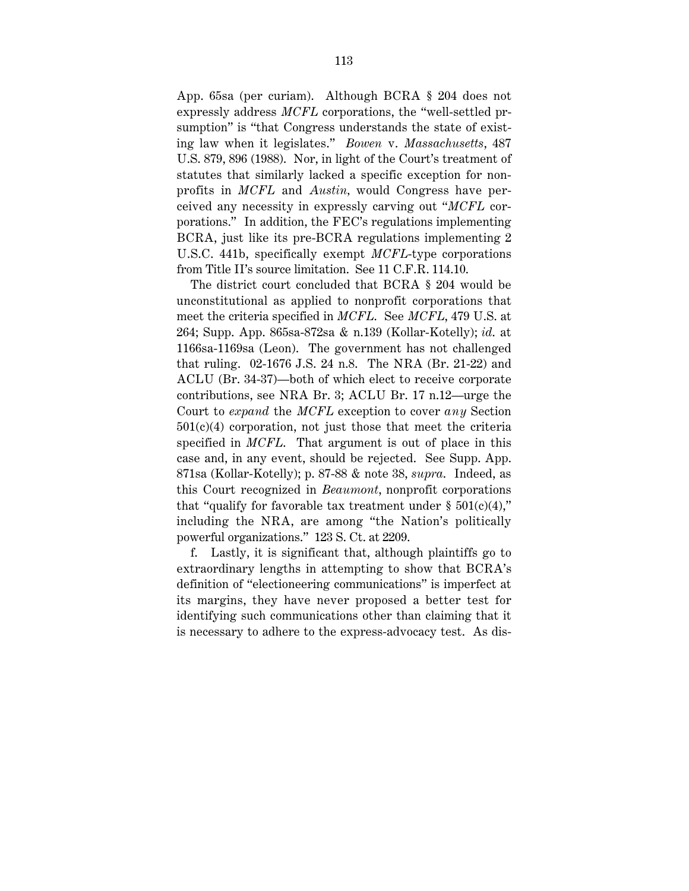App. 65sa (per curiam). Although BCRA § 204 does not expressly address *MCFL* corporations, the "well-settled prsumption" is "that Congress understands the state of existing law when it legislates." *Bowen* v. *Massachusetts*, 487 U.S. 879, 896 (1988). Nor, in light of the Court's treatment of statutes that similarly lacked a specific exception for nonprofits in *MCFL* and *Austin,* would Congress have perceived any necessity in expressly carving out "*MCFL* corporations." In addition, the FEC's regulations implementing BCRA, just like its pre-BCRA regulations implementing 2 U.S.C. 441b, specifically exempt *MCFL*-type corporations from Title II's source limitation. See 11 C.F.R. 114.10.

The district court concluded that BCRA § 204 would be unconstitutional as applied to nonprofit corporations that meet the criteria specified in *MCFL*. See *MCFL*, 479 U.S. at 264; Supp. App. 865sa-872sa & n.139 (Kollar-Kotelly); *id*. at 1166sa-1169sa (Leon). The government has not challenged that ruling. 02-1676 J.S. 24 n.8. The NRA (Br. 21-22) and ACLU (Br. 34-37)—both of which elect to receive corporate contributions, see NRA Br. 3; ACLU Br. 17 n.12—urge the Court to *expand* the *MCFL* exception to cover *any* Section  $501(c)(4)$  corporation, not just those that meet the criteria specified in *MCFL*. That argument is out of place in this case and, in any event, should be rejected. See Supp. App. 871sa (Kollar-Kotelly); p. 87-88 & note 38, *supra*. Indeed, as this Court recognized in *Beaumont*, nonprofit corporations that "qualify for favorable tax treatment under  $\S~501(c)(4)$ ," including the NRA, are among "the Nation's politically powerful organizations." 123 S. Ct. at 2209.

f. Lastly, it is significant that, although plaintiffs go to extraordinary lengths in attempting to show that BCRA's definition of "electioneering communications" is imperfect at its margins, they have never proposed a better test for identifying such communications other than claiming that it is necessary to adhere to the express-advocacy test. As dis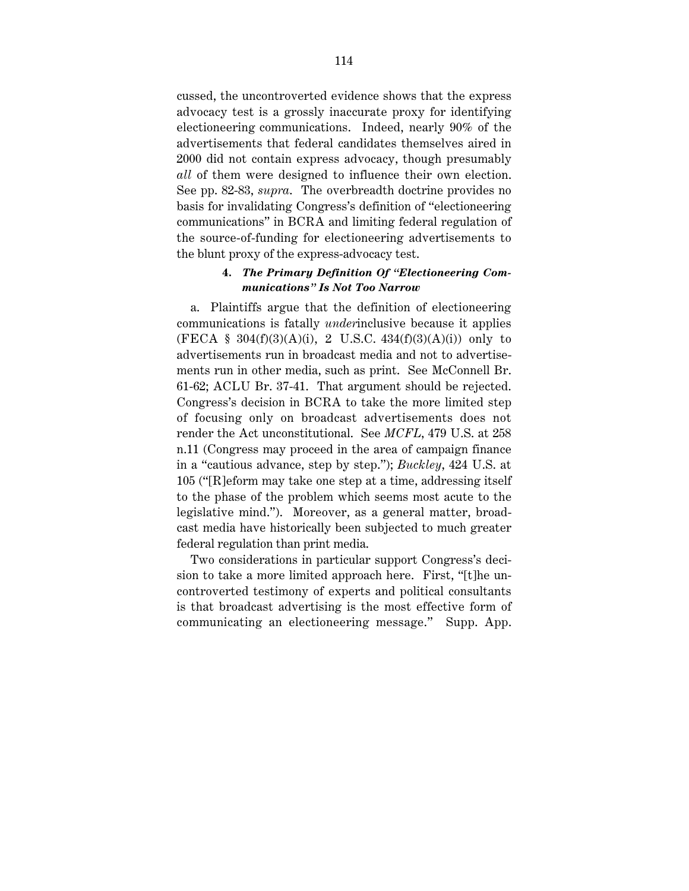cussed, the uncontroverted evidence shows that the express advocacy test is a grossly inaccurate proxy for identifying electioneering communications. Indeed, nearly 90% of the advertisements that federal candidates themselves aired in 2000 did not contain express advocacy, though presumably *all* of them were designed to influence their own election. See pp. 82-83, *supra*. The overbreadth doctrine provides no basis for invalidating Congress's definition of "electioneering communications" in BCRA and limiting federal regulation of the source-of-funding for electioneering advertisements to the blunt proxy of the express-advocacy test.

#### **4.** *The Primary Definition Of "Electioneering Communications" Is Not Too Narrow*

a. Plaintiffs argue that the definition of electioneering communications is fatally *under*inclusive because it applies (FECA § 304 $(f)(3)(A)(i)$ , 2 U.S.C. 434 $(f)(3)(A)(i)$ ) only to advertisements run in broadcast media and not to advertisements run in other media, such as print. See McConnell Br. 61-62; ACLU Br. 37-41. That argument should be rejected. Congress's decision in BCRA to take the more limited step of focusing only on broadcast advertisements does not render the Act unconstitutional. See *MCFL*, 479 U.S. at 258 n.11 (Congress may proceed in the area of campaign finance in a "cautious advance, step by step."); *Buckley*, 424 U.S. at 105 ("[R]eform may take one step at a time, addressing itself to the phase of the problem which seems most acute to the legislative mind."). Moreover, as a general matter, broadcast media have historically been subjected to much greater federal regulation than print media.

Two considerations in particular support Congress's decision to take a more limited approach here. First, "[t]he uncontroverted testimony of experts and political consultants is that broadcast advertising is the most effective form of communicating an electioneering message." Supp. App.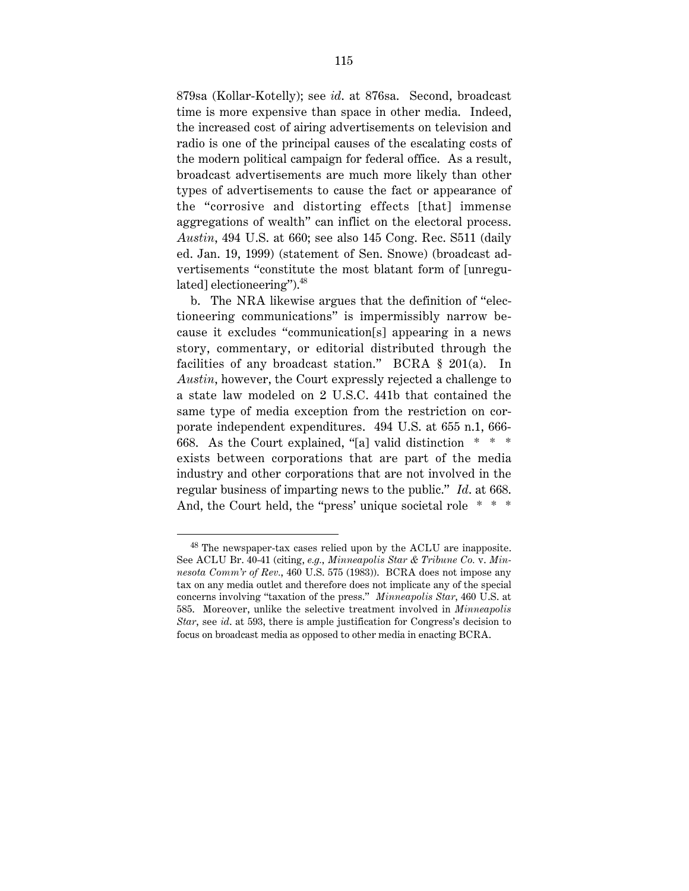879sa (Kollar-Kotelly); see *id*. at 876sa. Second, broadcast time is more expensive than space in other media. Indeed, the increased cost of airing advertisements on television and radio is one of the principal causes of the escalating costs of the modern political campaign for federal office. As a result, broadcast advertisements are much more likely than other types of advertisements to cause the fact or appearance of the "corrosive and distorting effects [that] immense aggregations of wealth" can inflict on the electoral process. *Austin*, 494 U.S. at 660; see also 145 Cong. Rec. S511 (daily ed. Jan. 19, 1999) (statement of Sen. Snowe) (broadcast advertisements "constitute the most blatant form of [unregulated] electioneering").48

b. The NRA likewise argues that the definition of "electioneering communications" is impermissibly narrow because it excludes "communication[s] appearing in a news story, commentary, or editorial distributed through the facilities of any broadcast station." BCRA § 201(a). In *Austin*, however, the Court expressly rejected a challenge to a state law modeled on 2 U.S.C. 441b that contained the same type of media exception from the restriction on corporate independent expenditures. 494 U.S. at 655 n.1, 666- 668. As the Court explained, "[a] valid distinction \* \* \* exists between corporations that are part of the media industry and other corporations that are not involved in the regular business of imparting news to the public." *Id*. at 668. And, the Court held, the "press' unique societal role \* \* \*

 <sup>48</sup> The newspaper-tax cases relied upon by the ACLU are inapposite. See ACLU Br. 40-41 (citing, *e.g.*, *Minneapolis Star & Tribune Co.* v. *Minnesota Comm'r of Rev.*, 460 U.S. 575 (1983)). BCRA does not impose any tax on any media outlet and therefore does not implicate any of the special concerns involving "taxation of the press." *Minneapolis Star*, 460 U.S. at 585. Moreover, unlike the selective treatment involved in *Minneapolis Star*, see *id*. at 593, there is ample justification for Congress's decision to focus on broadcast media as opposed to other media in enacting BCRA.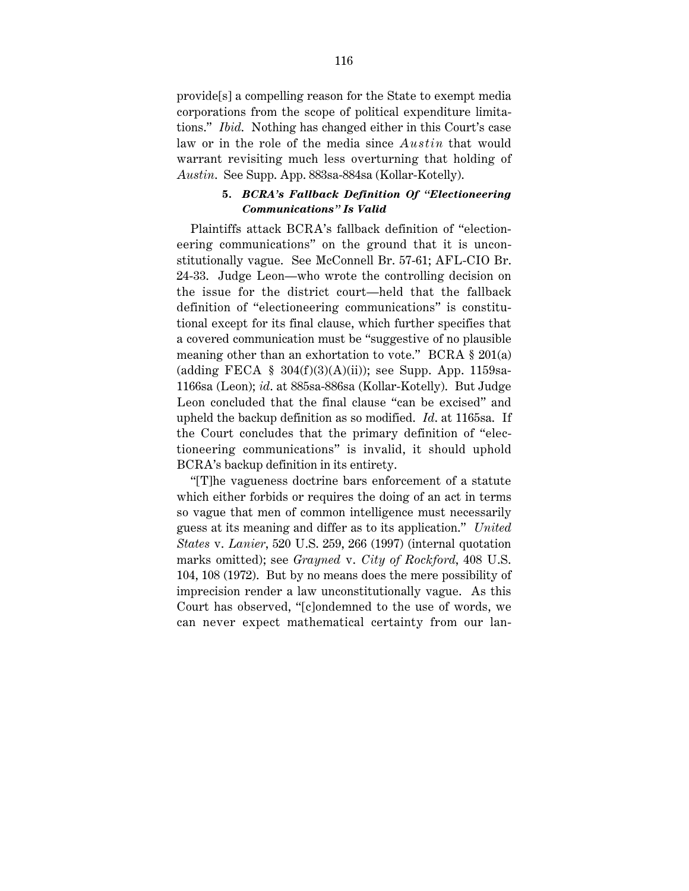provide[s] a compelling reason for the State to exempt media corporations from the scope of political expenditure limitations." *Ibid*. Nothing has changed either in this Court's case law or in the role of the media since *Austin* that would warrant revisiting much less overturning that holding of *Austin*. See Supp. App. 883sa-884sa (Kollar-Kotelly).

#### **5.** *BCRA's Fallback Definition Of "Electioneering Communications" Is Valid*

Plaintiffs attack BCRA's fallback definition of "electioneering communications" on the ground that it is unconstitutionally vague. See McConnell Br. 57-61; AFL-CIO Br. 24-33. Judge Leon—who wrote the controlling decision on the issue for the district court—held that the fallback definition of "electioneering communications" is constitutional except for its final clause, which further specifies that a covered communication must be "suggestive of no plausible meaning other than an exhortation to vote." BCRA § 201(a) (adding FECA  $\S$  304(f)(3)(A)(ii)); see Supp. App. 1159sa-1166sa (Leon); *id*. at 885sa-886sa (Kollar-Kotelly). But Judge Leon concluded that the final clause "can be excised" and upheld the backup definition as so modified. *Id*. at 1165sa. If the Court concludes that the primary definition of "electioneering communications" is invalid, it should uphold BCRA's backup definition in its entirety.

"[T]he vagueness doctrine bars enforcement of a statute which either forbids or requires the doing of an act in terms so vague that men of common intelligence must necessarily guess at its meaning and differ as to its application." *United States* v. *Lanier*, 520 U.S. 259, 266 (1997) (internal quotation marks omitted); see *Grayned* v. *City of Rockford*, 408 U.S. 104, 108 (1972). But by no means does the mere possibility of imprecision render a law unconstitutionally vague. As this Court has observed, "[c]ondemned to the use of words, we can never expect mathematical certainty from our lan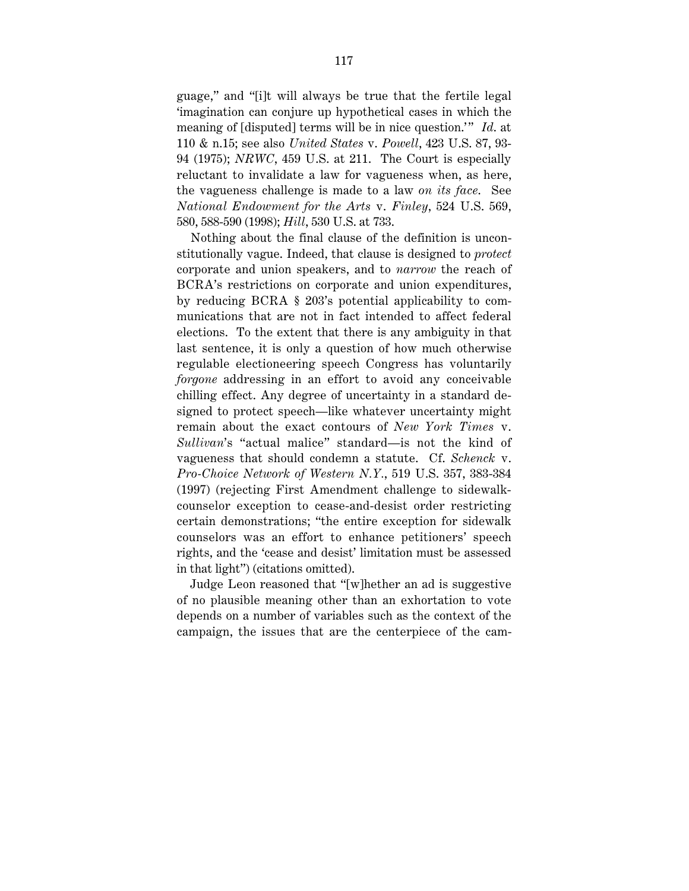guage," and "[i]t will always be true that the fertile legal 'imagination can conjure up hypothetical cases in which the meaning of [disputed] terms will be in nice question." *Id.* at 110 & n.15; see also *United States* v. *Powell*, 423 U.S. 87, 93- 94 (1975); *NRWC*, 459 U.S. at 211. The Court is especially reluctant to invalidate a law for vagueness when, as here, the vagueness challenge is made to a law *on its face*. See *National Endowment for the Arts* v. *Finley*, 524 U.S. 569, 580, 588-590 (1998); *Hill*, 530 U.S. at 733.

Nothing about the final clause of the definition is unconstitutionally vague. Indeed, that clause is designed to *protect* corporate and union speakers, and to *narrow* the reach of BCRA's restrictions on corporate and union expenditures, by reducing BCRA § 203's potential applicability to communications that are not in fact intended to affect federal elections. To the extent that there is any ambiguity in that last sentence, it is only a question of how much otherwise regulable electioneering speech Congress has voluntarily *forgone* addressing in an effort to avoid any conceivable chilling effect. Any degree of uncertainty in a standard designed to protect speech—like whatever uncertainty might remain about the exact contours of *New York Times* v. *Sullivan*'s "actual malice" standard—is not the kind of vagueness that should condemn a statute. Cf. *Schenck* v. *Pro-Choice Network of Western N.Y.*, 519 U.S. 357, 383-384 (1997) (rejecting First Amendment challenge to sidewalkcounselor exception to cease-and-desist order restricting certain demonstrations; "the entire exception for sidewalk counselors was an effort to enhance petitioners' speech rights, and the 'cease and desist' limitation must be assessed in that light") (citations omitted).

Judge Leon reasoned that "[w]hether an ad is suggestive of no plausible meaning other than an exhortation to vote depends on a number of variables such as the context of the campaign, the issues that are the centerpiece of the cam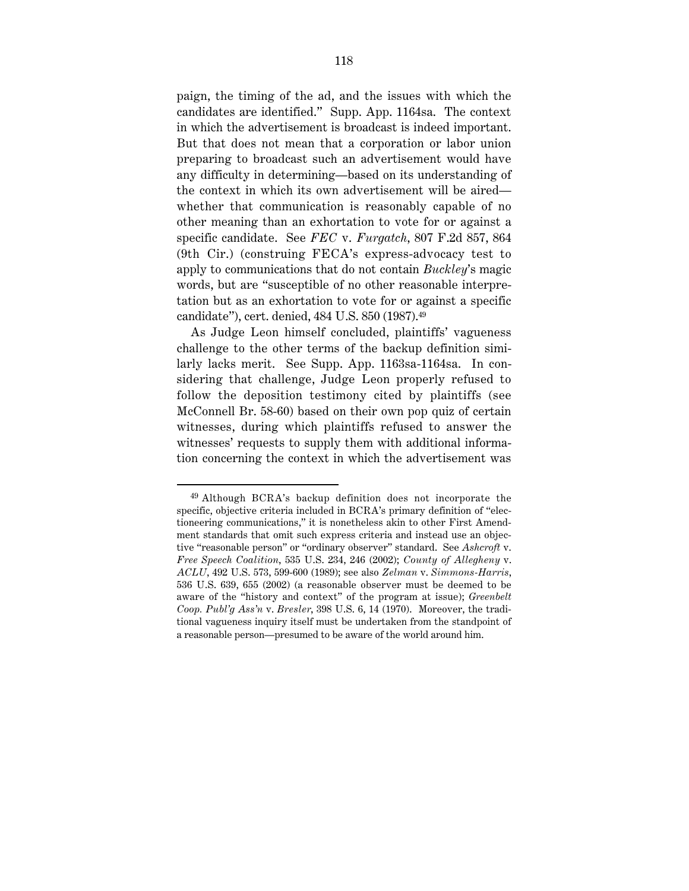paign, the timing of the ad, and the issues with which the candidates are identified." Supp. App. 1164sa. The context in which the advertisement is broadcast is indeed important. But that does not mean that a corporation or labor union preparing to broadcast such an advertisement would have any difficulty in determining—based on its understanding of the context in which its own advertisement will be aired whether that communication is reasonably capable of no other meaning than an exhortation to vote for or against a specific candidate. See *FEC* v. *Furgatch*, 807 F.2d 857, 864 (9th Cir.) (construing FECA's express-advocacy test to apply to communications that do not contain *Buckley*'s magic words, but are "susceptible of no other reasonable interpretation but as an exhortation to vote for or against a specific candidate"), cert. denied, 484 U.S. 850 (1987).49

As Judge Leon himself concluded, plaintiffs' vagueness challenge to the other terms of the backup definition similarly lacks merit. See Supp. App. 1163sa-1164sa. In considering that challenge, Judge Leon properly refused to follow the deposition testimony cited by plaintiffs (see McConnell Br. 58-60) based on their own pop quiz of certain witnesses, during which plaintiffs refused to answer the witnesses' requests to supply them with additional information concerning the context in which the advertisement was

 <sup>49</sup> Although BCRA's backup definition does not incorporate the specific, objective criteria included in BCRA's primary definition of "electioneering communications," it is nonetheless akin to other First Amendment standards that omit such express criteria and instead use an objective "reasonable person" or "ordinary observer" standard. See *Ashcroft* v. *Free Speech Coalition*, 535 U.S. 234, 246 (2002); *County of Allegheny* v. *ACLU*, 492 U.S. 573, 599-600 (1989); see also *Zelman* v. *Simmons-Harris*, 536 U.S. 639, 655 (2002) (a reasonable observer must be deemed to be aware of the "history and context" of the program at issue); *Greenbelt Coop. Publ'g Ass'n* v. *Bresler*, 398 U.S. 6, 14 (1970). Moreover, the traditional vagueness inquiry itself must be undertaken from the standpoint of a reasonable person—presumed to be aware of the world around him.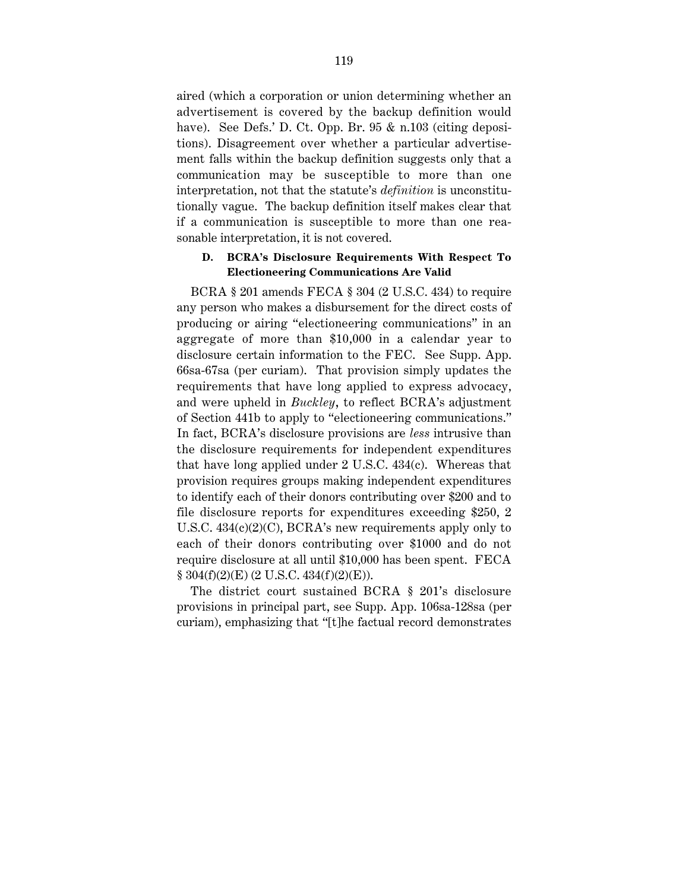aired (which a corporation or union determining whether an advertisement is covered by the backup definition would have). See Defs.' D. Ct. Opp. Br. 95 & n.103 (citing depositions). Disagreement over whether a particular advertisement falls within the backup definition suggests only that a communication may be susceptible to more than one interpretation, not that the statute's *definition* is unconstitutionally vague. The backup definition itself makes clear that if a communication is susceptible to more than one reasonable interpretation, it is not covered.

#### **D. BCRA's Disclosure Requirements With Respect To Electioneering Communications Are Valid**

BCRA § 201 amends FECA § 304 (2 U.S.C. 434) to require any person who makes a disbursement for the direct costs of producing or airing "electioneering communications" in an aggregate of more than \$10,000 in a calendar year to disclosure certain information to the FEC. See Supp. App. 66sa-67sa (per curiam). That provision simply updates the requirements that have long applied to express advocacy, and were upheld in *Buckley*, to reflect BCRA's adjustment of Section 441b to apply to "electioneering communications." In fact, BCRA's disclosure provisions are *less* intrusive than the disclosure requirements for independent expenditures that have long applied under 2 U.S.C. 434(c). Whereas that provision requires groups making independent expenditures to identify each of their donors contributing over \$200 and to file disclosure reports for expenditures exceeding \$250, 2 U.S.C. 434(c)(2)(C), BCRA's new requirements apply only to each of their donors contributing over \$1000 and do not require disclosure at all until \$10,000 has been spent. FECA  $§ 304(f)(2)(E) (2 U.S.C. 434(f)(2)(E)).$ 

The district court sustained BCRA § 201's disclosure provisions in principal part, see Supp. App. 106sa-128sa (per curiam), emphasizing that "[t]he factual record demonstrates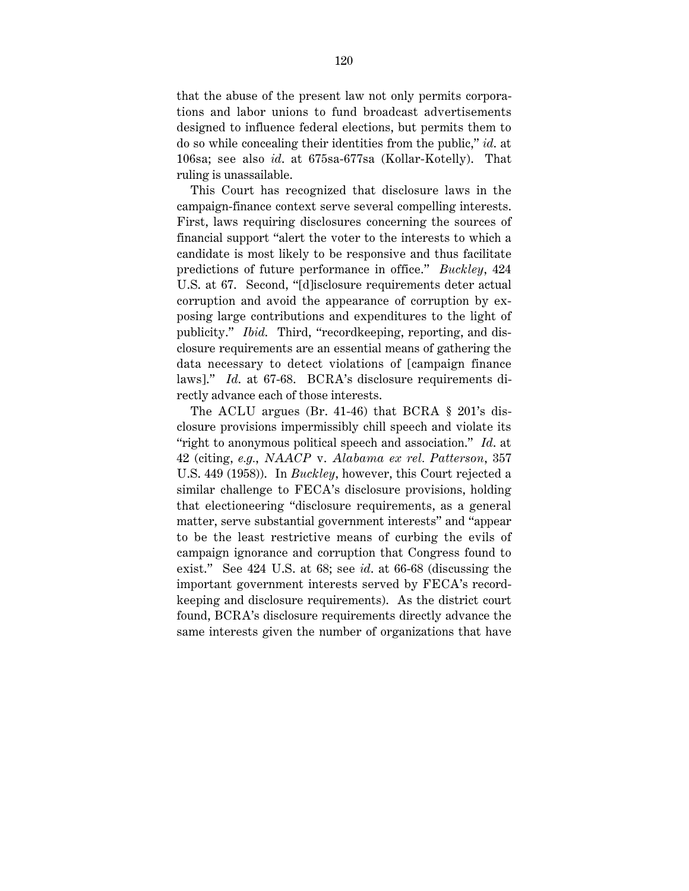that the abuse of the present law not only permits corporations and labor unions to fund broadcast advertisements designed to influence federal elections, but permits them to do so while concealing their identities from the public," *id*. at 106sa; see also *id*. at 675sa-677sa (Kollar-Kotelly). That ruling is unassailable.

This Court has recognized that disclosure laws in the campaign-finance context serve several compelling interests. First, laws requiring disclosures concerning the sources of financial support "alert the voter to the interests to which a candidate is most likely to be responsive and thus facilitate predictions of future performance in office." *Buckley*, 424 U.S. at 67. Second, "[d]isclosure requirements deter actual corruption and avoid the appearance of corruption by exposing large contributions and expenditures to the light of publicity." *Ibid*. Third, "recordkeeping, reporting, and disclosure requirements are an essential means of gathering the data necessary to detect violations of [campaign finance laws]." *Id*. at 67-68. BCRA's disclosure requirements directly advance each of those interests.

The ACLU argues (Br. 41-46) that BCRA  $\S$  201's disclosure provisions impermissibly chill speech and violate its "right to anonymous political speech and association." *Id*. at 42 (citing, *e.g.*, *NAACP* v. *Alabama ex rel. Patterson*, 357 U.S. 449 (1958)). In *Buckley*, however, this Court rejected a similar challenge to FECA's disclosure provisions, holding that electioneering "disclosure requirements, as a general matter, serve substantial government interests" and "appear to be the least restrictive means of curbing the evils of campaign ignorance and corruption that Congress found to exist." See 424 U.S. at 68; see *id*. at 66-68 (discussing the important government interests served by FECA's recordkeeping and disclosure requirements). As the district court found, BCRA's disclosure requirements directly advance the same interests given the number of organizations that have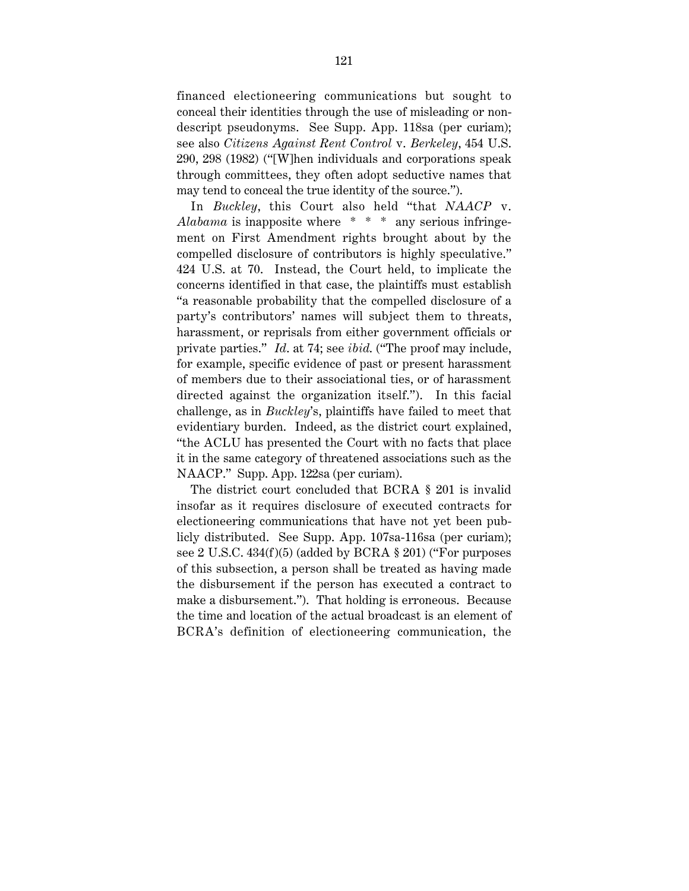financed electioneering communications but sought to conceal their identities through the use of misleading or nondescript pseudonyms. See Supp. App. 118sa (per curiam); see also *Citizens Against Rent Control* v. *Berkeley*, 454 U.S. 290, 298 (1982) ("[W]hen individuals and corporations speak through committees, they often adopt seductive names that may tend to conceal the true identity of the source.").

In *Buckley*, this Court also held "that *NAACP* v. Alabama is inapposite where \* \* \* any serious infringement on First Amendment rights brought about by the compelled disclosure of contributors is highly speculative." 424 U.S. at 70. Instead, the Court held, to implicate the concerns identified in that case, the plaintiffs must establish "a reasonable probability that the compelled disclosure of a party's contributors' names will subject them to threats, harassment, or reprisals from either government officials or private parties." *Id*. at 74; see *ibid*. ("The proof may include, for example, specific evidence of past or present harassment of members due to their associational ties, or of harassment directed against the organization itself."). In this facial challenge, as in *Buckley*'s, plaintiffs have failed to meet that evidentiary burden. Indeed, as the district court explained, "the ACLU has presented the Court with no facts that place it in the same category of threatened associations such as the NAACP." Supp. App. 122sa (per curiam).

The district court concluded that BCRA § 201 is invalid insofar as it requires disclosure of executed contracts for electioneering communications that have not yet been publicly distributed. See Supp. App. 107sa-116sa (per curiam); see 2 U.S.C.  $434(f)(5)$  (added by BCRA § 201) ("For purposes" of this subsection, a person shall be treated as having made the disbursement if the person has executed a contract to make a disbursement."). That holding is erroneous. Because the time and location of the actual broadcast is an element of BCRA's definition of electioneering communication, the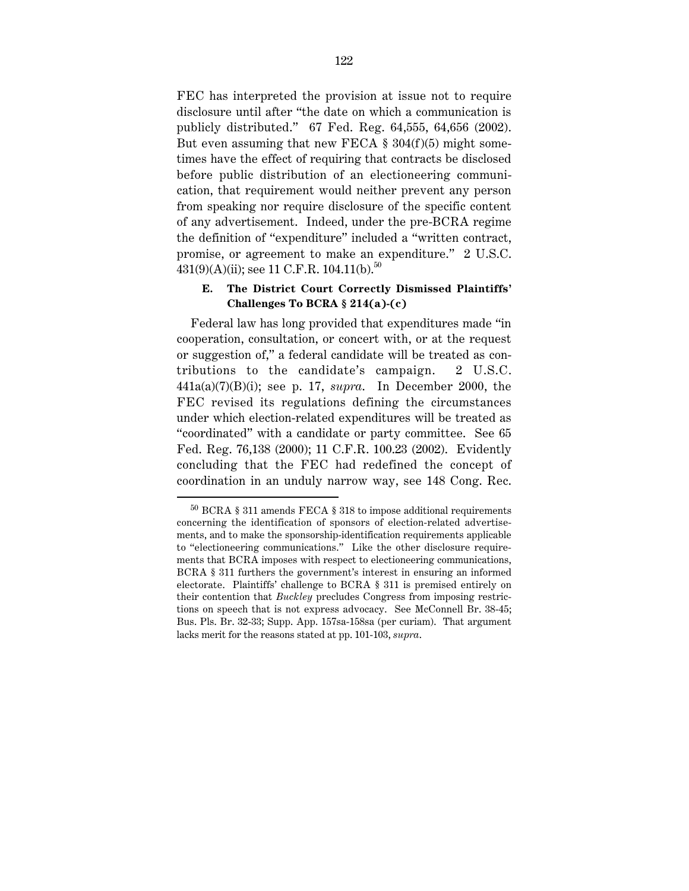FEC has interpreted the provision at issue not to require disclosure until after "the date on which a communication is publicly distributed." 67 Fed. Reg. 64,555, 64,656 (2002). But even assuming that new FECA  $\S 304(f)(5)$  might sometimes have the effect of requiring that contracts be disclosed before public distribution of an electioneering communication, that requirement would neither prevent any person from speaking nor require disclosure of the specific content of any advertisement. Indeed, under the pre-BCRA regime the definition of "expenditure" included a "written contract, promise, or agreement to make an expenditure." 2 U.S.C.  $431(9)(A)(ii)$ ; see 11 C.F.R. 104.11(b).<sup>50</sup>

#### **E. The District Court Correctly Dismissed Plaintiffs' Challenges To BCRA § 214(a)-(c)**

Federal law has long provided that expenditures made "in cooperation, consultation, or concert with, or at the request or suggestion of," a federal candidate will be treated as contributions to the candidate's campaign. 2 U.S.C. 441a(a)(7)(B)(i); see p. 17, *supra*. In December 2000, the FEC revised its regulations defining the circumstances under which election-related expenditures will be treated as "coordinated" with a candidate or party committee. See 65 Fed. Reg. 76,138 (2000); 11 C.F.R. 100.23 (2002). Evidently concluding that the FEC had redefined the concept of coordination in an unduly narrow way, see 148 Cong. Rec.

 $^{50}$  BCRA  $\,$  311 amends FECA  $\,$  318 to impose additional requirements concerning the identification of sponsors of election-related advertisements, and to make the sponsorship-identification requirements applicable to "electioneering communications." Like the other disclosure requirements that BCRA imposes with respect to electioneering communications, BCRA § 311 furthers the government's interest in ensuring an informed electorate. Plaintiffs' challenge to BCRA § 311 is premised entirely on their contention that *Buckley* precludes Congress from imposing restrictions on speech that is not express advocacy. See McConnell Br. 38-45; Bus. Pls. Br. 32-33; Supp. App. 157sa-158sa (per curiam). That argument lacks merit for the reasons stated at pp. 101-103, *supra*.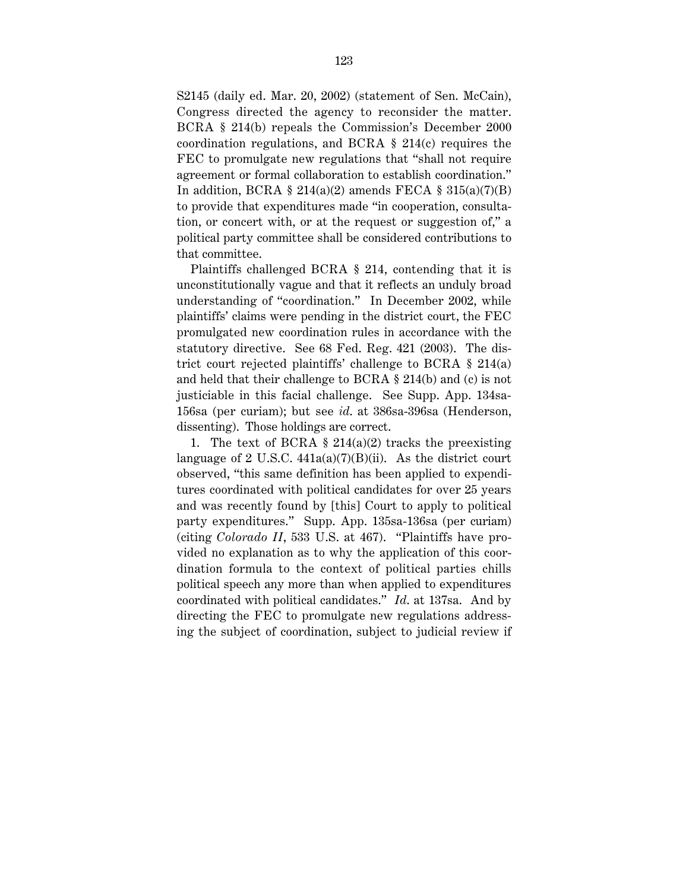S2145 (daily ed. Mar. 20, 2002) (statement of Sen. McCain), Congress directed the agency to reconsider the matter. BCRA § 214(b) repeals the Commission's December 2000 coordination regulations, and BCRA § 214(c) requires the FEC to promulgate new regulations that "shall not require agreement or formal collaboration to establish coordination." In addition, BCRA  $\S 214(a)(2)$  amends FECA  $\S 315(a)(7)(B)$ to provide that expenditures made "in cooperation, consultation, or concert with, or at the request or suggestion of," a political party committee shall be considered contributions to that committee.

Plaintiffs challenged BCRA § 214, contending that it is unconstitutionally vague and that it reflects an unduly broad understanding of "coordination." In December 2002, while plaintiffs' claims were pending in the district court, the FEC promulgated new coordination rules in accordance with the statutory directive. See 68 Fed. Reg. 421 (2003). The district court rejected plaintiffs' challenge to BCRA § 214(a) and held that their challenge to BCRA § 214(b) and (c) is not justiciable in this facial challenge. See Supp. App. 134sa-156sa (per curiam); but see *id*. at 386sa-396sa (Henderson, dissenting). Those holdings are correct.

1. The text of BCRA  $\S$  214(a)(2) tracks the preexisting language of 2 U.S.C.  $441a(a)(7)(B)(ii)$ . As the district court observed, "this same definition has been applied to expenditures coordinated with political candidates for over 25 years and was recently found by [this] Court to apply to political party expenditures." Supp. App. 135sa-136sa (per curiam) (citing *Colorado II*, 533 U.S. at 467). "Plaintiffs have provided no explanation as to why the application of this coordination formula to the context of political parties chills political speech any more than when applied to expenditures coordinated with political candidates." *Id*. at 137sa. And by directing the FEC to promulgate new regulations addressing the subject of coordination, subject to judicial review if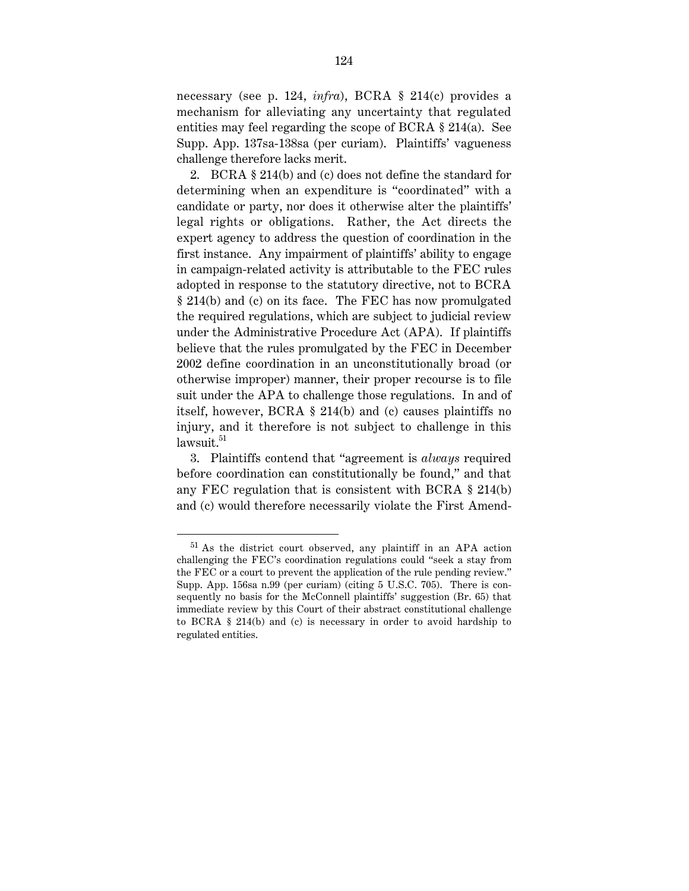necessary (see p. 124, *infra*), BCRA § 214(c) provides a mechanism for alleviating any uncertainty that regulated entities may feel regarding the scope of BCRA § 214(a). See Supp. App. 137sa-138sa (per curiam). Plaintiffs' vagueness challenge therefore lacks merit.

2. BCRA § 214(b) and (c) does not define the standard for determining when an expenditure is "coordinated" with a candidate or party, nor does it otherwise alter the plaintiffs' legal rights or obligations. Rather, the Act directs the expert agency to address the question of coordination in the first instance. Any impairment of plaintiffs' ability to engage in campaign-related activity is attributable to the FEC rules adopted in response to the statutory directive, not to BCRA § 214(b) and (c) on its face. The FEC has now promulgated the required regulations, which are subject to judicial review under the Administrative Procedure Act (APA). If plaintiffs believe that the rules promulgated by the FEC in December 2002 define coordination in an unconstitutionally broad (or otherwise improper) manner, their proper recourse is to file suit under the APA to challenge those regulations. In and of itself, however, BCRA § 214(b) and (c) causes plaintiffs no injury, and it therefore is not subject to challenge in this  $lawsuit.<sup>51</sup>$ 

3. Plaintiffs contend that "agreement is *always* required before coordination can constitutionally be found," and that any FEC regulation that is consistent with BCRA § 214(b) and (c) would therefore necessarily violate the First Amend-

 <sup>51</sup> As the district court observed, any plaintiff in an APA action challenging the FEC's coordination regulations could "seek a stay from the FEC or a court to prevent the application of the rule pending review." Supp. App. 156sa n.99 (per curiam) (citing 5 U.S.C. 705). There is consequently no basis for the McConnell plaintiffs' suggestion (Br. 65) that immediate review by this Court of their abstract constitutional challenge to BCRA § 214(b) and (c) is necessary in order to avoid hardship to regulated entities.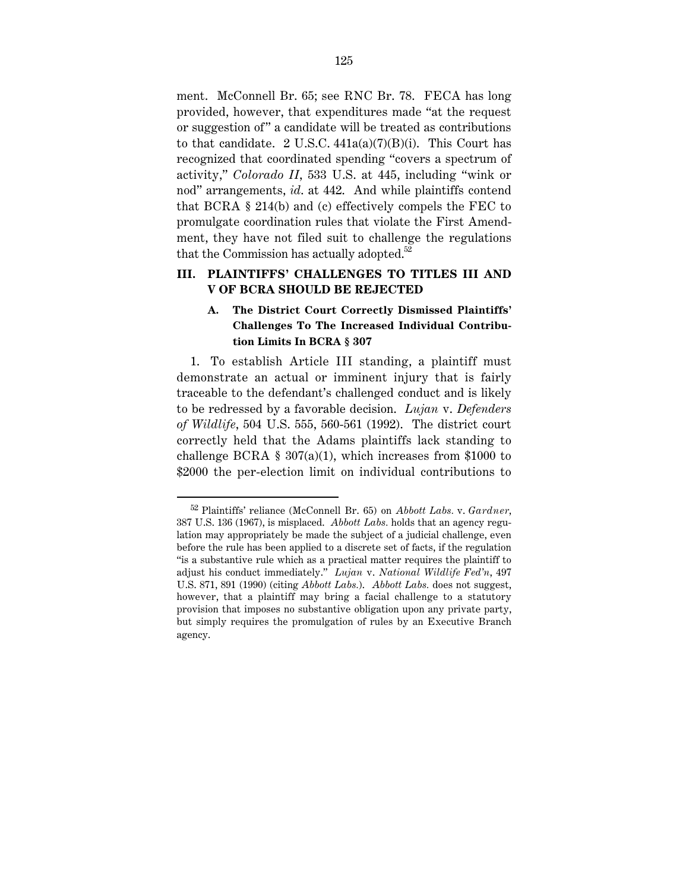ment. McConnell Br. 65; see RNC Br. 78. FECA has long provided, however, that expenditures made "at the request or suggestion of " a candidate will be treated as contributions to that candidate. 2 U.S.C.  $441a(a)(7)(B)(i)$ . This Court has recognized that coordinated spending "covers a spectrum of activity," *Colorado II*, 533 U.S. at 445, including "wink or nod" arrangements, *id*. at 442. And while plaintiffs contend that BCRA § 214(b) and (c) effectively compels the FEC to promulgate coordination rules that violate the First Amendment, they have not filed suit to challenge the regulations that the Commission has actually adopted. $52$ 

# **III. PLAINTIFFS' CHALLENGES TO TITLES III AND V OF BCRA SHOULD BE REJECTED**

# **A. The District Court Correctly Dismissed Plaintiffs' Challenges To The Increased Individual Contribution Limits In BCRA § 307**

1. To establish Article III standing, a plaintiff must demonstrate an actual or imminent injury that is fairly traceable to the defendant's challenged conduct and is likely to be redressed by a favorable decision. *Lujan* v. *Defenders of Wildlife*, 504 U.S. 555, 560-561 (1992). The district court correctly held that the Adams plaintiffs lack standing to challenge BCRA  $\S 307(a)(1)$ , which increases from \$1000 to \$2000 the per-election limit on individual contributions to

 <sup>52</sup> Plaintiffs' reliance (McConnell Br. 65) on *Abbott Labs.* v. *Gardner*, 387 U.S. 136 (1967), is misplaced. *Abbott Labs.* holds that an agency regulation may appropriately be made the subject of a judicial challenge, even before the rule has been applied to a discrete set of facts, if the regulation "is a substantive rule which as a practical matter requires the plaintiff to adjust his conduct immediately." *Lujan* v. *National Wildlife Fed'n*, 497 U.S. 871, 891 (1990) (citing *Abbott Labs.*). *Abbott Labs.* does not suggest, however, that a plaintiff may bring a facial challenge to a statutory provision that imposes no substantive obligation upon any private party, but simply requires the promulgation of rules by an Executive Branch agency.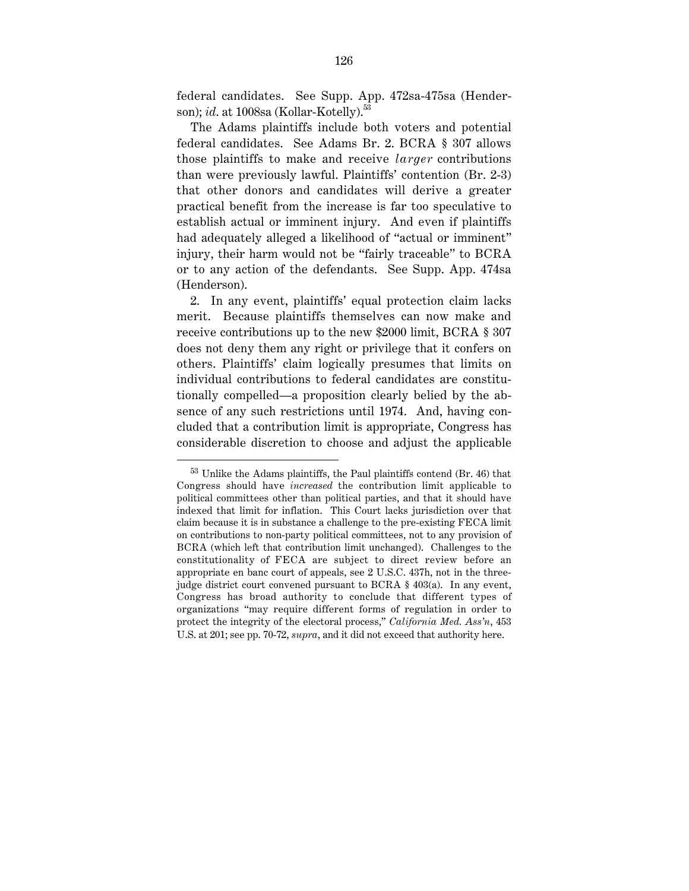federal candidates. See Supp. App. 472sa-475sa (Henderson); *id.* at 1008sa (Kollar-Kotelly).<sup>53</sup>

The Adams plaintiffs include both voters and potential federal candidates. See Adams Br. 2. BCRA § 307 allows those plaintiffs to make and receive *larger* contributions than were previously lawful. Plaintiffs' contention (Br. 2-3) that other donors and candidates will derive a greater practical benefit from the increase is far too speculative to establish actual or imminent injury. And even if plaintiffs had adequately alleged a likelihood of "actual or imminent" injury, their harm would not be "fairly traceable" to BCRA or to any action of the defendants. See Supp. App. 474sa (Henderson).

2. In any event, plaintiffs' equal protection claim lacks merit. Because plaintiffs themselves can now make and receive contributions up to the new \$2000 limit, BCRA § 307 does not deny them any right or privilege that it confers on others. Plaintiffs' claim logically presumes that limits on individual contributions to federal candidates are constitutionally compelled—a proposition clearly belied by the absence of any such restrictions until 1974. And, having concluded that a contribution limit is appropriate, Congress has considerable discretion to choose and adjust the applicable

 <sup>53</sup> Unlike the Adams plaintiffs, the Paul plaintiffs contend (Br. 46) that Congress should have *increased* the contribution limit applicable to political committees other than political parties, and that it should have indexed that limit for inflation. This Court lacks jurisdiction over that claim because it is in substance a challenge to the pre-existing FECA limit on contributions to non-party political committees, not to any provision of BCRA (which left that contribution limit unchanged). Challenges to the constitutionality of FECA are subject to direct review before an appropriate en banc court of appeals, see 2 U.S.C. 437h, not in the threejudge district court convened pursuant to BCRA § 403(a). In any event, Congress has broad authority to conclude that different types of organizations "may require different forms of regulation in order to protect the integrity of the electoral process," *California Med. Ass'n*, 453 U.S. at 201; see pp. 70-72, *supra*, and it did not exceed that authority here.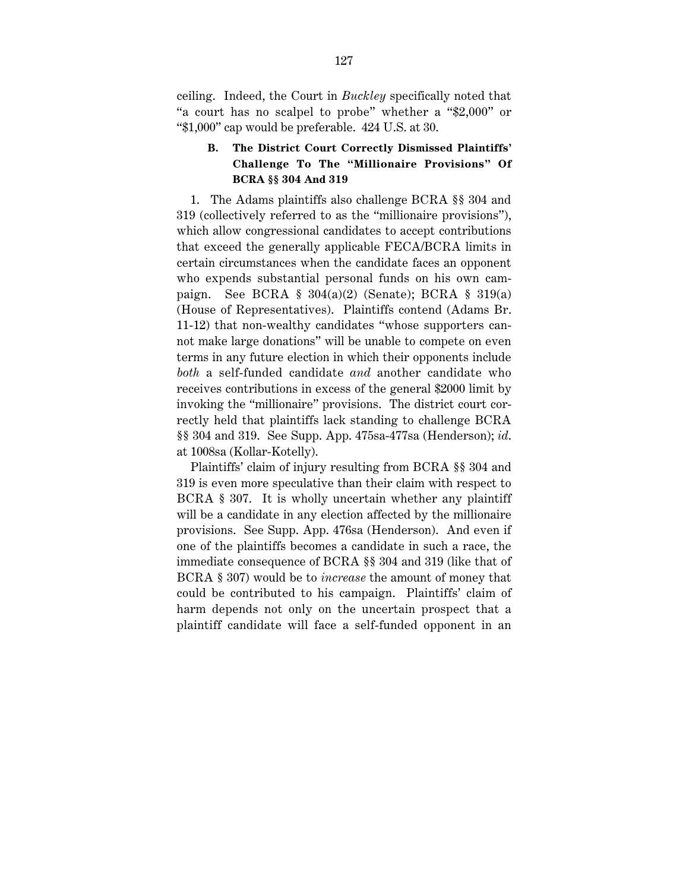ceiling. Indeed, the Court in *Buckley* specifically noted that "a court has no scalpel to probe" whether a "\$2,000" or "\$1,000" cap would be preferable. 424 U.S. at 30.

# **B. The District Court Correctly Dismissed Plaintiffs' Challenge To The "Millionaire Provisions" Of BCRA §§ 304 And 319**

1. The Adams plaintiffs also challenge BCRA §§ 304 and 319 (collectively referred to as the "millionaire provisions"), which allow congressional candidates to accept contributions that exceed the generally applicable FECA/BCRA limits in certain circumstances when the candidate faces an opponent who expends substantial personal funds on his own campaign. See BCRA § 304(a)(2) (Senate); BCRA § 319(a) (House of Representatives). Plaintiffs contend (Adams Br. 11-12) that non-wealthy candidates "whose supporters cannot make large donations" will be unable to compete on even terms in any future election in which their opponents include *both* a self-funded candidate *and* another candidate who receives contributions in excess of the general \$2000 limit by invoking the "millionaire" provisions. The district court correctly held that plaintiffs lack standing to challenge BCRA §§ 304 and 319. See Supp. App. 475sa-477sa (Henderson); *id*. at 1008sa (Kollar-Kotelly).

Plaintiffs' claim of injury resulting from BCRA §§ 304 and 319 is even more speculative than their claim with respect to BCRA § 307. It is wholly uncertain whether any plaintiff will be a candidate in any election affected by the millionaire provisions. See Supp. App. 476sa (Henderson). And even if one of the plaintiffs becomes a candidate in such a race, the immediate consequence of BCRA §§ 304 and 319 (like that of BCRA § 307) would be to *increase* the amount of money that could be contributed to his campaign. Plaintiffs' claim of harm depends not only on the uncertain prospect that a plaintiff candidate will face a self-funded opponent in an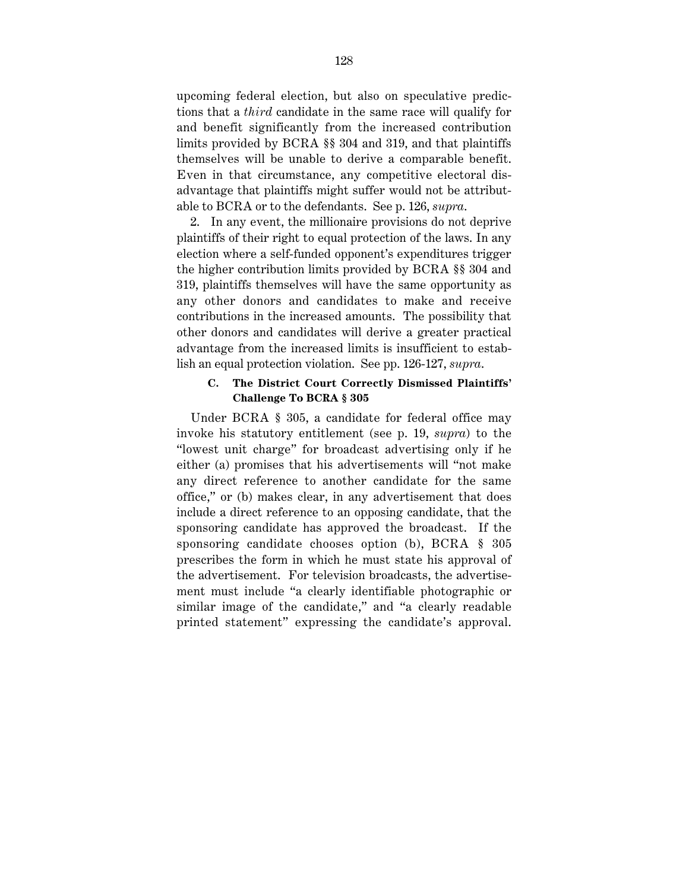upcoming federal election, but also on speculative predictions that a *third* candidate in the same race will qualify for and benefit significantly from the increased contribution limits provided by BCRA §§ 304 and 319, and that plaintiffs themselves will be unable to derive a comparable benefit. Even in that circumstance, any competitive electoral disadvantage that plaintiffs might suffer would not be attributable to BCRA or to the defendants. See p. 126, *supra*.

2. In any event, the millionaire provisions do not deprive plaintiffs of their right to equal protection of the laws. In any election where a self-funded opponent's expenditures trigger the higher contribution limits provided by BCRA §§ 304 and 319, plaintiffs themselves will have the same opportunity as any other donors and candidates to make and receive contributions in the increased amounts. The possibility that other donors and candidates will derive a greater practical advantage from the increased limits is insufficient to establish an equal protection violation. See pp. 126-127, *supra*.

## **C. The District Court Correctly Dismissed Plaintiffs' Challenge To BCRA § 305**

Under BCRA § 305, a candidate for federal office may invoke his statutory entitlement (see p. 19, *supra*) to the "lowest unit charge" for broadcast advertising only if he either (a) promises that his advertisements will "not make any direct reference to another candidate for the same office," or (b) makes clear, in any advertisement that does include a direct reference to an opposing candidate, that the sponsoring candidate has approved the broadcast. If the sponsoring candidate chooses option (b), BCRA § 305 prescribes the form in which he must state his approval of the advertisement. For television broadcasts, the advertisement must include "a clearly identifiable photographic or similar image of the candidate," and "a clearly readable printed statement" expressing the candidate's approval.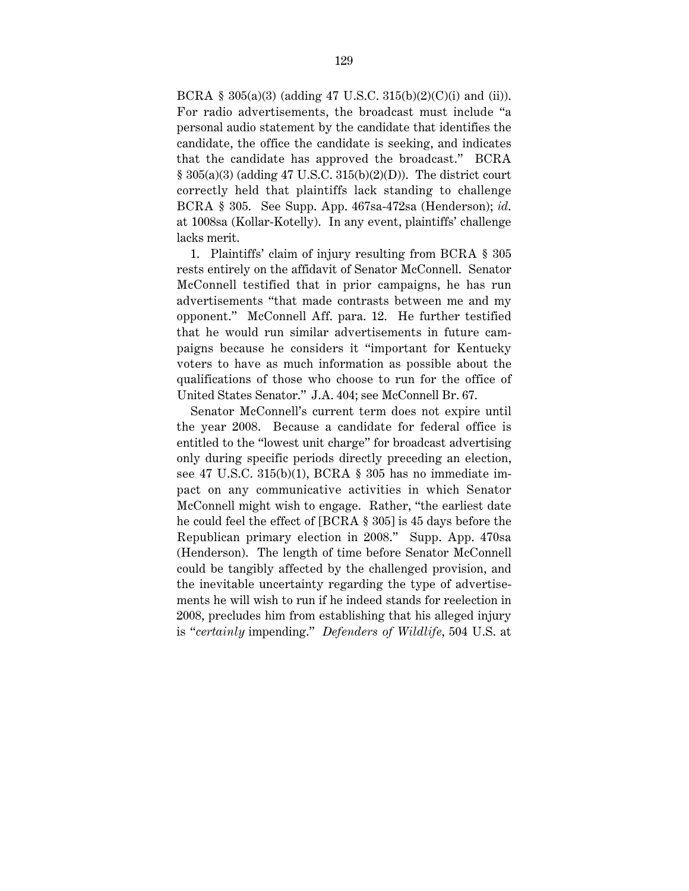BCRA § 305(a)(3) (adding 47 U.S.C. 315(b)(2)(C)(i) and (ii)). For radio advertisements, the broadcast must include "a personal audio statement by the candidate that identifies the candidate, the office the candidate is seeking, and indicates that the candidate has approved the broadcast." BCRA  $§ 305(a)(3)$  (adding 47 U.S.C. 315(b)(2)(D)). The district court correctly held that plaintiffs lack standing to challenge BCRA § 305. See Supp. App. 467sa-472sa (Henderson); *id*. at 1008sa (Kollar-Kotelly). In any event, plaintiffs' challenge lacks merit.

1. Plaintiffs' claim of injury resulting from BCRA § 305 rests entirely on the affidavit of Senator McConnell. Senator McConnell testified that in prior campaigns, he has run advertisements "that made contrasts between me and my opponent." McConnell Aff. para. 12. He further testified that he would run similar advertisements in future campaigns because he considers it "important for Kentucky voters to have as much information as possible about the qualifications of those who choose to run for the office of United States Senator." J.A. 404; see McConnell Br. 67.

Senator McConnell's current term does not expire until the year 2008. Because a candidate for federal office is entitled to the "lowest unit charge" for broadcast advertising only during specific periods directly preceding an election, see 47 U.S.C. 315(b)(1), BCRA § 305 has no immediate impact on any communicative activities in which Senator McConnell might wish to engage. Rather, "the earliest date he could feel the effect of [BCRA § 305] is 45 days before the Republican primary election in 2008." Supp. App. 470sa (Henderson). The length of time before Senator McConnell could be tangibly affected by the challenged provision, and the inevitable uncertainty regarding the type of advertisements he will wish to run if he indeed stands for reelection in 2008, precludes him from establishing that his alleged injury is "*certainly* impending." *Defenders of Wildlife*, 504 U.S. at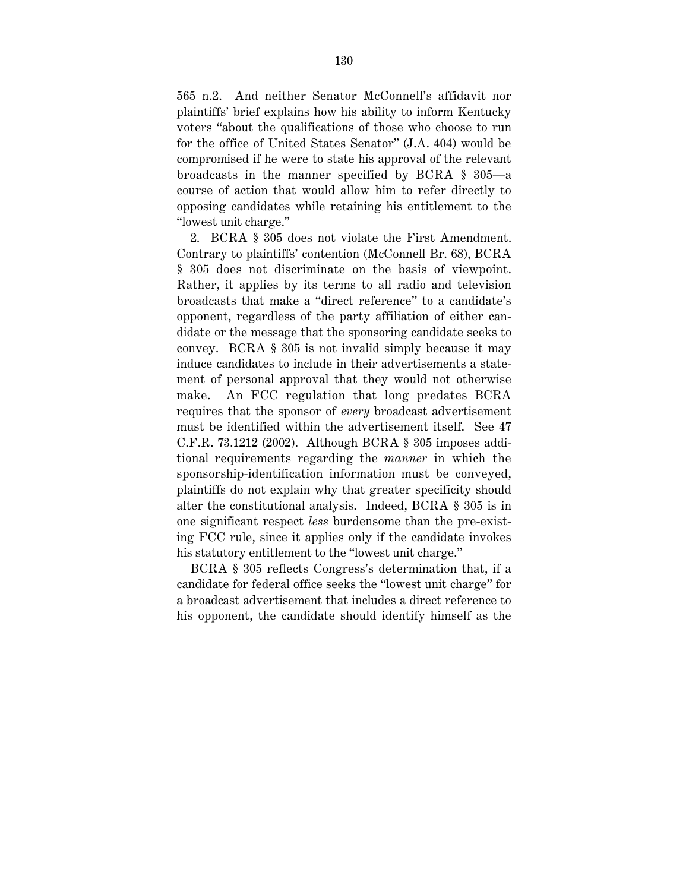565 n.2. And neither Senator McConnell's affidavit nor plaintiffs' brief explains how his ability to inform Kentucky voters "about the qualifications of those who choose to run for the office of United States Senator" (J.A. 404) would be compromised if he were to state his approval of the relevant broadcasts in the manner specified by BCRA § 305—a course of action that would allow him to refer directly to opposing candidates while retaining his entitlement to the "lowest unit charge."

2. BCRA § 305 does not violate the First Amendment. Contrary to plaintiffs' contention (McConnell Br. 68), BCRA § 305 does not discriminate on the basis of viewpoint. Rather, it applies by its terms to all radio and television broadcasts that make a "direct reference" to a candidate's opponent, regardless of the party affiliation of either candidate or the message that the sponsoring candidate seeks to convey. BCRA § 305 is not invalid simply because it may induce candidates to include in their advertisements a statement of personal approval that they would not otherwise make. An FCC regulation that long predates BCRA requires that the sponsor of *every* broadcast advertisement must be identified within the advertisement itself. See 47 C.F.R. 73.1212 (2002). Although BCRA § 305 imposes additional requirements regarding the *manner* in which the sponsorship-identification information must be conveyed, plaintiffs do not explain why that greater specificity should alter the constitutional analysis. Indeed, BCRA § 305 is in one significant respect *less* burdensome than the pre-existing FCC rule, since it applies only if the candidate invokes his statutory entitlement to the "lowest unit charge."

BCRA § 305 reflects Congress's determination that, if a candidate for federal office seeks the "lowest unit charge" for a broadcast advertisement that includes a direct reference to his opponent, the candidate should identify himself as the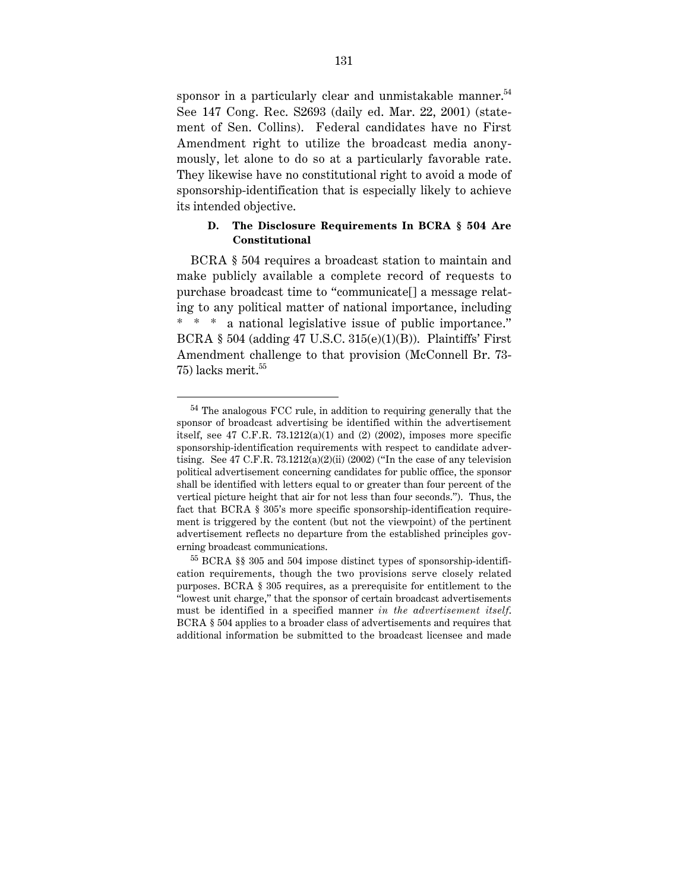sponsor in a particularly clear and unmistakable manner. $54$ See 147 Cong. Rec. S2693 (daily ed. Mar. 22, 2001) (statement of Sen. Collins). Federal candidates have no First Amendment right to utilize the broadcast media anonymously, let alone to do so at a particularly favorable rate. They likewise have no constitutional right to avoid a mode of sponsorship-identification that is especially likely to achieve its intended objective.

## **D. The Disclosure Requirements In BCRA § 504 Are Constitutional**

BCRA § 504 requires a broadcast station to maintain and make publicly available a complete record of requests to purchase broadcast time to "communicate[] a message relating to any political matter of national importance, including \* \* \* a national legislative issue of public importance." BCRA  $\S$  504 (adding 47 U.S.C. 315(e)(1)(B)). Plaintiffs' First Amendment challenge to that provision (McConnell Br. 73- 75) lacks merit.<sup>55</sup>

 $54$  The analogous FCC rule, in addition to requiring generally that the sponsor of broadcast advertising be identified within the advertisement itself, see 47 C.F.R.  $73.1212(a)(1)$  and  $(2)$   $(2002)$ , imposes more specific sponsorship-identification requirements with respect to candidate advertising. See 47 C.F.R. 73.1212(a)(2)(ii) (2002) ("In the case of any television political advertisement concerning candidates for public office, the sponsor shall be identified with letters equal to or greater than four percent of the vertical picture height that air for not less than four seconds."). Thus, the fact that BCRA § 305's more specific sponsorship-identification requirement is triggered by the content (but not the viewpoint) of the pertinent advertisement reflects no departure from the established principles governing broadcast communications.

<sup>55</sup> BCRA §§ 305 and 504 impose distinct types of sponsorship-identification requirements, though the two provisions serve closely related purposes. BCRA § 305 requires, as a prerequisite for entitlement to the "lowest unit charge," that the sponsor of certain broadcast advertisements must be identified in a specified manner *in the advertisement itself*. BCRA § 504 applies to a broader class of advertisements and requires that additional information be submitted to the broadcast licensee and made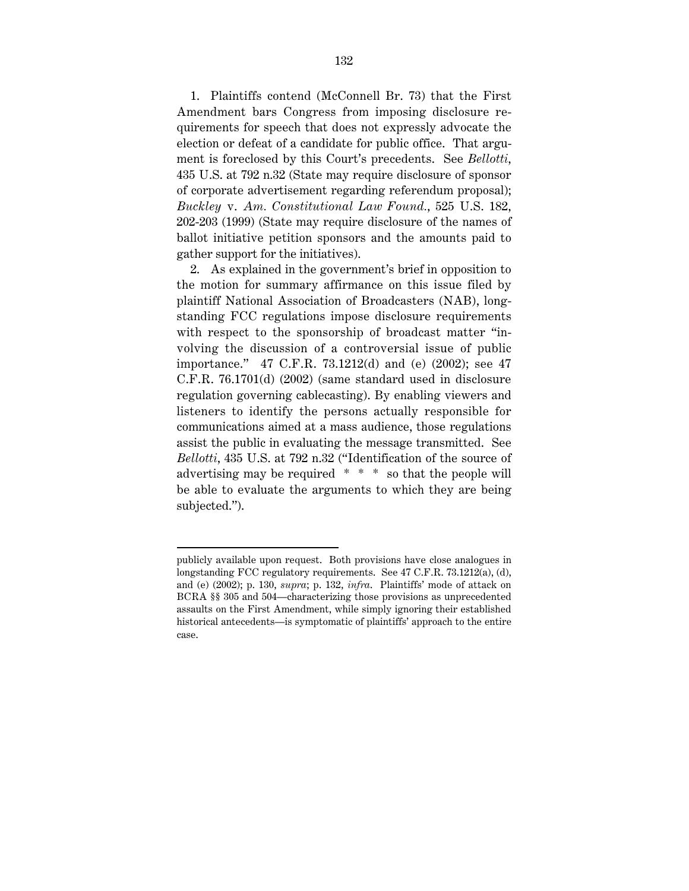1. Plaintiffs contend (McConnell Br. 73) that the First Amendment bars Congress from imposing disclosure requirements for speech that does not expressly advocate the election or defeat of a candidate for public office. That argument is foreclosed by this Court's precedents. See *Bellotti*, 435 U.S. at 792 n.32 (State may require disclosure of sponsor of corporate advertisement regarding referendum proposal); *Buckley* v. *Am. Constitutional Law Found.*, 525 U.S. 182, 202-203 (1999) (State may require disclosure of the names of ballot initiative petition sponsors and the amounts paid to gather support for the initiatives).

2. As explained in the government's brief in opposition to the motion for summary affirmance on this issue filed by plaintiff National Association of Broadcasters (NAB), longstanding FCC regulations impose disclosure requirements with respect to the sponsorship of broadcast matter "involving the discussion of a controversial issue of public importance." 47 C.F.R. 73.1212(d) and (e) (2002); see 47 C.F.R. 76.1701(d) (2002) (same standard used in disclosure regulation governing cablecasting). By enabling viewers and listeners to identify the persons actually responsible for communications aimed at a mass audience, those regulations assist the public in evaluating the message transmitted. See *Bellotti*, 435 U.S. at 792 n.32 ("Identification of the source of advertising may be required \* \* \* so that the people will be able to evaluate the arguments to which they are being subjected.").

publicly available upon request. Both provisions have close analogues in longstanding FCC regulatory requirements. See 47 C.F.R. 73.1212(a), (d), and (e) (2002); p. 130, *supra*; p. 132, *infra*. Plaintiffs' mode of attack on BCRA §§ 305 and 504—characterizing those provisions as unprecedented assaults on the First Amendment, while simply ignoring their established historical antecedents—is symptomatic of plaintiffs' approach to the entire case.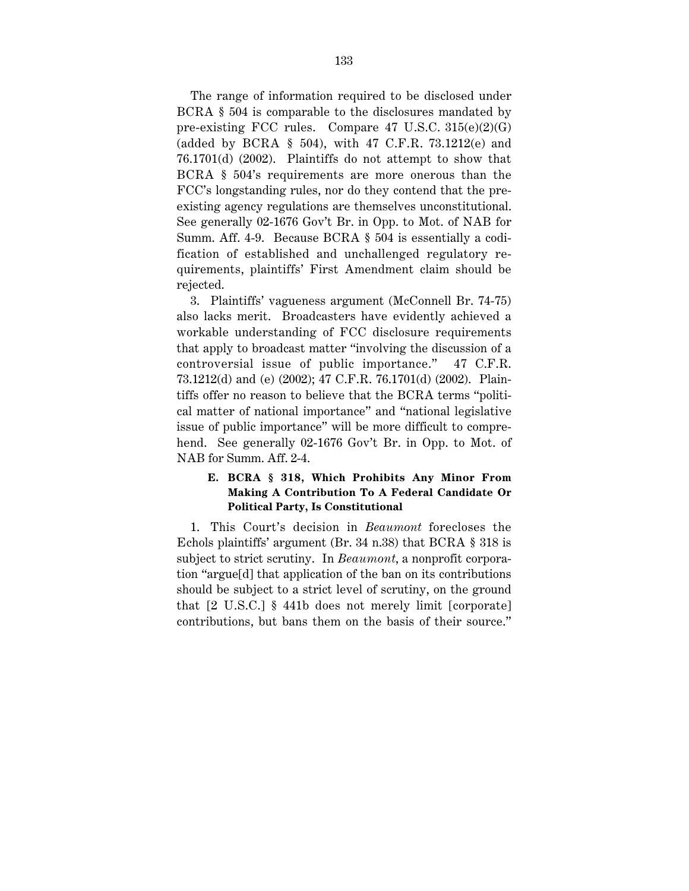The range of information required to be disclosed under BCRA § 504 is comparable to the disclosures mandated by pre-existing FCC rules. Compare 47 U.S.C.  $315(e)(2)(G)$ (added by BCRA § 504), with 47 C.F.R. 73.1212(e) and 76.1701(d) (2002). Plaintiffs do not attempt to show that BCRA § 504's requirements are more onerous than the FCC's longstanding rules, nor do they contend that the preexisting agency regulations are themselves unconstitutional. See generally 02-1676 Gov't Br. in Opp. to Mot. of NAB for Summ. Aff. 4-9. Because BCRA § 504 is essentially a codification of established and unchallenged regulatory requirements, plaintiffs' First Amendment claim should be rejected.

3. Plaintiffs' vagueness argument (McConnell Br. 74-75) also lacks merit. Broadcasters have evidently achieved a workable understanding of FCC disclosure requirements that apply to broadcast matter "involving the discussion of a controversial issue of public importance." 47 C.F.R. 73.1212(d) and (e) (2002); 47 C.F.R. 76.1701(d) (2002). Plaintiffs offer no reason to believe that the BCRA terms "political matter of national importance" and "national legislative issue of public importance" will be more difficult to comprehend. See generally 02-1676 Gov't Br. in Opp. to Mot. of NAB for Summ. Aff. 2-4.

## **E. BCRA § 318, Which Prohibits Any Minor From Making A Contribution To A Federal Candidate Or Political Party, Is Constitutional**

1. This Court's decision in *Beaumont* forecloses the Echols plaintiffs' argument (Br. 34 n.38) that BCRA § 318 is subject to strict scrutiny. In *Beaumont*, a nonprofit corporation "argue[d] that application of the ban on its contributions should be subject to a strict level of scrutiny, on the ground that [2 U.S.C.] § 441b does not merely limit [corporate] contributions, but bans them on the basis of their source."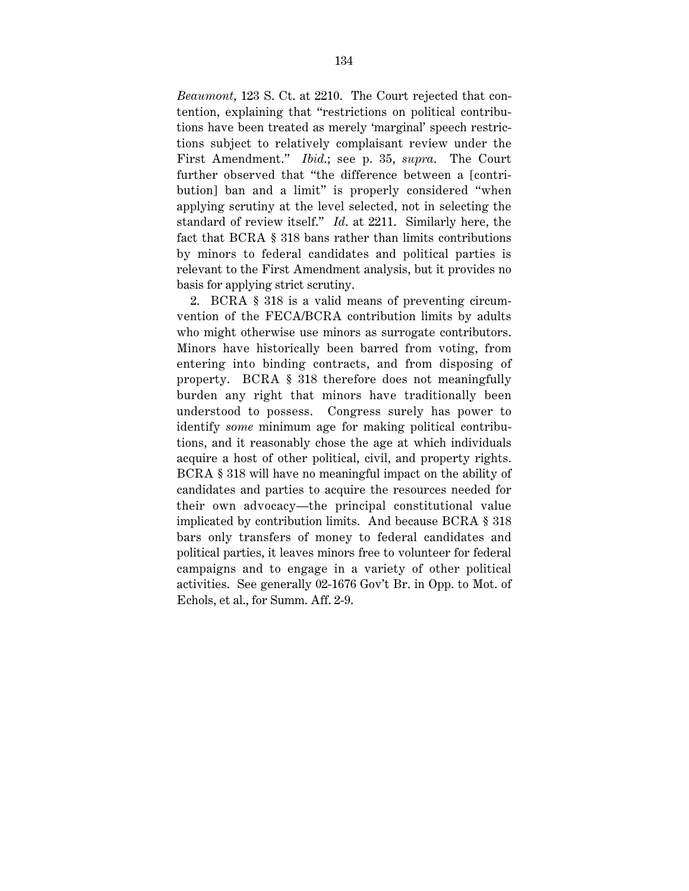*Beaumont*, 123 S. Ct. at 2210. The Court rejected that contention, explaining that "restrictions on political contributions have been treated as merely 'marginal' speech restrictions subject to relatively complaisant review under the First Amendment." *Ibid*.; see p. 35, *supra*. The Court further observed that "the difference between a [contribution] ban and a limit" is properly considered "when applying scrutiny at the level selected, not in selecting the standard of review itself." *Id*. at 2211. Similarly here, the fact that BCRA § 318 bans rather than limits contributions by minors to federal candidates and political parties is relevant to the First Amendment analysis, but it provides no basis for applying strict scrutiny.

2. BCRA § 318 is a valid means of preventing circumvention of the FECA/BCRA contribution limits by adults who might otherwise use minors as surrogate contributors. Minors have historically been barred from voting, from entering into binding contracts, and from disposing of property. BCRA § 318 therefore does not meaningfully burden any right that minors have traditionally been understood to possess. Congress surely has power to identify *some* minimum age for making political contributions, and it reasonably chose the age at which individuals acquire a host of other political, civil, and property rights. BCRA § 318 will have no meaningful impact on the ability of candidates and parties to acquire the resources needed for their own advocacy—the principal constitutional value implicated by contribution limits. And because BCRA § 318 bars only transfers of money to federal candidates and political parties, it leaves minors free to volunteer for federal campaigns and to engage in a variety of other political activities. See generally 02-1676 Gov't Br. in Opp. to Mot. of Echols, et al., for Summ. Aff. 2-9.